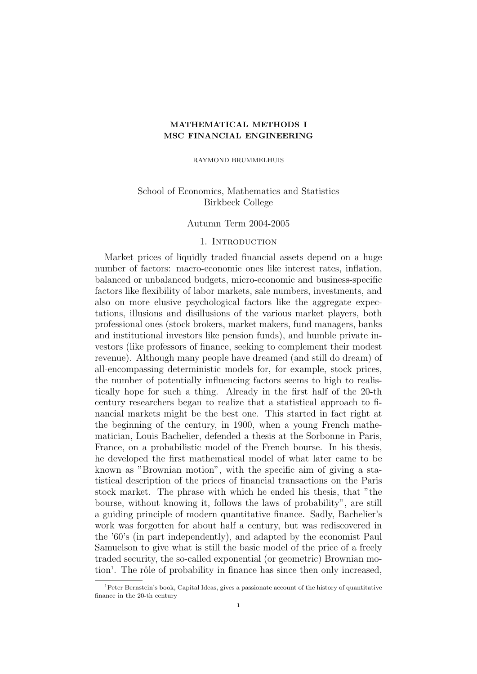# MATHEMATICAL METHODS I MSC FINANCIAL ENGINEERING

RAYMOND BRUMMELHUIS

# School of Economics, Mathematics and Statistics Birkbeck College

## Autumn Term 2004-2005

### 1. INTRODUCTION

Market prices of liquidly traded financial assets depend on a huge number of factors: macro-economic ones like interest rates, inflation, balanced or unbalanced budgets, micro-economic and business-specific factors like flexibility of labor markets, sale numbers, investments, and also on more elusive psychological factors like the aggregate expectations, illusions and disillusions of the various market players, both professional ones (stock brokers, market makers, fund managers, banks and institutional investors like pension funds), and humble private investors (like professors of finance, seeking to complement their modest revenue). Although many people have dreamed (and still do dream) of all-encompassing deterministic models for, for example, stock prices, the number of potentially influencing factors seems to high to realistically hope for such a thing. Already in the first half of the 20-th century researchers began to realize that a statistical approach to financial markets might be the best one. This started in fact right at the beginning of the century, in 1900, when a young French mathematician, Louis Bachelier, defended a thesis at the Sorbonne in Paris, France, on a probabilistic model of the French bourse. In his thesis, he developed the first mathematical model of what later came to be known as "Brownian motion", with the specific aim of giving a statistical description of the prices of financial transactions on the Paris stock market. The phrase with which he ended his thesis, that "the bourse, without knowing it, follows the laws of probability", are still a guiding principle of modern quantitative finance. Sadly, Bachelier's work was forgotten for about half a century, but was rediscovered in the '60's (in part independently), and adapted by the economist Paul Samuelson to give what is still the basic model of the price of a freely traded security, the so-called exponential (or geometric) Brownian motion<sup>1</sup>. The rôle of probability in finance has since then only increased,

<sup>&</sup>lt;sup>1</sup>Peter Bernstein's book, Capital Ideas, gives a passionate account of the history of quantitative finance in the 20-th century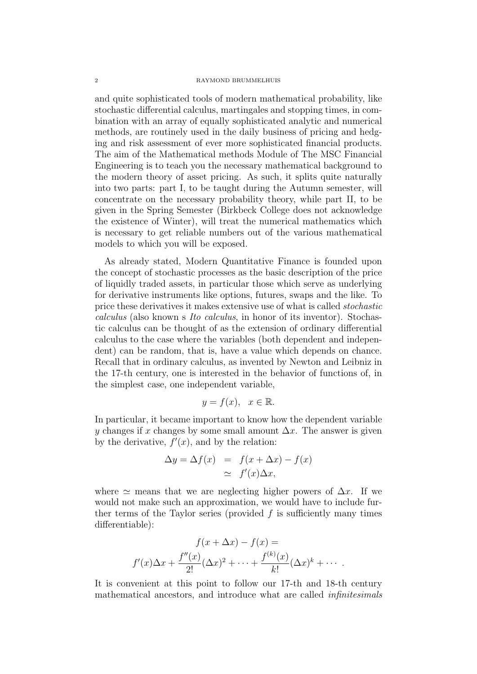#### 2 RAYMOND BRUMMELHUIS

and quite sophisticated tools of modern mathematical probability, like stochastic differential calculus, martingales and stopping times, in combination with an array of equally sophisticated analytic and numerical methods, are routinely used in the daily business of pricing and hedging and risk assessment of ever more sophisticated financial products. The aim of the Mathematical methods Module of The MSC Financial Engineering is to teach you the necessary mathematical background to the modern theory of asset pricing. As such, it splits quite naturally into two parts: part I, to be taught during the Autumn semester, will concentrate on the necessary probability theory, while part II, to be given in the Spring Semester (Birkbeck College does not acknowledge the existence of Winter), will treat the numerical mathematics which is necessary to get reliable numbers out of the various mathematical models to which you will be exposed.

As already stated, Modern Quantitative Finance is founded upon the concept of stochastic processes as the basic description of the price of liquidly traded assets, in particular those which serve as underlying for derivative instruments like options, futures, swaps and the like. To price these derivatives it makes extensive use of what is called stochastic calculus (also known s Ito calculus, in honor of its inventor). Stochastic calculus can be thought of as the extension of ordinary differential calculus to the case where the variables (both dependent and independent) can be random, that is, have a value which depends on chance. Recall that in ordinary calculus, as invented by Newton and Leibniz in the 17-th century, one is interested in the behavior of functions of, in the simplest case, one independent variable,

$$
y = f(x), \quad x \in \mathbb{R}.
$$

In particular, it became important to know how the dependent variable y changes if x changes by some small amount  $\Delta x$ . The answer is given by the derivative,  $f'(x)$ , and by the relation:

$$
\Delta y = \Delta f(x) = f(x + \Delta x) - f(x)
$$
  
\n
$$
\simeq f'(x)\Delta x,
$$

where  $\simeq$  means that we are neglecting higher powers of  $\Delta x$ . If we would not make such an approximation, we would have to include further terms of the Taylor series (provided  $f$  is sufficiently many times differentiable):

$$
f(x + \Delta x) - f(x) =
$$
  

$$
f'(x)\Delta x + \frac{f''(x)}{2!}(\Delta x)^2 + \dots + \frac{f^{(k)}(x)}{k!}(\Delta x)^k + \dots
$$

It is convenient at this point to follow our 17-th and 18-th century mathematical ancestors, and introduce what are called infinitesimals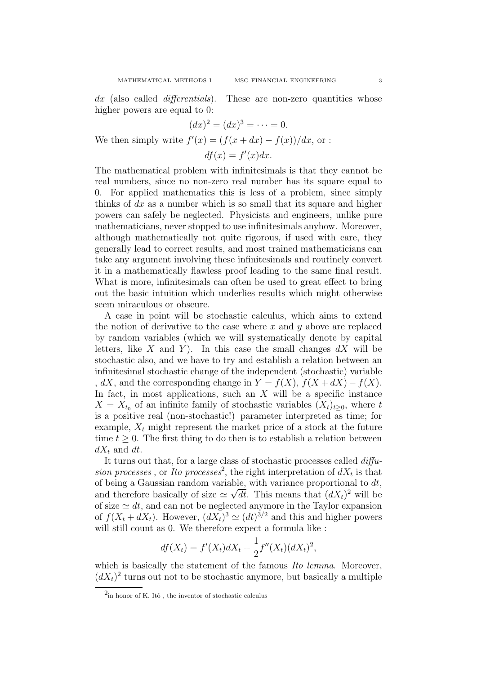We then simply write

 $dx$  (also called *differentials*). These are non-zero quantities whose higher powers are equal to 0:

$$
(dx)^{2} = (dx)^{3} = \dots = 0.
$$
  
e  $f'(x) = (f(x+dx) - f(x))/dx$ , or :

$$
df(x) = f'(x)dx.
$$

The mathematical problem with infinitesimals is that they cannot be real numbers, since no non-zero real number has its square equal to 0. For applied mathematics this is less of a problem, since simply thinks of  $dx$  as a number which is so small that its square and higher powers can safely be neglected. Physicists and engineers, unlike pure mathematicians, never stopped to use infinitesimals anyhow. Moreover, although mathematically not quite rigorous, if used with care, they generally lead to correct results, and most trained mathematicians can take any argument involving these infinitesimals and routinely convert it in a mathematically flawless proof leading to the same final result. What is more, infinitesimals can often be used to great effect to bring out the basic intuition which underlies results which might otherwise seem miraculous or obscure.

A case in point will be stochastic calculus, which aims to extend the notion of derivative to the case where  $x$  and  $y$  above are replaced by random variables (which we will systematically denote by capital letters, like X and Y). In this case the small changes  $dX$  will be stochastic also, and we have to try and establish a relation between an infinitesimal stochastic change of the independent (stochastic) variable , dX, and the corresponding change in  $Y = f(X)$ ,  $f(X + dX) - f(X)$ . In fact, in most applications, such an  $X$  will be a specific instance  $X = X_{t_0}$  of an infinite family of stochastic variables  $(X_t)_{t>0}$ , where t is a positive real (non-stochastic!) parameter interpreted as time; for example,  $X_t$  might represent the market price of a stock at the future time  $t \geq 0$ . The first thing to do then is to establish a relation between  $dX_t$  and dt.

It turns out that, for a large class of stochastic processes called diffusion processes, or Ito processes<sup>2</sup>, the right interpretation of  $dX_t$  is that of being a Gaussian random variable, with variance proportional to  $dt$ , and therefore basically of size  $\simeq \sqrt{dt}$ . This means that  $(dX_t)^2$  will be of size  $\simeq dt$ , and can not be neglected anymore in the Taylor expansion of  $f(X_t + dX_t)$ . However,  $(dX_t)^3 \simeq (dt)^{3/2}$  and this and higher powers will still count as 0. We therefore expect a formula like :

$$
df(X_t) = f'(X_t)dX_t + \frac{1}{2}f''(X_t)(dX_t)^2,
$$

which is basically the statement of the famous *Ito lemma*. Moreover,  $(dX_t)^2$  turns out not to be stochastic anymore, but basically a multiple

 $2$ in honor of K. Itô, the inventor of stochastic calculus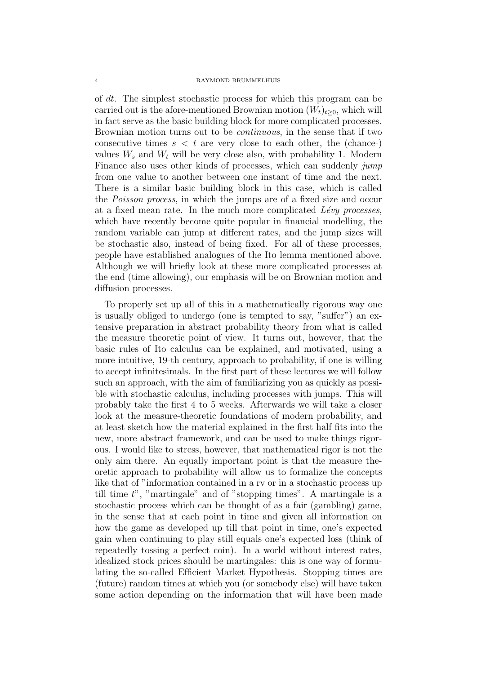of dt. The simplest stochastic process for which this program can be carried out is the afore-mentioned Brownian motion  $(W_t)_{t>0}$ , which will in fact serve as the basic building block for more complicated processes. Brownian motion turns out to be continuous, in the sense that if two consecutive times  $s < t$  are very close to each other, the (chance-) values  $W_s$  and  $W_t$  will be very close also, with probability 1. Modern Finance also uses other kinds of processes, which can suddenly jump from one value to another between one instant of time and the next. There is a similar basic building block in this case, which is called the Poisson process, in which the jumps are of a fixed size and occur at a fixed mean rate. In the much more complicated  $Lévy$  processes, which have recently become quite popular in financial modelling, the random variable can jump at different rates, and the jump sizes will be stochastic also, instead of being fixed. For all of these processes, people have established analogues of the Ito lemma mentioned above. Although we will briefly look at these more complicated processes at the end (time allowing), our emphasis will be on Brownian motion and diffusion processes.

To properly set up all of this in a mathematically rigorous way one is usually obliged to undergo (one is tempted to say, "suffer") an extensive preparation in abstract probability theory from what is called the measure theoretic point of view. It turns out, however, that the basic rules of Ito calculus can be explained, and motivated, using a more intuitive, 19-th century, approach to probability, if one is willing to accept infinitesimals. In the first part of these lectures we will follow such an approach, with the aim of familiarizing you as quickly as possible with stochastic calculus, including processes with jumps. This will probably take the first 4 to 5 weeks. Afterwards we will take a closer look at the measure-theoretic foundations of modern probability, and at least sketch how the material explained in the first half fits into the new, more abstract framework, and can be used to make things rigorous. I would like to stress, however, that mathematical rigor is not the only aim there. An equally important point is that the measure theoretic approach to probability will allow us to formalize the concepts like that of "information contained in a rv or in a stochastic process up till time  $t$ ", "martingale" and of "stopping times". A martingale is a stochastic process which can be thought of as a fair (gambling) game, in the sense that at each point in time and given all information on how the game as developed up till that point in time, one's expected gain when continuing to play still equals one's expected loss (think of repeatedly tossing a perfect coin). In a world without interest rates, idealized stock prices should be martingales: this is one way of formulating the so-called Efficient Market Hypothesis. Stopping times are (future) random times at which you (or somebody else) will have taken some action depending on the information that will have been made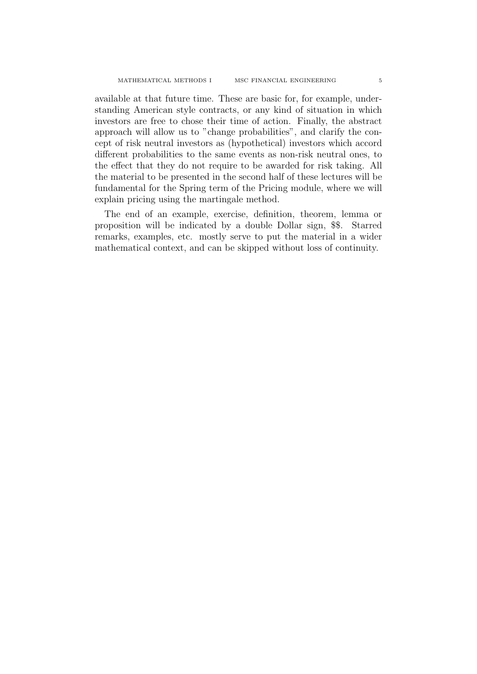available at that future time. These are basic for, for example, understanding American style contracts, or any kind of situation in which investors are free to chose their time of action. Finally, the abstract approach will allow us to "change probabilities", and clarify the concept of risk neutral investors as (hypothetical) investors which accord different probabilities to the same events as non-risk neutral ones, to the effect that they do not require to be awarded for risk taking. All the material to be presented in the second half of these lectures will be fundamental for the Spring term of the Pricing module, where we will explain pricing using the martingale method.

The end of an example, exercise, definition, theorem, lemma or proposition will be indicated by a double Dollar sign, \$\$. Starred remarks, examples, etc. mostly serve to put the material in a wider mathematical context, and can be skipped without loss of continuity.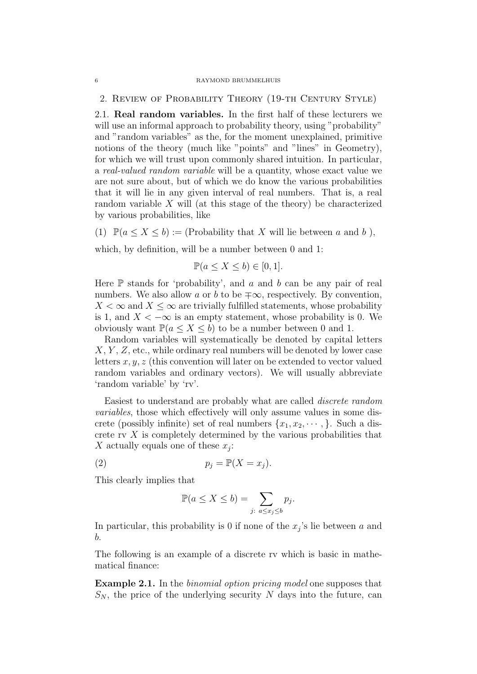#### 6 RAYMOND BRUMMELHUIS

2. Review of Probability Theory (19-th Century Style)

2.1. Real random variables. In the first half of these lecturers we will use an informal approach to probability theory, using "probability" and "random variables" as the, for the moment unexplained, primitive notions of the theory (much like "points" and "lines" in Geometry), for which we will trust upon commonly shared intuition. In particular, a real-valued random variable will be a quantity, whose exact value we are not sure about, but of which we do know the various probabilities that it will lie in any given interval of real numbers. That is, a real random variable X will (at this stage of the theory) be characterized by various probabilities, like

(1)  $\mathbb{P}(a \le X \le b) :=$  (Probability that X will lie between a and b),

which, by definition, will be a number between 0 and 1:

$$
\mathbb{P}(a \le X \le b) \in [0,1].
$$

Here  $\mathbb P$  stands for 'probability', and a and b can be any pair of real numbers. We also allow a or b to be  $\mp \infty$ , respectively. By convention,  $X < \infty$  and  $X \leq \infty$  are trivially fulfilled statements, whose probability is 1, and  $X < -\infty$  is an empty statement, whose probability is 0. We obviously want  $\mathbb{P}(a \leq X \leq b)$  to be a number between 0 and 1.

Random variables will systematically be denoted by capital letters  $X, Y, Z$ , etc., while ordinary real numbers will be denoted by lower case letters  $x, y, z$  (this convention will later on be extended to vector valued random variables and ordinary vectors). We will usually abbreviate 'random variable' by 'rv'.

Easiest to understand are probably what are called discrete random variables, those which effectively will only assume values in some discrete (possibly infinite) set of real numbers  $\{x_1, x_2, \dots, \}$ . Such a discrete rv  $X$  is completely determined by the various probabilities that X actually equals one of these  $x_j$ :

(2)  $p_j = \mathbb{P}(X = x_j).$ 

This clearly implies that

$$
\mathbb{P}(a \le X \le b) = \sum_{j:\ a \le x_j \le b} p_j.
$$

In particular, this probability is 0 if none of the  $x_j$ 's lie between a and b.

The following is an example of a discrete rv which is basic in mathematical finance:

Example 2.1. In the binomial option pricing model one supposes that  $S_N$ , the price of the underlying security N days into the future, can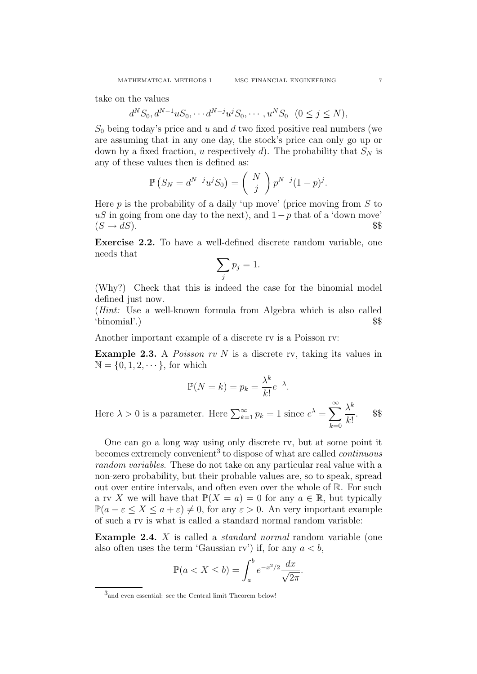take on the values

$$
d^N S_0, d^{N-1} u S_0, \cdots d^{N-j} u^j S_0, \cdots, u^N S_0 \quad (0 \le j \le N),
$$

 $S_0$  being today's price and u and d two fixed positive real numbers (we are assuming that in any one day, the stock's price can only go up or down by a fixed fraction, u respectively d). The probability that  $S_N$  is any of these values then is defined as:

$$
\mathbb{P}\left(S_N = d^{N-j}u^jS_0\right) = \left(\begin{array}{c} N \\ j \end{array}\right)p^{N-j}(1-p)^j.
$$

Here  $p$  is the probability of a daily 'up move' (price moving from  $S$  to  $uS$  in going from one day to the next), and  $1-p$  that of a 'down move'  $(S \rightarrow dS)$ .

Exercise 2.2. To have a well-defined discrete random variable, one needs that

$$
\sum_j p_j = 1.
$$

(Why?) Check that this is indeed the case for the binomial model defined just now.

(Hint: Use a well-known formula from Algebra which is also called  $\gamma$  'binomial'.)  $\$ 

Another important example of a discrete rv is a Poisson rv:

Example 2.3. A *Poisson rv N* is a discrete rv, taking its values in  $\mathbb{N} = \{0, 1, 2, \dots\}$ , for which

$$
\mathbb{P}(N=k) = p_k = \frac{\lambda^k}{k!} e^{-\lambda}.
$$

Here  $\lambda > 0$  is a parameter. Here  $\sum_{k=1}^{\infty} p_k = 1$  since  $e^{\lambda} = \sum_{k=1}^{\infty}$  $k=0$  $\lambda^k$  $k!$ . \$\$

One can go a long way using only discrete rv, but at some point it becomes extremely convenient<sup>3</sup> to dispose of what are called *continuous* random variables. These do not take on any particular real value with a non-zero probability, but their probable values are, so to speak, spread out over entire intervals, and often even over the whole of R. For such a rv X we will have that  $\mathbb{P}(X = a) = 0$  for any  $a \in \mathbb{R}$ , but typically  $\mathbb{P}(a - \varepsilon \leq X \leq a + \varepsilon) \neq 0$ , for any  $\varepsilon > 0$ . An very important example of such a rv is what is called a standard normal random variable:

Example 2.4. X is called a *standard normal* random variable (one also often uses the term 'Gaussian rv') if, for any  $a < b$ ,

$$
\mathbb{P}(a < X \le b) = \int_a^b e^{-x^2/2} \frac{dx}{\sqrt{2\pi}}.
$$

<sup>3</sup>and even essential: see the Central limit Theorem below!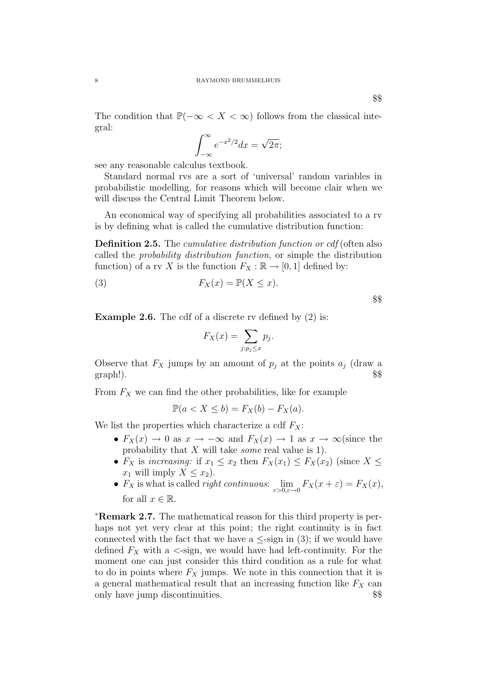$$
\int_{-\infty}^{\infty} e^{-x^2/2} dx = \sqrt{2\pi};
$$

see any reasonable calculus textbook.

Standard normal rvs are a sort of 'universal' random variables in probabilistic modelling, for reasons which will become clair when we will discuss the Central Limit Theorem below.

An economical way of specifying all probabilities associated to a rv is by defining what is called the cumulative distribution function:

**Definition 2.5.** The *cumulative distribution function or cdf* (often also called the probability distribution function, or simple the distribution function) of a rv X is the function  $F_X : \mathbb{R} \to [0, 1]$  defined by:

(3) 
$$
F_X(x) = \mathbb{P}(X \le x).
$$

\$\$

**Example 2.6.** The cdf of a discrete rv defined by (2) is:

$$
F_X(x) = \sum_{j: p_j \leq x} p_j.
$$

Observe that  $F_X$  jumps by an amount of  $p_i$  at the points  $a_i$  (draw a graph!).  $$$ 

From  $F_X$  we can find the other probabilities, like for example

$$
\mathbb{P}(a < X \le b) = F_X(b) - F_X(a).
$$

We list the properties which characterize a cdf  $F_X$ :

- $F_X(x) \to 0$  as  $x \to -\infty$  and  $F_X(x) \to 1$  as  $x \to \infty$  (since the probability that  $X$  will take *some* real value is 1).
- $F_X$  is increasing: if  $x_1 \leq x_2$  then  $F_X(x_1) \leq F_X(x_2)$  (since  $X \leq$  $x_1$  will imply  $X \leq x_2$ ).
- $F_X$  is what is called *right continuous*:  $\lim_{\varepsilon > 0, \varepsilon \to 0} F_X(x + \varepsilon) = F_X(x)$ , for all  $x \in \mathbb{R}$ .

<sup>∗</sup>Remark 2.7. The mathematical reason for this third property is perhaps not yet very clear at this point; the right continuity is in fact connected with the fact that we have a  $\leq$ -sign in (3); if we would have defined  $F_X$  with a  $\lt$ -sign, we would have had left-continuity. For the moment one can just consider this third condition as a rule for what to do in points where  $F_X$  jumps. We note in this connection that it is a general mathematical result that an increasing function like  $F_X$  can only have jump discontinuities. \$\$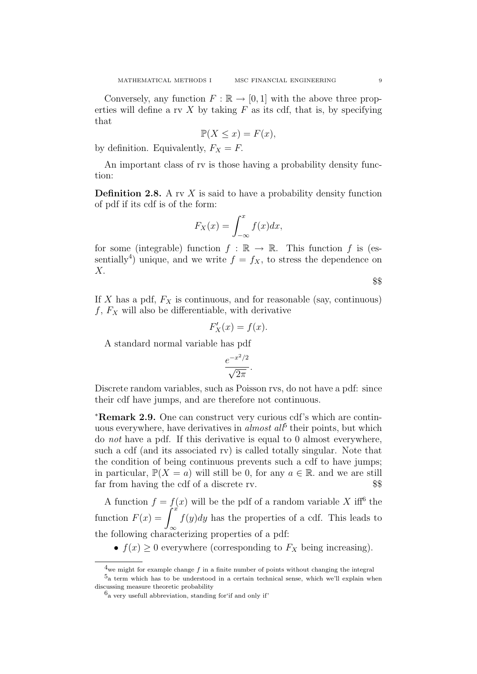Conversely, any function  $F : \mathbb{R} \to [0,1]$  with the above three properties will define a rv  $X$  by taking  $F$  as its cdf, that is, by specifying that

$$
\mathbb{P}(X \le x) = F(x),
$$

by definition. Equivalently,  $F_X = F$ .

An important class of rv is those having a probability density function:

**Definition 2.8.** A rv  $X$  is said to have a probability density function of pdf if its cdf is of the form:

$$
F_X(x) = \int_{-\infty}^x f(x) dx,
$$

for some (integrable) function  $f : \mathbb{R} \to \mathbb{R}$ . This function f is (essentially<sup>4</sup>) unique, and we write  $f = f_X$ , to stress the dependence on X.

\$\$

If X has a pdf,  $F_X$  is continuous, and for reasonable (say, continuous)  $f, F_X$  will also be differentiable, with derivative

$$
F_X'(x) = f(x).
$$

A standard normal variable has pdf

$$
\frac{e^{-x^2/2}}{\sqrt{2\pi}}.
$$

Discrete random variables, such as Poisson rvs, do not have a pdf: since their cdf have jumps, and are therefore not continuous.

<sup>∗</sup>Remark 2.9. One can construct very curious cdf's which are continuous everywhere, have derivatives in *almost all*<sup>5</sup> their points, but which do not have a pdf. If this derivative is equal to 0 almost everywhere, such a cdf (and its associated rv) is called totally singular. Note that the condition of being continuous prevents such a cdf to have jumps; in particular,  $\mathbb{P}(X = a)$  will still be 0, for any  $a \in \mathbb{R}$  and we are still far from having the cdf of a discrete rv. \$\$

A function  $f = f(x)$  will be the pdf of a random variable X iff<sup>6</sup> the function  $F(x) = \int_0^x$ ∞  $f(y)dy$  has the properties of a cdf. This leads to the following characterizing properties of a pdf:

•  $f(x) \geq 0$  everywhere (corresponding to  $F_X$  being increasing).

<sup>&</sup>lt;sup>4</sup>we might for example change f in a finite number of points without changing the integral 5a term which has to be understood in a certain technical sense, which we'll explain when

discussing measure theoretic probability

 $^{6}$ a very usefull abbreviation, standing for if and only if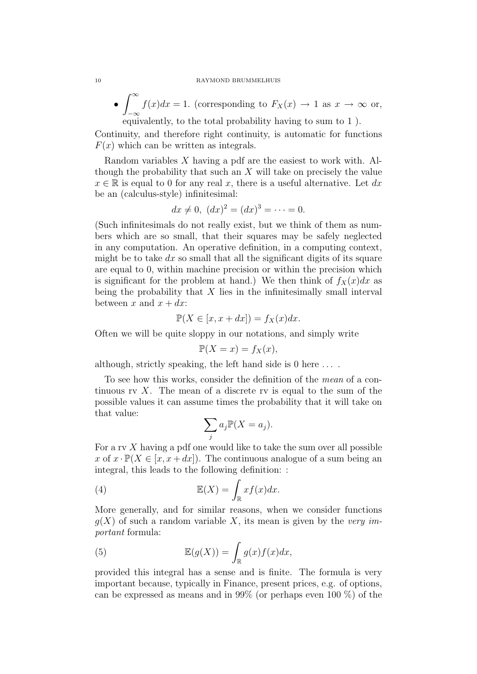#### 10 RAYMOND BRUMMELHUIS

 $\bullet$   $\int_{0}^{\infty}$ −∞  $f(x)dx = 1$ . (corresponding to  $F_X(x) \to 1$  as  $x \to \infty$  or, equivalently, to the total probability having to sum to 1 ).

Continuity, and therefore right continuity, is automatic for functions  $F(x)$  which can be written as integrals.

Random variables X having a pdf are the easiest to work with. Although the probability that such an  $X$  will take on precisely the value  $x \in \mathbb{R}$  is equal to 0 for any real x, there is a useful alternative. Let  $dx$ be an (calculus-style) infinitesimal:

$$
dx \neq 0
$$
,  $(dx)^2 = (dx)^3 = \cdots = 0$ .

(Such infinitesimals do not really exist, but we think of them as numbers which are so small, that their squares may be safely neglected in any computation. An operative definition, in a computing context, might be to take  $dx$  so small that all the significant digits of its square are equal to 0, within machine precision or within the precision which is significant for the problem at hand.) We then think of  $f_X(x)dx$  as being the probability that  $X$  lies in the infinitesimally small interval between x and  $x + dx$ :

$$
\mathbb{P}(X \in [x, x + dx]) = f_X(x)dx.
$$

Often we will be quite sloppy in our notations, and simply write

$$
\mathbb{P}(X = x) = f_X(x),
$$

although, strictly speaking, the left hand side is  $0$  here  $\dots$ .

To see how this works, consider the definition of the mean of a continuous rv  $X$ . The mean of a discrete rv is equal to the sum of the possible values it can assume times the probability that it will take on that value:

$$
\sum_j a_j \mathbb{P}(X = a_j).
$$

For a rv  $X$  having a pdf one would like to take the sum over all possible x of  $x \cdot \mathbb{P}(X \in [x, x + dx])$ . The continuous analogue of a sum being an integral, this leads to the following definition: :

(4) 
$$
\mathbb{E}(X) = \int_{\mathbb{R}} x f(x) dx.
$$

More generally, and for similar reasons, when we consider functions  $q(X)$  of such a random variable X, its mean is given by the very important formula:

(5) 
$$
\mathbb{E}(g(X)) = \int_{\mathbb{R}} g(x)f(x)dx,
$$

provided this integral has a sense and is finite. The formula is very important because, typically in Finance, present prices, e.g. of options, can be expressed as means and in 99% (or perhaps even 100 %) of the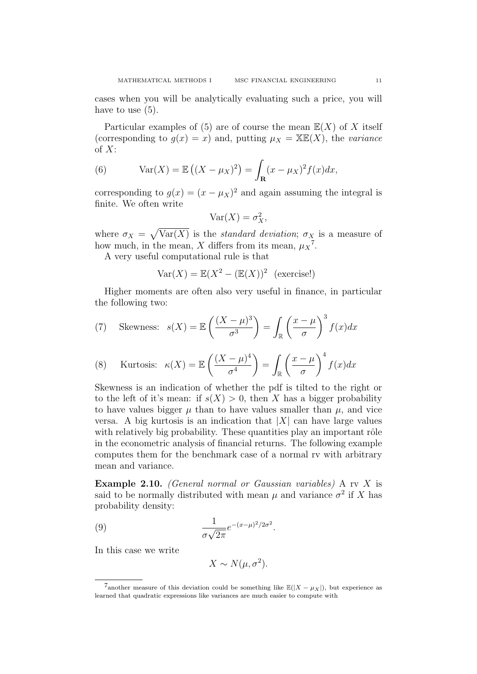cases when you will be analytically evaluating such a price, you will have to use  $(5)$ .

Particular examples of (5) are of course the mean  $\mathbb{E}(X)$  of X itself (corresponding to  $g(x) = x$ ) and, putting  $\mu_X = \mathbb{X}\mathbb{E}(X)$ , the variance of  $X$ :

(6) 
$$
\text{Var}(X) = \mathbb{E}\left((X - \mu_X)^2\right) = \int_{\mathbf{R}} (x - \mu_X)^2 f(x) dx,
$$

corresponding to  $g(x) = (x - \mu_X)^2$  and again assuming the integral is finite. We often write

$$
\text{Var}(X) = \sigma_X^2,
$$

where  $\sigma_X = \sqrt{\text{Var}(X)}$  is the standard deviation;  $\sigma_X$  is a measure of how much, in the mean, X differs from its mean,  $\mu_X^7$ .

A very useful computational rule is that

$$
Var(X) = \mathbb{E}(X^2 - (\mathbb{E}(X))^2 \text{ (exercise!)}
$$

Higher moments are often also very useful in finance, in particular the following two:

(7) Skewness: 
$$
s(X) = \mathbb{E}\left(\frac{(X-\mu)^3}{\sigma^3}\right) = \int_{\mathbb{R}} \left(\frac{x-\mu}{\sigma}\right)^3 f(x) dx
$$

(8) Kurtosis: 
$$
\kappa(X) = \mathbb{E}\left(\frac{(X-\mu)^4}{\sigma^4}\right) = \int_{\mathbb{R}} \left(\frac{x-\mu}{\sigma}\right)^4 f(x) dx
$$

Skewness is an indication of whether the pdf is tilted to the right or to the left of it's mean: if  $s(X) > 0$ , then X has a bigger probability to have values bigger  $\mu$  than to have values smaller than  $\mu$ , and vice versa. A big kurtosis is an indication that  $|X|$  can have large values with relatively big probability. These quantities play an important rôle in the econometric analysis of financial returns. The following example computes them for the benchmark case of a normal rv with arbitrary mean and variance.

**Example 2.10.** (General normal or Gaussian variables) A rv  $X$  is said to be normally distributed with mean  $\mu$  and variance  $\sigma^2$  if X has probability density:

(9) 
$$
\frac{1}{\sigma\sqrt{2\pi}}e^{-(x-\mu)^2/2\sigma^2}.
$$

In this case we write

$$
X \sim N(\mu, \sigma^2).
$$

<sup>7</sup>another measure of this deviation could be something like  $\mathbb{E}(|X - \mu_X|)$ , but experience as learned that quadratic expressions like variances are much easier to compute with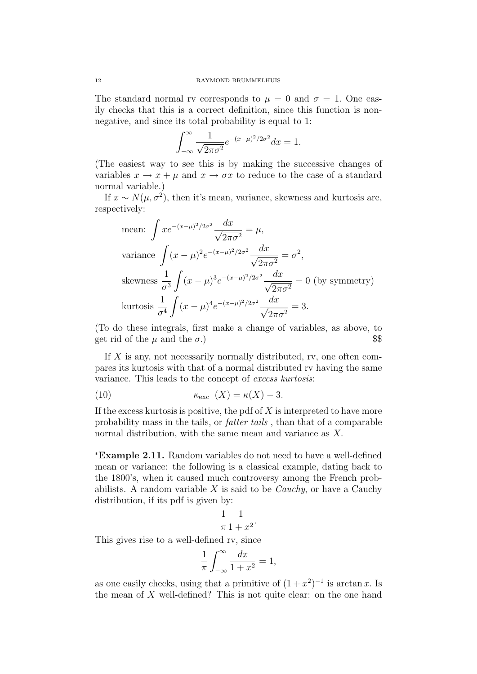The standard normal rv corresponds to  $\mu = 0$  and  $\sigma = 1$ . One easily checks that this is a correct definition, since this function is nonnegative, and since its total probability is equal to 1:

$$
\int_{-\infty}^{\infty} \frac{1}{\sqrt{2\pi\sigma^2}} e^{-(x-\mu)^2/2\sigma^2} dx = 1.
$$

(The easiest way to see this is by making the successive changes of variables  $x \to x + \mu$  and  $x \to \sigma x$  to reduce to the case of a standard normal variable.)

If  $x \sim N(\mu, \sigma^2)$ , then it's mean, variance, skewness and kurtosis are, respectively:

mean: 
$$
\int xe^{-(x-\mu)^2/2\sigma^2} \frac{dx}{\sqrt{2\pi\sigma^2}} = \mu,
$$
  
variance 
$$
\int (x-\mu)^2 e^{-(x-\mu)^2/2\sigma^2} \frac{dx}{\sqrt{2\pi\sigma^2}} = \sigma^2,
$$
  
skewness 
$$
\frac{1}{\sigma^3} \int (x-\mu)^3 e^{-(x-\mu)^2/2\sigma^2} \frac{dx}{\sqrt{2\pi\sigma^2}} = 0
$$
 (by symmetry)  
kurtosis 
$$
\frac{1}{\sigma^4} \int (x-\mu)^4 e^{-(x-\mu)^2/2\sigma^2} \frac{dx}{\sqrt{2\pi\sigma^2}} = 3.
$$

(To do these integrals, first make a change of variables, as above, to get rid of the  $\mu$  and the  $\sigma$ .) \$\$

If X is any, not necessarily normally distributed, ry, one often compares its kurtosis with that of a normal distributed rv having the same variance. This leads to the concept of excess kurtosis:

(10) 
$$
\kappa_{\rm exc} (X) = \kappa(X) - 3.
$$

If the excess kurtosis is positive, the pdf of  $X$  is interpreted to have more probability mass in the tails, or fatter tails , than that of a comparable normal distribution, with the same mean and variance as X.

<sup>∗</sup>Example 2.11. Random variables do not need to have a well-defined mean or variance: the following is a classical example, dating back to the 1800's, when it caused much controversy among the French probabilists. A random variable  $X$  is said to be *Cauchy*, or have a Cauchy distribution, if its pdf is given by:

$$
\frac{1}{\pi} \frac{1}{1+x^2}.
$$

This gives rise to a well-defined rv, since

$$
\frac{1}{\pi} \int_{-\infty}^{\infty} \frac{dx}{1+x^2} = 1,
$$

as one easily checks, using that a primitive of  $(1+x^2)^{-1}$  is arctan x. Is the mean of  $X$  well-defined? This is not quite clear: on the one hand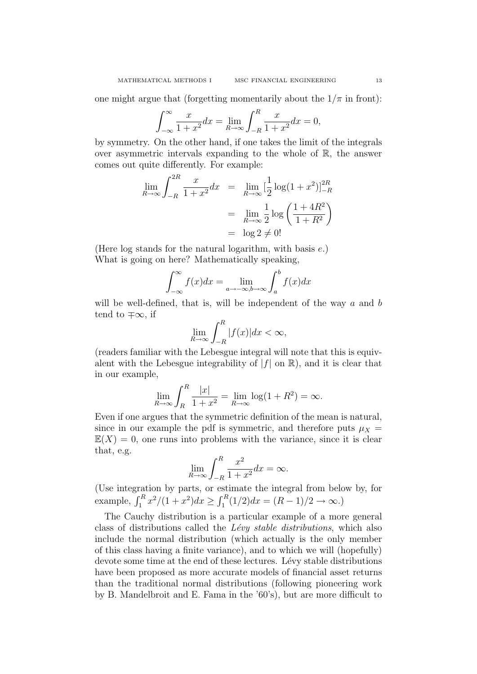one might argue that (forgetting momentarily about the  $1/\pi$  in front):

$$
\int_{-\infty}^{\infty} \frac{x}{1+x^2} dx = \lim_{R \to \infty} \int_{-R}^{R} \frac{x}{1+x^2} dx = 0,
$$

by symmetry. On the other hand, if one takes the limit of the integrals over asymmetric intervals expanding to the whole of R, the answer comes out quite differently. For example:

$$
\lim_{R \to \infty} \int_{-R}^{2R} \frac{x}{1+x^2} dx = \lim_{R \to \infty} \left[ \frac{1}{2} \log(1+x^2) \right]_{-R}^{2R}
$$

$$
= \lim_{R \to \infty} \frac{1}{2} \log \left( \frac{1+4R^2}{1+R^2} \right)
$$

$$
= \log 2 \neq 0!
$$

(Here  $log$  stands for the natural logarithm, with basis  $e$ .) What is going on here? Mathematically speaking,

$$
\int_{-\infty}^{\infty} f(x)dx = \lim_{a \to -\infty, b \to \infty} \int_{a}^{b} f(x)dx
$$

will be well-defined, that is, will be independent of the way  $a$  and  $b$ tend to  $\mp\infty$ , if

$$
\lim_{R \to \infty} \int_{-R}^{R} |f(x)| dx < \infty,
$$

(readers familiar with the Lebesgue integral will note that this is equivalent with the Lebesgue integrability of  $|f|$  on  $\mathbb{R}$ ), and it is clear that in our example,

$$
\lim_{R \to \infty} \int_R^R \frac{|x|}{1 + x^2} = \lim_{R \to \infty} \log(1 + R^2) = \infty.
$$

Even if one argues that the symmetric definition of the mean is natural, since in our example the pdf is symmetric, and therefore puts  $\mu_X$  =  $\mathbb{E}(X) = 0$ , one runs into problems with the variance, since it is clear that, e.g.

$$
\lim_{R \to \infty} \int_{-R}^{R} \frac{x^2}{1 + x^2} dx = \infty.
$$

(Use integration by parts, or estimate the integral from below by, for example,  $\int_1^R x^2/(1+x^2)dx \ge \int_1^R (1/2)dx = (R-1)/2 \to \infty.$ 

The Cauchy distribution is a particular example of a more general class of distributions called the *Lévy stable distributions*, which also include the normal distribution (which actually is the only member of this class having a finite variance), and to which we will (hopefully) devote some time at the end of these lectures. Lévy stable distributions have been proposed as more accurate models of financial asset returns than the traditional normal distributions (following pioneering work by B. Mandelbroit and E. Fama in the '60's), but are more difficult to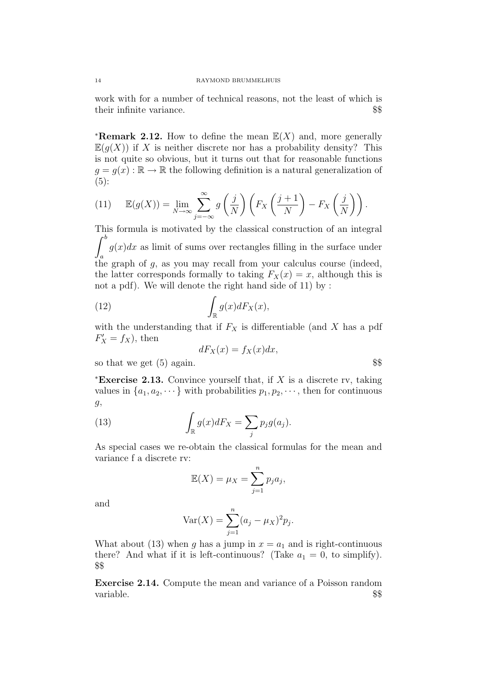work with for a number of technical reasons, not the least of which is their infinite variance.

\***Remark 2.12.** How to define the mean  $\mathbb{E}(X)$  and, more generally  $\mathbb{E}(q(X))$  if X is neither discrete nor has a probability density? This is not quite so obvious, but it turns out that for reasonable functions  $g = g(x) : \mathbb{R} \to \mathbb{R}$  the following definition is a natural generalization of  $(5)$ :

(11) 
$$
\mathbb{E}(g(X)) = \lim_{N \to \infty} \sum_{j=-\infty}^{\infty} g\left(\frac{j}{N}\right) \left(F_X\left(\frac{j+1}{N}\right) - F_X\left(\frac{j}{N}\right)\right).
$$

This formula is motivated by the classical construction of an integral  $\int^b$ a  $g(x)dx$  as limit of sums over rectangles filling in the surface under the graph of g, as you may recall from your calculus course (indeed, the latter corresponds formally to taking  $F_X(x) = x$ , although this is not a pdf). We will denote the right hand side of 11) by :

(12) 
$$
\int_{\mathbb{R}} g(x) dF_X(x),
$$

with the understanding that if  $F_X$  is differentiable (and X has a pdf  $F'_X = f_X$ ), then

$$
dF_X(x) = f_X(x)dx,
$$

so that we get  $(5)$  again.

\***Exercise 2.13.** Convince yourself that, if X is a discrete rv, taking values in  $\{a_1, a_2, \dots\}$  with probabilities  $p_1, p_2, \dots$ , then for continuous g,

(13) 
$$
\int_{\mathbb{R}} g(x)dF_X = \sum_j p_j g(a_j).
$$

As special cases we re-obtain the classical formulas for the mean and variance f a discrete rv:

$$
\mathbb{E}(X) = \mu_X = \sum_{j=1}^n p_j a_j,
$$

and

$$
Var(X) = \sum_{j=1}^{n} (a_j - \mu_X)^2 p_j.
$$

What about (13) when g has a jump in  $x = a_1$  and is right-continuous there? And what if it is left-continuous? (Take  $a_1 = 0$ , to simplify). \$\$

Exercise 2.14. Compute the mean and variance of a Poisson random variable.  $$$ 

$$
\$\$
$$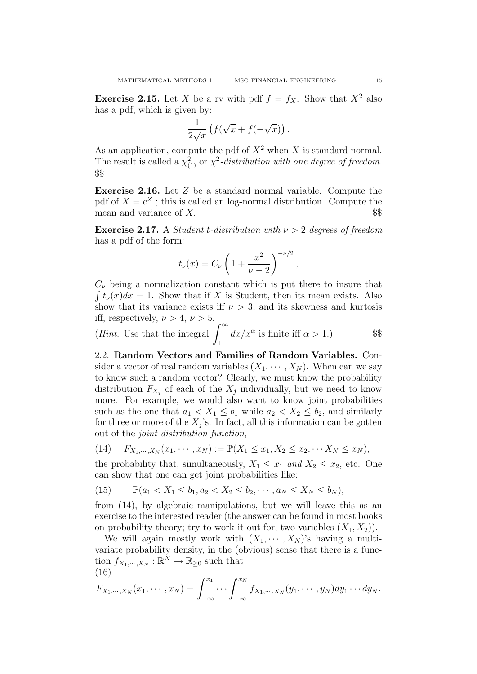**Exercise 2.15.** Let X be a rv with pdf  $f = f_X$ . Show that  $X^2$  also has a pdf, which is given by:

$$
\frac{1}{2\sqrt{x}}\left(f(\sqrt{x}+f(-\sqrt{x})\right).
$$

As an application, compute the pdf of  $X^2$  when X is standard normal. The result is called a  $\chi^2_{(1)}$  or  $\chi^2$ -distribution with one degree of freedom. \$\$

Exercise 2.16. Let Z be a standard normal variable. Compute the pdf of  $X = e^Z$ ; this is called an log-normal distribution. Compute the mean and variance of  $X$ .  $$$ 

**Exercise 2.17.** A *Student t-distribution with*  $\nu > 2$  *degrees of freedom* has a pdf of the form:

$$
t_{\nu}(x) = C_{\nu} \left( 1 + \frac{x^2}{\nu - 2} \right)^{-\nu/2},
$$

 $C_{\nu}$  being a normalization constant which is put there to insure that  $\int t_{\nu}(x)dx = 1$ . Show that if X is Student, then its mean exists. Also show that its variance exists if  $\nu > 3$ , and its skewness and kurtosis iff, respectively,  $\nu > 4$ ,  $\nu > 5$ .

(*Hint*: Use that the integral  $\int^{\infty}$ 1  $dx/x^{\alpha}$  is finite iff  $\alpha > 1$ .) \$\$

2.2. Random Vectors and Families of Random Variables. Consider a vector of real random variables  $(X_1, \dots, X_N)$ . When can we say to know such a random vector? Clearly, we must know the probability distribution  $F_{X_j}$  of each of the  $X_j$  individually, but we need to know more. For example, we would also want to know joint probabilities such as the one that  $a_1 < X_1 \leq b_1$  while  $a_2 < X_2 \leq b_2$ , and similarly for three or more of the  $X_j$ 's. In fact, all this information can be gotten out of the joint distribution function,

(14) 
$$
F_{X_1,\dots,X_N}(x_1,\dots,x_N) := \mathbb{P}(X_1 \le x_1, X_2 \le x_2,\dots X_N \le x_N),
$$

the probability that, simultaneously,  $X_1 \leq x_1$  and  $X_2 \leq x_2$ , etc. One can show that one can get joint probabilities like:

(15) 
$$
\mathbb{P}(a_1 < X_1 \le b_1, a_2 < X_2 \le b_2, \cdots, a_N \le X_N \le b_N),
$$

from (14), by algebraic manipulations, but we will leave this as an exercise to the interested reader (the answer can be found in most books on probability theory; try to work it out for, two variables  $(X_1, X_2)$ .

We will again mostly work with  $(X_1, \dots, X_N)$ 's having a multivariate probability density, in the (obvious) sense that there is a function  $f_{X_1,\dots,X_N} : \mathbb{R}^N \to \mathbb{R}_{\geq 0}$  such that (16)

$$
F_{X_1,\dots,X_N}(x_1,\dots,x_N)=\int_{-\infty}^{x_1}\dots\int_{-\infty}^{x_N}f_{X_1,\dots,X_N}(y_1,\dots,y_N)dy_1\dots dy_N.
$$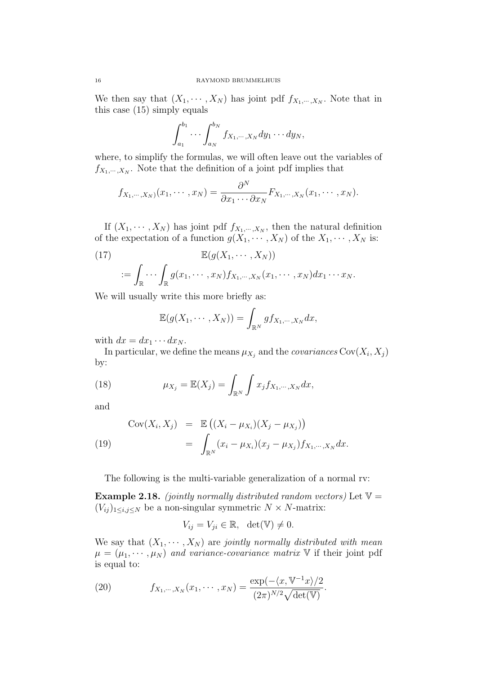We then say that  $(X_1, \dots, X_N)$  has joint pdf  $f_{X_1, \dots, X_N}$ . Note that in this case (15) simply equals

$$
\int_{a_1}^{b_1} \cdots \int_{a_N}^{b_N} f_{X_1,\cdots,X_N} dy_1 \cdots dy_N,
$$

where, to simplify the formulas, we will often leave out the variables of  $f_{X_1,\dots,X_N}$ . Note that the definition of a joint pdf implies that

$$
f_{X_1,\dots,X_N}(x_1,\dots,x_N)=\frac{\partial^N}{\partial x_1\cdots\partial x_N}F_{X_1,\dots,X_N}(x_1,\dots,x_N).
$$

If  $(X_1, \dots, X_N)$  has joint pdf  $f_{X_1, \dots, X_N}$ , then the natural definition of the expectation of a function  $g(X_1, \dots, X_N)$  of the  $X_1, \dots, X_N$  is:

(17)  

$$
\mathbb{E}(g(X_1,\dots,X_N))
$$

$$
:= \int_{\mathbb{R}} \cdots \int_{\mathbb{R}} g(x_1,\dots,x_N) f_{X_1,\dots,X_N}(x_1,\dots,x_N) dx_1 \cdots x_N.
$$

We will usually write this more briefly as:

$$
\mathbb{E}(g(X_1,\dots,X_N))=\int_{\mathbb{R}^N}gf_{X_1,\dots,X_N}dx,
$$

with  $dx = dx_1 \cdots dx_N$ .

In particular, we define the means  $\mu_{X_j}$  and the *covariances*  $Cov(X_i, X_j)$ by:

(18) 
$$
\mu_{X_j} = \mathbb{E}(X_j) = \int_{\mathbb{R}^N} \int x_j f_{X_1,\dots,X_N} dx,
$$

and

(19) 
$$
\text{Cov}(X_i, X_j) = \mathbb{E} ((X_i - \mu_{X_i})(X_j - \mu_{X_j}))
$$

$$
= \int_{\mathbb{R}^N} (x_i - \mu_{X_i})(x_j - \mu_{X_j}) f_{X_1, \dots, X_N} dx.
$$

The following is the multi-variable generalization of a normal rv:

**Example 2.18.** (jointly normally distributed random vectors) Let  $V =$  $(V_{ij})_{1\leq i,j\leq N}$  be a non-singular symmetric  $N\times N$ -matrix:

$$
V_{ij} = V_{ji} \in \mathbb{R}, \ \ \det(\mathbb{V}) \neq 0.
$$

We say that  $(X_1, \dots, X_N)$  are jointly normally distributed with mean  $\mu = (\mu_1, \dots, \mu_N)$  and variance-covariance matrix V if their joint pdf is equal to:

(20) 
$$
f_{X_1,\dots,X_N}(x_1,\dots,x_N) = \frac{\exp(-\langle x,\mathbb{V}^{-1}x\rangle/2)}{(2\pi)^{N/2}\sqrt{\det(\mathbb{V})}}.
$$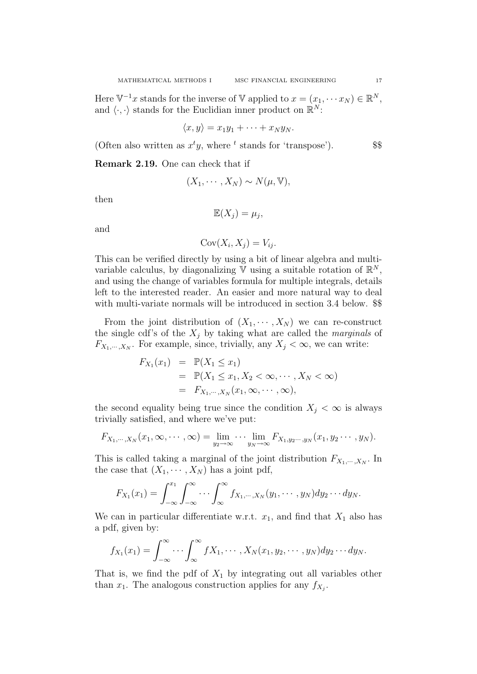Here  $\mathbb{V}^{-1}x$  stands for the inverse of V applied to  $x = (x_1, \dots, x_N) \in \mathbb{R}^N$ , and  $\langle \cdot, \cdot \rangle$  stands for the Euclidian inner product on  $\mathbb{R}^N$ :

$$
\langle x,y\rangle = x_1y_1 + \cdots + x_Ny_N.
$$

(Often also written as  $x^t y$ , where <sup>t</sup> stands for 'transpose').  $$$ \$

Remark 2.19. One can check that if

$$
(X_1, \cdots, X_N) \sim N(\mu, \mathbb{V}),
$$

then

$$
\mathbb{E}(X_j) = \mu_j,
$$

and

$$
Cov(X_i, X_j) = V_{ij}.
$$

This can be verified directly by using a bit of linear algebra and multivariable calculus, by diagonalizing  $\overline{\mathbb{V}}$  using a suitable rotation of  $\mathbb{R}^N$ , and using the change of variables formula for multiple integrals, details left to the interested reader. An easier and more natural way to deal with multi-variate normals will be introduced in section 3.4 below. \$\$

From the joint distribution of  $(X_1, \dots, X_N)$  we can re-construct the single cdf's of the  $X_i$  by taking what are called the *marginals* of  $F_{X_1,\dots,X_N}$ . For example, since, trivially, any  $X_j < \infty$ , we can write:

$$
F_{X_1}(x_1) = \mathbb{P}(X_1 \le x_1)
$$
  
=  $\mathbb{P}(X_1 \le x_1, X_2 < \infty, \cdots, X_N < \infty)$   
=  $F_{X_1, \cdots, X_N}(x_1, \infty, \cdots, \infty),$ 

the second equality being true since the condition  $X_j < \infty$  is always trivially satisfied, and where we've put:

$$
F_{X_1,\dots,X_N}(x_1,\infty,\dots,\infty)=\lim_{y_2\to\infty}\dots\lim_{y_N\to\infty}F_{X_1,y_2\dots,y_N}(x_1,y_2\dots,y_N).
$$

This is called taking a marginal of the joint distribution  $F_{X_1,\dots,X_N}$ . In the case that  $(X_1, \dots, X_N)$  has a joint pdf,

$$
F_{X_1}(x_1)=\int_{-\infty}^{x_1}\int_{-\infty}^{\infty}\cdots\int_{\infty}^{\infty}f_{X_1,\cdots,X_N}(y_1,\cdots,y_N)dy_2\cdots dy_N.
$$

We can in particular differentiate w.r.t.  $x_1$ , and find that  $X_1$  also has a pdf, given by:

$$
f_{X_1}(x_1)=\int_{-\infty}^{\infty}\cdots\int_{\infty}^{\infty}fX_1,\cdots,X_N(x_1,y_2,\cdots,y_N)dy_2\cdots dy_N.
$$

That is, we find the pdf of  $X_1$  by integrating out all variables other than  $x_1$ . The analogous construction applies for any  $f_{X_j}$ .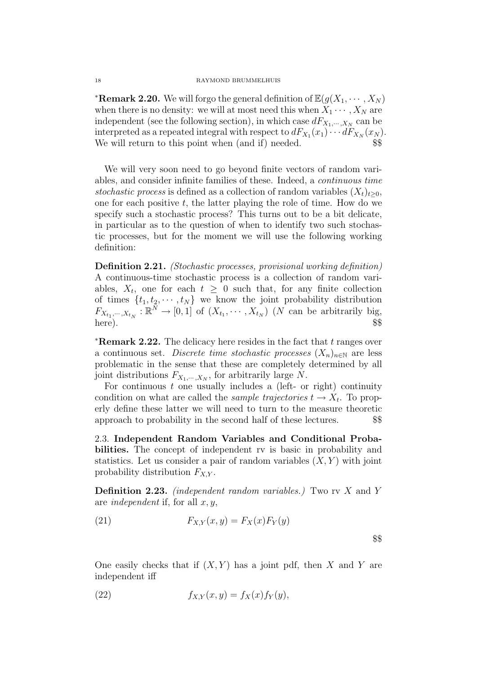**\*Remark 2.20.** We will forgo the general definition of  $\mathbb{E}(g(X_1, \dots, X_N))$ when there is no density: we will at most need this when  $X_1 \cdots, X_N$  are independent (see the following section), in which case  $dF_{X_1,\dots,X_N}$  can be interpreted as a repeated integral with respect to  $dF_{X_1}(x_1)\cdots dF_{X_N}(x_N)$ . We will return to this point when (and if) needed.  $$$ 

We will very soon need to go beyond finite vectors of random variables, and consider infinite families of these. Indeed, a continuous time stochastic process is defined as a collection of random variables  $(X_t)_{t\geq0}$ , one for each positive  $t$ , the latter playing the role of time. How do we specify such a stochastic process? This turns out to be a bit delicate, in particular as to the question of when to identify two such stochastic processes, but for the moment we will use the following working definition:

Definition 2.21. (Stochastic processes, provisional working definition) A continuous-time stochastic process is a collection of random variables,  $X_t$ , one for each  $t \geq 0$  such that, for any finite collection of times  $\{t_1, t_2, \dots, t_N\}$  we know the joint probability distribution  $F_{X_{t_1},\dots,X_{t_N}}:\mathbb{R}^N\to[0,1]$  of  $(X_{t_1},\cdots,X_{t_N})$  (N can be arbitrarily big, here).  $$$ 

\***Remark 2.22.** The delicacy here resides in the fact that t ranges over a continuous set. Discrete time stochastic processes  $(X_n)_{n\in\mathbb{N}}$  are less problematic in the sense that these are completely determined by all joint distributions  $F_{X_1,\dots,X_N}$ , for arbitrarily large N.

For continuous  $t$  one usually includes a (left- or right) continuity condition on what are called the *sample trajectories*  $t \to X_t$ . To properly define these latter we will need to turn to the measure theoretic approach to probability in the second half of these lectures.  $$$ 

2.3. Independent Random Variables and Conditional Probabilities. The concept of independent rv is basic in probability and statistics. Let us consider a pair of random variables  $(X, Y)$  with joint probability distribution  $F_{X,Y}$ .

**Definition 2.23.** (independent random variables.) Two rv  $X$  and  $Y$ are *independent* if, for all  $x, y$ ,

(21) 
$$
F_{X,Y}(x,y) = F_X(x)F_Y(y)
$$

One easily checks that if  $(X, Y)$  has a joint pdf, then X and Y are independent iff

$$
(22) \t\t f_{X,Y}(x,y) = f_X(x)f_Y(y),
$$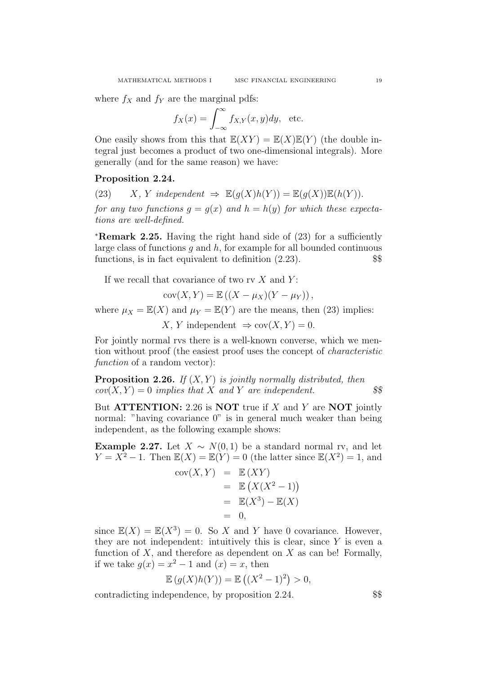where  $f_X$  and  $f_Y$  are the marginal pdfs:

$$
f_X(x) = \int_{-\infty}^{\infty} f_{X,Y}(x, y) dy, \text{ etc.}
$$

One easily shows from this that  $\mathbb{E}(XY) = \mathbb{E}(X)\mathbb{E}(Y)$  (the double integral just becomes a product of two one-dimensional integrals). More generally (and for the same reason) we have:

## Proposition 2.24.

(23)  $X, Y$  independent  $\Rightarrow \mathbb{E}(q(X)h(Y)) = \mathbb{E}(q(X))\mathbb{E}(h(Y)).$ 

for any two functions  $q = q(x)$  and  $h = h(y)$  for which these expectations are well-defined.

\***Remark 2.25.** Having the right hand side of  $(23)$  for a sufficiently large class of functions  $q$  and  $h$ , for example for all bounded continuous functions, is in fact equivalent to definition  $(2.23)$ .  $\$ 

If we recall that covariance of two rv  $X$  and  $Y$ :

$$
cov(X, Y) = \mathbb{E} ((X - \mu_X)(Y - \mu_Y)),
$$

where  $\mu_X = \mathbb{E}(X)$  and  $\mu_Y = \mathbb{E}(Y)$  are the means, then (23) implies:

X, Y independent  $\Rightarrow cov(X, Y) = 0$ .

For jointly normal rvs there is a well-known converse, which we mention without proof (the easiest proof uses the concept of characteristic function of a random vector):

**Proposition 2.26.** If  $(X, Y)$  is jointly normally distributed, then  $cov(X, Y) = 0$  implies that X and Y are independent. \$\$

But **ATTENTION:** 2.26 is **NOT** true if  $X$  and  $Y$  are **NOT** jointly normal: "having covariance 0" is in general much weaker than being independent, as the following example shows:

Example 2.27. Let  $X \sim N(0, 1)$  be a standard normal rv, and let  $Y = \overline{X^2} - 1$ . Then  $\mathbb{E}(X) = \mathbb{E}(Y) = 0$  (the latter since  $\mathbb{E}(X^2) = 1$ , and

$$
cov(X, Y) = \mathbb{E}(XY)
$$
  
=  $\mathbb{E}(X(X^2 - 1))$   
=  $\mathbb{E}(X^3) - \mathbb{E}(X)$   
= 0,

since  $\mathbb{E}(X) = \mathbb{E}(X^3) = 0$ . So X and Y have 0 covariance. However, they are not independent: intuitively this is clear, since  $Y$  is even a function of  $X$ , and therefore as dependent on  $X$  as can be! Formally, if we take  $g(x) = x^2 - 1$  and  $(x) = x$ , then

$$
\mathbb{E}\left(g(X)h(Y)\right) = \mathbb{E}\left((X^2 - 1)^2\right) > 0,
$$

contradicting independence, by proposition 2.24. \$\$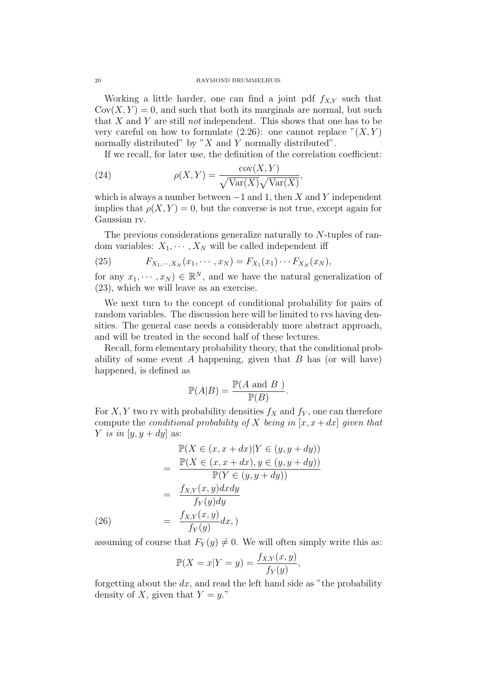Working a little harder, one can find a joint pdf  $f_{X,Y}$  such that  $Cov(X, Y) = 0$ , and such that both its marginals are normal, but such that  $X$  and  $Y$  are still *not* independent. This shows that one has to be very careful on how to formulate  $(2.26)$ : one cannot replace  $\sqrt[n]{(X,Y)}$ normally distributed" by " $X$  and  $Y$  normally distributed".

If we recall, for later use, the definition of the correlation coefficient:

(24) 
$$
\rho(X,Y) = \frac{\text{cov}(X,Y)}{\sqrt{\text{Var}(X)}\sqrt{\text{Var}(X)}},
$$

which is always a number between  $-1$  and 1, then X and Y independent implies that  $\rho(X, Y) = 0$ , but the converse is not true, except again for Gaussian rv.

The previous considerations generalize naturally to N-tuples of random variables:  $X_1, \dots, X_N$  will be called independent iff

(25) 
$$
F_{X_1,\dots,X_N}(x_1,\dots,x_N) = F_{X_1}(x_1)\dots F_{X_N}(x_N),
$$

for any  $x_1, \dots, x_N \in \mathbb{R}^N$ , and we have the natural generalization of (23), which we will leave as an exercise.

We next turn to the concept of conditional probability for pairs of random variables. The discussion here will be limited to rvs having densities. The general case needs a considerably more abstract approach, and will be treated in the second half of these lectures.

Recall, form elementary probability theory, that the conditional probability of some event A happening, given that  $B$  has (or will have) happened, is defined as

$$
\mathbb{P}(A|B) = \frac{\mathbb{P}(A \text{ and } B)}{\mathbb{P}(B)}.
$$

For X, Y two rv with probability densities  $f_X$  and  $f_Y$ , one can therefore compute the *conditional probability of* X being in  $[x, x + dx]$  given that Y is in  $[y, y + dy]$  as:

$$
\mathbb{P}(X \in (x, x + dx)|Y \in (y, y + dy))
$$
\n
$$
= \frac{\mathbb{P}(X \in (x, x + dx), y \in (y, y + dy))}{\mathbb{P}(Y \in (y, y + dy))}
$$
\n
$$
= \frac{f_{X,Y}(x, y)dxdy}{f_Y(y)dy}
$$
\n(26)\n
$$
= \frac{f_{X,Y}(x, y)}{f_Y(y)}dx,
$$

assuming of course that  $F_Y(y) \neq 0$ . We will often simply write this as:

$$
\mathbb{P}(X = x|Y = y) = \frac{f_{X,Y}(x,y)}{f_Y(y)},
$$

forgetting about the  $dx$ , and read the left hand side as "the probability" density of X, given that  $Y = y$ ."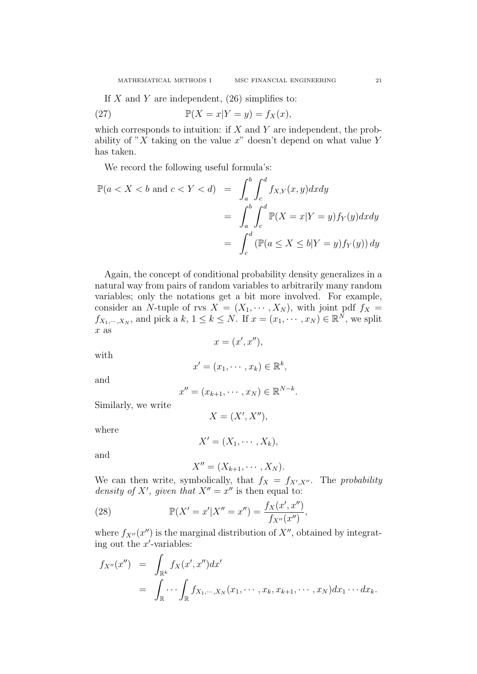If X and Y are independent,  $(26)$  simplifies to:

(27) 
$$
\mathbb{P}(X = x|Y = y) = f_X(x),
$$

which corresponds to intuition: if  $X$  and  $Y$  are independent, the probability of "X taking on the value  $x$ " doesn't depend on what value Y has taken.

We record the following useful formula's:

$$
\mathbb{P}(a < X < b \text{ and } c < Y < d) = \int_{a}^{b} \int_{c}^{d} f_{X,Y}(x, y) dx dy
$$

$$
= \int_{a}^{b} \int_{c}^{d} \mathbb{P}(X = x | Y = y) f_{Y}(y) dx dy
$$

$$
= \int_{c}^{d} (\mathbb{P}(a \le X \le b | Y = y) f_{Y}(y)) dy
$$

Again, the concept of conditional probability density generalizes in a natural way from pairs of random variables to arbitrarily many random variables; only the notations get a bit more involved. For example, consider an N-tuple of rvs  $X = (X_1, \cdots, X_N)$ , with joint pdf  $f_X =$  $f_{X_1,\dots,X_N}$ , and pick a  $k, 1 \leq k \leq N$ . If  $x = (x_1,\dots,x_N) \in \mathbb{R}^N$ , we split x as

with

$$
I \qquad (x \qquad x) \in \mathbb{D}
$$

 $x = (x', x'')$ ,

and

$$
x' = (x_1, \cdots, x_k) \in \mathbb{R}^k
$$

$$
x'' = (x_{k+1}, \cdots, x_N) \in \mathbb{R}^{N-k}.
$$

Similarly, we write

$$
X=(X',X''),
$$

where

$$
X'=(X_1,\cdots,X_k),
$$

and

$$
X''=(X_{k+1},\cdots,X_N).
$$

We can then write, symbolically, that  $f_X = f_{X',X''}$ . The probability density of X', given that  $X'' = x''$  is then equal to:

(28) 
$$
\mathbb{P}(X'=x'|X''=x'')=\frac{f_X(x',x'')}{f_{X''}(x'')},
$$

where  $f_{X''}(x'')$  is the marginal distribution of  $X''$ , obtained by integrating out the  $x'$ -variables:

$$
f_{X''}(x'') = \int_{\mathbb{R}^k} f_X(x', x'') dx'
$$
  
= 
$$
\int_{\mathbb{R}} \cdots \int_{\mathbb{R}} f_{X_1, \cdots, X_N}(x_1, \cdots, x_k, x_{k+1}, \cdots, x_N) dx_1 \cdots dx_k.
$$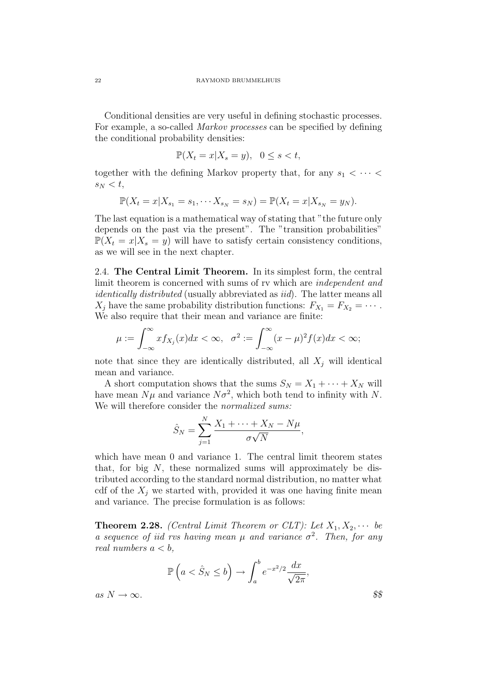Conditional densities are very useful in defining stochastic processes. For example, a so-called Markov processes can be specified by defining the conditional probability densities:

$$
\mathbb{P}(X_t = x | X_s = y), \ \ 0 \le s < t,
$$

together with the defining Markov property that, for any  $s_1 < \cdots <$  $s_N < t$ ,

$$
\mathbb{P}(X_t = x | X_{s_1} = s_1, \cdots X_{s_N} = s_N) = \mathbb{P}(X_t = x | X_{s_N} = y_N).
$$

The last equation is a mathematical way of stating that "the future only depends on the past via the present". The "transition probabilities"  $\mathbb{P}(X_t = x | X_s = y)$  will have to satisfy certain consistency conditions, as we will see in the next chapter.

2.4. The Central Limit Theorem. In its simplest form, the central limit theorem is concerned with sums of ry which are *independent and* identically distributed (usually abbreviated as *iid*). The latter means all  $X_j$  have the same probability distribution functions:  $F_{X_1} = F_{X_2} = \cdots$ . We also require that their mean and variance are finite:

$$
\mu := \int_{-\infty}^{\infty} x f_{X_j}(x) dx < \infty, \quad \sigma^2 := \int_{-\infty}^{\infty} (x - \mu)^2 f(x) dx < \infty;
$$

note that since they are identically distributed, all  $X_i$  will identical mean and variance.

A short computation shows that the sums  $S_N = X_1 + \cdots + X_N$  will have mean  $N\mu$  and variance  $N\sigma^2$ , which both tend to infinity with N. We will therefore consider the normalized sums:

$$
\hat{S}_N = \sum_{j=1}^N \frac{X_1 + \dots + X_N - N\mu}{\sigma\sqrt{N}},
$$

which have mean 0 and variance 1. The central limit theorem states that, for big  $N$ , these normalized sums will approximately be distributed according to the standard normal distribution, no matter what cdf of the  $X_i$  we started with, provided it was one having finite mean and variance. The precise formulation is as follows:

**Theorem 2.28.** (Central Limit Theorem or CLT): Let  $X_1, X_2, \cdots$  be a sequence of iid rvs having mean  $\mu$  and variance  $\sigma^2$ . Then, for any real numbers  $a < b$ .

$$
\mathbb{P}\left(a < \hat{S}_N \le b\right) \to \int_a^b e^{-x^2/2} \frac{dx}{\sqrt{2\pi}},
$$

 $as\ N\to\infty.$  \$\$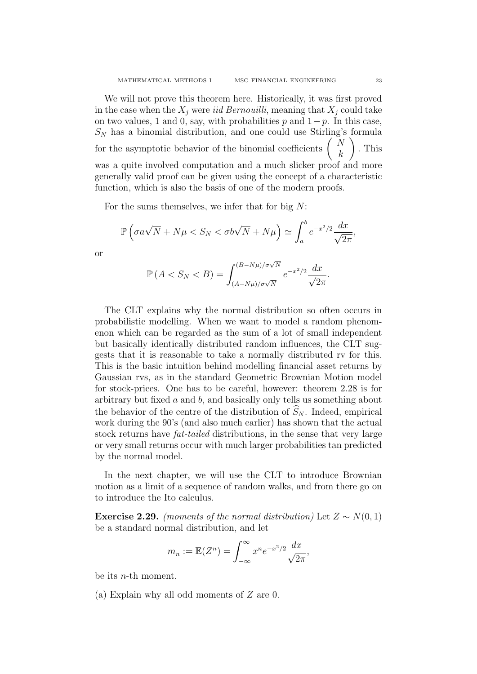We will not prove this theorem here. Historically, it was first proved in the case when the  $X_i$  were *iid Bernouilli*, meaning that  $X_i$  could take on two values, 1 and 0, say, with probabilities p and  $1-p$ . In this case,  $S_N$  has a binomial distribution, and one could use Stirling's formula for the asymptotic behavior of the binomial coefficients N k  $\setminus$ . This was a quite involved computation and a much slicker proof and more generally valid proof can be given using the concept of a characteristic function, which is also the basis of one of the modern proofs.

For the sums themselves, we infer that for big  $N$ :

$$
\mathbb{P}\left(\sigma a\sqrt{N} + N\mu < S_N < \sigma b\sqrt{N} + N\mu\right) \simeq \int_a^b e^{-x^2/2} \frac{dx}{\sqrt{2\pi}},
$$

or

$$
\mathbb{P}\left(A < S_N < B\right) = \int_{(A-N\mu)/\sigma\sqrt{N}}^{(B-N\mu)/\sigma\sqrt{N}} e^{-x^2/2} \frac{dx}{\sqrt{2\pi}}.
$$

The CLT explains why the normal distribution so often occurs in probabilistic modelling. When we want to model a random phenomenon which can be regarded as the sum of a lot of small independent but basically identically distributed random influences, the CLT suggests that it is reasonable to take a normally distributed rv for this. This is the basic intuition behind modelling financial asset returns by Gaussian rvs, as in the standard Geometric Brownian Motion model for stock-prices. One has to be careful, however: theorem 2.28 is for arbitrary but fixed a and b, and basically only tells us something about the behavior of the centre of the distribution of  $\widehat{S}_N$ . Indeed, empirical work during the 90's (and also much earlier) has shown that the actual stock returns have fat-tailed distributions, in the sense that very large or very small returns occur with much larger probabilities tan predicted by the normal model.

In the next chapter, we will use the CLT to introduce Brownian motion as a limit of a sequence of random walks, and from there go on to introduce the Ito calculus.

**Exercise 2.29.** (moments of the normal distribution) Let  $Z \sim N(0, 1)$ be a standard normal distribution, and let

$$
m_n := \mathbb{E}(Z^n) = \int_{-\infty}^{\infty} x^n e^{-x^2/2} \frac{dx}{\sqrt{2\pi}},
$$

be its n-th moment.

(a) Explain why all odd moments of Z are 0.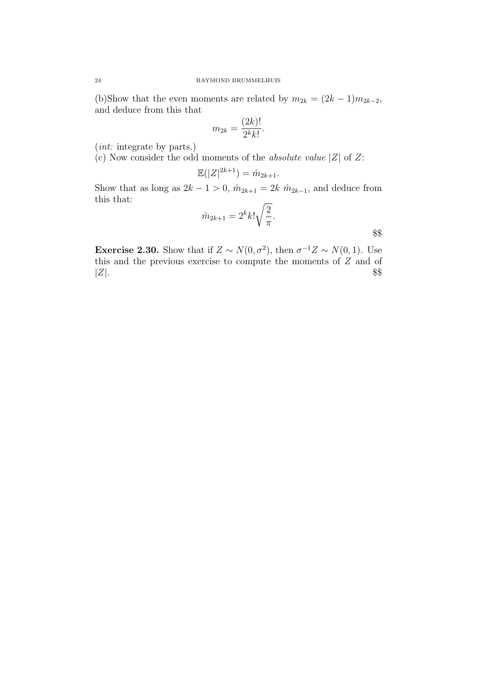(b)Show that the even moments are related by  $m_{2k} = (2k-1)m_{2k-2}$ , and deduce from this that

$$
m_{2k} = \frac{(2k)!}{2^k k!}.
$$

(int: integrate by parts.)

(c) Now consider the odd moments of the *absolute value*  $|Z|$  of Z:

$$
\mathbb{E}(|Z|^{2k+1}) = \hat{m}_{2k+1}.
$$

Show that as long as  $2k - 1 > 0$ ,  $\hat{m}_{2k+1} = 2k \hat{m}_{2k-1}$ , and deduce from this that:

$$
\hat{m}_{2k+1} = 2^k k! \sqrt{\frac{2}{\pi}}.
$$

\$\$

**Exercise 2.30.** Show that if  $Z \sim N(0, \sigma^2)$ , then  $\sigma^{-1}Z \sim N(0, 1)$ . Use this and the previous exercise to compute the moments of Z and of |Z|. \$\$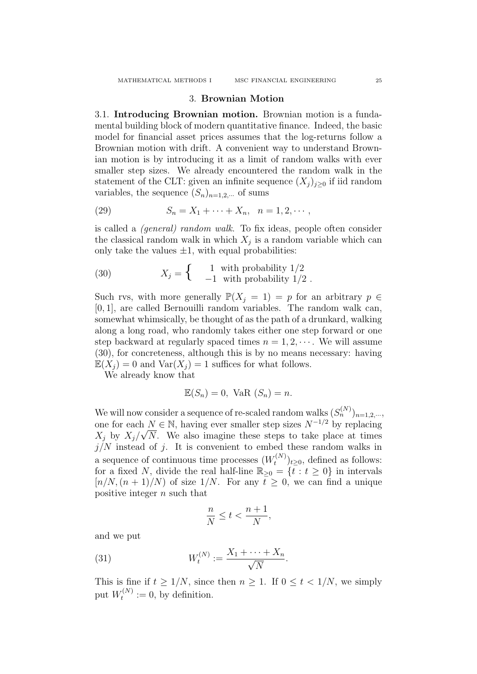### 3. Brownian Motion

3.1. Introducing Brownian motion. Brownian motion is a fundamental building block of modern quantitative finance. Indeed, the basic model for financial asset prices assumes that the log-returns follow a Brownian motion with drift. A convenient way to understand Brownian motion is by introducing it as a limit of random walks with ever smaller step sizes. We already encountered the random walk in the statement of the CLT: given an infinite sequence  $(X_j)_{j\geq0}$  if iid random variables, the sequence  $(S_n)_{n=1,2,\cdots}$  of sums

(29) 
$$
S_n = X_1 + \cdots + X_n, \quad n = 1, 2, \cdots,
$$

is called a (general) random walk. To fix ideas, people often consider the classical random walk in which  $X_j$  is a random variable which can only take the values  $\pm 1$ , with equal probabilities:

(30) 
$$
X_j = \begin{cases} 1 & \text{with probability } 1/2 \\ -1 & \text{with probability } 1/2 \end{cases}.
$$

Such rvs, with more generally  $\mathbb{P}(X_i = 1) = p$  for an arbitrary  $p \in$ [0, 1], are called Bernouilli random variables. The random walk can, somewhat whimsically, be thought of as the path of a drunkard, walking along a long road, who randomly takes either one step forward or one step backward at regularly spaced times  $n = 1, 2, \cdots$ . We will assume (30), for concreteness, although this is by no means necessary: having  $\mathbb{E}(X_i) = 0$  and  $\text{Var}(X_i) = 1$  suffices for what follows.

We already know that

$$
\mathbb{E}(S_n) = 0, \text{ VaR } (S_n) = n.
$$

We will now consider a sequence of re-scaled random walks  $(S_n^{(N)})_{n=1,2,\dots}$ one for each  $N \in \mathbb{N}$ , having ever smaller step sizes  $N^{-1/2}$  by replacing  $X_j$  by  $X_j/\sqrt{N}$ . We also imagine these steps to take place at times  $j/N$  instead of j. It is convenient to embed these random walks in a sequence of continuous time processes  $(W_t^{(N)}$  $(t^{(N)}_t)_{t\geq 0}$ , defined as follows: for a fixed N, divide the real half-line  $\mathbb{R}_{\geq 0} = \{t : t \geq 0\}$  in intervals  $[n/N,(n+1)/N)$  of size  $1/N$ . For any  $t \geq 0$ , we can find a unique positive integer n such that

$$
\frac{n}{N} \le t < \frac{n+1}{N},
$$

and we put

(31) 
$$
W_t^{(N)} := \frac{X_1 + \dots + X_n}{\sqrt{N}}.
$$

This is fine if  $t \geq 1/N$ , since then  $n \geq 1$ . If  $0 \leq t < 1/N$ , we simply put  $W_t^{(N)}$  $t_t^{(N)} := 0$ , by definition.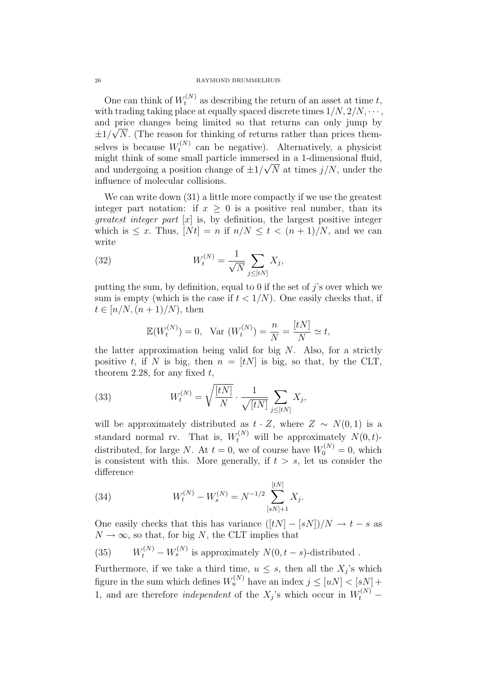One can think of  $W_t^{(N)}$  as describing the return of an asset at time t, with trading taking place at equally spaced discrete times  $1/N$ ,  $2/N$ ,  $\cdots$ , and price changes being limited so that returns can only jump by  $\pm 1/\sqrt{N}$ . (The reason for thinking of returns rather than prices themselves is because  $W_t^{(N)}$  $t_t^{(N)}$  can be negative). Alternatively, a physicist might think of some small particle immersed in a 1-dimensional fluid, and undergoing a position change of  $\pm 1/\sqrt{N}$  at times  $j/N$ , under the influence of molecular collisions.

We can write down  $(31)$  a little more compactly if we use the greatest integer part notation: if  $x > 0$  is a positive real number, than its *greatest integer part*  $[x]$  is, by definition, the largest positive integer which is  $\leq x$ . Thus,  $[Nt] = n$  if  $n/N \leq t < (n+1)/N$ , and we can write

(32) 
$$
W_t^{(N)} = \frac{1}{\sqrt{N}} \sum_{j \leq [tN]} X_j,
$$

putting the sum, by definition, equal to 0 if the set of  $j$ 's over which we sum is empty (which is the case if  $t < 1/N$ ). One easily checks that, if  $t \in [n/N, (n+1)/N)$ , then

$$
\mathbb{E}(W_t^{(N)}) = 0, \quad \text{Var}\ (W_t^{(N)}) = \frac{n}{N} = \frac{[tN]}{N} \simeq t,
$$

the latter approximation being valid for big  $N$ . Also, for a strictly positive t, if N is big, then  $n = [tN]$  is big, so that, by the CLT, theorem 2.28, for any fixed  $t$ ,

(33) 
$$
W_t^{(N)} = \sqrt{\frac{[tN]}{N}} \cdot \frac{1}{\sqrt{[tN]}} \sum_{j \leq [tN]} X_j,
$$

will be approximately distributed as  $t \cdot Z$ , where  $Z \sim N(0, 1)$  is a standard normal rv. That is,  $W_t^{(N)}$  will be approximately  $N(0, t)$ distributed, for large N. At  $t = 0$ , we of course have  $W_0^{(N)} = 0$ , which is consistent with this. More generally, if  $t > s$ , let us consider the difference

(34) 
$$
W_t^{(N)} - W_s^{(N)} = N^{-1/2} \sum_{[sN]+1}^{[tN]} X_j.
$$

One easily checks that this has variance  $([tN] - [sN])/N \rightarrow t - s$  as  $N \to \infty$ , so that, for big N, the CLT implies that

(35) 
$$
W_t^{(N)} - W_s^{(N)}
$$
 is approximately  $N(0, t - s)$ -distributed.

Furthermore, if we take a third time,  $u \leq s$ , then all the  $X_j$ 's which figure in the sum which defines  $W_u^{(N)}$  have an index  $j \leq [uN] < [sN] +$ 1, and are therefore *independent* of the  $X_j$ 's which occur in  $W_t^{(N)}$  –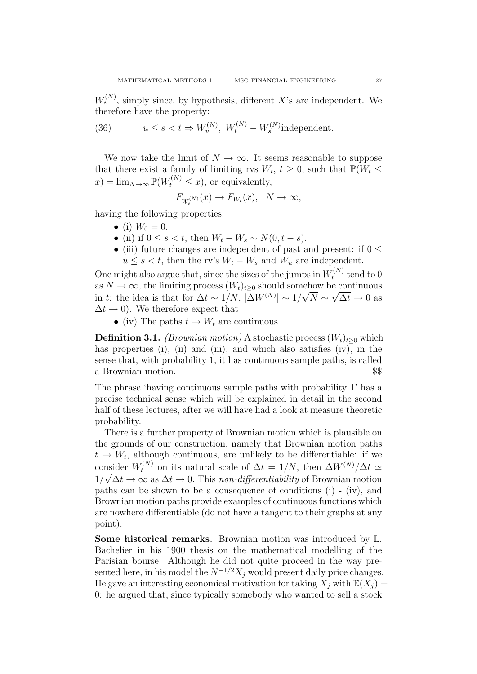$W_s^{(N)}$ , simply since, by hypothesis, different X's are independent. We therefore have the property:

(36) 
$$
u \le s < t \Rightarrow W_u^{(N)}, W_t^{(N)} - W_s^{(N)} \text{independent.}
$$

We now take the limit of  $N \to \infty$ . It seems reasonable to suppose that there exist a family of limiting rvs  $W_t$ ,  $t \geq 0$ , such that  $\mathbb{P}(W_t \leq$  $f(x) = \lim_{N \to \infty} \mathbb{P}(W_t^{(N)} \leq x)$ , or equivalently,

$$
F_{W_t^{(N)}}(x) \to F_{W_t}(x), \quad N \to \infty,
$$

having the following properties:

- (i)  $W_0 = 0$ .
- (ii) if  $0 \leq s < t$ , then  $W_t W_s \sim N(0, t s)$ .
- (iii) future changes are independent of past and present: if  $0 \leq$  $u \leq s < t$ , then the rv's  $W_t - W_s$  and  $W_u$  are independent.

One might also argue that, since the sizes of the jumps in  $W_t^{(N)}$  $t^{(N)}$  tend to 0 as  $N \to \infty$ , the limiting process  $(W_t)_{t\geq 0}$  should somehow be continuous in t: the idea is that for  $\Delta t \sim 1/N$ ,  $|\Delta W^{(N)}| \sim 1/\sqrt{N} \sim \sqrt{\Delta t} \to 0$  as  $\Delta t \rightarrow 0$ ). We therefore expect that

• (iv) The paths  $t \to W_t$  are continuous.

**Definition 3.1.** (Brownian motion) A stochastic process  $(W_t)_{t\geq0}$  which has properties (i), (ii) and (iii), and which also satisfies (iv), in the sense that, with probability 1, it has continuous sample paths, is called a Brownian motion. \$\$

The phrase 'having continuous sample paths with probability 1' has a precise technical sense which will be explained in detail in the second half of these lectures, after we will have had a look at measure theoretic probability.

There is a further property of Brownian motion which is plausible on the grounds of our construction, namely that Brownian motion paths  $t \to W_t$ , although continuous, are unlikely to be differentiable: if we consider  $W_t^{(N)}$  on its natural scale of  $\Delta t = 1/N$ , then  $\Delta W^{(N)}/\Delta t \simeq$  $1/\sqrt{\Delta t} \rightarrow \infty$  as  $\Delta t \rightarrow 0$ . This non-differentiability of Brownian motion paths can be shown to be a consequence of conditions (i) - (iv), and Brownian motion paths provide examples of continuous functions which are nowhere differentiable (do not have a tangent to their graphs at any point).

Some historical remarks. Brownian motion was introduced by L. Bachelier in his 1900 thesis on the mathematical modelling of the Parisian bourse. Although he did not quite proceed in the way presented here, in his model the  $N^{-1/2}X_i$  would present daily price changes. He gave an interesting economical motivation for taking  $X_i$  with  $\mathbb{E}(X_i) =$ 0: he argued that, since typically somebody who wanted to sell a stock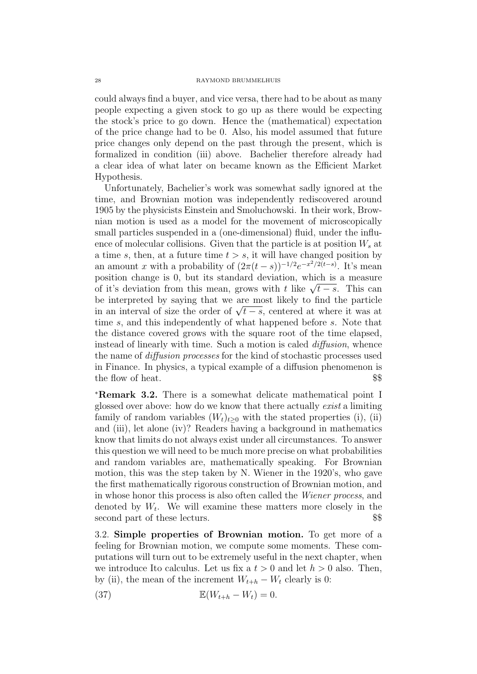could always find a buyer, and vice versa, there had to be about as many people expecting a given stock to go up as there would be expecting the stock's price to go down. Hence the (mathematical) expectation of the price change had to be 0. Also, his model assumed that future price changes only depend on the past through the present, which is formalized in condition (iii) above. Bachelier therefore already had a clear idea of what later on became known as the Efficient Market Hypothesis.

Unfortunately, Bachelier's work was somewhat sadly ignored at the time, and Brownian motion was independently rediscovered around 1905 by the physicists Einstein and Smoluchowski. In their work, Brownian motion is used as a model for the movement of microscopically small particles suspended in a (one-dimensional) fluid, under the influence of molecular collisions. Given that the particle is at position  $W_s$  at a time s, then, at a future time  $t > s$ , it will have changed position by an amount x with a probability of  $(2\pi(t-s))^{-1/2}e^{-x^2/2(t-s)}$ . It's mean position change is 0, but its standard deviation, which is a measure position change is 0, but its standard deviation, which is a measure<br>of it's deviation from this mean, grows with t like  $\sqrt{t-s}$ . This can be interpreted by saying that we are most likely to find the particle be interpreted by saying that we are most likely to find the particle<br>in an interval of size the order of  $\sqrt{t-s}$ , centered at where it was at time s, and this independently of what happened before s. Note that the distance covered grows with the square root of the time elapsed, instead of linearly with time. Such a motion is caled diffusion, whence the name of diffusion processes for the kind of stochastic processes used in Finance. In physics, a typical example of a diffusion phenomenon is the flow of heat.  $$$ 

<sup>∗</sup>Remark 3.2. There is a somewhat delicate mathematical point I glossed over above: how do we know that there actually exist a limiting family of random variables  $(W_t)_{t>0}$  with the stated properties (i), (ii) and (iii), let alone (iv)? Readers having a background in mathematics know that limits do not always exist under all circumstances. To answer this question we will need to be much more precise on what probabilities and random variables are, mathematically speaking. For Brownian motion, this was the step taken by N. Wiener in the 1920's, who gave the first mathematically rigorous construction of Brownian motion, and in whose honor this process is also often called the Wiener process, and denoted by  $W_t$ . We will examine these matters more closely in the second part of these lecturs.  $$$ 

3.2. Simple properties of Brownian motion. To get more of a feeling for Brownian motion, we compute some moments. These computations will turn out to be extremely useful in the next chapter, when we introduce Ito calculus. Let us fix a  $t > 0$  and let  $h > 0$  also. Then, by (ii), the mean of the increment  $W_{t+h} - W_t$  clearly is 0:

$$
\mathbb{E}(W_{t+h} - W_t) = 0.
$$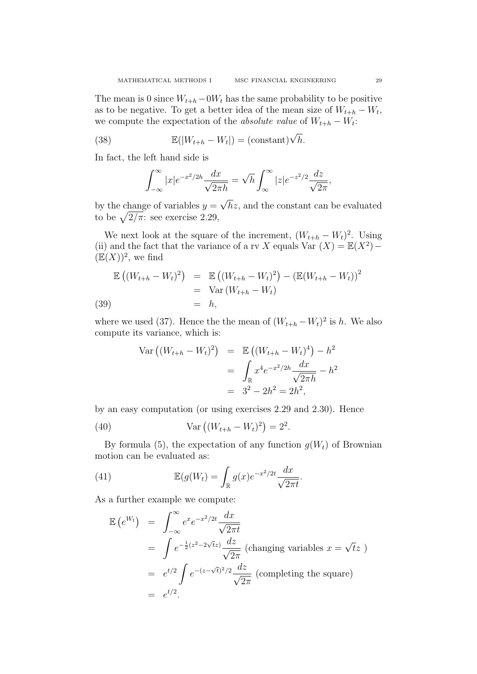The mean is 0 since  $W_{t+h}-0W_t$  has the same probability to be positive as to be negative. To get a better idea of the mean size of  $W_{t+h} - W_t$ , we compute the expectation of the *absolute value* of  $W_{t+h} - W_t$ :

(38) 
$$
\mathbb{E}(|W_{t+h} - W_t|) = (\text{constant})\sqrt{h}.
$$

In fact, the left hand side is

$$
\int_{-\infty}^{\infty} |x| e^{-x^2/2h} \frac{dx}{\sqrt{2\pi h}} = \sqrt{h} \int_{\infty}^{\infty} |z| e^{-z^2/2} \frac{dz}{\sqrt{2\pi}},
$$

by the change of variables  $y =$ hz, and the constant can be evaluated to be  $\sqrt{2/\pi}$ : see exercise 2.29,

We next look at the square of the increment,  $(W_{t+h} - W_t)^2$ . Using (ii) and the fact that the variance of a rv X equals Var  $(X) = \mathbb{E}(X^2) (E(X))^2$ , we find

$$
\mathbb{E}((W_{t+h} - W_t)^2) = \mathbb{E}((W_{t+h} - W_t)^2) - (\mathbb{E}(W_{t+h} - W_t))^2
$$
  
= Var(W\_{t+h} - W\_t)  
(39)  
= h,

where we used (37). Hence the the mean of  $(W_{t+h} - W_t)^2$  is h. We also compute its variance, which is:

$$
\begin{aligned}\n\text{Var}\left((W_{t+h} - W_t)^2\right) &= \mathbb{E}\left((W_{t+h} - W_t)^4\right) - h^2 \\
&= \int_{\mathbb{R}} x^4 e^{-x^2/2h} \frac{dx}{\sqrt{2\pi h}} - h^2 \\
&= 3^2 - 2h^2 = 2h^2,\n\end{aligned}
$$

by an easy computation (or using exercises 2.29 and 2.30). Hence

(40) Var 
$$
((W_{t+h} - W_t)^2) = 2^2
$$
.

By formula (5), the expectation of any function  $q(W_t)$  of Brownian motion can be evaluated as:

(41) 
$$
\mathbb{E}(g(W_t) = \int_{\mathbb{R}} g(x)e^{-x^2/2t} \frac{dx}{\sqrt{2\pi t}}.
$$

As a further example we compute:

$$
\mathbb{E}\left(e^{W_t}\right) = \int_{-\infty}^{\infty} e^x e^{-x^2/2t} \frac{dx}{\sqrt{2\pi t}}
$$
  
\n
$$
= \int e^{-\frac{1}{2}(z^2 - 2\sqrt{t}z)} \frac{dz}{\sqrt{2\pi}} \text{ (changing variables } x = \sqrt{t}z \text{ )}
$$
  
\n
$$
= e^{t/2} \int e^{-(z-\sqrt{t})^2/2} \frac{dz}{\sqrt{2\pi}} \text{ (completing the square)}
$$
  
\n
$$
= e^{t/2}.
$$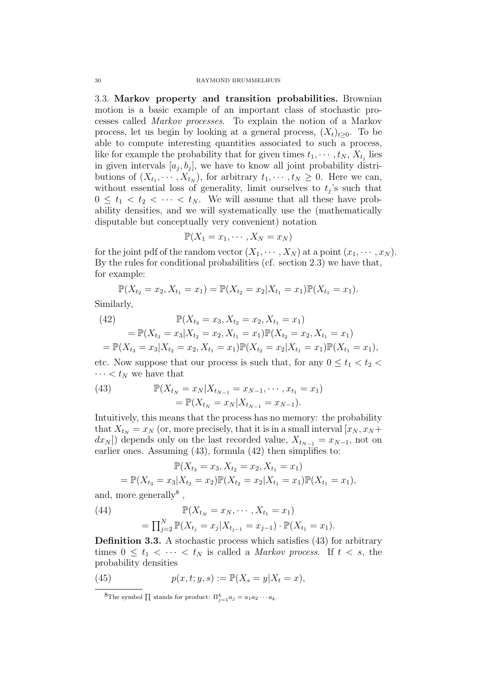3.3. Markov property and transition probabilities. Brownian motion is a basic example of an important class of stochastic processes called Markov processes. To explain the notion of a Markov process, let us begin by looking at a general process,  $(X_t)_{t>0}$ . To be able to compute interesting quantities associated to such a process, like for example the probability that for given times  $t_1, \dots, t_N, X_{t_j}$  lies in given intervals  $[a_j, b_j]$ , we have to know all joint probability distributions of  $(X_{t_1}, \dots, X_{t_N})$ , for arbitrary  $t_1, \dots, t_N \geq 0$ . Here we can, without essential loss of generality, limit ourselves to  $t_j$ 's such that  $0 \leq t_1 < t_2 < \cdots < t_N$ . We will assume that all these have probability densities, and we will systematically use the (mathematically disputable but conceptually very convenient) notation

$$
\mathbb{P}(X_1 = x_1, \cdots, X_N = x_N)
$$

for the joint pdf of the random vector  $(X_1, \dots, X_N)$  at a point  $(x_1, \dots, x_N)$ . By the rules for conditional probabilities (cf. section 2.3) we have that, for example:

$$
\mathbb{P}(X_{t_2} = x_2, X_{t_1} = x_1) = \mathbb{P}(X_{t_2} = x_2 | X_{t_1} = x_1) \mathbb{P}(X_{t_1} = x_1).
$$

Similarly,

(42) 
$$
\mathbb{P}(X_{t_3} = x_3, X_{t_2} = x_2, X_{t_1} = x_1)
$$

$$
= \mathbb{P}(X_{t_3} = x_3 | X_{t_2} = x_2, X_{t_1} = x_1) \mathbb{P}(X_{t_2} = x_2, X_{t_1} = x_1)
$$

$$
= \mathbb{P}(X_{t_3} = x_3 | X_{t_2} = x_2, X_{t_1} = x_1) \mathbb{P}(X_{t_2} = x_2 | X_{t_1} = x_1) \mathbb{P}(X_{t_1} = x_1),
$$

etc. Now suppose that our process is such that, for any  $0 \le t_1 < t_2$  $\cdots < t_N$  we have that

(43) 
$$
\mathbb{P}(X_{t_N} = x_N | X_{t_{N-1}} = x_{N-1}, \cdots, x_{t_1} = x_1) = \mathbb{P}(X_{t_N} = x_N | X_{t_{N-1}} = x_{N-1}).
$$

Intuitively, this means that the process has no memory: the probability that  $X_{t_N} = x_N$  (or, more precisely, that it is in a small interval  $[x_N, x_N +$  $dx_N$ ]) depends only on the last recorded value,  $X_{t_{N-1}} = x_{N-1}$ , not on earlier ones. Assuming (43), formula (42) then simplifies to:

$$
\mathbb{P}(X_{t_3} = x_3, X_{t_2} = x_2, X_{t_1} = x_1)
$$
  
=  $\mathbb{P}(X_{t_3} = x_3 | X_{t_2} = x_2) \mathbb{P}(X_{t_2} = x_2 | X_{t_1} = x_1) \mathbb{P}(X_{t_1} = x_1),$ 

and, more generally<sup>8</sup>,

(44) 
$$
\mathbb{P}(X_{t_N} = x_N, \cdots, X_{t_1} = x_1) = \prod_{j=2}^N \mathbb{P}(X_{t_j} = x_j | X_{t_{j-1}} = x_{j-1}) \cdot \mathbb{P}(X_{t_1} = x_1).
$$

Definition 3.3. A stochastic process which satisfies (43) for arbitrary times  $0 \leq t_1 < \cdots < t_N$  is called a *Markov process*. If  $t < s$ , the probability densities

(45) 
$$
p(x,t;y,s) := \mathbb{P}(X_s = y | X_t = x),
$$

<sup>&</sup>lt;sup>8</sup>The symbol  $\prod$  stands for product:  $\Pi_{j=1}^k a_j = a_1 a_2 \cdots a_k$ .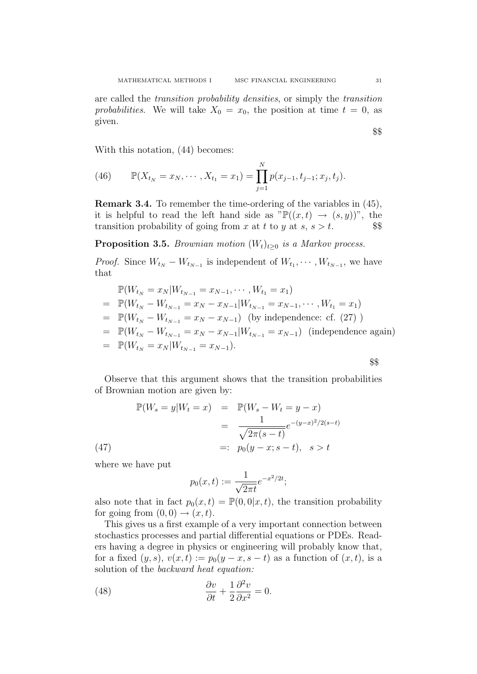are called the transition probability densities, or simply the transition probabilities. We will take  $X_0 = x_0$ , the position at time  $t = 0$ , as given.

With this notation, (44) becomes:

(46) 
$$
\mathbb{P}(X_{t_N} = x_N, \cdots, X_{t_1} = x_1) = \prod_{j=1}^N p(x_{j-1}, t_{j-1}; x_j, t_j).
$$

Remark 3.4. To remember the time-ordering of the variables in (45), it is helpful to read the left hand side as  $\mathbb{P}((x,t) \to (s,y))^n$ , the transition probability of going from x at t to y at s,  $s > t$ .  $\$ 

## **Proposition 3.5.** Brownian motion  $(W_t)_{t\geq0}$  is a Markov process.

*Proof.* Since  $W_{t_N} - W_{t_{N-1}}$  is independent of  $W_{t_1}, \cdots, W_{t_{N-1}}$ , we have that

$$
\mathbb{P}(W_{t_N} = x_N | W_{t_{N-1}} = x_{N-1}, \cdots, W_{t_1} = x_1)
$$
\n
$$
= \mathbb{P}(W_{t_N} - W_{t_{N-1}} = x_N - x_{N-1} | W_{t_{N-1}} = x_{N-1}, \cdots, W_{t_1} = x_1)
$$
\n
$$
= \mathbb{P}(W_{t_N} - W_{t_{N-1}} = x_N - x_{N-1}) \text{ (by independence: cf. (27))}
$$
\n
$$
= \mathbb{P}(W_{t_N} - W_{t_{N-1}} = x_N - x_{N-1} | W_{t_{N-1}} = x_{N-1}) \text{ (independence again)}
$$
\n
$$
= \mathbb{P}(W_{t_N} = x_N | W_{t_{N-1}} = x_{N-1}).
$$

\$\$

Observe that this argument shows that the transition probabilities of Brownian motion are given by:

(47) 
$$
\mathbb{P}(W_s = y | W_t = x) = \mathbb{P}(W_s - W_t = y - x)
$$

$$
= \frac{1}{\sqrt{2\pi(s - t)}} e^{-(y - x)^2/2(s - t)}
$$

$$
=: p_0(y - x; s - t), s > t
$$

where we have put

$$
p_0(x,t) := \frac{1}{\sqrt{2\pi t}} e^{-x^2/2t};
$$

also note that in fact  $p_0(x, t) = \mathbb{P}(0, 0|x, t)$ , the transition probability for going from  $(0, 0) \rightarrow (x, t)$ .

This gives us a first example of a very important connection between stochastics processes and partial differential equations or PDEs. Readers having a degree in physics or engineering will probably know that, for a fixed  $(y, s)$ ,  $v(x, t) := p_0(y - x, s - t)$  as a function of  $(x, t)$ , is a solution of the backward heat equation:

(48) 
$$
\frac{\partial v}{\partial t} + \frac{1}{2} \frac{\partial^2 v}{\partial x^2} = 0.
$$

\$\$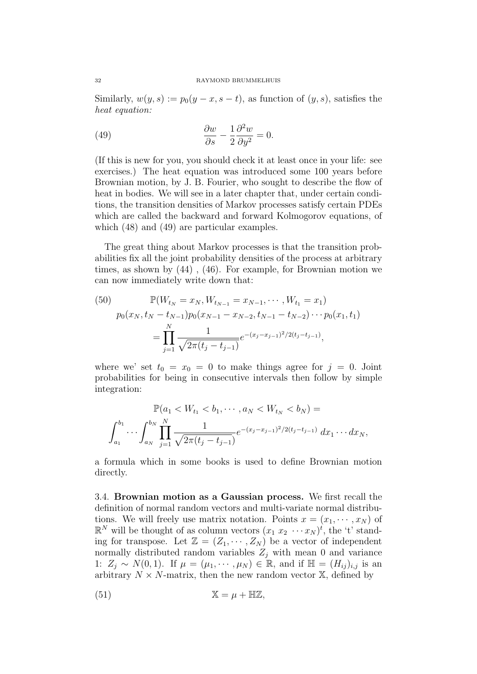Similarly,  $w(y, s) := p_0(y - x, s - t)$ , as function of  $(y, s)$ , satisfies the heat equation:

(49) 
$$
\frac{\partial w}{\partial s} - \frac{1}{2} \frac{\partial^2 w}{\partial y^2} = 0.
$$

(If this is new for you, you should check it at least once in your life: see exercises.) The heat equation was introduced some 100 years before Brownian motion, by J. B. Fourier, who sought to describe the flow of heat in bodies. We will see in a later chapter that, under certain conditions, the transition densities of Markov processes satisfy certain PDEs which are called the backward and forward Kolmogorov equations, of which (48) and (49) are particular examples.

The great thing about Markov processes is that the transition probabilities fix all the joint probability densities of the process at arbitrary times, as shown by (44) , (46). For example, for Brownian motion we can now immediately write down that:

(50) 
$$
\mathbb{P}(W_{t_N} = x_N, W_{t_{N-1}} = x_{N-1}, \dots, W_{t_1} = x_1)
$$

$$
p_0(x_N, t_N - t_{N-1})p_0(x_{N-1} - x_{N-2}, t_{N-1} - t_{N-2}) \cdots p_0(x_1, t_1)
$$

$$
= \prod_{j=1}^N \frac{1}{\sqrt{2\pi(t_j - t_{j-1})}} e^{-(x_j - x_{j-1})^2/2(t_j - t_{j-1})},
$$

where we' set  $t_0 = x_0 = 0$  to make things agree for  $j = 0$ . Joint probabilities for being in consecutive intervals then follow by simple integration:

$$
\mathbb{P}(a_1 < W_{t_1} < b_1, \cdots, a_N < W_{t_N} < b_N) =
$$
\n
$$
\int_{a_1}^{b_1} \cdots \int_{a_N}^{b_N} \prod_{j=1}^N \frac{1}{\sqrt{2\pi(t_j - t_{j-1})}} e^{-(x_j - x_{j-1})^2/2(t_j - t_{j-1})} dx_1 \cdots dx_N,
$$

a formula which in some books is used to define Brownian motion directly.

3.4. Brownian motion as a Gaussian process. We first recall the definition of normal random vectors and multi-variate normal distributions. We will freely use matrix notation. Points  $x = (x_1, \dots, x_N)$  of  $\mathbb{R}^N$  will be thought of as column vectors  $(x_1, x_2, \dots, x_N)^t$ , the 't' standing for transpose. Let  $\mathbb{Z} = (Z_1, \cdots, Z_N)$  be a vector of independent normally distributed random variables  $Z_j$  with mean 0 and variance 1:  $Z_i \sim N(0, 1)$ . If  $\mu = (\mu_1, \cdots, \mu_N) \in \mathbb{R}$ , and if  $\mathbb{H} = (H_{ij})_{i,j}$  is an arbitrary  $N \times N$ -matrix, then the new random vector X, defined by

(51) 
$$
\mathbb{X} = \mu + \mathbb{H}\mathbb{Z},
$$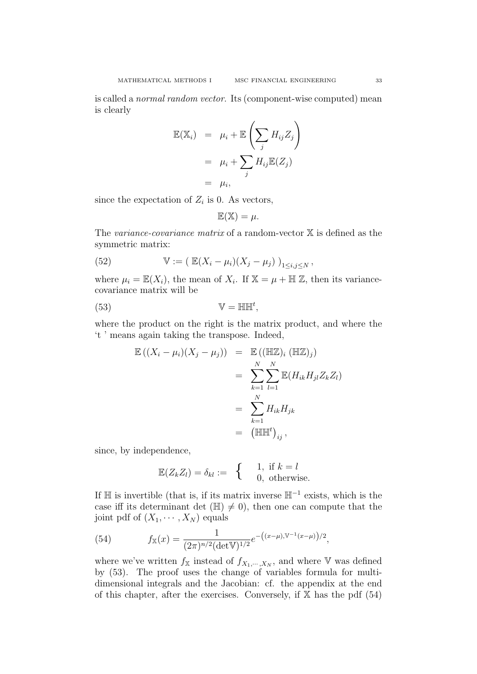is called a normal random vector. Its (component-wise computed) mean is clearly

$$
\mathbb{E}(\mathbb{X}_i) = \mu_i + \mathbb{E}\left(\sum_j H_{ij} Z_j\right)
$$
  
=  $\mu_i + \sum_j H_{ij} \mathbb{E}(Z_j)$   
=  $\mu_i$ ,

since the expectation of  $Z_i$  is 0. As vectors,

$$
\mathbb{E}(\mathbb{X})=\mu.
$$

The variance-covariance matrix of a random-vector  $X$  is defined as the symmetric matrix:

(52) 
$$
\mathbb{V} := (\mathbb{E}(X_i - \mu_i)(X_j - \mu_j))_{1 \leq i,j \leq N},
$$

where  $\mu_i = \mathbb{E}(X_i)$ , the mean of  $X_i$ . If  $\mathbb{X} = \mu + \mathbb{H} \mathbb{Z}$ , then its variancecovariance matrix will be

$$
(53) \t\t\t\t \mathbb{V} = \mathbb{H} \mathbb{H}^t,
$$

where the product on the right is the matrix product, and where the 't ' means again taking the transpose. Indeed,

$$
\mathbb{E}((X_i - \mu_i)(X_j - \mu_j)) = \mathbb{E}((\mathbb{H}\mathbb{Z})_i (\mathbb{H}\mathbb{Z})_j)
$$
  
\n
$$
= \sum_{k=1}^N \sum_{l=1}^N \mathbb{E}(H_{ik}H_{jl}Z_kZ_l)
$$
  
\n
$$
= \sum_{k=1}^N H_{ik}H_{jk}
$$
  
\n
$$
= (\mathbb{H}\mathbb{H}^t)_{ij},
$$

since, by independence,

$$
\mathbb{E}(Z_k Z_l) = \delta_{kl} := \begin{cases} 1, & \text{if } k = l \\ 0, & \text{otherwise.} \end{cases}
$$

If  $\mathbb H$  is invertible (that is, if its matrix inverse  $\mathbb H^{-1}$  exists, which is the case iff its determinant det  $(\mathbb{H}) \neq 0$ , then one can compute that the joint pdf of  $(X_1, \dots, X_N)$  equals

(54) 
$$
f_{\mathbb{X}}(x) = \frac{1}{(2\pi)^{n/2}(\det \mathbb{V})^{1/2}} e^{-((x-\mu), \mathbb{V}^{-1}(x-\mu))/2},
$$

where we've written  $f_{\mathbb{X}}$  instead of  $f_{X_1,\dots,X_N}$ , and where V was defined by (53). The proof uses the change of variables formula for multidimensional integrals and the Jacobian: cf. the appendix at the end of this chapter, after the exercises. Conversely, if  $X$  has the pdf  $(54)$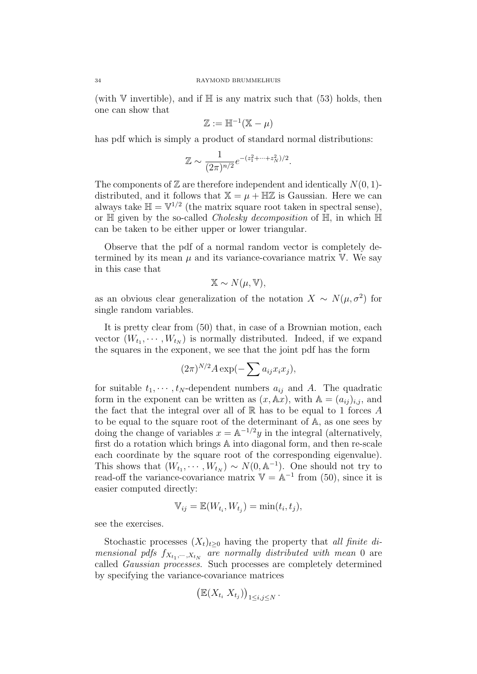(with V invertible), and if  $\mathbb H$  is any matrix such that (53) holds, then one can show that

$$
\mathbb{Z}:=\mathbb{H}^{-1}(\mathbb{X}-\mu)
$$

has pdf which is simply a product of standard normal distributions:

$$
\mathbb{Z} \sim \frac{1}{(2\pi)^{n/2}} e^{-(z_1^2 + \dots + z_N^2)/2}.
$$

The components of  $\mathbb Z$  are therefore independent and identically  $N(0, 1)$ distributed, and it follows that  $X = \mu + \mathbb{H}\mathbb{Z}$  is Gaussian. Here we can always take  $\mathbb{H} = \mathbb{V}^{1/2}$  (the matrix square root taken in spectral sense), or  $\mathbb H$  given by the so-called *Cholesky decomposition* of  $\mathbb H$ , in which  $\mathbb H$ can be taken to be either upper or lower triangular.

Observe that the pdf of a normal random vector is completely determined by its mean  $\mu$  and its variance-covariance matrix  $\nabla$ . We say in this case that

$$
\mathbb{X} \sim N(\mu, \mathbb{V}),
$$

as an obvious clear generalization of the notation  $X \sim N(\mu, \sigma^2)$  for single random variables.

It is pretty clear from (50) that, in case of a Brownian motion, each vector  $(W_{t_1}, \dots, W_{t_N})$  is normally distributed. Indeed, if we expand the squares in the exponent, we see that the joint pdf has the form

$$
(2\pi)^{N/2} A \exp(-\sum a_{ij} x_i x_j),
$$

for suitable  $t_1, \dots, t_N$ -dependent numbers  $a_{ij}$  and A. The quadratic form in the exponent can be written as  $(x, Ax)$ , with  $A = (a_{ij})_{i,j}$ , and the fact that the integral over all of  $\mathbb R$  has to be equal to 1 forces A to be equal to the square root of the determinant of A, as one sees by doing the change of variables  $x = \mathbb{A}^{-1/2}y$  in the integral (alternatively, first do a rotation which brings A into diagonal form, and then re-scale each coordinate by the square root of the corresponding eigenvalue). This shows that  $(W_{t_1}, \cdots, W_{t_N}) \sim N(0, \mathbb{A}^{-1})$ . One should not try to read-off the variance-covariance matrix  $V = A^{-1}$  from (50), since it is easier computed directly:

$$
\mathbb{V}_{ij} = \mathbb{E}(W_{t_i}, W_{t_j}) = \min(t_i, t_j),
$$

see the exercises.

Stochastic processes  $(X_t)_{t\geq0}$  having the property that all finite dimensional pdfs  $f_{X_{t_1},\dots,X_{t_N}}$  are normally distributed with mean 0 are called Gaussian processes. Such processes are completely determined by specifying the variance-covariance matrices

$$
\left(\mathbb{E}(X_{t_i} \; X_{t_j})\right)_{1 \leq i,j \leq N}.
$$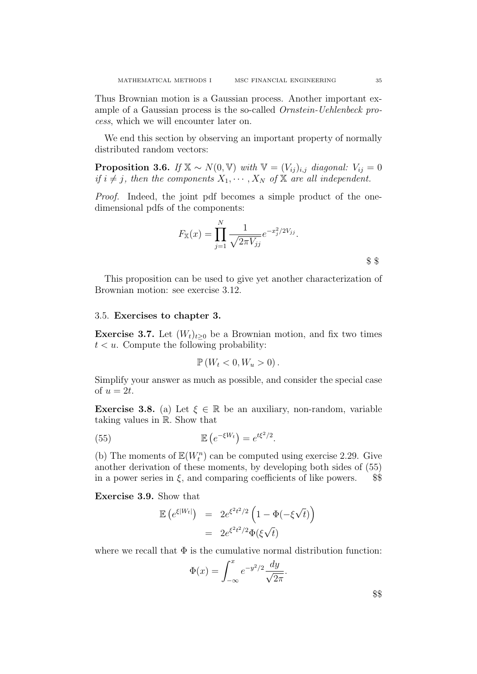Thus Brownian motion is a Gaussian process. Another important example of a Gaussian process is the so-called Ornstein-Uehlenbeck process, which we will encounter later on.

We end this section by observing an important property of normally distributed random vectors:

**Proposition 3.6.** If  $\mathbb{X} \sim N(0, \mathbb{V})$  with  $\mathbb{V} = (V_{ij})_{i,j}$  diagonal:  $V_{ij} = 0$ if  $i \neq j$ , then the components  $X_1, \cdots, X_N$  of  $\mathbb X$  are all independent.

Proof. Indeed, the joint pdf becomes a simple product of the onedimensional pdfs of the components:

$$
F_{\mathbb{X}}(x) = \prod_{j=1}^{N} \frac{1}{\sqrt{2\pi V_{jj}}} e^{-x_j^2/2V_{jj}}.
$$

This proposition can be used to give yet another characterization of Brownian motion: see exercise 3.12.

### 3.5. Exercises to chapter 3.

**Exercise 3.7.** Let  $(W_t)_{t\geq0}$  be a Brownian motion, and fix two times  $t < u$ . Compute the following probability:

$$
\mathbb{P}\left(W_t < 0, W_u > 0\right).
$$

Simplify your answer as much as possible, and consider the special case of  $u = 2t$ .

**Exercise 3.8.** (a) Let  $\xi \in \mathbb{R}$  be an auxiliary, non-random, variable taking values in R. Show that

(55) 
$$
\mathbb{E}\left(e^{-\xi W_t}\right) = e^{t\xi^2/2}.
$$

(b) The moments of  $\mathbb{E}(W_t^n)$  can be computed using exercise 2.29. Give another derivation of these moments, by developing both sides of (55) in a power series in  $\xi$ , and comparing coefficients of like powers. \$\$

Exercise 3.9. Show that

$$
\mathbb{E}\left(e^{\xi|W_t|}\right) = 2e^{\xi^2t^2/2}\left(1 - \Phi(-\xi\sqrt{t})\right)
$$

$$
= 2e^{\xi^2t^2/2}\Phi(\xi\sqrt{t})
$$

where we recall that  $\Phi$  is the cumulative normal distribution function:

$$
\Phi(x) = \int_{-\infty}^{x} e^{-y^2/2} \frac{dy}{\sqrt{2\pi}}
$$

.

\$\$

 $\mathcal{S}$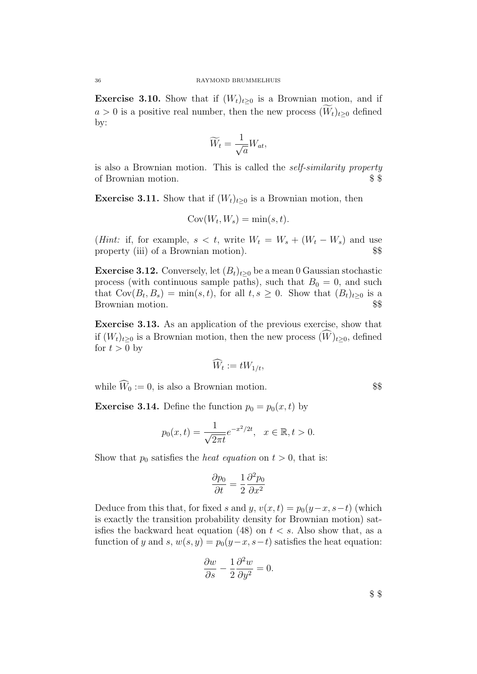**Exercise 3.10.** Show that if  $(W_t)_{t\geq0}$  is a Brownian motion, and if  $a > 0$  is a positive real number, then the new process  $(W_t)_{t\geq 0}$  defined by:

$$
\widetilde{W}_t = \frac{1}{\sqrt{a}} W_{at},
$$

is also a Brownian motion. This is called the self-similarity property of Brownian motion.  $\$  \

**Exercise 3.11.** Show that if  $(W_t)_{t>0}$  is a Brownian motion, then

$$
Cov(W_t, W_s) = \min(s, t).
$$

(*Hint:* if, for example,  $s < t$ , write  $W_t = W_s + (W_t - W_s)$  and use property (iii) of a Brownian motion).

**Exercise 3.12.** Conversely, let  $(B_t)_{t>0}$  be a mean 0 Gaussian stochastic process (with continuous sample paths), such that  $B_0 = 0$ , and such that  $Cov(B_t, B_s) = min(s, t)$ , for all  $t, s \ge 0$ . Show that  $(B_t)_{t \ge 0}$  is a Brownian motion. \$\$

Exercise 3.13. As an application of the previous exercise, show that if  $(W_t)_{t\geq 0}$  is a Brownian motion, then the new process  $(\widehat{W})_{t\geq 0}$ , defined for  $t > 0$  by

$$
\widehat{W}_t := tW_{1/t},
$$

while  $\widehat{W}_0 := 0$ , is also a Brownian motion. \$\$

**Exercise 3.14.** Define the function  $p_0 = p_0(x, t)$  by

$$
p_0(x,t) = \frac{1}{\sqrt{2\pi t}} e^{-x^2/2t}, \quad x \in \mathbb{R}, t > 0.
$$

Show that  $p_0$  satisfies the *heat equation* on  $t > 0$ , that is:

$$
\frac{\partial p_0}{\partial t} = \frac{1}{2} \frac{\partial^2 p_0}{\partial x^2}
$$

Deduce from this that, for fixed s and y,  $v(x, t) = p_0(y-x, s-t)$  (which is exactly the transition probability density for Brownian motion) satisfies the backward heat equation (48) on  $t < s$ . Also show that, as a function of y and s,  $w(s, y) = p_0(y-x, s-t)$  satisfies the heat equation:

$$
\frac{\partial w}{\partial s} - \frac{1}{2} \frac{\partial^2 w}{\partial y^2} = 0.
$$

\$ \$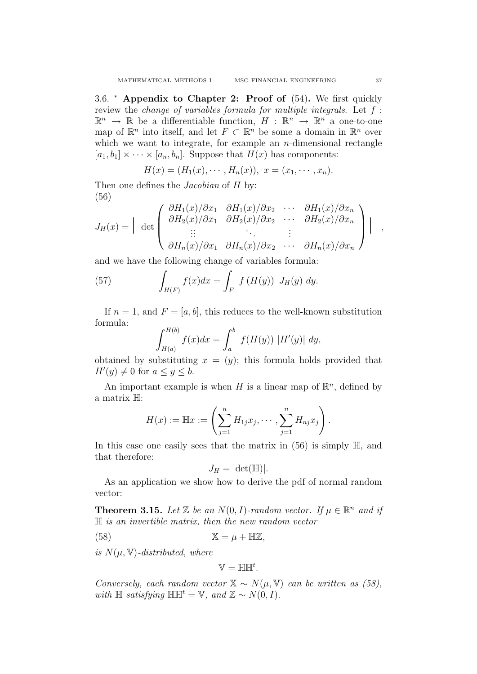3.6. <sup>∗</sup> Appendix to Chapter 2: Proof of (54). We first quickly review the change of variables formula for multiple integrals. Let f :  $\mathbb{R}^n \to \mathbb{R}$  be a differentiable function,  $H : \mathbb{R}^n \to \mathbb{R}^n$  a one-to-one map of  $\mathbb{R}^n$  into itself, and let  $F \subset \mathbb{R}^n$  be some a domain in  $\mathbb{R}^n$  over which we want to integrate, for example an  $n$ -dimensional rectangle  $[a_1, b_1] \times \cdots \times [a_n, b_n]$ . Suppose that  $H(x)$  has components:

$$
H(x) = (H_1(x), \cdots, H_n(x)), x = (x_1, \cdots, x_n).
$$

Then one defines the *Jacobian* of H by: (56)

$$
J_H(x) = \begin{vmatrix} \frac{\partial H_1(x)}{\partial x_1} & \frac{\partial H_1(x)}{\partial x_2} & \cdots & \frac{\partial H_1(x)}{\partial x_n} \\ \frac{\partial H_2(x)}{\partial x_1} & \frac{\partial H_2(x)}{\partial x_2} & \cdots & \frac{\partial H_2(x)}{\partial x_n} \\ \vdots & \vdots & \ddots & \vdots \\ \frac{\partial H_n(x)}{\partial x_1} & \frac{\partial H_n(x)}{\partial x_2} & \cdots & \frac{\partial H_n(x)}{\partial x_n} \end{vmatrix} ,
$$

and we have the following change of variables formula:

(57) 
$$
\int_{H(F)} f(x)dx = \int_F f(H(y)) J_H(y) dy.
$$

If  $n = 1$ , and  $F = [a, b]$ , this reduces to the well-known substitution formula:

$$
\int_{H(a)}^{H(b)} f(x)dx = \int_{a}^{b} f(H(y)) |H'(y)| dy,
$$

obtained by substituting  $x = (y)$ ; this formula holds provided that  $H'(y) \neq 0$  for  $a \leq y \leq b$ .

An important example is when H is a linear map of  $\mathbb{R}^n$ , defined by a matrix H:

$$
H(x) := \mathbb{H}x := \left(\sum_{j=1}^n H_{1j}x_j, \cdots, \sum_{j=1}^n H_{nj}x_j\right).
$$

In this case one easily sees that the matrix in  $(56)$  is simply  $\mathbb{H}$ , and that therefore:

$$
J_H = |\det(\mathbb{H})|.
$$

As an application we show how to derive the pdf of normal random vector:

**Theorem 3.15.** Let  $\mathbb{Z}$  be an  $N(0, I)$ -random vector. If  $\mu \in \mathbb{R}^n$  and if H is an invertible matrix, then the new random vector

(58) 
$$
\mathbb{X} = \mu + \mathbb{H}\mathbb{Z},
$$

is  $N(\mu, \mathbb{V})$ -distributed, where

$$
\mathbb{V}=\mathbb{H}\mathbb{H}^t.
$$

Conversely, each random vector  $\mathbb{X} \sim N(\mu, \mathbb{V})$  can be written as (58), with  $\mathbb{H}$  satisfying  $\mathbb{H} \mathbb{H}^t = \mathbb{V}$ , and  $\mathbb{Z} \sim N(0, I)$ .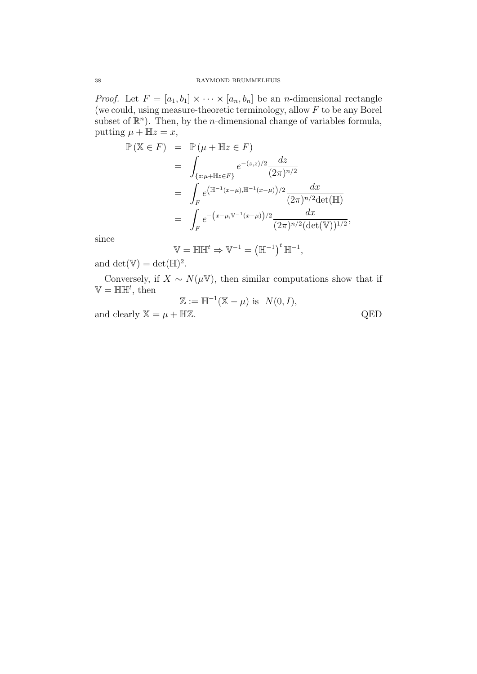*Proof.* Let  $F = [a_1, b_1] \times \cdots \times [a_n, b_n]$  be an *n*-dimensional rectangle (we could, using measure-theoretic terminology, allow F to be any Borel subset of  $\mathbb{R}^n$ ). Then, by the *n*-dimensional change of variables formula, putting  $\mu + \mathbb{H}z = x$ ,

$$
\mathbb{P}(\mathbb{X} \in F) = \mathbb{P}(\mu + \mathbb{H}z \in F)
$$
  
= 
$$
\int_{\{z:\mu + \mathbb{H}z \in F\}} e^{-(z,z)/2} \frac{dz}{(2\pi)^{n/2}}
$$
  
= 
$$
\int_{F} e^{\left(\mathbb{H}^{-1}(x-\mu), \mathbb{H}^{-1}(x-\mu)\right)/2} \frac{dx}{(2\pi)^{n/2} \det(\mathbb{H})}
$$
  
= 
$$
\int_{F} e^{-(x-\mu,\mathbb{V}^{-1}(x-\mu))/2} \frac{dx}{(2\pi)^{n/2} (\det(\mathbb{V}))^{1/2}},
$$

since

$$
\mathbb{V} = \mathbb{H} \mathbb{H}^t \Rightarrow \mathbb{V}^{-1} = \left( \mathbb{H}^{-1} \right)^t \mathbb{H}^{-1},
$$

and  $\det(\mathbb{V}) = \det(\mathbb{H})^2$ .

Conversely, if  $X \sim N(\mu V)$ , then similar computations show that if  $\mathbb{V} = \mathbb{H} \mathbb{H}^t$ , then

$$
\mathbb{Z} := \mathbb{H}^{-1}(\mathbb{X} - \mu) \text{ is } N(0, I),
$$

and clearly  $X = \mu + \mathbb{H}\mathbb{Z}$ . QED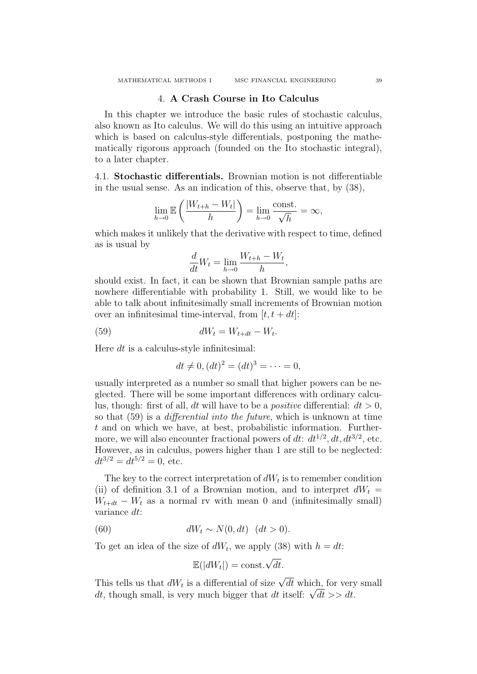# 4. A Crash Course in Ito Calculus

In this chapter we introduce the basic rules of stochastic calculus, also known as Ito calculus. We will do this using an intuitive approach which is based on calculus-style differentials, postponing the mathematically rigorous approach (founded on the Ito stochastic integral), to a later chapter.

4.1. Stochastic differentials. Brownian motion is not differentiable in the usual sense. As an indication of this, observe that, by (38),

$$
\lim_{h \to 0} \mathbb{E}\left(\frac{|W_{t+h} - W_t|}{h}\right) = \lim_{h \to 0} \frac{\text{const.}}{\sqrt{h}} = \infty,
$$

which makes it unlikely that the derivative with respect to time, defined as is usual by

$$
\frac{d}{dt}W_t = \lim_{h \to 0} \frac{W_{t+h} - W_t}{h},
$$

should exist. In fact, it can be shown that Brownian sample paths are nowhere differentiable with probability 1. Still, we would like to be able to talk about infinitesimally small increments of Brownian motion over an infinitesimal time-interval, from  $[t, t + dt]$ :

$$
(59) \t\t dW_t = W_{t+dt} - W_t.
$$

Here  $dt$  is a calculus-style infinitesimal:

$$
dt \neq 0, (dt)^2 = (dt)^3 = \cdots = 0,
$$

usually interpreted as a number so small that higher powers can be neglected. There will be some important differences with ordinary calculus, though: first of all, dt will have to be a *positive* differential:  $dt > 0$ , so that (59) is a differential into the future, which is unknown at time t and on which we have, at best, probabilistic information. Furthermore, we will also encounter fractional powers of  $dt$ :  $dt^{1/2}$ ,  $dt$ ,  $dt^{3/2}$ , etc. However, as in calculus, powers higher than 1 are still to be neglected:  $dt^{3/2} = dt^{5/2} = 0$ , etc.

The key to the correct interpretation of  $dW_t$  is to remember condition (ii) of definition 3.1 of a Brownian motion, and to interpret  $dW_t =$  $W_{t+dt} - W_t$  as a normal rv with mean 0 and (infinitesimally small) variance dt:

(60) 
$$
dW_t \sim N(0, dt) \quad (dt > 0).
$$

To get an idea of the size of  $dW_t$ , we apply (38) with  $h = dt$ :

$$
\mathbb{E}(|dW_t|) = \text{const.}\sqrt{dt}.
$$

This tells us that  $dW_t$  is a differential of size  $\sqrt{dt}$  which, for very small This tells us that  $dW_t$  is a differential of size  $\forall dt$  which, for very  $dt$ , though small, is very much bigger that  $dt$  itself:  $\sqrt{dt} >> dt$ .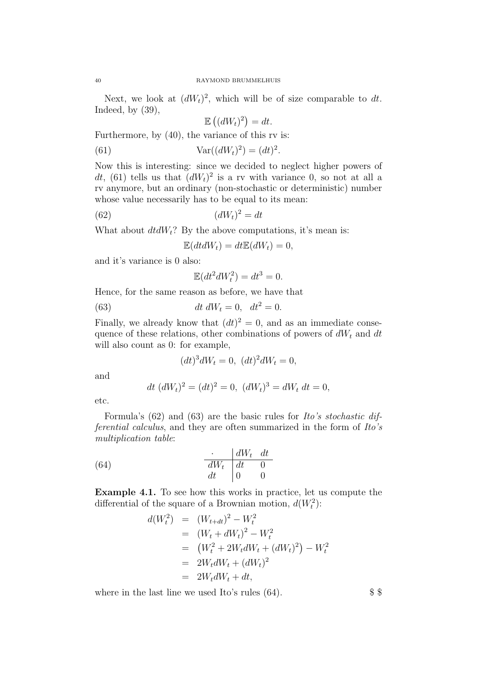Next, we look at  $(dW_t)^2$ , which will be of size comparable to dt. Indeed, by  $(39)$ ,

$$
\mathbb{E}\left((dW_t)^2\right) = dt.
$$

Furthermore, by (40), the variance of this rv is:

(61) 
$$
\operatorname{Var}((dW_t)^2) = (dt)^2.
$$

Now this is interesting: since we decided to neglect higher powers of dt, (61) tells us that  $(dW_t)^2$  is a rv with variance 0, so not at all a rv anymore, but an ordinary (non-stochastic or deterministic) number whose value necessarily has to be equal to its mean:

$$
(62)\qquad \qquad (dW_t)^2 = dt
$$

What about  $dtdW_t$ ? By the above computations, it's mean is:

$$
\mathbb{E}(dtdW_t) = dt \mathbb{E}(dW_t) = 0,
$$

and it's variance is 0 also:

$$
\mathbb{E}(dt^2 dW_t^2) = dt^3 = 0.
$$

Hence, for the same reason as before, we have that

(63) 
$$
dt \, dW_t = 0, \, dt^2 = 0.
$$

Finally, we already know that  $(dt)^2 = 0$ , and as an immediate consequence of these relations, other combinations of powers of  $dW_t$  and dt will also count as 0: for example,

$$
(dt)^3 dW_t = 0, \ (dt)^2 dW_t = 0,
$$

and

$$
dt (dWt)2 = (dt)2 = 0, (dWt)3 = dWt dt = 0,
$$

etc.

Formula's (62) and (63) are the basic rules for Ito's stochastic differential calculus, and they are often summarized in the form of Ito's multiplication table:

(64) 
$$
\begin{array}{c|c}\n & dW_t & dt \\
\hline\n dW_t & dt & 0 \\
dt & 0 & 0\n\end{array}
$$

Example 4.1. To see how this works in practice, let us compute the differential of the square of a Brownian motion,  $d(W_t^2)$ :

$$
d(W_t^2) = (W_{t+dt})^2 - W_t^2
$$
  
=  $(W_t + dW_t)^2 - W_t^2$   
=  $(W_t^2 + 2W_t dW_t + (dW_t)^2) - W_t^2$   
=  $2W_t dW_t + (dW_t)^2$   
=  $2W_t dW_t + dt$ ,

where in the last line we used Ito's rules (64).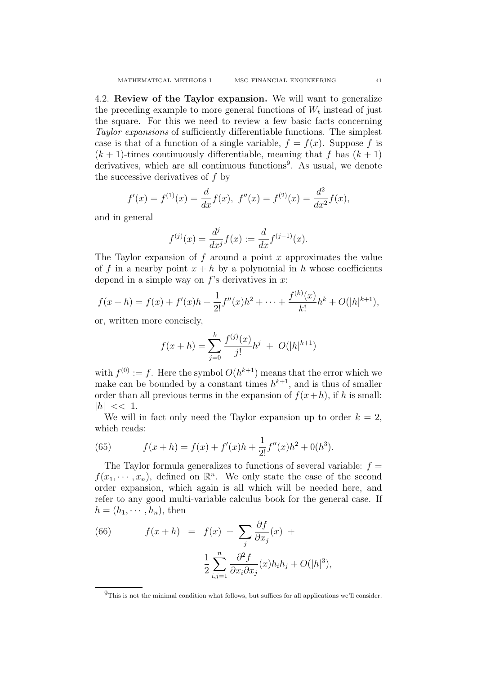4.2. Review of the Taylor expansion. We will want to generalize the preceding example to more general functions of  $W_t$  instead of just the square. For this we need to review a few basic facts concerning Taylor expansions of sufficiently differentiable functions. The simplest case is that of a function of a single variable,  $f = f(x)$ . Suppose f is  $(k + 1)$ -times continuously differentiable, meaning that f has  $(k + 1)$ derivatives, which are all continuous functions<sup>9</sup>. As usual, we denote the successive derivatives of  $f$  by

$$
f'(x) = f^{(1)}(x) = \frac{d}{dx}f(x), \ f''(x) = f^{(2)}(x) = \frac{d^2}{dx^2}f(x),
$$

and in general

$$
f^{(j)}(x) = \frac{d^j}{dx^j} f(x) := \frac{d}{dx} f^{(j-1)}(x).
$$

The Taylor expansion of  $f$  around a point  $x$  approximates the value of f in a nearby point  $x + h$  by a polynomial in h whose coefficients depend in a simple way on  $f$ 's derivatives in  $x$ :

$$
f(x+h) = f(x) + f'(x)h + \frac{1}{2!}f''(x)h^{2} + \dots + \frac{f^{(k)}(x)}{k!}h^{k} + O(|h|^{k+1}),
$$

or, written more concisely,

$$
f(x+h) = \sum_{j=0}^{k} \frac{f^{(j)}(x)}{j!} h^{j} + O(|h|^{k+1})
$$

with  $f^{(0)} := f$ . Here the symbol  $O(h^{k+1})$  means that the error which we make can be bounded by a constant times  $h^{k+1}$ , and is thus of smaller order than all previous terms in the expansion of  $f(x+h)$ , if h is small:  $|h| \, << \, 1.$ 

We will in fact only need the Taylor expansion up to order  $k = 2$ , which reads:

(65) 
$$
f(x+h) = f(x) + f'(x)h + \frac{1}{2!}f''(x)h^2 + 0(h^3).
$$

The Taylor formula generalizes to functions of several variable:  $f =$  $f(x_1, \dots, x_n)$ , defined on  $\mathbb{R}^n$ . We only state the case of the second order expansion, which again is all which will be needed here, and refer to any good multi-variable calculus book for the general case. If  $h = (h_1, \dots, h_n)$ , then

(66) 
$$
f(x+h) = f(x) + \sum_{j} \frac{\partial f}{\partial x_j}(x) + \frac{1}{2} \sum_{i,j=1}^{n} \frac{\partial^2 f}{\partial x_i \partial x_j}(x) h_i h_j + O(|h|^3),
$$

<sup>9</sup>This is not the minimal condition what follows, but suffices for all applications we'll consider.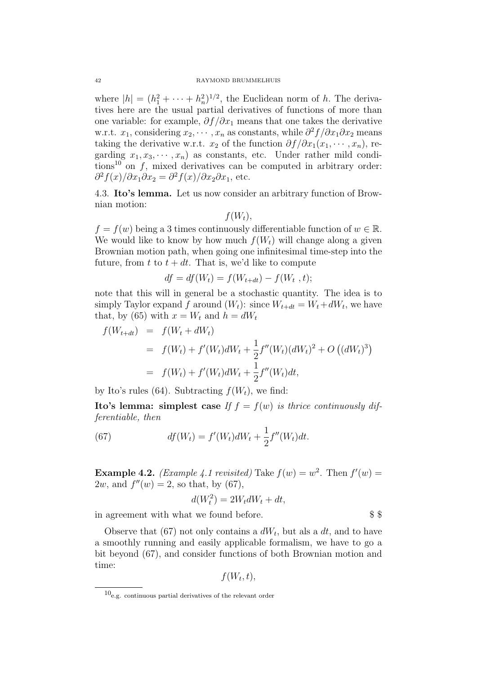where  $|h| = (h_1^2 + \cdots + h_n^2)^{1/2}$ , the Euclidean norm of h. The derivatives here are the usual partial derivatives of functions of more than one variable: for example,  $\partial f/\partial x_1$  means that one takes the derivative w.r.t.  $x_1$ , considering  $x_2, \cdots, x_n$  as constants, while  $\partial^2 f / \partial x_1 \partial x_2$  means taking the derivative w.r.t.  $x_2$  of the function  $\partial f/\partial x_1(x_1, \dots, x_n)$ , regarding  $x_1, x_3, \dots, x_n$  as constants, etc. Under rather mild conditions<sup>10</sup> on  $f$ , mixed derivatives can be computed in arbitrary order:  $\partial^2 f(x)/\partial x_1 \partial x_2 = \partial^2 f(x)/\partial x_2 \partial x_1$ , etc.

4.3. Ito's lemma. Let us now consider an arbitrary function of Brownian motion:

 $f(W_t),$ 

 $f = f(w)$  being a 3 times continuously differentiable function of  $w \in \mathbb{R}$ . We would like to know by how much  $f(W_t)$  will change along a given Brownian motion path, when going one infinitesimal time-step into the future, from t to  $t + dt$ . That is, we'd like to compute

$$
df = df(Wt) = f(Wt+dt) - f(Wt, t);
$$

note that this will in general be a stochastic quantity. The idea is to simply Taylor expand f around  $(W_t)$ : since  $W_{t+dt} = W_t + dW_t$ , we have that, by (65) with  $x = W_t$  and  $h = dW_t$ 

$$
f(W_{t+dt}) = f(W_t + dW_t)
$$
  
=  $f(W_t) + f'(W_t)dW_t + \frac{1}{2}f''(W_t)(dW_t)^2 + O((dW_t)^3)$   
=  $f(W_t) + f'(W_t)dW_t + \frac{1}{2}f''(W_t)dt$ ,

by Ito's rules (64). Subtracting  $f(W_t)$ , we find:

**Ito's lemma: simplest case** If  $f = f(w)$  is thrice continuously differentiable, then

(67) 
$$
df(W_t) = f'(W_t)dW_t + \frac{1}{2}f''(W_t)dt.
$$

**Example 4.2.** (*Example 4.1 revisited*) Take  $f(w) = w^2$ . Then  $f'(w) =$  $2w$ , and  $f''(w) = 2$ , so that, by (67),

$$
d(W_t^2) = 2W_t dW_t + dt,
$$

in agreement with what we found before.  $\$ 

Observe that (67) not only contains a  $dW_t$ , but als a dt, and to have a smoothly running and easily applicable formalism, we have to go a bit beyond (67), and consider functions of both Brownian motion and time:

$$
f(W_t, t),
$$

 $10_{\text{e.g.}}$  continuous partial derivatives of the relevant order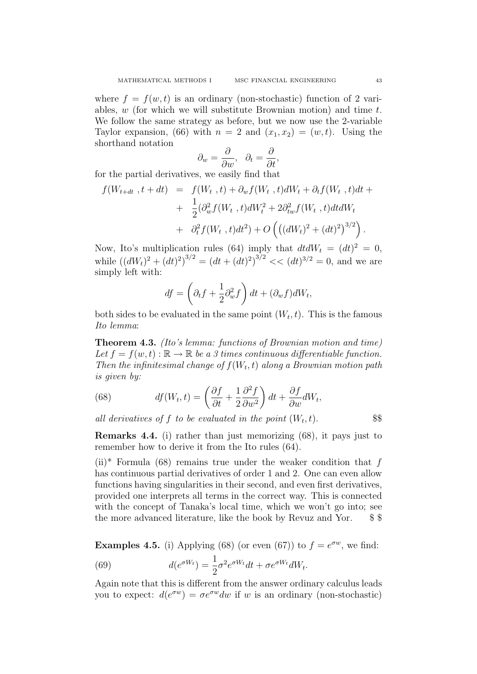where  $f = f(w, t)$  is an ordinary (non-stochastic) function of 2 variables,  $w$  (for which we will substitute Brownian motion) and time  $t$ . We follow the same strategy as before, but we now use the 2-variable Taylor expansion, (66) with  $n = 2$  and  $(x_1, x_2) = (w, t)$ . Using the shorthand notation

$$
\partial_w = \frac{\partial}{\partial w}, \quad \partial_t = \frac{\partial}{\partial t},
$$

for the partial derivatives, we easily find that

$$
f(W_{t+dt}, t+dt) = f(W_t, t) + \partial_w f(W_t, t) dW_t + \partial_t f(W_t, t) dt +
$$
  
+ 
$$
\frac{1}{2} (\partial_w^2 f(W_t, t) dW_t^2 + 2 \partial_{tw}^2 f(W_t, t) dt dW_t
$$
  
+ 
$$
\partial_t^2 f(W_t, t) dt^2) + O\left((dW_t)^2 + (dt)^2\right)^{3/2}\right).
$$

Now, Ito's multiplication rules (64) imply that  $dt dW_t = (dt)^2 = 0$ , while  $((dW_t)^2 + (dt)^2)^{3/2} = (dt + (dt)^2)^{3/2} << (dt)^{3/2} = 0$ , and we are simply left with:

$$
df = \left(\partial_t f + \frac{1}{2}\partial_w^2 f\right) dt + (\partial_w f) dW_t,
$$

both sides to be evaluated in the same point  $(W_t, t)$ . This is the famous Ito lemma:

Theorem 4.3. (Ito's lemma: functions of Brownian motion and time) Let  $f = f(w, t) : \mathbb{R} \to \mathbb{R}$  be a 3 times continuous differentiable function. Then the infinitesimal change of  $f(W_t, t)$  along a Brownian motion path is given by:

(68) 
$$
df(W_t, t) = \left(\frac{\partial f}{\partial t} + \frac{1}{2}\frac{\partial^2 f}{\partial w^2}\right)dt + \frac{\partial f}{\partial w}dW_t,
$$

all derivatives of f to be evaluated in the point  $(W_t, t)$ .  $\$ \$

Remarks 4.4. (i) rather than just memorizing (68), it pays just to remember how to derive it from the Ito rules (64).

 $(ii)^*$  Formula (68) remains true under the weaker condition that f has continuous partial derivatives of order 1 and 2. One can even allow functions having singularities in their second, and even first derivatives, provided one interprets all terms in the correct way. This is connected with the concept of Tanaka's local time, which we won't go into; see the more advanced literature, like the book by Revuz and Yor. \$ \$

**Examples 4.5.** (i) Applying (68) (or even (67)) to  $f = e^{\sigma w}$ , we find:

(69) 
$$
d(e^{\sigma W_t}) = \frac{1}{2}\sigma^2 e^{\sigma W_t} dt + \sigma e^{\sigma W_t} dW_t.
$$

Again note that this is different from the answer ordinary calculus leads you to expect:  $d(e^{\sigma w}) = \sigma e^{\sigma w} dw$  if w is an ordinary (non-stochastic)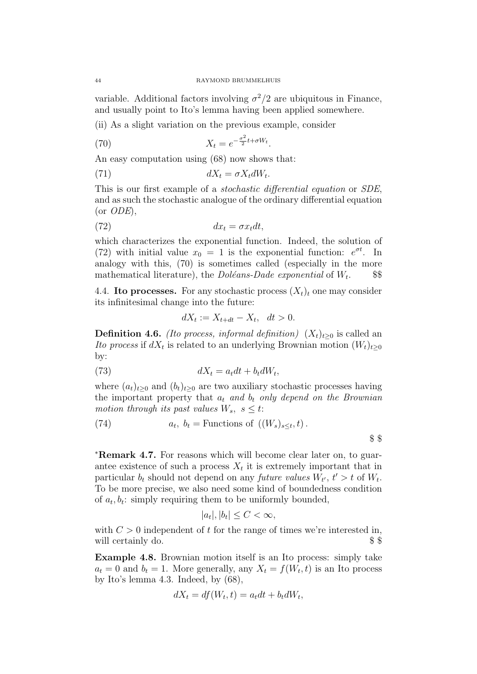variable. Additional factors involving  $\sigma^2/2$  are ubiquitous in Finance, and usually point to Ito's lemma having been applied somewhere.

.

(ii) As a slight variation on the previous example, consider

(70) 
$$
X_t = e^{-\frac{\sigma^2}{2}t + \sigma W_t}
$$

An easy computation using (68) now shows that:

$$
dX_t = \sigma X_t dW_t.
$$

This is our first example of a stochastic differential equation or SDE, and as such the stochastic analogue of the ordinary differential equation (or ODE),

$$
dx_t = \sigma x_t dt,
$$

which characterizes the exponential function. Indeed, the solution of (72) with initial value  $x_0 = 1$  is the exponential function:  $e^{\sigma t}$ . In analogy with this, (70) is sometimes called (especially in the more mathematical literature), the Doléans-Dade exponential of  $W_t$ . . \$\$

4.4. Ito processes. For any stochastic process  $(X_t)_t$  one may consider its infinitesimal change into the future:

$$
dX_t := X_{t+dt} - X_t, \quad dt > 0.
$$

**Definition 4.6.** (Ito process, informal definition)  $(X_t)_{t\geq0}$  is called an *Ito process* if  $dX_t$  is related to an underlying Brownian motion  $(W_t)_{t\geq 0}$ by:

$$
dX_t = a_t dt + b_t dW_t,
$$

where  $(a_t)_{t\geq0}$  and  $(b_t)_{t\geq0}$  are two auxiliary stochastic processes having the important property that  $a_t$  and  $b_t$  only depend on the Brownian motion through its past values  $W_s$ ,  $s \leq t$ :

(74) 
$$
a_t, b_t = \text{Functions of } ((W_s)_{s \leq t}, t).
$$
 § §

<sup>∗</sup>Remark 4.7. For reasons which will become clear later on, to guarantee existence of such a process  $X_t$  it is extremely important that in particular  $b_t$  should not depend on any *future values*  $W_{t}$ ,  $t' > t$  of  $W_t$ . To be more precise, we also need some kind of boundedness condition of  $a_t, b_t$ : simply requiring them to be uniformly bounded,

$$
|a_t|, |b_t| \le C < \infty,
$$

with  $C > 0$  independent of t for the range of times we're interested in, will certainly do.  $\$ 

Example 4.8. Brownian motion itself is an Ito process: simply take  $a_t = 0$  and  $b_t = 1$ . More generally, any  $X_t = f(W_t, t)$  is an Ito process by Ito's lemma 4.3. Indeed, by (68),

$$
dX_t = df(W_t, t) = a_t dt + b_t dW_t,
$$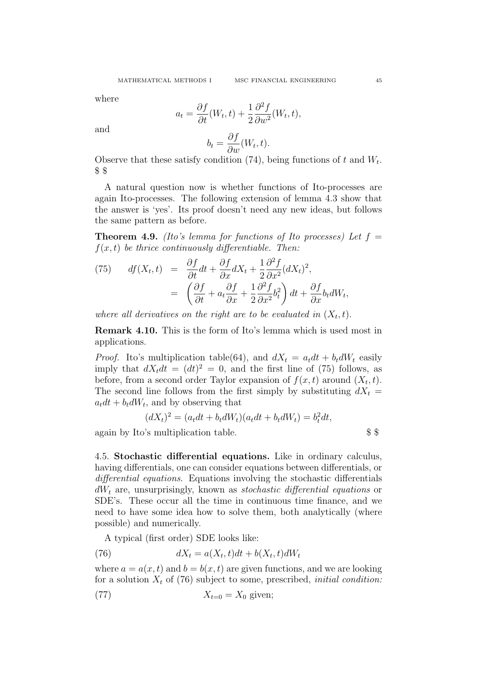where

$$
a_t = \frac{\partial f}{\partial t}(W_t, t) + \frac{1}{2} \frac{\partial^2 f}{\partial w^2}(W_t, t),
$$

and

$$
b_t = \frac{\partial f}{\partial w}(W_t, t).
$$

Observe that these satisfy condition (74), being functions of t and  $W_t$ . \$ \$

A natural question now is whether functions of Ito-processes are again Ito-processes. The following extension of lemma 4.3 show that the answer is 'yes'. Its proof doesn't need any new ideas, but follows the same pattern as before.

**Theorem 4.9.** (Ito's lemma for functions of Ito processes) Let  $f =$  $f(x, t)$  be thrice continuously differentiable. Then:

(75) 
$$
df(X_t, t) = \frac{\partial f}{\partial t} dt + \frac{\partial f}{\partial x} dX_t + \frac{1}{2} \frac{\partial^2 f}{\partial x^2} (dX_t)^2,
$$

$$
= \left( \frac{\partial f}{\partial t} + a_t \frac{\partial f}{\partial x} + \frac{1}{2} \frac{\partial^2 f}{\partial x^2} b_t^2 \right) dt + \frac{\partial f}{\partial x} b_t dW_t,
$$

where all derivatives on the right are to be evaluated in  $(X_t, t)$ .

Remark 4.10. This is the form of Ito's lemma which is used most in applications.

*Proof.* Ito's multiplication table(64), and  $dX_t = a_t dt + b_t dW_t$  easily imply that  $dX_t dt = (dt)^2 = 0$ , and the first line of (75) follows, as before, from a second order Taylor expansion of  $f(x,t)$  around  $(X_t,t)$ . The second line follows from the first simply by substituting  $dX_t =$  $a_t dt + b_t dW_t$ , and by observing that

$$
(dXt)2 = (atdt + bt dWt)(atdt + bt dWt) = bt2 dt,
$$

again by Ito's multiplication table. \$ \$

4.5. Stochastic differential equations. Like in ordinary calculus, having differentials, one can consider equations between differentials, or differential equations. Equations involving the stochastic differentials  $dW_t$  are, unsurprisingly, known as *stochastic differential equations* or SDE's. These occur all the time in continuous time finance, and we need to have some idea how to solve them, both analytically (where possible) and numerically.

A typical (first order) SDE looks like:

(76) 
$$
dX_t = a(X_t, t)dt + b(X_t, t)dW_t
$$

where  $a = a(x, t)$  and  $b = b(x, t)$  are given functions, and we are looking for a solution  $X_t$  of (76) subject to some, prescribed, *initial condition*:

$$
(77) \t\t Xt=0 = X0 given;
$$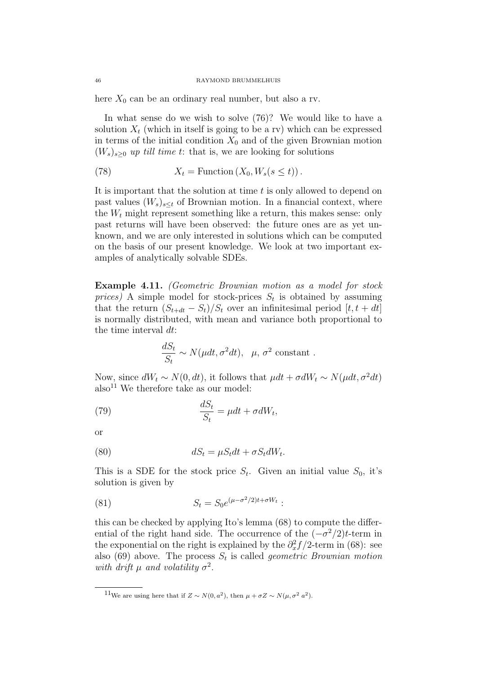here  $X_0$  can be an ordinary real number, but also a rv.

In what sense do we wish to solve (76)? We would like to have a solution  $X_t$  (which in itself is going to be a rv) which can be expressed in terms of the initial condition  $X_0$  and of the given Brownian motion  $(W_s)_{s>0}$  up till time t: that is, we are looking for solutions

(78) 
$$
X_t = \text{Function}(X_0, W_s(s \le t)).
$$

It is important that the solution at time  $t$  is only allowed to depend on past values  $(W_s)_{s \leq t}$  of Brownian motion. In a financial context, where the  $W_t$  might represent something like a return, this makes sense: only past returns will have been observed: the future ones are as yet unknown, and we are only interested in solutions which can be computed on the basis of our present knowledge. We look at two important examples of analytically solvable SDEs.

Example 4.11. *(Geometric Brownian motion as a model for stock* prices) A simple model for stock-prices  $S_t$  is obtained by assuming that the return  $(S_{t+dt} - S_t)/S_t$  over an infinitesimal period  $[t, t + dt]$ is normally distributed, with mean and variance both proportional to the time interval dt:

$$
\frac{dS_t}{S_t} \sim N(\mu dt, \sigma^2 dt), \quad \mu, \sigma^2 \text{ constant}.
$$

Now, since  $dW_t \sim N(0, dt)$ , it follows that  $\mu dt + \sigma dW_t \sim N(\mu dt, \sigma^2 dt)$ also<sup>11</sup> We therefore take as our model:

(79) 
$$
\frac{dS_t}{S_t} = \mu dt + \sigma dW_t,
$$

or

(80) 
$$
dS_t = \mu S_t dt + \sigma S_t dW_t.
$$

This is a SDE for the stock price  $S_t$ . Given an initial value  $S_0$ , it's solution is given by

(81) 
$$
S_t = S_0 e^{(\mu - \sigma^2/2)t + \sigma W_t} :
$$

this can be checked by applying Ito's lemma (68) to compute the differential of the right hand side. The occurrence of the  $(-\sigma^2/2)t$ -term in the exponential on the right is explained by the  $\partial_x^2 f/2$ -term in (68): see also (69) above. The process  $S_t$  is called *geometric Brownian motion* with drift  $\mu$  and volatility  $\sigma^2$ .

<sup>&</sup>lt;sup>11</sup>We are using here that if  $Z \sim N(0, a^2)$ , then  $\mu + \sigma Z \sim N(\mu, \sigma^2 a^2)$ .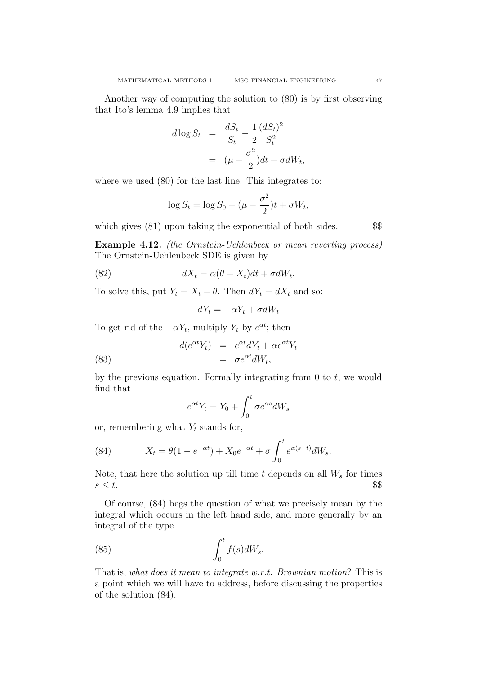Another way of computing the solution to (80) is by first observing that Ito's lemma 4.9 implies that

$$
d \log S_t = \frac{dS_t}{S_t} - \frac{1}{2} \frac{(dS_t)^2}{S_t^2}
$$

$$
= (\mu - \frac{\sigma^2}{2})dt + \sigma dW_t,
$$

where we used  $(80)$  for the last line. This integrates to:

$$
\log S_t = \log S_0 + (\mu - \frac{\sigma^2}{2})t + \sigma W_t,
$$

which gives  $(81)$  upon taking the exponential of both sides.  $$$ 

Example 4.12. (the Ornstein-Uehlenbeck or mean reverting process) The Ornstein-Uehlenbeck SDE is given by

(82) 
$$
dX_t = \alpha(\theta - X_t)dt + \sigma dW_t.
$$

To solve this, put  $Y_t = X_t - \theta$ . Then  $dY_t = dX_t$  and so:

$$
dY_t = -\alpha Y_t + \sigma dW_t
$$

To get rid of the  $-\alpha Y_t$ , multiply  $Y_t$  by  $e^{\alpha t}$ ; then

(83) 
$$
d(e^{\alpha t}Y_t) = e^{\alpha t}dY_t + \alpha e^{\alpha t}Y_t
$$

$$
= \sigma e^{\alpha t}dW_t,
$$

by the previous equation. Formally integrating from  $0$  to  $t$ , we would find that

$$
e^{\alpha t}Y_t = Y_0 + \int_0^t \sigma e^{\alpha s} dW_s
$$

or, remembering what  $Y_t$  stands for,

(84) 
$$
X_t = \theta(1 - e^{-\alpha t}) + X_0 e^{-\alpha t} + \sigma \int_0^t e^{\alpha(s-t)} dW_s.
$$

Note, that here the solution up till time  $t$  depends on all  $W_s$  for times  $s \leq t$ . \$\$

Of course, (84) begs the question of what we precisely mean by the integral which occurs in the left hand side, and more generally by an integral of the type

(85) 
$$
\int_0^t f(s)dW_s.
$$

That is, what does it mean to integrate w.r.t. Brownian motion? This is a point which we will have to address, before discussing the properties of the solution (84).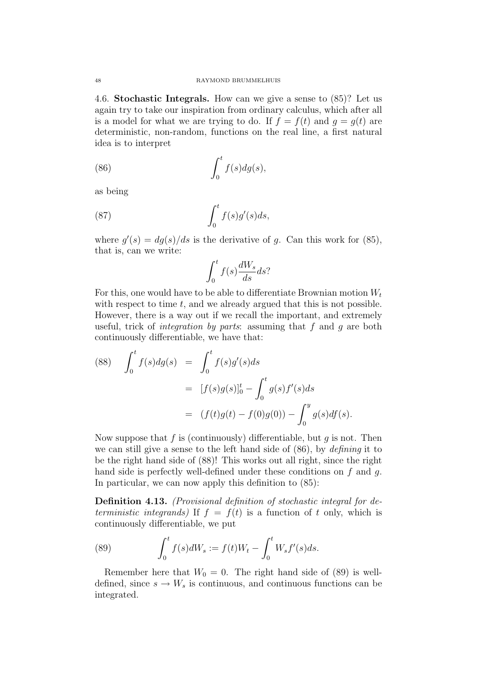4.6. Stochastic Integrals. How can we give a sense to (85)? Let us again try to take our inspiration from ordinary calculus, which after all is a model for what we are trying to do. If  $f = f(t)$  and  $g = g(t)$  are deterministic, non-random, functions on the real line, a first natural idea is to interpret

(86) 
$$
\int_0^t f(s) dg(s),
$$

as being

(87) 
$$
\int_0^t f(s)g'(s)ds,
$$

where  $g'(s) = dg(s)/ds$  is the derivative of g. Can this work for (85), that is, can we write:

$$
\int_0^t f(s) \frac{dW_s}{ds} ds?
$$

For this, one would have to be able to differentiate Brownian motion  $W_t$ with respect to time  $t$ , and we already argued that this is not possible. However, there is a way out if we recall the important, and extremely useful, trick of *integration by parts*: assuming that  $f$  and  $g$  are both continuously differentiable, we have that:

(88) 
$$
\int_0^t f(s)dg(s) = \int_0^t f(s)g'(s)ds
$$
  
=  $[f(s)g(s)]_0^t - \int_0^t g(s)f'(s)ds$   
=  $(f(t)g(t) - f(0)g(0)) - \int_0^y g(s)df(s).$ 

Now suppose that f is (continuously) differentiable, but q is not. Then we can still give a sense to the left hand side of (86), by defining it to be the right hand side of (88)! This works out all right, since the right hand side is perfectly well-defined under these conditions on  $f$  and  $q$ . In particular, we can now apply this definition to  $(85)$ :

Definition 4.13. (Provisional definition of stochastic integral for deterministic integrands) If  $f = f(t)$  is a function of t only, which is continuously differentiable, we put

(89) 
$$
\int_0^t f(s)dW_s := f(t)W_t - \int_0^t W_s f'(s)ds.
$$

Remember here that  $W_0 = 0$ . The right hand side of (89) is welldefined, since  $s \to W_s$  is continuous, and continuous functions can be integrated.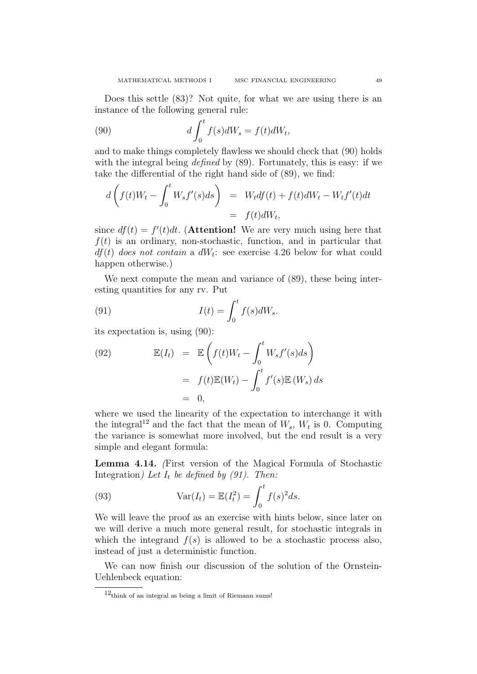Does this settle (83)? Not quite, for what we are using there is an instance of the following general rule:

(90) 
$$
d\int_0^t f(s)dW_s = f(t)dW_t,
$$

and to make things completely flawless we should check that (90) holds with the integral being *defined* by (89). Fortunately, this is easy: if we take the differential of the right hand side of (89), we find:

$$
d\left(f(t)W_t - \int_0^t W_s f'(s)ds\right) = W_t df(t) + f(t)dW_t - W_t f'(t)dt
$$
  
=  $f(t)dW_t,$ 

since  $df(t) = f'(t)dt$ . (**Attention!** We are very much using here that  $f(t)$  is an ordinary, non-stochastic, function, and in particular that  $df(t)$  does not contain a  $dW_t$ : see exercise 4.26 below for what could happen otherwise.

We next compute the mean and variance of  $(89)$ , these being interesting quantities for any rv. Put

(91) 
$$
I(t) = \int_0^t f(s)dW_s.
$$

its expectation is, using (90):

(92) 
$$
\mathbb{E}(I_t) = \mathbb{E}\left(f(t)W_t - \int_0^t W_s f'(s)ds\right)
$$

$$
= f(t)\mathbb{E}(W_t) - \int_0^t f'(s)\mathbb{E}(W_s) ds
$$

$$
= 0,
$$

where we used the linearity of the expectation to interchange it with the integral<sup>12</sup> and the fact that the mean of  $W_s$ ,  $W_t$  is 0. Computing the variance is somewhat more involved, but the end result is a very simple and elegant formula:

Lemma 4.14. (First version of the Magical Formula of Stochastic Integration) Let  $I_t$  be defined by (91). Then:

(93) 
$$
Var(I_t) = \mathbb{E}(I_t^2) = \int_0^t f(s)^2 ds.
$$

We will leave the proof as an exercise with hints below, since later on we will derive a much more general result, for stochastic integrals in which the integrand  $f(s)$  is allowed to be a stochastic process also, instead of just a deterministic function.

We can now finish our discussion of the solution of the Ornstein-Uehlenbeck equation:

 $12$ think of an integral as being a limit of Riemann sums!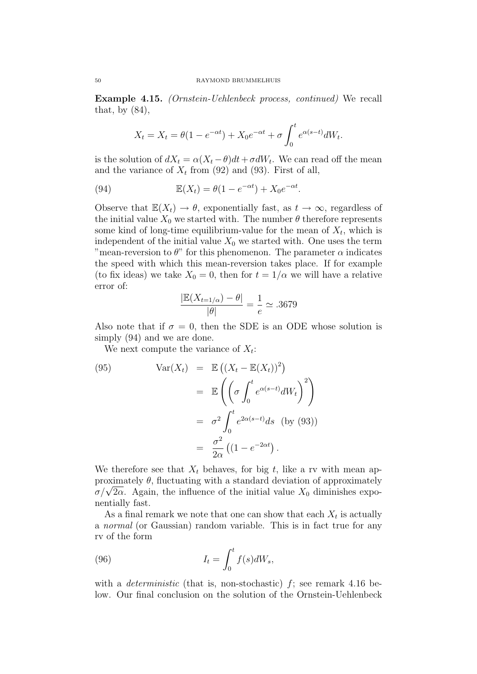Example 4.15. (Ornstein-Uehlenbeck process, continued) We recall that, by  $(84)$ ,

$$
X_t = X_t = \theta(1 - e^{-\alpha t}) + X_0 e^{-\alpha t} + \sigma \int_0^t e^{\alpha(s-t)} dW_t.
$$

is the solution of  $dX_t = \alpha(X_t - \theta)dt + \sigma dW_t$ . We can read off the mean and the variance of  $X_t$  from (92) and (93). First of all,

(94) 
$$
\mathbb{E}(X_t) = \theta(1 - e^{-\alpha t}) + X_0 e^{-\alpha t}.
$$

Observe that  $\mathbb{E}(X_t) \to \theta$ , exponentially fast, as  $t \to \infty$ , regardless of the initial value  $X_0$  we started with. The number  $\theta$  therefore represents some kind of long-time equilibrium-value for the mean of  $X_t$ , which is independent of the initial value  $X_0$  we started with. One uses the term "mean-reversion to  $\theta$ " for this phenomenon. The parameter  $\alpha$  indicates the speed with which this mean-reversion takes place. If for example (to fix ideas) we take  $X_0 = 0$ , then for  $t = 1/\alpha$  we will have a relative error of:

$$
\frac{|\mathbb{E}(X_{t=1/\alpha}) - \theta|}{|\theta|} = \frac{1}{e} \simeq .3679
$$

Also note that if  $\sigma = 0$ , then the SDE is an ODE whose solution is simply (94) and we are done.

We next compute the variance of  $X_t$ :

(95) 
$$
\operatorname{Var}(X_t) = \mathbb{E}((X_t - \mathbb{E}(X_t))^2)
$$

$$
= \mathbb{E}\left(\left(\sigma \int_0^t e^{\alpha(s-t)} dW_t\right)^2\right)
$$

$$
= \sigma^2 \int_0^t e^{2\alpha(s-t)} ds \text{ (by (93))}
$$

$$
= \frac{\sigma^2}{2\alpha}((1 - e^{-2\alpha t}).
$$

We therefore see that  $X_t$  behaves, for big t, like a rv with mean approximately  $\theta$ , fluctuating with a standard deviation of approximately proximately  $\theta$ , fluctuating with a standard deviation of approximately  $\sigma/\sqrt{2\alpha}$ . Again, the influence of the initial value  $X_0$  diminishes exponentially fast.

As a final remark we note that one can show that each  $X_t$  is actually a normal (or Gaussian) random variable. This is in fact true for any rv of the form

(96) 
$$
I_t = \int_0^t f(s)dW_s,
$$

with a *deterministic* (that is, non-stochastic)  $f$ ; see remark 4.16 below. Our final conclusion on the solution of the Ornstein-Uehlenbeck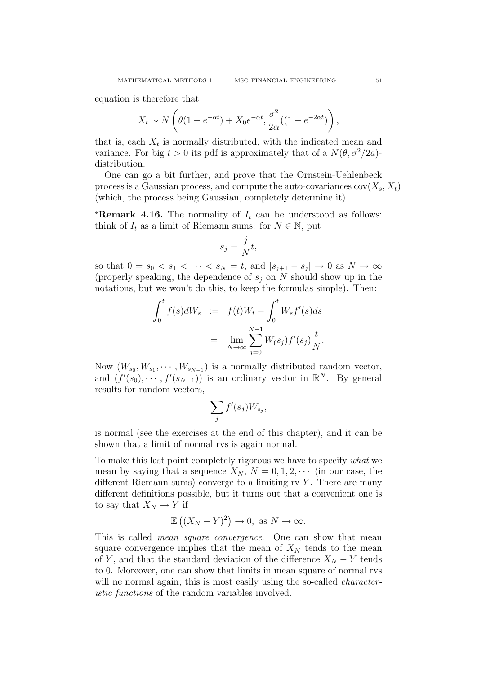equation is therefore that

$$
X_t \sim N\left(\theta(1 - e^{-\alpha t}) + X_0 e^{-\alpha t}, \frac{\sigma^2}{2\alpha}((1 - e^{-2\alpha t})\right),\,
$$

that is, each  $X_t$  is normally distributed, with the indicated mean and variance. For big  $t > 0$  its pdf is approximately that of a  $N(\theta, \sigma^2/2a)$ distribution.

One can go a bit further, and prove that the Ornstein-Uehlenbeck process is a Gaussian process, and compute the auto-covariances  $cov(X_s, X_t)$ (which, the process being Gaussian, completely determine it).

\***Remark 4.16.** The normality of  $I_t$  can be understood as follows: think of  $I_t$  as a limit of Riemann sums: for  $N \in \mathbb{N}$ , put

$$
s_j = \frac{j}{N}t,
$$

so that  $0 = s_0 < s_1 < \cdots < s_N = t$ , and  $|s_{j+1} - s_j| \to 0$  as  $N \to \infty$ (properly speaking, the dependence of  $s_i$  on N should show up in the notations, but we won't do this, to keep the formulas simple). Then:

$$
\int_0^t f(s)dW_s \quad := \quad f(t)W_t - \int_0^t W_s f'(s)ds
$$

$$
= \lim_{N \to \infty} \sum_{j=0}^{N-1} W(s_j) f'(s_j) \frac{t}{N}.
$$

Now  $(W_{s_0}, W_{s_1}, \cdots, W_{s_{N-1}})$  is a normally distributed random vector, and  $(f'(s_0), \cdots, f'(s_{N-1}))$  is an ordinary vector in  $\mathbb{R}^N$ . By general results for random vectors,

$$
\sum_j f'(s_j) W_{s_j},
$$

is normal (see the exercises at the end of this chapter), and it can be shown that a limit of normal rvs is again normal.

To make this last point completely rigorous we have to specify what we mean by saying that a sequence  $X_N$ ,  $N = 0, 1, 2, \cdots$  (in our case, the different Riemann sums) converge to a limiting rv  $Y$ . There are many different definitions possible, but it turns out that a convenient one is to say that  $X_N \to Y$  if

$$
\mathbb{E}\left((X_N - Y)^2\right) \to 0, \text{ as } N \to \infty.
$$

This is called *mean square convergence*. One can show that mean square convergence implies that the mean of  $X_N$  tends to the mean of Y, and that the standard deviation of the difference  $X_N - Y$  tends to 0. Moreover, one can show that limits in mean square of normal rvs will ne normal again; this is most easily using the so-called *character*istic functions of the random variables involved.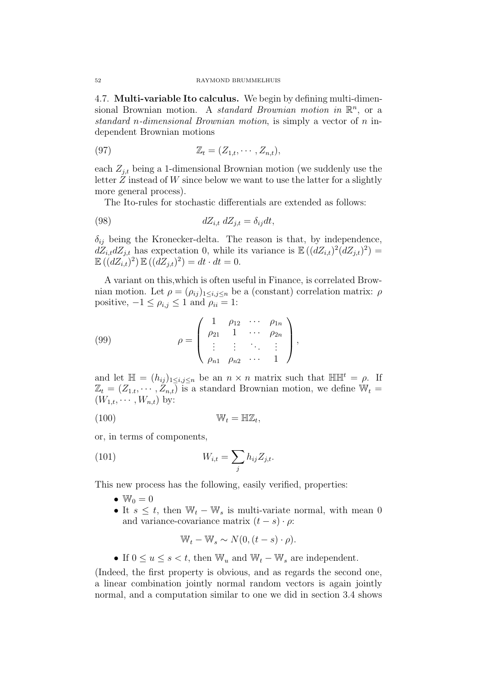4.7. Multi-variable Ito calculus. We begin by defining multi-dimensional Brownian motion. A standard Brownian motion in  $\mathbb{R}^n$ , or a standard n-dimensional Brownian motion, is simply a vector of n independent Brownian motions

(97) 
$$
\mathbb{Z}_t = (Z_{1,t}, \cdots, Z_{n,t}),
$$

each  $Z_{j,t}$  being a 1-dimensional Brownian motion (we suddenly use the letter Z instead of W since below we want to use the latter for a slightly more general process).

The Ito-rules for stochastic differentials are extended as follows:

(98) 
$$
dZ_{i,t} dZ_{j,t} = \delta_{ij} dt,
$$

 $\delta_{ij}$  being the Kronecker-delta. The reason is that, by independence,  $d\ddot{Z}_{i,t} dZ_{j,t}$  has expectation 0, while its variance is  $\mathbb{E}((dZ_{i,t})^2(dZ_{j,t})^2) =$  $\mathbb{E}\left((dZ_{i,t})^2\right)\mathbb{E}\left((dZ_{j,t})^2\right) = dt \cdot dt = 0.$ 

A variant on this,which is often useful in Finance, is correlated Brownian motion. Let  $\rho = (\rho_{ij})_{1 \leq i,j \leq n}$  be a (constant) correlation matrix:  $\rho$ positive,  $-1 \leq \rho_{i,j} \leq 1$  and  $\rho_{ii} = 1$ :

(99) 
$$
\rho = \begin{pmatrix} 1 & \rho_{12} & \cdots & \rho_{1n} \\ \rho_{21} & 1 & \cdots & \rho_{2n} \\ \vdots & \vdots & \ddots & \vdots \\ \rho_{n1} & \rho_{n2} & \cdots & 1 \end{pmatrix},
$$

and let  $\mathbb{H} = (h_{ij})_{1 \le i,j \le n}$  be an  $n \times n$  matrix such that  $\mathbb{H} \mathbb{H}^t = \rho$ . If  $\mathbb{Z}_t = (Z_{1,t}, \dots, Z_{n,t})$  is a standard Brownian motion, we define  $\mathbb{W}_t =$  $(W_{1,t},\cdots,W_{n,t})$  by:

$$
(100) \t\t\t \mathbb{W}_t = \mathbb{H}\mathbb{Z}_t,
$$

or, in terms of components,

$$
(101) \t\t W_{i,t} = \sum_j h_{ij} Z_{j,t}.
$$

This new process has the following, easily verified, properties:

- $\bullet \mathbb{W}_0 = 0$
- It  $s \leq t$ , then  $\mathbb{W}_t \mathbb{W}_s$  is multi-variate normal, with mean 0 and variance-covariance matrix  $(t - s) \cdot \rho$ :

$$
\mathbb{W}_t - \mathbb{W}_s \sim N(0, (t - s) \cdot \rho).
$$

• If  $0 \le u \le s \le t$ , then  $\mathbb{W}_u$  and  $\mathbb{W}_t - \mathbb{W}_s$  are independent.

(Indeed, the first property is obvious, and as regards the second one, a linear combination jointly normal random vectors is again jointly normal, and a computation similar to one we did in section 3.4 shows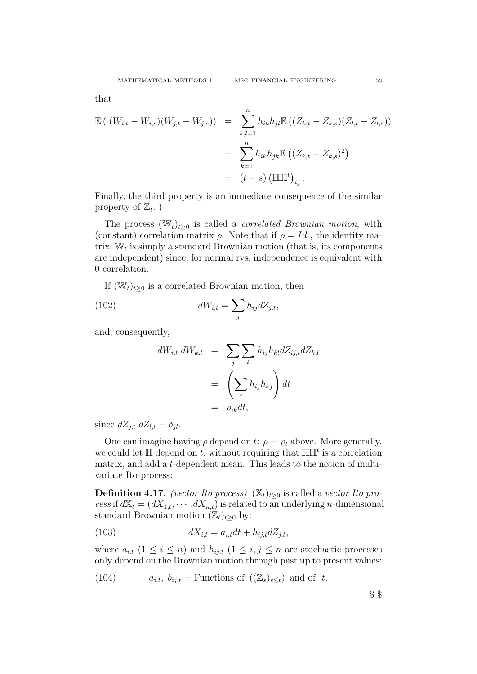that

$$
\mathbb{E}((W_{i,t} - W_{i,s})(W_{j,t} - W_{j,s})) = \sum_{k,l=1}^{n} h_{ik} h_{jl} \mathbb{E}((Z_{k,t} - Z_{k,s})(Z_{l,t} - Z_{l,s}))
$$
  

$$
= \sum_{k=1}^{n} h_{ik} h_{jk} \mathbb{E}((Z_{k,t} - Z_{k,s})^2)
$$
  

$$
= (t - s) (\mathbb{H} \mathbb{H}^{t})_{ij}.
$$

Finally, the third property is an immediate consequence of the similar property of  $\mathbb{Z}_t$ .)

The process  $(\mathbb{W}_t)_{t>0}$  is called a *correlated Brownian motion*, with (constant) correlation matrix  $\rho$ . Note that if  $\rho = Id$ , the identity matrix,  $\mathbb{W}_t$  is simply a standard Brownian motion (that is, its components are independent) since, for normal rvs, independence is equivalent with 0 correlation.

If  $(\mathbb{W}_t)_{t>0}$  is a correlated Brownian motion, then

(102) 
$$
dW_{i,t} = \sum_j h_{ij} dZ_{j,t},
$$

and, consequently,

$$
dW_{i,t} dW_{k,t} = \sum_{j} \sum_{k} h_{ij} h_{kl} dZ_{ij,t} dZ_{k,l}
$$

$$
= \left(\sum_{j} h_{ij} h_{kj}\right) dt
$$

$$
= \rho_{ik} dt,
$$

since  $dZ_{i,t} dZ_{i,t} = \delta_{il}.$ 

One can imagine having  $\rho$  depend on t:  $\rho = \rho_t$  above. More generally, we could let  $\mathbb H$  depend on t, without requiring that  $\mathbb H\mathbb H^t$  is a correlation matrix, and add a t-dependent mean. This leads to the notion of multivariate Ito-process:

**Definition 4.17.** (vector Ito process)  $(\mathbb{X}_t)_{t\geq0}$  is called a vector Ito process if  $dX_t = (dX_{1,t}, \cdots, dX_{n,t})$  is related to an underlying *n*-dimensional standard Brownian motion  $(\mathbb{Z}_t)_{t\geq 0}$  by:

$$
(103) \t\t dX_{i,t} = a_{i,t}dt + h_{ij,t}dZ_{j,t},
$$

where  $a_{i,t}$   $(1 \leq i \leq n)$  and  $h_{ij,t}$   $(1 \leq i,j \leq n)$  are stochastic processes only depend on the Brownian motion through past up to present values:

(104) 
$$
a_{i,t}, b_{ij,t} = \text{Functions of } ((\mathbb{Z}_s)_{s \le t}) \text{ and of } t.
$$

\$ \$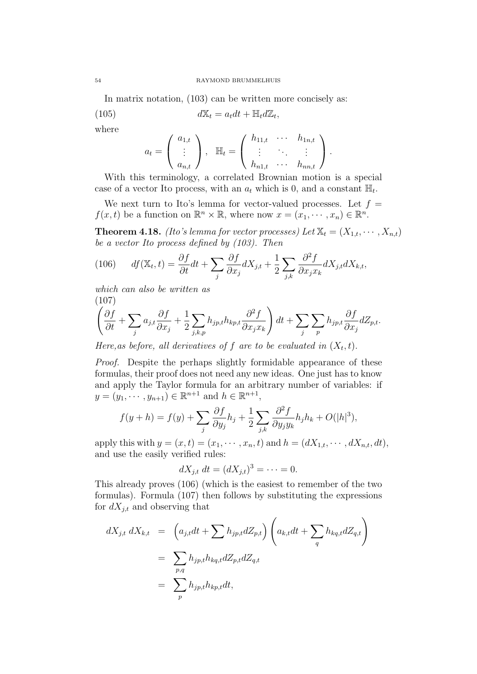In matrix notation,  $(103)$  can be written more concisely as:

(105) 
$$
d\mathbb{X}_t = a_t dt + \mathbb{H}_t d\mathbb{Z}_t,
$$

where

$$
a_t = \left(\begin{array}{c} a_{1,t} \\ \vdots \\ a_{n,t} \end{array}\right), \quad \mathbb{H}_t = \left(\begin{array}{ccc} h_{11,t} & \cdots & h_{1n,t} \\ \vdots & \ddots & \vdots \\ h_{n1,t} & \cdots & h_{nn,t} \end{array}\right).
$$

With this terminology, a correlated Brownian motion is a special case of a vector Ito process, with an  $a_t$  which is 0, and a constant  $\mathbb{H}_t$ .

We next turn to Ito's lemma for vector-valued processes. Let  $f =$  $f(x,t)$  be a function on  $\mathbb{R}^n \times \mathbb{R}$ , where now  $x = (x_1, \dots, x_n) \in \mathbb{R}^n$ .

**Theorem 4.18.** (Ito's lemma for vector processes) Let  $\mathbb{X}_t = (X_{1,t}, \dots, X_{n,t})$ be a vector Ito process defined by (103). Then

(106) 
$$
df(\mathbb{X}_t, t) = \frac{\partial f}{\partial t} dt + \sum_j \frac{\partial f}{\partial x_j} dX_{j,t} + \frac{1}{2} \sum_{j,k} \frac{\partial^2 f}{\partial x_j x_k} dX_{j,t} dX_{k,t},
$$

which can also be written as (107)

$$
\left(\frac{\partial f}{\partial t} + \sum_j a_{j,t} \frac{\partial f}{\partial x_j} + \frac{1}{2} \sum_{j,k,p} h_{jp,t} h_{kp,t} \frac{\partial^2 f}{\partial x_j x_k}\right) dt + \sum_j \sum_p h_{jp,t} \frac{\partial f}{\partial x_j} dZ_{p,t}.
$$

Here, as before, all derivatives of f are to be evaluated in  $(X_t, t)$ .

Proof. Despite the perhaps slightly formidable appearance of these formulas, their proof does not need any new ideas. One just has to know and apply the Taylor formula for an arbitrary number of variables: if  $y = (y_1, \dots, y_{n+1}) \in \mathbb{R}^{n+1}$  and  $h \in \mathbb{R}^{n+1}$ ,

$$
f(y+h) = f(y) + \sum_{j} \frac{\partial f}{\partial y_j} h_j + \frac{1}{2} \sum_{j,k} \frac{\partial^2 f}{\partial y_j y_k} h_j h_k + O(|h|^3),
$$

apply this with  $y = (x, t) = (x_1, \dots, x_n, t)$  and  $h = (dX_{1,t}, \dots, dX_{n,t}, dt)$ , and use the easily verified rules:

$$
dX_{j,t} dt = (dX_{j,t})^3 = \cdots = 0.
$$

This already proves (106) (which is the easiest to remember of the two formulas). Formula (107) then follows by substituting the expressions for  $dX_{i,t}$  and observing that

$$
dX_{j,t} dX_{k,t} = \left(a_{j,t}dt + \sum h_{jp,t}dZ_{p,t}\right)\left(a_{k,t}dt + \sum_{q} h_{kq,t}dZ_{q,t}\right)
$$
  
= 
$$
\sum_{p,q} h_{jp,t}h_{kq,t}dZ_{p,t}dZ_{q,t}
$$
  
= 
$$
\sum_{p} h_{jp,t}h_{kp,t}dt,
$$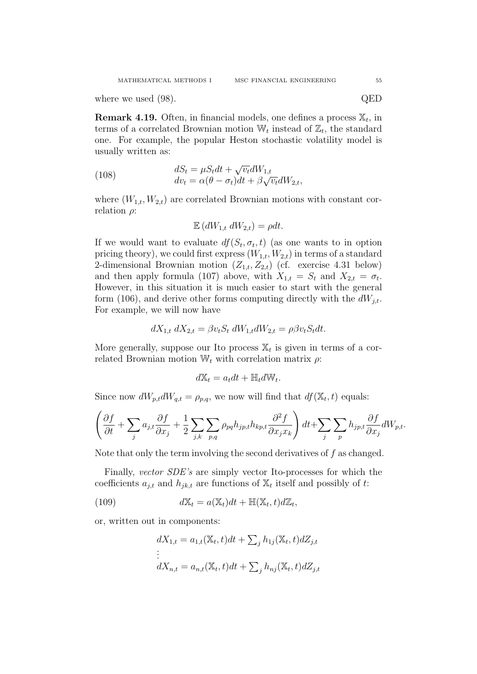where we used (98). QED

**Remark 4.19.** Often, in financial models, one defines a process  $\mathbb{X}_t$ , in terms of a correlated Brownian motion  $\mathbb{W}_t$  instead of  $\mathbb{Z}_t$ , the standard one. For example, the popular Heston stochastic volatility model is usually written as:

(108) 
$$
dS_t = \mu S_t dt + \sqrt{v_t} dW_{1,t}
$$

$$
dv_t = \alpha (\theta - \sigma_t) dt + \beta \sqrt{v_t} dW_{2,t},
$$

where  $(W_{1,t}, W_{2,t})$  are correlated Brownian motions with constant correlation  $\rho$ :

$$
\mathbb{E}\left(dW_{1,t} \, dW_{2,t}\right) = \rho dt.
$$

If we would want to evaluate  $df(S_t, \sigma_t, t)$  (as one wants to in option pricing theory), we could first express  $(W_{1,t}, W_{2,t})$  in terms of a standard 2-dimensional Brownian motion  $(Z_{1,t}, Z_{2,t})$  (cf. exercise 4.31 below) and then apply formula (107) above, with  $X_{1,t} = S_t$  and  $X_{2,t} = \sigma_t$ . However, in this situation it is much easier to start with the general form (106), and derive other forms computing directly with the  $dW_{i,t}$ . For example, we will now have

$$
dX_{1,t} dX_{2,t} = \beta v_t S_t dW_{1,t} dW_{2,t} = \rho \beta v_t S_t dt.
$$

More generally, suppose our Ito process  $\mathbb{X}_t$  is given in terms of a correlated Brownian motion  $\mathbb{W}_t$  with correlation matrix  $\rho$ :

$$
d\mathbb{X}_t = a_t dt + \mathbb{H}_t d\mathbb{W}_t.
$$

Since now  $dW_{p,t}dW_{q,t} = \rho_{p,q}$ , we now will find that  $df(\mathbb{X}_t, t)$  equals:

$$
\left(\frac{\partial f}{\partial t} + \sum_j a_{j,t} \frac{\partial f}{\partial x_j} + \frac{1}{2} \sum_{j,k} \sum_{p,q} \rho_{pq} h_{jp,t} h_{kp,t} \frac{\partial^2 f}{\partial x_j x_k}\right) dt + \sum_j \sum_p h_{jp,t} \frac{\partial f}{\partial x_j} dW_{p,t}.
$$

Note that only the term involving the second derivatives of f as changed.

Finally, vector SDE's are simply vector Ito-processes for which the coefficients  $a_{j,t}$  and  $h_{jk,t}$  are functions of  $\mathbb{X}_t$  itself and possibly of t:

(109) 
$$
d\mathbb{X}_t = a(\mathbb{X}_t)dt + \mathbb{H}(\mathbb{X}_t, t)d\mathbb{Z}_t,
$$

or, written out in components:

$$
dX_{1,t} = a_{1,t}(\mathbb{X}_t, t)dt + \sum_j h_{1j}(\mathbb{X}_t, t)dZ_{j,t}
$$
  
\n:  
\n
$$
dX_{n,t} = a_{n,t}(\mathbb{X}_t, t)dt + \sum_j h_{nj}(\mathbb{X}_t, t)dZ_{j,t}
$$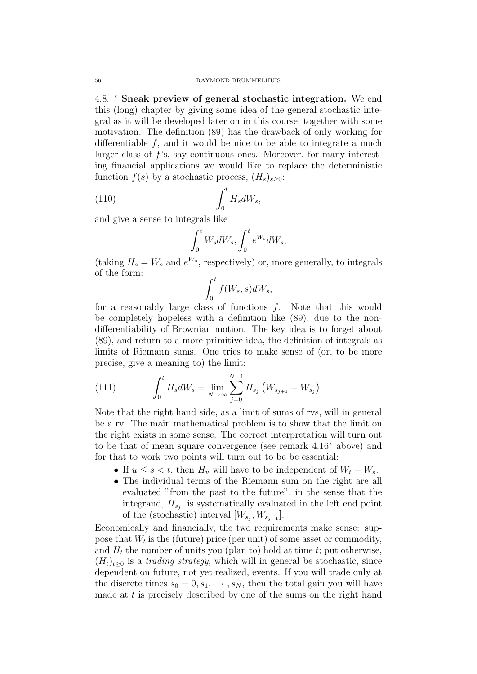4.8. <sup>∗</sup> Sneak preview of general stochastic integration. We end this (long) chapter by giving some idea of the general stochastic integral as it will be developed later on in this course, together with some motivation. The definition (89) has the drawback of only working for differentiable  $f$ , and it would be nice to be able to integrate a much larger class of f's, say continuous ones. Moreover, for many interesting financial applications we would like to replace the deterministic function  $f(s)$  by a stochastic process,  $(H_s)_{s>0}$ :

$$
\int_0^t H_s dW_s,
$$

and give a sense to integrals like

$$
\int_0^t W_s dW_s, \int_0^t e^{W_s} dW_s,
$$

(taking  $H_s = W_s$  and  $e^{W_s}$ , respectively) or, more generally, to integrals of the form:

$$
\int_0^t f(W_s, s)dW_s,
$$

for a reasonably large class of functions f. Note that this would be completely hopeless with a definition like (89), due to the nondifferentiability of Brownian motion. The key idea is to forget about (89), and return to a more primitive idea, the definition of integrals as limits of Riemann sums. One tries to make sense of (or, to be more precise, give a meaning to) the limit:

(111) 
$$
\int_0^t H_s dW_s = \lim_{N \to \infty} \sum_{j=0}^{N-1} H_{s_j} \left( W_{s_{j+1}} - W_{s_j} \right).
$$

Note that the right hand side, as a limit of sums of rvs, will in general be a rv. The main mathematical problem is to show that the limit on the right exists in some sense. The correct interpretation will turn out to be that of mean square convergence (see remark 4.16<sup>∗</sup> above) and for that to work two points will turn out to be be essential:

- If  $u \leq s < t$ , then  $H_u$  will have to be independent of  $W_t W_s$ .
- The individual terms of the Riemann sum on the right are all evaluated "from the past to the future", in the sense that the integrand,  $H_{s_j}$ , is systematically evaluated in the left end point of the (stochastic) interval  $[W_{s_j}, W_{s_{j+1}}]$ .

Economically and financially, the two requirements make sense: suppose that  $W_t$  is the (future) price (per unit) of some asset or commodity, and  $H_t$  the number of units you (plan to) hold at time t; put otherwise,  $(H_t)_{t>0}$  is a trading strategy, which will in general be stochastic, since dependent on future, not yet realized, events. If you will trade only at the discrete times  $s_0 = 0, s_1, \dots, s_N$ , then the total gain you will have made at  $t$  is precisely described by one of the sums on the right hand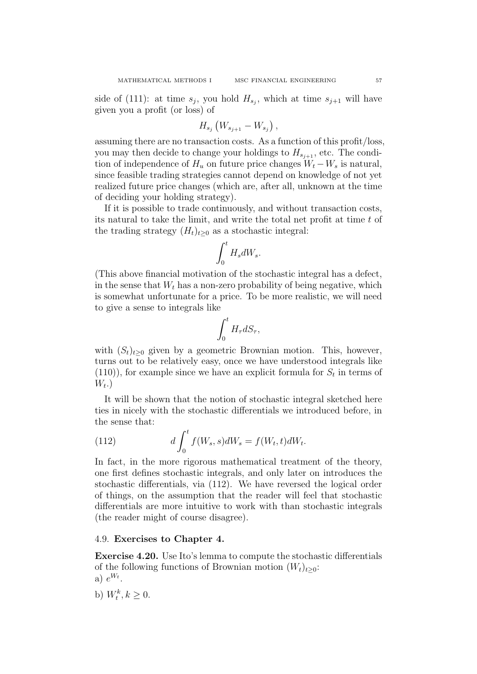side of (111): at time  $s_j$ , you hold  $H_{s_j}$ , which at time  $s_{j+1}$  will have given you a profit (or loss) of

$$
H_{s_j}\left(W_{s_{j+1}}-W_{s_j}\right),\,
$$

assuming there are no transaction costs. As a function of this profit/loss, you may then decide to change your holdings to  $H_{s+1}$ , etc. The condition of independence of  $H_u$  on future price changes  $W_t - W_s$  is natural, since feasible trading strategies cannot depend on knowledge of not yet realized future price changes (which are, after all, unknown at the time of deciding your holding strategy).

If it is possible to trade continuously, and without transaction costs, its natural to take the limit, and write the total net profit at time t of the trading strategy  $(H_t)_{t\geq 0}$  as a stochastic integral:

$$
\int_0^t H_s dW_s.
$$

(This above financial motivation of the stochastic integral has a defect, in the sense that  $W_t$  has a non-zero probability of being negative, which is somewhat unfortunate for a price. To be more realistic, we will need to give a sense to integrals like

$$
\int_0^t H_\tau dS_\tau,
$$

with  $(S_t)_{t>0}$  given by a geometric Brownian motion. This, however, turns out to be relatively easy, once we have understood integrals like  $(110)$ , for example since we have an explicit formula for  $S_t$  in terms of  $W_t$ .)

It will be shown that the notion of stochastic integral sketched here ties in nicely with the stochastic differentials we introduced before, in the sense that:

(112) 
$$
d\int_0^t f(W_s, s)dW_s = f(W_t, t)dW_t.
$$

In fact, in the more rigorous mathematical treatment of the theory, one first defines stochastic integrals, and only later on introduces the stochastic differentials, via (112). We have reversed the logical order of things, on the assumption that the reader will feel that stochastic differentials are more intuitive to work with than stochastic integrals (the reader might of course disagree).

# 4.9. Exercises to Chapter 4.

Exercise 4.20. Use Ito's lemma to compute the stochastic differentials of the following functions of Brownian motion  $(W_t)_{t\geq0}$ : a)  $e^{W_t}$ .

b)  $W_t^k, k \ge 0$ .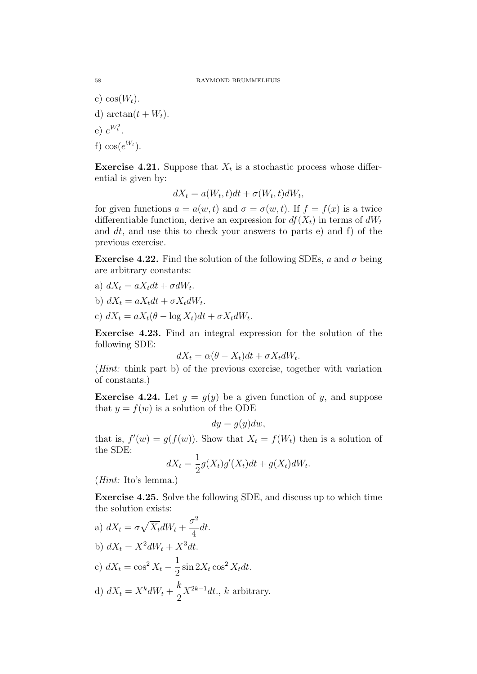58 RAYMOND BRUMMELHUIS

- c)  $cos(W_t)$ .
- d)  $\arctan(t + W_t)$ .
- e)  $e^{W_t^2}$ .
- f)  $cos(e^{W_t})$ .

**Exercise 4.21.** Suppose that  $X_t$  is a stochastic process whose differential is given by:

$$
dX_t = a(W_t, t)dt + \sigma(W_t, t)dW_t,
$$

for given functions  $a = a(w, t)$  and  $\sigma = \sigma(w, t)$ . If  $f = f(x)$  is a twice differentiable function, derive an expression for  $df(X_t)$  in terms of  $dW_t$ and  $dt$ , and use this to check your answers to parts e) and f) of the previous exercise.

**Exercise 4.22.** Find the solution of the following SDEs, a and  $\sigma$  being are arbitrary constants:

- a)  $dX_t = aX_t dt + \sigma dW_t$ .
- b)  $dX_t = aX_t dt + \sigma X_t dW_t$ .
- c)  $dX_t = aX_t(\theta \log X_t)dt + \sigma X_t dW_t.$

Exercise 4.23. Find an integral expression for the solution of the following SDE:

$$
dX_t = \alpha(\theta - X_t)dt + \sigma X_t dW_t.
$$

(Hint: think part b) of the previous exercise, together with variation of constants.)

**Exercise 4.24.** Let  $g = g(y)$  be a given function of y, and suppose that  $y = f(w)$  is a solution of the ODE

$$
dy = g(y)dw,
$$

that is,  $f'(w) = g(f(w))$ . Show that  $X_t = f(W_t)$  then is a solution of the SDE:

$$
dX_t = \frac{1}{2}g(X_t)g'(X_t)dt + g(X_t)dW_t.
$$

(Hint: Ito's lemma.)

Exercise 4.25. Solve the following SDE, and discuss up to which time the solution exists:

a)  $dX_t = \sigma \sqrt{X_t} dW_t +$  $\sigma^2$ 4 dt. b)  $dX_t = X^2 dW_t + X^3 dt$ . c)  $dX_t = \cos^2 X_t - \frac{1}{2}$  $\frac{1}{2}\sin 2X_t\cos^2 X_t dt$ . d)  $dX_t = X^k dW_t +$ k 2  $X^{2k-1}dt$ ., k arbitrary.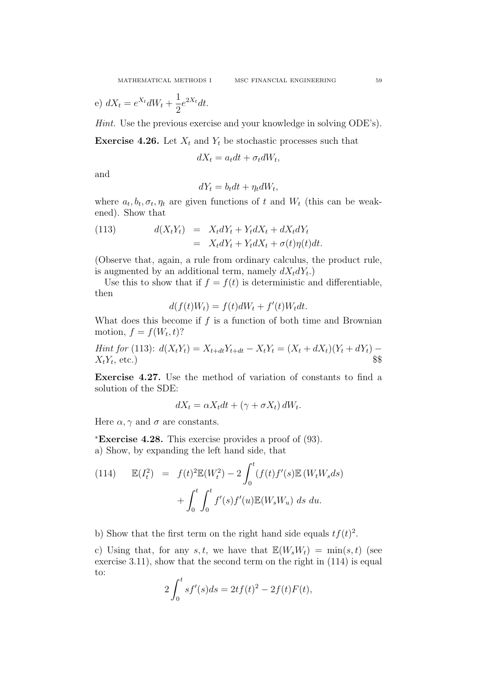MATHEMATICAL METHODS I MSC FINANCIAL ENGINEERING 59

e) 
$$
dX_t = e^{X_t} dW_t + \frac{1}{2} e^{2X_t} dt.
$$

Hint. Use the previous exercise and your knowledge in solving ODE's).

**Exercise 4.26.** Let  $X_t$  and  $Y_t$  be stochastic processes such that

$$
dX_t = a_t dt + \sigma_t dW_t,
$$

and

$$
dY_t = b_t dt + \eta_t dW_t,
$$

where  $a_t, b_t, \sigma_t, \eta_t$  are given functions of t and  $W_t$  (this can be weakened). Show that

(113) 
$$
d(X_t Y_t) = X_t dY_t + Y_t dX_t + dX_t dY_t
$$

$$
= X_t dY_t + Y_t dX_t + \sigma(t) \eta(t) dt.
$$

(Observe that, again, a rule from ordinary calculus, the product rule, is augmented by an additional term, namely  $dX_t dY_t$ .

Use this to show that if  $f = f(t)$  is deterministic and differentiable, then

$$
d(f(t)W_t) = f(t)dW_t + f'(t)W_t dt.
$$

What does this become if  $f$  is a function of both time and Brownian motion,  $f = f(W_t, t)$ ?

Hint for (113):  $d(X_tY_t) = X_{t+dt}Y_{t+dt} - X_tY_t = (X_t + dX_t)(Y_t + dY_t) X_tY_t$ , etc.) , etc.)  $$\$$ 

Exercise 4.27. Use the method of variation of constants to find a solution of the SDE:

$$
dX_t = \alpha X_t dt + (\gamma + \sigma X_t) dW_t.
$$

Here  $\alpha, \gamma$  and  $\sigma$  are constants.

<sup>∗</sup>Exercise 4.28. This exercise provides a proof of (93). a) Show, by expanding the left hand side, that

(114) 
$$
\mathbb{E}(I_t^2) = f(t)^2 \mathbb{E}(W_t^2) - 2 \int_0^t (f(t)f'(s) \mathbb{E}(W_t W_s ds) + \int_0^t \int_0^t f'(s) f'(u) \mathbb{E}(W_s W_u) ds du.
$$

b) Show that the first term on the right hand side equals  $tf(t)^2$ .

c) Using that, for any s, t, we have that  $\mathbb{E}(W_sW_t) = \min(s,t)$  (see exercise 3.11), show that the second term on the right in (114) is equal to:

$$
2\int_0^t s f'(s)ds = 2tf(t)^2 - 2f(t)F(t),
$$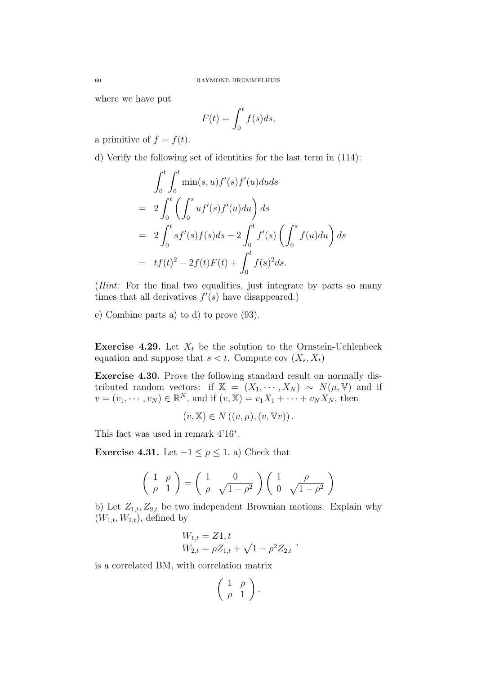where we have put

$$
F(t) = \int_0^t f(s)ds,
$$

a primitive of  $f = f(t)$ .

d) Verify the following set of identities for the last term in (114):

$$
\int_0^t \int_0^t \min(s, u) f'(s) f'(u) du ds
$$
  
=  $2 \int_0^t \left( \int_0^s u f'(s) f'(u) du \right) ds$   
=  $2 \int_0^t s f'(s) f(s) ds - 2 \int_0^t f'(s) \left( \int_0^s f(u) du \right) ds$   
=  $tf(t)^2 - 2f(t)F(t) + \int_0^t f(s)^2 ds.$ 

(Hint: For the final two equalities, just integrate by parts so many times that all derivatives  $f'(s)$  have disappeared.)

e) Combine parts a) to d) to prove (93).

**Exercise 4.29.** Let  $X_t$  be the solution to the Ornstein-Uehlenbeck equation and suppose that  $s < t$ . Compute cov  $(X_s, X_t)$ 

Exercise 4.30. Prove the following standard result on normally distributed random vectors: if  $X = (X_1, \cdots, X_N) \sim N(\mu, V)$  and if  $v = (v_1, \dots, v_N) \in \mathbb{R}^N$ , and if  $(v, \mathbb{X}) = v_1 X_1 + \dots + v_N X_N$ , then

$$
(v, \mathbb{X}) \in N((v, \mu), (v, \mathbb{V}v)).
$$

This fact was used in remark 4'16<sup>∗</sup> .

Exercise 4.31. Let  $-1 \leq \rho \leq 1$ . a) Check that

$$
\left(\begin{array}{cc} 1 & \rho \\ \rho & 1 \end{array}\right) = \left(\begin{array}{cc} 1 & 0 \\ \rho & \sqrt{1-\rho^2} \end{array}\right) \left(\begin{array}{cc} 1 & \rho \\ 0 & \sqrt{1-\rho^2} \end{array}\right)
$$

b) Let  $Z_{1,t}, Z_{2,t}$  be two independent Brownian motions. Explain why  $(W_{1,t}, W_{2,t})$ , defined by

$$
W_{1,t} = Z1, t
$$
  

$$
W_{2,t} = \rho Z_{1,t} + \sqrt{1 - \rho^2} Z_{2,t}
$$

,

is a correlated BM, with correlation matrix

$$
\left(\begin{array}{cc} 1 & \rho \\ \rho & 1 \end{array}\right).
$$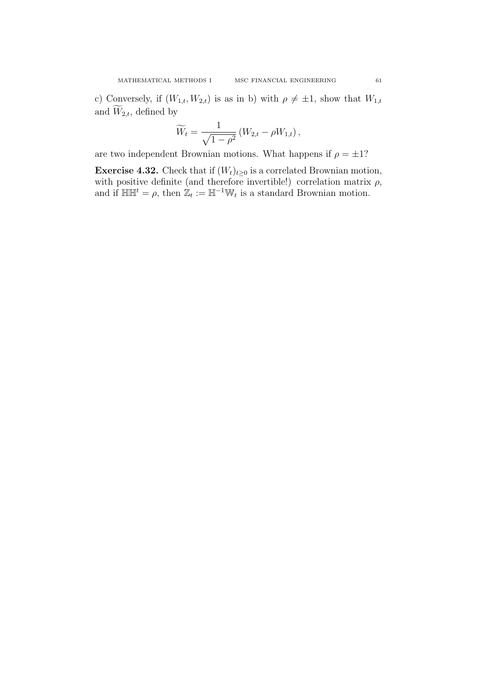c) Conversely, if  $(W_{1,t}, W_{2,t})$  is as in b) with  $\rho \neq \pm 1$ , show that  $W_{1,t}$ and  $\widetilde{W}_{2,t}$ , defined by

$$
\widetilde{W}_t = \frac{1}{\sqrt{1-\rho^2}} \left( W_{2,t} - \rho W_{1,t} \right),\,
$$

are two independent Brownian motions. What happens if  $\rho = \pm 1$ ?

**Exercise 4.32.** Check that if  $(W_t)_{t\geq 0}$  is a correlated Brownian motion, with positive definite (and therefore invertible!) correlation matrix  $\rho$ , and if  $\mathbb{H} \mathbb{H}^t = \rho$ , then  $\mathbb{Z}_t := \mathbb{H}^{-1} \mathbb{W}_t$  is a standard Brownian motion.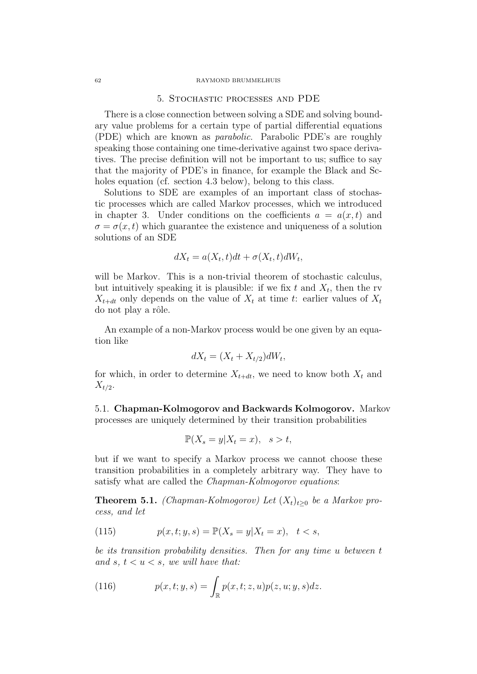#### 62 RAYMOND BRUMMELHUIS

# 5. Stochastic processes and PDE

There is a close connection between solving a SDE and solving boundary value problems for a certain type of partial differential equations (PDE) which are known as parabolic. Parabolic PDE's are roughly speaking those containing one time-derivative against two space derivatives. The precise definition will not be important to us; suffice to say that the majority of PDE's in finance, for example the Black and Scholes equation (cf. section 4.3 below), belong to this class.

Solutions to SDE are examples of an important class of stochastic processes which are called Markov processes, which we introduced in chapter 3. Under conditions on the coefficients  $a = a(x, t)$  and  $\sigma = \sigma(x, t)$  which guarantee the existence and uniqueness of a solution solutions of an SDE

$$
dX_t = a(X_t, t)dt + \sigma(X_t, t)dW_t,
$$

will be Markov. This is a non-trivial theorem of stochastic calculus, but intuitively speaking it is plausible: if we fix t and  $X_t$ , then the rv  $X_{t+dt}$  only depends on the value of  $X_t$  at time t: earlier values of  $X_t$ do not play a rôle.

An example of a non-Markov process would be one given by an equation like

$$
dX_t = (X_t + X_{t/2})dW_t,
$$

for which, in order to determine  $X_{t+dt}$ , we need to know both  $X_t$  and  $X_{t/2}$ .

5.1. Chapman-Kolmogorov and Backwards Kolmogorov. Markov processes are uniquely determined by their transition probabilities

$$
\mathbb{P}(X_s = y | X_t = x), \quad s > t,
$$

but if we want to specify a Markov process we cannot choose these transition probabilities in a completely arbitrary way. They have to satisfy what are called the *Chapman-Kolmogorov equations*:

**Theorem 5.1.** (Chapman-Kolmogorov) Let  $(X_t)_{t>0}$  be a Markov process, and let

(115) 
$$
p(x, t; y, s) = \mathbb{P}(X_s = y | X_t = x), \quad t < s,
$$

be its transition probability densities. Then for any time u between t and s,  $t < u < s$ , we will have that:

(116) 
$$
p(x, t; y, s) = \int_{\mathbb{R}} p(x, t; z, u) p(z, u; y, s) dz.
$$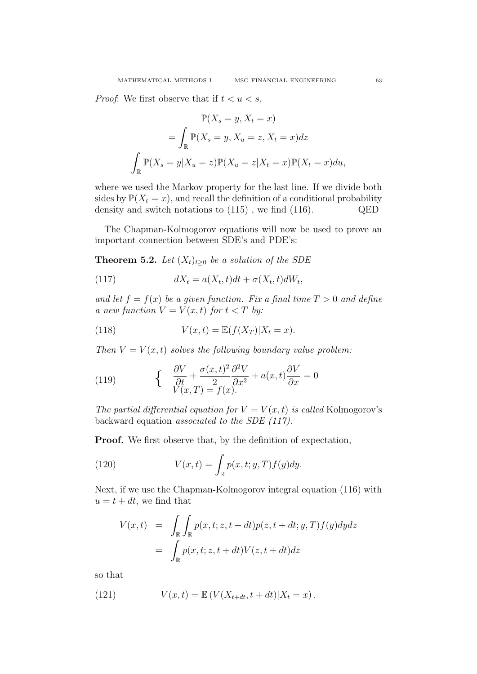*Proof:* We first observe that if  $t < u < s$ ,

$$
\mathbb{P}(X_s = y, X_t = x)
$$
  
= 
$$
\int_{\mathbb{R}} \mathbb{P}(X_s = y, X_u = z, X_t = x) dz
$$
  

$$
\int_{\mathbb{R}} \mathbb{P}(X_s = y | X_u = z) \mathbb{P}(X_u = z | X_t = x) \mathbb{P}(X_t = x) du,
$$

where we used the Markov property for the last line. If we divide both sides by  $\mathbb{P}(X_t = x)$ , and recall the definition of a conditional probability density and switch notations to  $(115)$ , we find  $(116)$ . QED

The Chapman-Kolmogorov equations will now be used to prove an important connection between SDE's and PDE's:

**Theorem 5.2.** Let  $(X_t)_{t>0}$  be a solution of the SDE

(117) 
$$
dX_t = a(X_t, t)dt + \sigma(X_t, t)dW_t,
$$

and let  $f = f(x)$  be a given function. Fix a final time  $T > 0$  and define a new function  $V = V(x, t)$  for  $t < T$  by:

(118) 
$$
V(x,t) = \mathbb{E}(f(X_T)|X_t = x).
$$

Then  $V = V(x, t)$  solves the following boundary value problem:

(119) 
$$
\begin{cases} \frac{\partial V}{\partial t} + \frac{\sigma(x,t)^2}{2} \frac{\partial^2 V}{\partial x^2} + a(x,t) \frac{\partial V}{\partial x} = 0\\ V(x,T) = f(x). \end{cases}
$$

The partial differential equation for  $V = V(x, t)$  is called Kolmogorov's backward equation associated to the SDE (117).

Proof. We first observe that, by the definition of expectation,

(120) 
$$
V(x,t) = \int_{\mathbb{R}} p(x,t;y,T)f(y)dy.
$$

Next, if we use the Chapman-Kolmogorov integral equation (116) with  $u = t + dt$ , we find that

$$
V(x,t) = \int_{\mathbb{R}} \int_{\mathbb{R}} p(x,t;z,t+dt)p(z,t+dt;y,T)f(y)dydz
$$
  
= 
$$
\int_{\mathbb{R}} p(x,t;z,t+dt)V(z,t+dt)dz
$$

so that

(121) 
$$
V(x,t) = \mathbb{E}\left(V(X_{t+dt}, t+dt)|X_t = x\right).
$$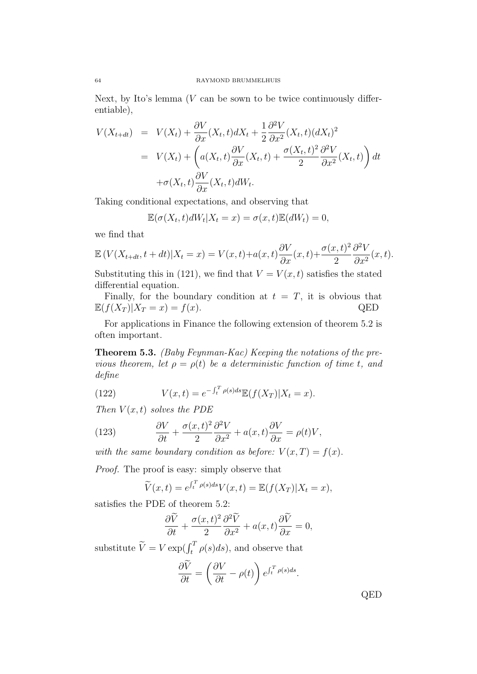Next, by Ito's lemma  $(V \text{ can be so}$  to be twice continuously differentiable),

$$
V(X_{t+dt}) = V(X_t) + \frac{\partial V}{\partial x}(X_t, t)dX_t + \frac{1}{2}\frac{\partial^2 V}{\partial x^2}(X_t, t)(dX_t)^2
$$
  
= 
$$
V(X_t) + \left(a(X_t, t)\frac{\partial V}{\partial x}(X_t, t) + \frac{\sigma(X_t, t)^2}{2}\frac{\partial^2 V}{\partial x^2}(X_t, t)\right)dt
$$
  
+ 
$$
\sigma(X_t, t)\frac{\partial V}{\partial x}(X_t, t)dW_t.
$$

Taking conditional expectations, and observing that

$$
\mathbb{E}(\sigma(X_t,t)dW_t|X_t=x)=\sigma(x,t)\mathbb{E}(dW_t)=0,
$$

we find that

$$
\mathbb{E}\left(V(X_{t+dt},t+dt)|X_t=x\right)=V(x,t)+a(x,t)\frac{\partial V}{\partial x}(x,t)+\frac{\sigma(x,t)^2}{2}\frac{\partial^2 V}{\partial x^2}(x,t).
$$

Substituting this in (121), we find that  $V = V(x, t)$  satisfies the stated differential equation.

Finally, for the boundary condition at  $t = T$ , it is obvious that  $\mathbb{E}(f(X_T)|X_T = x) = f(x).$  QED

For applications in Finance the following extension of theorem 5.2 is often important.

**Theorem 5.3.** (Baby Feynman-Kac) Keeping the notations of the previous theorem, let  $\rho = \rho(t)$  be a deterministic function of time t, and define

(122) 
$$
V(x,t) = e^{-\int_t^T \rho(s)ds} \mathbb{E}(f(X_T)|X_t = x).
$$

Then  $V(x,t)$  solves the PDE

(123) 
$$
\frac{\partial V}{\partial t} + \frac{\sigma(x,t)^2}{2} \frac{\partial^2 V}{\partial x^2} + a(x,t) \frac{\partial V}{\partial x} = \rho(t)V,
$$

with the same boundary condition as before:  $V(x,T) = f(x)$ .

Proof. The proof is easy: simply observe that

$$
\widetilde{V}(x,t) = e^{\int_t^T \rho(s)ds} V(x,t) = \mathbb{E}(f(X_T)|X_t = x),
$$

satisfies the PDE of theorem 5.2:

$$
\frac{\partial \widetilde{V}}{\partial t} + \frac{\sigma(x,t)^2}{2} \frac{\partial^2 \widetilde{V}}{\partial x^2} + a(x,t) \frac{\partial \widetilde{V}}{\partial x} = 0,
$$

substitute  $\widetilde{V} = V \exp(\int_t^T \rho(s) ds)$ , and observe that

$$
\frac{\partial \tilde{V}}{\partial t} = \left(\frac{\partial V}{\partial t} - \rho(t)\right) e^{\int_t^T \rho(s)ds}.
$$

QED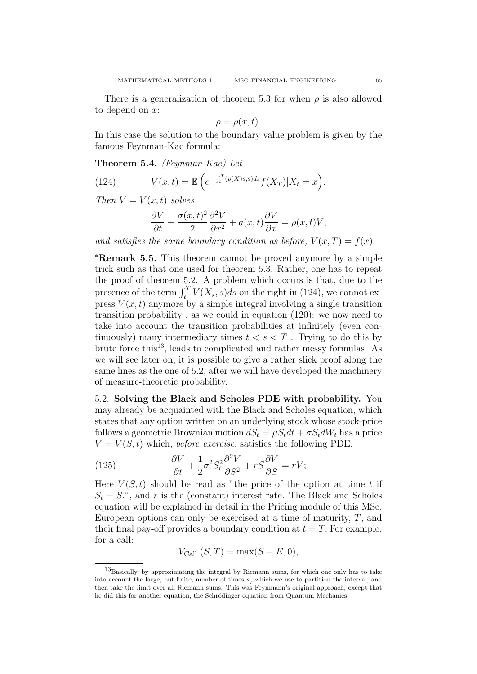There is a generalization of theorem 5.3 for when  $\rho$  is also allowed to depend on x:

$$
\rho = \rho(x, t).
$$

In this case the solution to the boundary value problem is given by the famous Feynman-Kac formula:

Theorem 5.4. (Feynman-Kac) Let

(124) 
$$
V(x,t) = \mathbb{E}\left(e^{-\int_t^T (\rho(X)s,s)ds} f(X_T)|X_t = x\right).
$$

Then  $V = V(x, t)$  solves

$$
\frac{\partial V}{\partial t} + \frac{\sigma(x,t)^2}{2} \frac{\partial^2 V}{\partial x^2} + a(x,t) \frac{\partial V}{\partial x} = \rho(x,t)V,
$$

and satisfies the same boundary condition as before,  $V(x,T) = f(x)$ .

<sup>∗</sup>Remark 5.5. This theorem cannot be proved anymore by a simple trick such as that one used for theorem 5.3. Rather, one has to repeat the proof of theorem 5.2. A problem which occurs is that, due to the presence of the term  $\int_t^T V(X_s, s)ds$  on the right in (124), we cannot express  $V(x, t)$  anymore by a simple integral involving a single transition transition probability , as we could in equation (120): we now need to take into account the transition probabilities at infinitely (even continuously) many intermediary times  $t < s < T$ . Trying to do this by brute force this<sup>13</sup>, leads to complicated and rather messy formulas. As we will see later on, it is possible to give a rather slick proof along the same lines as the one of 5.2, after we will have developed the machinery of measure-theoretic probability.

5.2. Solving the Black and Scholes PDE with probability. You may already be acquainted with the Black and Scholes equation, which states that any option written on an underlying stock whose stock-price follows a geometric Brownian motion  $dS_t = \mu S_t dt + \sigma S_t dW_t$  has a price  $V = V(S, t)$  which, *before exercise*, satisfies the following PDE:

(125) 
$$
\frac{\partial V}{\partial t} + \frac{1}{2}\sigma^2 S_t^2 \frac{\partial^2 V}{\partial S^2} + rS \frac{\partial V}{\partial S} = rV;
$$

Here  $V(S, t)$  should be read as "the price of the option at time t if  $S_t = S$ .", and r is the (constant) interest rate. The Black and Scholes equation will be explained in detail in the Pricing module of this MSc. European options can only be exercised at a time of maturity,  $T$ , and their final pay-off provides a boundary condition at  $t = T$ . For example, for a call:

$$
V_{\text{Call}}(S,T) = \max(S - E, 0),
$$

 $^{13}$ Basically, by approximating the integral by Riemann sums, for which one only has to take into account the large, but finite, number of times  $s_i$  which we use to partition the interval, and then take the limit over all Riemann sums. This was Feynmann's original approach, except that he did this for another equation, the Schrödinger equation from Quantum Mechanics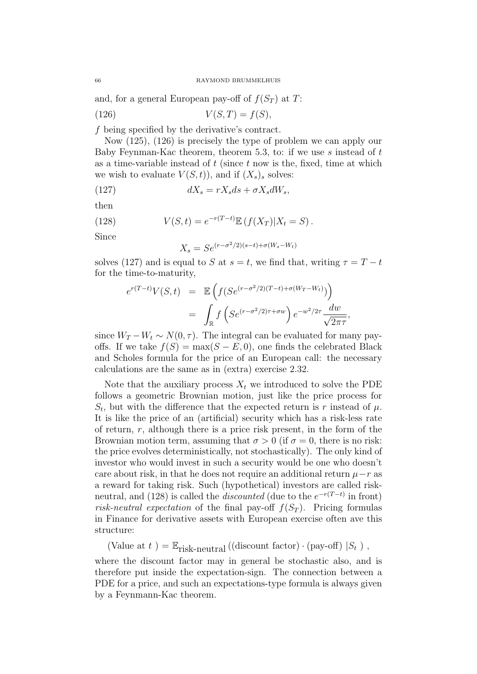and, for a general European pay-off of  $f(S_T)$  at T:

$$
(126) \t\t V(S,T) = f(S),
$$

f being specified by the derivative's contract.

Now (125), (126) is precisely the type of problem we can apply our Baby Feynman-Kac theorem, theorem 5.3, to: if we use  $s$  instead of  $t$ as a time-variable instead of  $t$  (since  $t$  now is the, fixed, time at which we wish to evaluate  $V(S,t)$ , and if  $(X_s)$  solves:

$$
(127) \t\t dX_s = rX_s ds + \sigma X_s dW_s,
$$

then

(128) 
$$
V(S,t) = e^{-r(T-t)} \mathbb{E} (f(X_T) | X_t = S).
$$

Since

$$
X_s = S e^{(r - \sigma^2/2)(s - t) + \sigma(W_s - W_t)}
$$

solves (127) and is equal to S at  $s = t$ , we find that, writing  $\tau = T - t$ for the time-to-maturity,

$$
e^{r(T-t)}V(S,t) = \mathbb{E}\left(f(Se^{(r-\sigma^2/2)(T-t)+\sigma(W_T-W_t)})\right)
$$

$$
= \int_{\mathbb{R}} f\left(Se^{(r-\sigma^2/2)\tau+\sigma w}\right) e^{-w^2/2\tau} \frac{dw}{\sqrt{2\pi\tau}},
$$

since  $W_T - W_t \sim N(0, \tau)$ . The integral can be evaluated for many payoffs. If we take  $f(S) = \max(S - E, 0)$ , one finds the celebrated Black and Scholes formula for the price of an European call: the necessary calculations are the same as in (extra) exercise 2.32.

Note that the auxiliary process  $X_t$  we introduced to solve the PDE follows a geometric Brownian motion, just like the price process for  $S_t$ , but with the difference that the expected return is r instead of  $\mu$ . It is like the price of an (artificial) security which has a risk-less rate of return,  $r$ , although there is a price risk present, in the form of the Brownian motion term, assuming that  $\sigma > 0$  (if  $\sigma = 0$ , there is no risk: the price evolves deterministically, not stochastically). The only kind of investor who would invest in such a security would be one who doesn't care about risk, in that he does not require an additional return  $\mu-r$  as a reward for taking risk. Such (hypothetical) investors are called riskneutral, and (128) is called the *discounted* (due to the  $e^{-r(T-t)}$  in front) risk-neutral expectation of the final pay-off  $f(S_T)$ . Pricing formulas in Finance for derivative assets with European exercise often ave this structure:

(Value at  $t$ ) =  $\mathbb{E}_{\text{risk-neutral}}$  ((discount factor) · (pay-off)  $|S_t|$ ), where the discount factor may in general be stochastic also, and is

therefore put inside the expectation-sign. The connection between a PDE for a price, and such an expectations-type formula is always given by a Feynmann-Kac theorem.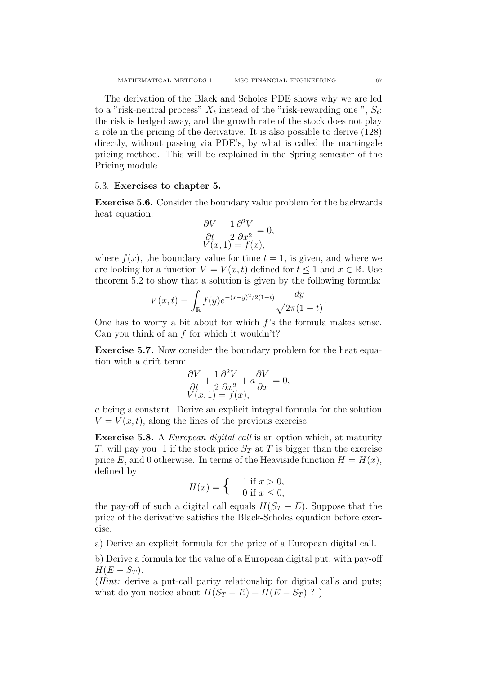The derivation of the Black and Scholes PDE shows why we are led to a "risk-neutral process"  $X_t$  instead of the "risk-rewarding one",  $S_t$ : the risk is hedged away, and the growth rate of the stock does not play a rôle in the pricing of the derivative. It is also possible to derive  $(128)$ directly, without passing via PDE's, by what is called the martingale pricing method. This will be explained in the Spring semester of the Pricing module.

# 5.3. Exercises to chapter 5.

Exercise 5.6. Consider the boundary value problem for the backwards heat equation:

$$
\frac{\partial V}{\partial t} + \frac{1}{2} \frac{\partial^2 V}{\partial x^2} = 0,
$$
  
 
$$
V(x, 1) = f(x),
$$

where  $f(x)$ , the boundary value for time  $t = 1$ , is given, and where we are looking for a function  $V = V(x, t)$  defined for  $t \leq 1$  and  $x \in \mathbb{R}$ . Use theorem 5.2 to show that a solution is given by the following formula:

$$
V(x,t) = \int_{\mathbb{R}} f(y)e^{-(x-y)^2/2(1-t)} \frac{dy}{\sqrt{2\pi(1-t)}}.
$$

One has to worry a bit about for which  $f$ 's the formula makes sense. Can you think of an  $f$  for which it wouldn't?

Exercise 5.7. Now consider the boundary problem for the heat equation with a drift term:

$$
\frac{\partial V}{\partial t} + \frac{1}{2} \frac{\partial^2 V}{\partial x^2} + a \frac{\partial V}{\partial x} = 0,
$$
  

$$
V(x, 1) = f(x),
$$

a being a constant. Derive an explicit integral formula for the solution  $V = V(x, t)$ , along the lines of the previous exercise.

Exercise 5.8. A *European digital call* is an option which, at maturity T, will pay you 1 if the stock price  $S_T$  at T is bigger than the exercise price E, and 0 otherwise. In terms of the Heaviside function  $H = H(x)$ , defined by

$$
H(x) = \begin{cases} 1 & \text{if } x > 0, \\ 0 & \text{if } x \le 0, \end{cases}
$$

the pay-off of such a digital call equals  $H(S_T - E)$ . Suppose that the price of the derivative satisfies the Black-Scholes equation before exercise.

a) Derive an explicit formula for the price of a European digital call.

b) Derive a formula for the value of a European digital put, with pay-off  $H(E-S_T)$ .

(*Hint*: derive a put-call parity relationship for digital calls and puts; what do you notice about  $H(S_T - E) + H(E - S_T)$ ?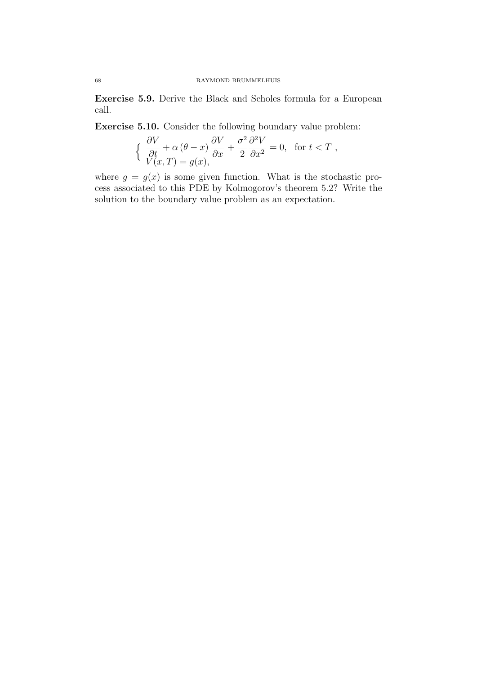Exercise 5.9. Derive the Black and Scholes formula for a European call.

Exercise 5.10. Consider the following boundary value problem:

$$
\begin{cases} \frac{\partial V}{\partial t} + \alpha (\theta - x) \frac{\partial V}{\partial x} + \frac{\sigma^2}{2} \frac{\partial^2 V}{\partial x^2} = 0, & \text{for } t < T, \\ V(x, T) = g(x), \end{cases}
$$

where  $g = g(x)$  is some given function. What is the stochastic process associated to this PDE by Kolmogorov's theorem 5.2? Write the solution to the boundary value problem as an expectation.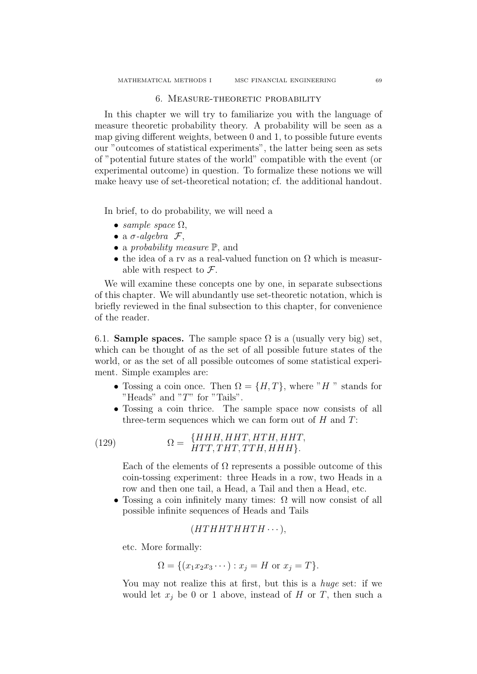# 6. Measure-theoretic probability

In this chapter we will try to familiarize you with the language of measure theoretic probability theory. A probability will be seen as a map giving different weights, between 0 and 1, to possible future events our "outcomes of statistical experiments", the latter being seen as sets of "potential future states of the world" compatible with the event (or experimental outcome) in question. To formalize these notions we will make heavy use of set-theoretical notation; cf. the additional handout.

In brief, to do probability, we will need a

- sample space  $\Omega$ ,
- a  $\sigma$ -algebra  $\mathcal{F}$ ,
- a *probability measure*  $\mathbb{P}$ , and
- the idea of a rv as a real-valued function on  $\Omega$  which is measurable with respect to  $\mathcal{F}$ .

We will examine these concepts one by one, in separate subsections of this chapter. We will abundantly use set-theoretic notation, which is briefly reviewed in the final subsection to this chapter, for convenience of the reader.

6.1. **Sample spaces.** The sample space  $\Omega$  is a (usually very big) set, which can be thought of as the set of all possible future states of the world, or as the set of all possible outcomes of some statistical experiment. Simple examples are:

- Tossing a coin once. Then  $\Omega = \{H, T\}$ , where "H" stands for "Heads" and "T" for "Tails".
- Tossing a coin thrice. The sample space now consists of all three-term sequences which we can form out of  $H$  and  $T$ :

(129) 
$$
\Omega = \frac{\{HHH, HHT, HTH, HHT, HHT, HHT, HHT, HHT, HTH, HHT, HTH, HHH\}}{HTT, THT, TTH, HHH}.
$$

Each of the elements of  $\Omega$  represents a possible outcome of this coin-tossing experiment: three Heads in a row, two Heads in a row and then one tail, a Head, a Tail and then a Head, etc.

• Tossing a coin infinitely many times:  $\Omega$  will now consist of all possible infinite sequences of Heads and Tails

$$
(HTHHTHHTH\cdots),
$$

etc. More formally:

$$
\Omega = \{ (x_1 x_2 x_3 \cdots) : x_j = H \text{ or } x_j = T \}.
$$

You may not realize this at first, but this is a *huge* set: if we would let  $x_j$  be 0 or 1 above, instead of H or T, then such a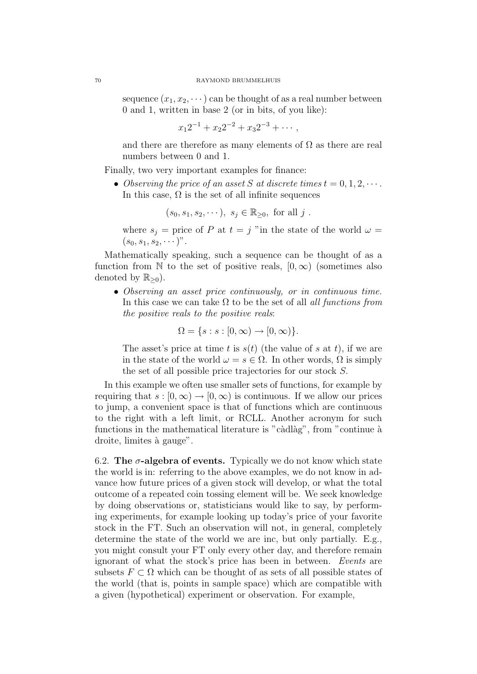sequence  $(x_1, x_2, \dots)$  can be thought of as a real number between 0 and 1, written in base 2 (or in bits, of you like):

$$
x_1 2^{-1} + x_2 2^{-2} + x_3 2^{-3} + \cdots,
$$

and there are therefore as many elements of  $\Omega$  as there are real numbers between 0 and 1.

Finally, two very important examples for finance:

• Observing the price of an asset S at discrete times  $t = 0, 1, 2, \cdots$ . In this case,  $\Omega$  is the set of all infinite sequences

$$
(s_0, s_1, s_2, \cdots), s_j \in \mathbb{R}_{\geq 0}, \text{ for all } j.
$$

where  $s_j$  = price of P at  $t = j$  "in the state of the world  $\omega$  =  $(s_0, s_1, s_2, \cdots)^n$ .

Mathematically speaking, such a sequence can be thought of as a function from N to the set of positive reals,  $[0, \infty)$  (sometimes also denoted by  $\mathbb{R}_{\geq 0}$ ).

• Observing an asset price continuously, or in continuous time. In this case we can take  $\Omega$  to be the set of all *all functions from* the positive reals to the positive reals:

$$
\Omega = \{ s : s : [0, \infty) \to [0, \infty) \}.
$$

The asset's price at time t is  $s(t)$  (the value of s at t), if we are in the state of the world  $\omega = s \in \Omega$ . In other words,  $\Omega$  is simply the set of all possible price trajectories for our stock S.

In this example we often use smaller sets of functions, for example by requiring that  $s : [0, \infty) \to [0, \infty)$  is continuous. If we allow our prices to jump, a convenient space is that of functions which are continuous to the right with a left limit, or RCLL. Another acronym for such functions in the mathematical literature is "càdlàg", from "continue à droite, limites à gauge".

6.2. The  $\sigma$ -algebra of events. Typically we do not know which state the world is in: referring to the above examples, we do not know in advance how future prices of a given stock will develop, or what the total outcome of a repeated coin tossing element will be. We seek knowledge by doing observations or, statisticians would like to say, by performing experiments, for example looking up today's price of your favorite stock in the FT. Such an observation will not, in general, completely determine the state of the world we are inc, but only partially. E.g., you might consult your FT only every other day, and therefore remain ignorant of what the stock's price has been in between. Events are subsets  $F \subset \Omega$  which can be thought of as sets of all possible states of the world (that is, points in sample space) which are compatible with a given (hypothetical) experiment or observation. For example,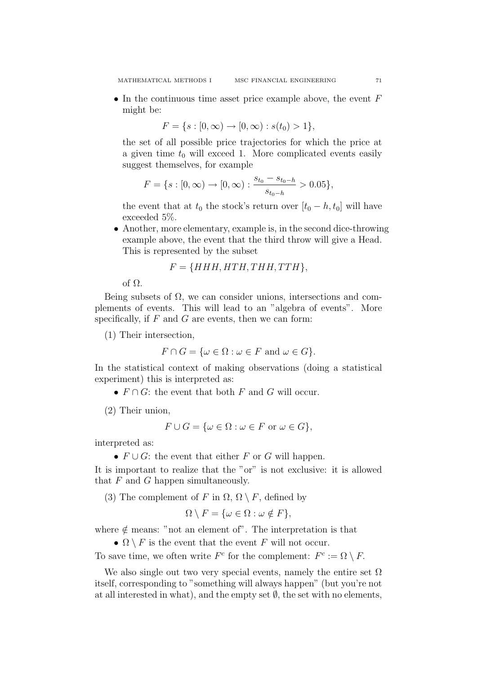• In the continuous time asset price example above, the event  $F$ might be:

$$
F = \{ s : [0, \infty) \to [0, \infty) : s(t_0) > 1 \},
$$

the set of all possible price trajectories for which the price at a given time  $t_0$  will exceed 1. More complicated events easily suggest themselves, for example

$$
F = \{ s : [0, \infty) \to [0, \infty) : \frac{s_{t_0} - s_{t_0 - h}}{s_{t_0 - h}} > 0.05 \},
$$

the event that at  $t_0$  the stock's return over  $[t_0 - h, t_0]$  will have exceeded 5%.

• Another, more elementary, example is, in the second dice-throwing example above, the event that the third throw will give a Head. This is represented by the subset

$$
F = \{HHH, HTH, THH, TTH\},\
$$

of Ω.

Being subsets of  $\Omega$ , we can consider unions, intersections and complements of events. This will lead to an "algebra of events". More specifically, if  $F$  and  $G$  are events, then we can form:

(1) Their intersection,

$$
F \cap G = \{ \omega \in \Omega : \omega \in F \text{ and } \omega \in G \}.
$$

In the statistical context of making observations (doing a statistical experiment) this is interpreted as:

•  $F \cap G$ : the event that both F and G will occur.

(2) Their union,

$$
F \cup G = \{ \omega \in \Omega : \omega \in F \text{ or } \omega \in G \},
$$

interpreted as:

•  $F \cup G$ : the event that either F or G will happen.

It is important to realize that the "or" is not exclusive: it is allowed that  $F$  and  $G$  happen simultaneously.

(3) The complement of F in  $\Omega$ ,  $\Omega \setminus F$ , defined by

$$
\Omega \setminus F = \{ \omega \in \Omega : \omega \notin F \},\
$$

where  $\notin$  means: "not an element of". The interpretation is that

•  $\Omega \setminus F$  is the event that the event F will not occur.

To save time, we often write  $F^c$  for the complement:  $F^c := \Omega \setminus F$ .

We also single out two very special events, namely the entire set  $\Omega$ itself, corresponding to "something will always happen" (but you're not at all interested in what), and the empty set  $\emptyset$ , the set with no elements,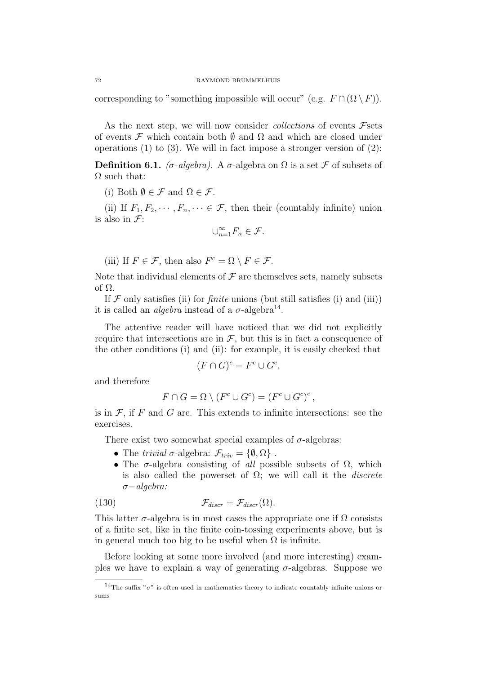corresponding to "something impossible will occur" (e.g.  $F \cap (\Omega \setminus F)$ ).

As the next step, we will now consider *collections* of events  $\mathcal{F}$  sets of events F which contain both  $\emptyset$  and  $\Omega$  and which are closed under operations  $(1)$  to  $(3)$ . We will in fact impose a stronger version of  $(2)$ :

Definition 6.1. (σ-algebra). A σ-algebra on  $\Omega$  is a set F of subsets of  $\Omega$  such that:

(i) Both  $\emptyset \in \mathcal{F}$  and  $\Omega \in \mathcal{F}$ .

(ii) If  $F_1, F_2, \dots, F_n, \dots \in \mathcal{F}$ , then their (countably infinite) union is also in  $\mathcal{F}$ :

$$
\cup_{n=1}^{\infty} F_n \in \mathcal{F}.
$$

(iii) If  $F \in \mathcal{F}$ , then also  $F^c = \Omega \setminus F \in \mathcal{F}$ .

Note that individual elements of  $\mathcal F$  are themselves sets, namely subsets of Ω.

If  $\mathcal F$  only satisfies (ii) for *finite* unions (but still satisfies (i) and (iii)) it is called an *algebra* instead of a  $\sigma$ -algebra<sup>14</sup>.

The attentive reader will have noticed that we did not explicitly require that intersections are in  $\mathcal{F}$ , but this is in fact a consequence of the other conditions (i) and (ii): for example, it is easily checked that

$$
(F \cap G)^c = F^c \cup G^c,
$$

and therefore

$$
F \cap G = \Omega \setminus (F^c \cup G^c) = (F^c \cup G^c)^c,
$$

is in  $\mathcal F$ , if F and G are. This extends to infinite intersections: see the exercises.

There exist two somewhat special examples of  $\sigma$ -algebras:

- The trivial  $\sigma$ -algebra:  $\mathcal{F}_{triv} = \{\emptyset, \Omega\}$ .
- The  $\sigma$ -algebra consisting of all possible subsets of  $\Omega$ , which is also called the powerset of  $\Omega$ ; we will call it the *discrete* σ−algebra:

(130) 
$$
\mathcal{F}_{discr} = \mathcal{F}_{discr}(\Omega).
$$

This latter  $\sigma$ -algebra is in most cases the appropriate one if  $\Omega$  consists of a finite set, like in the finite coin-tossing experiments above, but is in general much too big to be useful when  $\Omega$  is infinite.

Before looking at some more involved (and more interesting) examples we have to explain a way of generating  $\sigma$ -algebras. Suppose we

<sup>&</sup>lt;sup>14</sup>The suffix " $\sigma$ " is often used in mathematics theory to indicate countably infinite unions or sums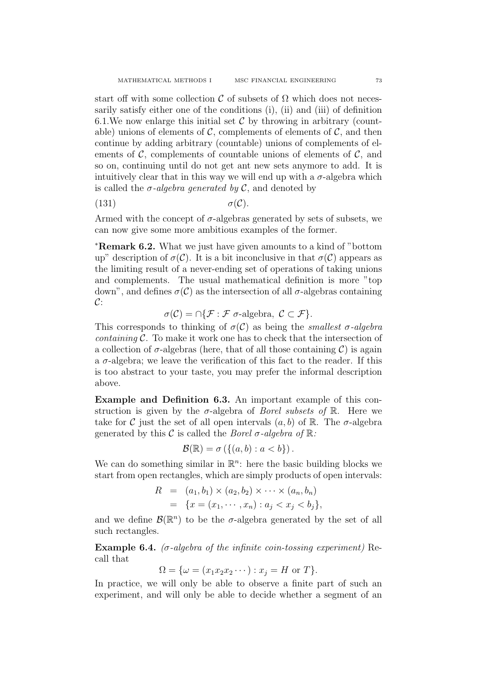start off with some collection C of subsets of  $\Omega$  which does not necessarily satisfy either one of the conditions (i), (ii) and (iii) of definition 6.1. We now enlarge this initial set  $\mathcal C$  by throwing in arbitrary (countable) unions of elements of  $\mathcal{C}$ , complements of elements of  $\mathcal{C}$ , and then continue by adding arbitrary (countable) unions of complements of elements of  $\mathcal{C}$ , complements of countable unions of elements of  $\mathcal{C}$ , and so on, continuing until do not get ant new sets anymore to add. It is intuitively clear that in this way we will end up with a  $\sigma$ -algebra which is called the  $\sigma$ -algebra generated by C, and denoted by

$$
\sigma(\mathcal{C}).
$$

Armed with the concept of  $\sigma$ -algebras generated by sets of subsets, we can now give some more ambitious examples of the former.

<sup>∗</sup>Remark 6.2. What we just have given amounts to a kind of "bottom up" description of  $\sigma(\mathcal{C})$ . It is a bit inconclusive in that  $\sigma(\mathcal{C})$  appears as the limiting result of a never-ending set of operations of taking unions and complements. The usual mathematical definition is more "top down", and defines σ(C) as the intersection of all σ-algebras containing  $\mathcal{C}$ :

 $\sigma(\mathcal{C}) = \bigcap \{ \mathcal{F} : \mathcal{F} \text{ } \sigma\text{-algebra}, \text{ } \mathcal{C} \subset \mathcal{F} \}.$ 

This corresponds to thinking of  $\sigma(C)$  as being the *smallest*  $\sigma$ -algebra *containing*  $\mathcal{C}$ . To make it work one has to check that the intersection of a collection of  $\sigma$ -algebras (here, that of all those containing C) is again a  $\sigma$ -algebra; we leave the verification of this fact to the reader. If this is too abstract to your taste, you may prefer the informal description above.

Example and Definition 6.3. An important example of this construction is given by the  $\sigma$ -algebra of *Borel subsets of* R. Here we take for C just the set of all open intervals  $(a, b)$  of R. The  $\sigma$ -algebra generated by this C is called the Borel  $\sigma$ -algebra of  $\mathbb{R}$ :

$$
\mathcal{B}(\mathbb{R}) = \sigma\left(\{(a, b) : a < b\}\right).
$$

We can do something similar in  $\mathbb{R}^n$ : here the basic building blocks we start from open rectangles, which are simply products of open intervals:

$$
R = (a_1, b_1) \times (a_2, b_2) \times \cdots \times (a_n, b_n)
$$
  
= { $x = (x_1, \cdots, x_n) : a_j < x_j < b_j$ },

and we define  $\mathcal{B}(\mathbb{R}^n)$  to be the  $\sigma$ -algebra generated by the set of all such rectangles.

Example 6.4. (σ-algebra of the infinite coin-tossing experiment) Recall that

$$
\Omega = \{ \omega = (x_1 x_2 x_2 \cdots) : x_j = H \text{ or } T \}.
$$

In practice, we will only be able to observe a finite part of such an experiment, and will only be able to decide whether a segment of an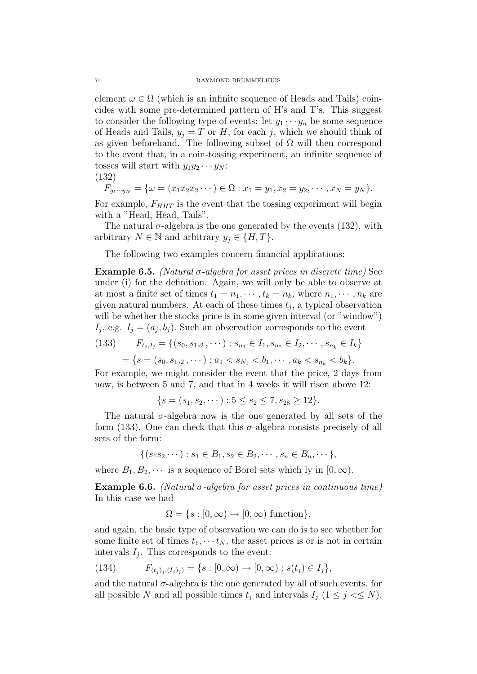element  $\omega \in \Omega$  (which is an infinite sequence of Heads and Tails) coincides with some pre-determined pattern of H's and T's. This suggest to consider the following type of events: let  $y_1 \cdots y_n$  be some sequence of Heads and Tails,  $y_j = T$  or H, for each j, which we should think of as given beforehand. The following subset of  $\Omega$  will then correspond to the event that, in a coin-tossing experiment, an infinite sequence of tosses will start with  $y_1y_2\cdots y_N$ :

$$
(132)
$$

$$
F_{y_1\cdots y_N} = \{\omega = (x_1x_2x_2\cdots) \in \Omega : x_1 = y_1, x_2 = y_2, \cdots, x_N = y_N\}.
$$

For example,  $F_{HHT}$  is the event that the tossing experiment will begin with a "Head, Head, Tails".

The natural  $\sigma$ -algebra is the one generated by the events (132), with arbitrary  $N \in \mathbb{N}$  and arbitrary  $y_i \in \{H, T\}.$ 

The following two examples concern financial applications:

Example 6.5. (Natural  $\sigma$ -algebra for asset prices in discrete time) See under (i) for the definition. Again, we will only be able to observe at at most a finite set of times  $t_1 = n_1, \dots, t_k = n_k$ , where  $n_1, \dots, n_k$  are given natural numbers. At each of these times  $t_j$ , a typical observation will be whether the stocks price is in some given interval (or "window")  $I_j$ , e.g.  $I_j = (a_j, b_j)$ . Such an observation corresponds to the event

(133) 
$$
F_{t_j, I_j} = \{(s_0, s_{1,2}, \cdots) : s_{n_1} \in I_1, s_{n_2} \in I_2, \cdots, s_{n_k} \in I_k\}
$$

$$
= \{s = (s_0, s_{1,2}, \cdots) : a_1 < s_{N_1} < b_1, \cdots, a_k < s_{n_k} < b_k\}.
$$

For example, we might consider the event that the price, 2 days from now, is between 5 and 7, and that in 4 weeks it will risen above 12:

$$
\{s = (s_1, s_2, \dots) : 5 \le s_2 \le 7, s_{28} \ge 12\}.
$$

The natural  $\sigma$ -algebra now is the one generated by all sets of the form (133). One can check that this  $\sigma$ -algebra consists precisely of all sets of the form:

 $\{(s_1s_2\cdots): s_1 \in B_1, s_2 \in B_2, \cdots, s_n \in B_n, \cdots \},\$ 

where  $B_1, B_2, \cdots$  is a sequence of Borel sets which ly in  $[0, \infty)$ .

Example 6.6. (Natural  $\sigma$ -algebra for asset prices in continuous time) In this case we had

 $\Omega = \{s : [0, \infty) \to [0, \infty) \text{ function}\},\$ 

and again, the basic type of observation we can do is to see whether for some finite set of times  $t_1, \dots, t_N$ , the asset prices is or is not in certain intervals  $I_j$ . This corresponds to the event:

(134) 
$$
F_{(t_j)_j,(I_j)_j} = \{s : [0,\infty) \to [0,\infty) : s(t_j) \in I_j\},\
$$

and the natural  $\sigma$ -algebra is the one generated by all of such events, for all possible N and all possible times  $t_j$  and intervals  $I_j$  ( $1 \leq j \leq N$ ).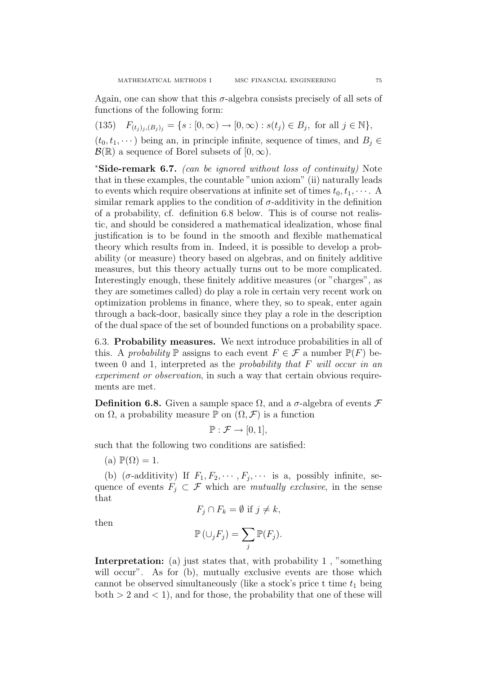Again, one can show that this  $\sigma$ -algebra consists precisely of all sets of functions of the following form:

(135)  $F_{(t_j)_j,(B_j)_j} = \{s : [0,\infty) \to [0,\infty) : s(t_j) \in B_j, \text{ for all } j \in \mathbb{N}\},\$  $(t_0, t_1, \dots)$  being an, in principle infinite, sequence of times, and  $B_j \in$  $\mathcal{B}(\mathbb{R})$  a sequence of Borel subsets of  $[0,\infty)$ .

\*Side-remark 6.7. (can be ignored without loss of continuity) Note that in these examples, the countable "union axiom" (ii) naturally leads to events which require observations at infinite set of times  $t_0, t_1, \cdots$ . A similar remark applies to the condition of  $\sigma$ -additivity in the definition of a probability, cf. definition 6.8 below. This is of course not realistic, and should be considered a mathematical idealization, whose final justification is to be found in the smooth and flexible mathematical theory which results from in. Indeed, it is possible to develop a probability (or measure) theory based on algebras, and on finitely additive measures, but this theory actually turns out to be more complicated. Interestingly enough, these finitely additive measures (or "charges", as they are sometimes called) do play a role in certain very recent work on optimization problems in finance, where they, so to speak, enter again through a back-door, basically since they play a role in the description of the dual space of the set of bounded functions on a probability space.

6.3. Probability measures. We next introduce probabilities in all of this. A probability  $\mathbb P$  assigns to each event  $F \in \mathcal F$  a number  $\mathbb P(F)$  between 0 and 1, interpreted as the *probability that*  $F$  will occur in an experiment or observation, in such a way that certain obvious requirements are met.

**Definition 6.8.** Given a sample space  $\Omega$ , and a  $\sigma$ -algebra of events  $\mathcal F$ on  $\Omega$ , a probability measure  $\mathbb P$  on  $(\Omega, \mathcal F)$  is a function

$$
\mathbb{P}: \mathcal{F} \to [0,1],
$$

such that the following two conditions are satisfied:

(a)  $\mathbb{P}(\Omega) = 1$ .

(b) ( $\sigma$ -additivity) If  $F_1, F_2, \cdots, F_j, \cdots$  is a, possibly infinite, sequence of events  $F_j \subset \mathcal{F}$  which are mutually exclusive, in the sense that

$$
F_j \cap F_k = \emptyset \text{ if } j \neq k,
$$

then

$$
\mathbb{P}(\cup_j F_j) = \sum_j \mathbb{P}(F_j).
$$

Interpretation: (a) just states that, with probability 1 , "something will occur". As for (b), mutually exclusive events are those which cannot be observed simultaneously (like a stock's price t time  $t_1$  being  $both > 2$  and  $\lt 1$ , and for those, the probability that one of these will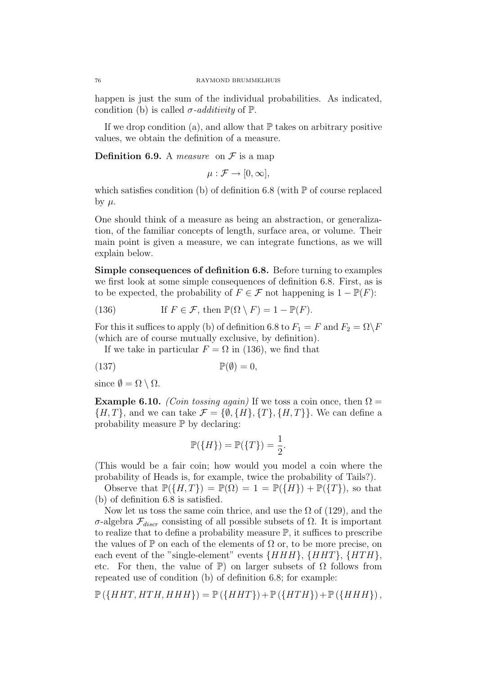happen is just the sum of the individual probabilities. As indicated, condition (b) is called  $\sigma$ -additivity of  $\mathbb{P}$ .

If we drop condition (a), and allow that  $\mathbb P$  takes on arbitrary positive values, we obtain the definition of a measure.

**Definition 6.9.** A measure on  $\mathcal F$  is a map

 $\mu : \mathcal{F} \to [0, \infty],$ 

which satisfies condition (b) of definition 6.8 (with  $\mathbb P$  of course replaced by  $\mu$ .

One should think of a measure as being an abstraction, or generalization, of the familiar concepts of length, surface area, or volume. Their main point is given a measure, we can integrate functions, as we will explain below.

Simple consequences of definition 6.8. Before turning to examples we first look at some simple consequences of definition 6.8. First, as is to be expected, the probability of  $F \in \mathcal{F}$  not happening is  $1 - \mathbb{P}(F)$ :

(136) If 
$$
F \in \mathcal{F}
$$
, then  $\mathbb{P}(\Omega \setminus F) = 1 - \mathbb{P}(F)$ .

For this it suffices to apply (b) of definition 6.8 to  $F_1 = F$  and  $F_2 = \Omega \backslash F$ (which are of course mutually exclusive, by definition).

If we take in particular  $F = \Omega$  in (136), we find that

$$
\mathbb{P}(\emptyset) = 0,
$$

since  $\emptyset = \Omega \setminus \Omega$ .

**Example 6.10.** (Coin tossing again) If we toss a coin once, then  $\Omega =$  $\{H, T\}$ , and we can take  $\mathcal{F} = \{\emptyset, \{H\}, \{T\}, \{H, T\}\}\$ . We can define a probability measure  $\mathbb P$  by declaring:

$$
\mathbb{P}(\{H\}) = \mathbb{P}(\{T\}) = \frac{1}{2}.
$$

(This would be a fair coin; how would you model a coin where the probability of Heads is, for example, twice the probability of Tails?).

Observe that  $\mathbb{P}(\{H,T\}) = \mathbb{P}(\Omega) = 1 = \mathbb{P}(\{H\}) + \mathbb{P}(\{T\})$ , so that (b) of definition 6.8 is satisfied.

Now let us toss the same coin thrice, and use the  $\Omega$  of (129), and the σ-algebra  $\mathcal{F}_{discr}$  consisting of all possible subsets of  $\Omega$ . It is important to realize that to define a probability measure  $\mathbb{P}$ , it suffices to prescribe the values of  $\mathbb P$  on each of the elements of  $\Omega$  or, to be more precise, on each event of the "single-element" events  $\{HHH\}, \{HHT\}, \{HTH\},\$ etc. For then, the value of  $\mathbb{P}$ ) on larger subsets of  $\Omega$  follows from repeated use of condition (b) of definition 6.8; for example:

 $\mathbb{P}(\{HHT, HTH, HHH\}) = \mathbb{P}(\{HHT\}) + \mathbb{P}(\{HTH\}) + \mathbb{P}(\{HHH\}),$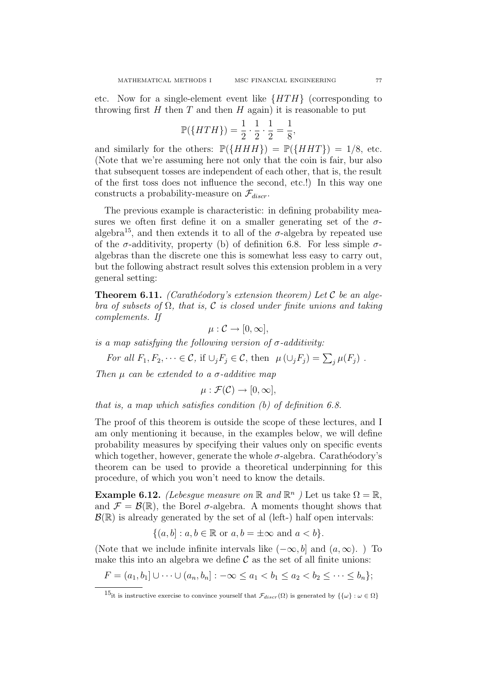etc. Now for a single-element event like {HTH} (corresponding to throwing first  $H$  then  $T$  and then  $H$  again) it is reasonable to put

$$
\mathbb{P}(\{HTH\}) = \frac{1}{2} \cdot \frac{1}{2} \cdot \frac{1}{2} = \frac{1}{8},
$$

and similarly for the others:  $\mathbb{P}(\{HHH\}) = \mathbb{P}(\{HHT\}) = 1/8$ , etc. (Note that we're assuming here not only that the coin is fair, bur also that subsequent tosses are independent of each other, that is, the result of the first toss does not influence the second, etc.!) In this way one constructs a probability-measure on  $\mathcal{F}_{discr}$ .

The previous example is characteristic: in defining probability measures we often first define it on a smaller generating set of the  $\sigma$ algebra<sup>15</sup>, and then extends it to all of the  $\sigma$ -algebra by repeated use of the  $\sigma$ -additivity, property (b) of definition 6.8. For less simple  $\sigma$ algebras than the discrete one this is somewhat less easy to carry out, but the following abstract result solves this extension problem in a very general setting:

**Theorem 6.11.** (Carathéodory's extension theorem) Let  $\mathcal{C}$  be an algebra of subsets of  $\Omega$ , that is, C is closed under finite unions and taking complements. If

$$
\mu:\mathcal{C}\to[0,\infty],
$$

is a map satisfying the following version of  $\sigma$ -additivity:

For all  $F_1, F_2, \dots \in \mathcal{C}$ , if  $\cup_j F_j \in \mathcal{C}$ , then  $\mu(\cup_j F_j) = \sum_j \mu(F_j)$ .

Then  $\mu$  can be extended to a  $\sigma$ -additive map

$$
\mu: \mathcal{F}(\mathcal{C}) \to [0, \infty],
$$

that is, a map which satisfies condition  $(b)$  of definition 6.8.

The proof of this theorem is outside the scope of these lectures, and I am only mentioning it because, in the examples below, we will define probability measures by specifying their values only on specific events which together, however, generate the whole  $\sigma$ -algebra. Carathéodory's theorem can be used to provide a theoretical underpinning for this procedure, of which you won't need to know the details.

**Example 6.12.** (Lebesgue measure on  $\mathbb{R}$  and  $\mathbb{R}^n$  ) Let us take  $\Omega = \mathbb{R}$ , and  $\mathcal{F} = \mathcal{B}(\mathbb{R})$ , the Borel  $\sigma$ -algebra. A moments thought shows that  $\mathcal{B}(\mathbb{R})$  is already generated by the set of al (left-) half open intervals:

$$
\{(a, b] : a, b \in \mathbb{R} \text{ or } a, b = \pm \infty \text{ and } a < b\}.
$$

(Note that we include infinite intervals like  $(-\infty, b]$  and  $(a, \infty)$ .) To make this into an algebra we define  $\mathcal C$  as the set of all finite unions:

 $F = (a_1, b_1] \cup \cdots \cup (a_n, b_n] : -\infty \le a_1 < b_1 \le a_2 < b_2 \le \cdots \le b_n$ 

<sup>&</sup>lt;sup>15</sup>it is instructive exercise to convince yourself that  $\mathcal{F}_{discr}(\Omega)$  is generated by  $\{\{\omega\} : \omega \in \Omega\}$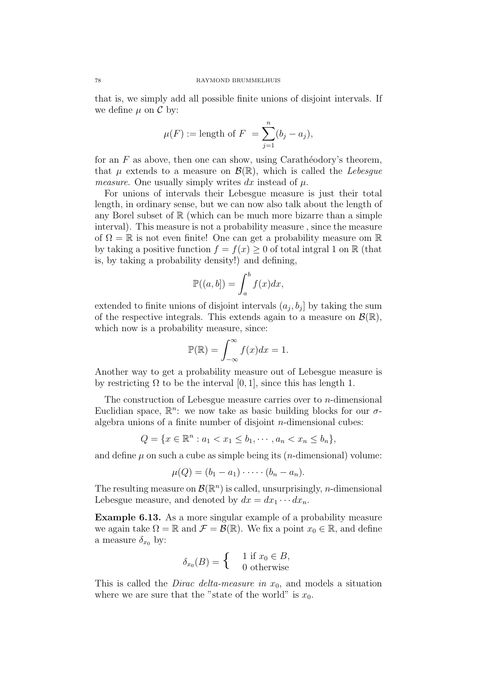that is, we simply add all possible finite unions of disjoint intervals. If we define  $\mu$  on  $\mathcal C$  by:

$$
\mu(F) := \text{length of } F = \sum_{j=1}^{n} (b_j - a_j),
$$

for an  $F$  as above, then one can show, using Carathéodory's theorem, that  $\mu$  extends to a measure on  $\mathcal{B}(\mathbb{R})$ , which is called the *Lebesque measure.* One usually simply writes dx instead of  $\mu$ .

For unions of intervals their Lebesgue measure is just their total length, in ordinary sense, but we can now also talk about the length of any Borel subset of  $\mathbb R$  (which can be much more bizarre than a simple interval). This measure is not a probability measure , since the measure of  $\Omega = \mathbb{R}$  is not even finite! One can get a probability measure om  $\mathbb{R}$ by taking a positive function  $f = f(x) > 0$  of total intgral 1 on R (that is, by taking a probability density!) and defining,

$$
\mathbb{P}((a,b]) = \int_a^b f(x)dx,
$$

extended to finite unions of disjoint intervals  $(a_j, b_j]$  by taking the sum of the respective integrals. This extends again to a measure on  $\mathcal{B}(\mathbb{R}),$ which now is a probability measure, since:

$$
\mathbb{P}(\mathbb{R}) = \int_{-\infty}^{\infty} f(x)dx = 1.
$$

Another way to get a probability measure out of Lebesgue measure is by restricting  $\Omega$  to be the interval [0, 1], since this has length 1.

The construction of Lebesgue measure carries over to n-dimensional Euclidian space,  $\mathbb{R}^n$ : we now take as basic building blocks for our  $\sigma$ algebra unions of a finite number of disjoint  $n$ -dimensional cubes:

$$
Q = \{x \in \mathbb{R}^n : a_1 < x_1 \le b_1, \cdots, a_n < x_n \le b_n\},\
$$

and define  $\mu$  on such a cube as simple being its (*n*-dimensional) volume:

$$
\mu(Q)=(b_1-a_1)\cdot\cdots\cdot(b_n-a_n).
$$

The resulting measure on  $\mathcal{B}(\mathbb{R}^n)$  is called, unsurprisingly, *n*-dimensional Lebesgue measure, and denoted by  $dx = dx_1 \cdots dx_n$ .

Example 6.13. As a more singular example of a probability measure we again take  $\Omega = \mathbb{R}$  and  $\mathcal{F} = \mathcal{B}(\mathbb{R})$ . We fix a point  $x_0 \in \mathbb{R}$ , and define a measure  $\delta_{x_0}$  by:

$$
\delta_{x_0}(B) = \begin{cases} 1 \text{ if } x_0 \in B, \\ 0 \text{ otherwise} \end{cases}
$$

This is called the *Dirac delta-measure in*  $x_0$ , and models a situation where we are sure that the "state of the world" is  $x_0$ .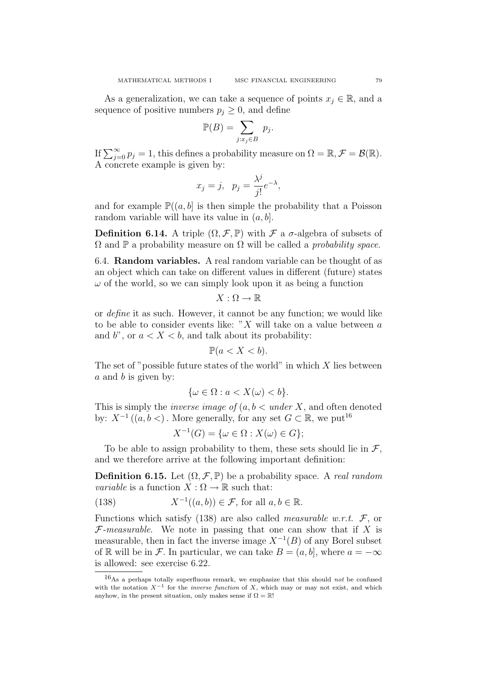As a generalization, we can take a sequence of points  $x_j \in \mathbb{R}$ , and a sequence of positive numbers  $p_i \geq 0$ , and define

$$
\mathbb{P}(B) = \sum_{j:x_j \in B} p_j.
$$

If  $\sum_{j=0}^{\infty} p_j = 1$ , this defines a probability measure on  $\Omega = \mathbb{R}, \mathcal{F} = \mathcal{B}(\mathbb{R}).$ A concrete example is given by:

$$
x_j = j
$$
,  $p_j = \frac{\lambda^j}{j!} e^{-\lambda}$ ,

and for example  $\mathbb{P}((a, b]$  is then simple the probability that a Poisson random variable will have its value in  $(a, b]$ .

Definition 6.14. A triple  $(\Omega, \mathcal{F}, \mathbb{P})$  with  $\mathcal F$  a  $\sigma$ -algebra of subsets of  $\Omega$  and  $\mathbb P$  a probability measure on  $\Omega$  will be called a *probability space*.

6.4. Random variables. A real random variable can be thought of as an object which can take on different values in different (future) states  $\omega$  of the world, so we can simply look upon it as being a function

$$
X:\Omega\to\mathbb{R}
$$

or define it as such. However, it cannot be any function; we would like to be able to consider events like: " $X$  will take on a value between a and b", or  $a < X < b$ , and talk about its probability:

$$
\mathbb{P}(a < X < b).
$$

The set of "possible future states of the world" in which  $X$  lies between a and b is given by:

$$
\{\omega \in \Omega : a < X(\omega) < b\}.
$$

This is simply the *inverse image of*  $(a, b < under X)$ , and often denoted by:  $X^{-1}((a, b <)$ . More generally, for any set  $G \subset \mathbb{R}$ , we put<sup>16</sup>

$$
X^{-1}(G) = \{ \omega \in \Omega : X(\omega) \in G \};
$$

To be able to assign probability to them, these sets should lie in  $\mathcal{F}$ . and we therefore arrive at the following important definition:

**Definition 6.15.** Let  $(\Omega, \mathcal{F}, \mathbb{P})$  be a probability space. A real random *variable* is a function  $X : \Omega \to \mathbb{R}$  such that:

(138) 
$$
X^{-1}((a,b)) \in \mathcal{F}, \text{ for all } a,b \in \mathbb{R}.
$$

Functions which satisfy (138) are also called *measurable w.r.t.*  $\mathcal{F}$ , or  $F$ -measurable. We note in passing that one can show that if X is measurable, then in fact the inverse image  $X^{-1}(B)$  of any Borel subset of R will be in F. In particular, we can take  $B = (a, b]$ , where  $a = -\infty$ is allowed: see exercise 6.22.

 $16$ As a perhaps totally superfluous remark, we emphasize that this should not be confused with the notation  $X^{-1}$  for the *inverse function* of X, which may or may not exist, and which anyhow, in the present situation, only makes sense if  $\Omega = \mathbb{R}!$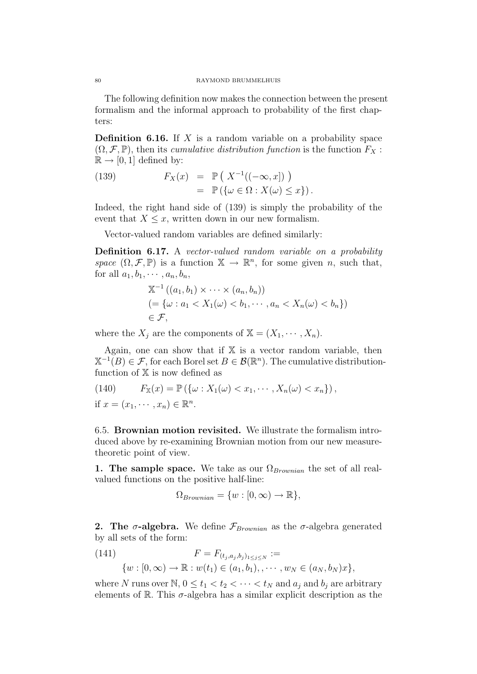The following definition now makes the connection between the present formalism and the informal approach to probability of the first chapters:

**Definition 6.16.** If X is a random variable on a probability space  $(\Omega, \mathcal{F}, \mathbb{P})$ , then its *cumulative distribution function* is the function  $F_X$ :  $\mathbb{R} \rightarrow [0, 1]$  defined by:

(139) 
$$
F_X(x) = \mathbb{P}\left(X^{-1}((-\infty, x])\right)
$$

$$
= \mathbb{P}\left(\{\omega \in \Omega : X(\omega) \le x\}\right).
$$

Indeed, the right hand side of (139) is simply the probability of the event that  $X \leq x$ , written down in our new formalism.

Vector-valued random variables are defined similarly:

Definition 6.17. A vector-valued random variable on a probability space  $(\Omega, \mathcal{F}, \mathbb{P})$  is a function  $\mathbb{X} \to \mathbb{R}^n$ , for some given n, such that, for all  $a_1, b_1, \cdots, a_n, b_n$ ,

$$
\mathbb{X}^{-1}((a_1, b_1) \times \cdots \times (a_n, b_n))
$$
  
\n(= { $\omega$  :  $a_1 < X_1(\omega) < b_1, \cdots, a_n < X_n(\omega) < b_n$ })  
\n $\in \mathcal{F},$ 

where the  $X_j$  are the components of  $X = (X_1, \dots, X_n)$ .

Again, one can show that if  $X$  is a vector random variable, then  $\mathbb{X}^{-1}(B) \in \mathcal{F}$ , for each Borel set  $B \in \mathcal{B}(\mathbb{R}^n)$ . The cumulative distributionfunction of X is now defined as

(140) 
$$
F_{\mathbb{X}}(x) = \mathbb{P}(\{\omega : X_1(\omega) < x_1, \cdots, X_n(\omega) < x_n\}),
$$

if  $x = (x_1, \dots, x_n) \in \mathbb{R}^n$ .

6.5. Brownian motion revisited. We illustrate the formalism introduced above by re-examining Brownian motion from our new measuretheoretic point of view.

1. The sample space. We take as our  $\Omega_{Brownian}$  the set of all realvalued functions on the positive half-line:

$$
\Omega_{Brownian} = \{w : [0, \infty) \to \mathbb{R}\},\
$$

**2.** The  $\sigma$ -algebra. We define  $\mathcal{F}_{Brownian}$  as the  $\sigma$ -algebra generated by all sets of the form:

(141) 
$$
F = F_{(t_j, a_j, b_j)_{1 \leq j \leq N}} :=
$$

$$
\{w : [0, \infty) \to \mathbb{R} : w(t_1) \in (a_1, b_1), \dots, w_N \in (a_N, b_N)x\},\
$$

where N runs over N,  $0 \le t_1 < t_2 < \cdots < t_N$  and  $a_i$  and  $b_j$  are arbitrary elements of  $\mathbb R$ . This  $\sigma$ -algebra has a similar explicit description as the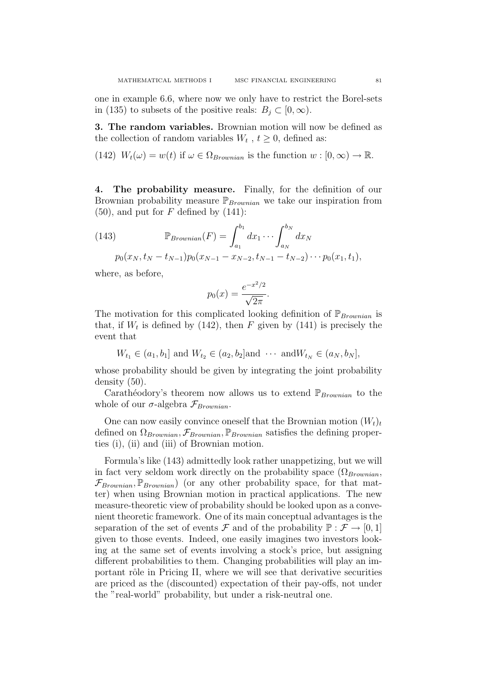one in example 6.6, where now we only have to restrict the Borel-sets in (135) to subsets of the positive reals:  $B_i \subset [0, \infty)$ .

3. The random variables. Brownian motion will now be defined as the collection of random variables  $W_t$ ,  $t \geq 0$ , defined as:

(142)  $W_t(\omega) = w(t)$  if  $\omega \in \Omega_{Brownian}$  is the function  $w : [0, \infty) \to \mathbb{R}$ .

4. The probability measure. Finally, for the definition of our Brownian probability measure  $\mathbb{P}_{Brownian}$  we take our inspiration from  $(50)$ , and put for F defined by  $(141)$ :

(143) 
$$
\mathbb{P}_{Brownian}(F) = \int_{a_1}^{b_1} dx_1 \cdots \int_{a_N}^{b_N} dx_N
$$

$$
p_0(x_N, t_N - t_{N-1}) p_0(x_{N-1} - x_{N-2}, t_{N-1} - t_{N-2}) \cdots p_0(x_1, t_1),
$$

where, as before,

$$
p_0(x) = \frac{e^{-x^2/2}}{\sqrt{2\pi}}.
$$

The motivation for this complicated looking definition of  $\mathbb{P}_{Brownian}$  is that, if  $W_t$  is defined by (142), then F given by (141) is precisely the event that

$$
W_{t_1} \in (a_1, b_1]
$$
 and  $W_{t_2} \in (a_2, b_2]$  and  $\cdots$  and  $W_{t_N} \in (a_N, b_N]$ ,

whose probability should be given by integrating the joint probability density (50).

Carathéodory's theorem now allows us to extend  $\mathbb{P}_{Brownian}$  to the whole of our  $\sigma$ -algebra  $\mathcal{F}_{Brownian}$ .

One can now easily convince oneself that the Brownian motion  $(W_t)_t$ defined on  $\Omega_{Brownian}, \mathcal{F}_{Brownian}, \mathbb{P}_{Brownian}$  satisfies the defining properties (i), (ii) and (iii) of Brownian motion.

Formula's like (143) admittedly look rather unappetizing, but we will in fact very seldom work directly on the probability space  $(\Omega_{Brownian},$  $\mathcal{F}_{Brownian}$ ,  $\mathbb{P}_{Brownian}$ ) (or any other probability space, for that matter) when using Brownian motion in practical applications. The new measure-theoretic view of probability should be looked upon as a convenient theoretic framework. One of its main conceptual advantages is the separation of the set of events F and of the probability  $\mathbb{P}: \mathcal{F} \to [0,1]$ given to those events. Indeed, one easily imagines two investors looking at the same set of events involving a stock's price, but assigning different probabilities to them. Changing probabilities will play an important rôle in Pricing II, where we will see that derivative securities are priced as the (discounted) expectation of their pay-offs, not under the "real-world" probability, but under a risk-neutral one.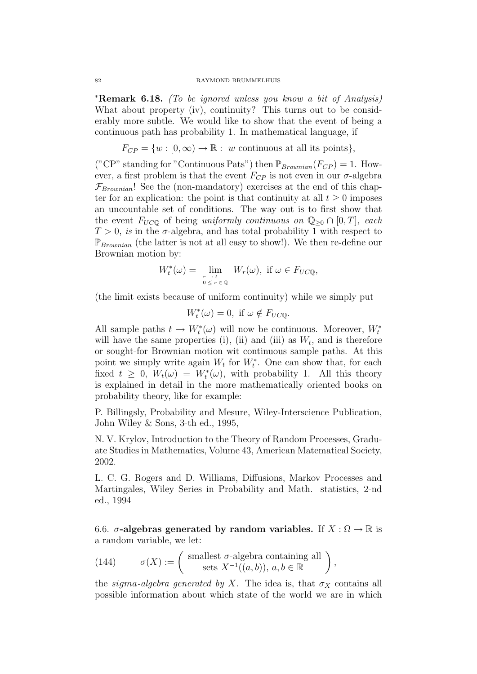<sup>∗</sup>Remark 6.18. (To be ignored unless you know a bit of Analysis) What about property (iv), continuity? This turns out to be considerably more subtle. We would like to show that the event of being a continuous path has probability 1. In mathematical language, if

 $F_{CP} = \{w : [0, \infty) \to \mathbb{R} : w \text{ continuous at all its points}\},\$ 

("CP" standing for "Continuous Pats") then  $\mathbb{P}_{Brownian}(F_{CP}) = 1$ . However, a first problem is that the event  $F_{CP}$  is not even in our  $\sigma$ -algebra  $\mathcal{F}_{Brownian}$ ! See the (non-mandatory) exercises at the end of this chapter for an explication: the point is that continuity at all  $t \geq 0$  imposes an uncountable set of conditions. The way out is to first show that the event  $F_{UCQ}$  of being uniformly continuous on  $\mathbb{Q}_{\geq 0} \cap [0,T]$ , each  $T > 0$ , is in the  $\sigma$ -algebra, and has total probability 1 with respect to  $\mathbb{P}_{Brownian}$  (the latter is not at all easy to show!). We then re-define our Brownian motion by:

$$
W_t^*(\omega) = \lim_{\substack{r \to t \\ 0 \le r \in \mathbb{Q}}} W_r(\omega), \text{ if } \omega \in F_{UC\mathbb{Q}},
$$

(the limit exists because of uniform continuity) while we simply put

$$
W_t^*(\omega) = 0, \text{ if } \omega \notin F_{UCQ}.
$$

All sample paths  $t \to W_t^*(\omega)$  will now be continuous. Moreover,  $W_t^*$ will have the same properties (i), (ii) and (iii) as  $W_t$ , and is therefore or sought-for Brownian motion wit continuous sample paths. At this point we simply write again  $W_t$  for  $W_t^*$ . One can show that, for each fixed  $t \geq 0$ ,  $W_t(\omega) = W_t^*(\omega)$ , with probability 1. All this theory is explained in detail in the more mathematically oriented books on probability theory, like for example:

P. Billingsly, Probability and Mesure, Wiley-Interscience Publication, John Wiley & Sons, 3-th ed., 1995,

N. V. Krylov, Introduction to the Theory of Random Processes, Graduate Studies in Mathematics, Volume 43, American Matematical Society, 2002.

L. C. G. Rogers and D. Williams, Diffusions, Markov Processes and Martingales, Wiley Series in Probability and Math. statistics, 2-nd ed., 1994

6.6.  $\sigma$ -algebras generated by random variables. If  $X : \Omega \to \mathbb{R}$  is a random variable, we let:

(144) 
$$
\sigma(X) := \begin{pmatrix} \text{smallest } \sigma\text{-algebra containing all} \\ \text{sets } X^{-1}((a, b)), a, b \in \mathbb{R} \end{pmatrix},
$$

the sigma-algebra generated by X. The idea is, that  $\sigma_X$  contains all possible information about which state of the world we are in which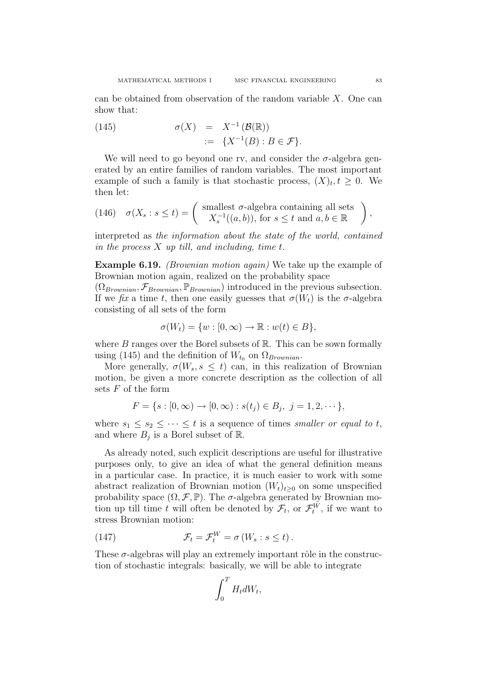can be obtained from observation of the random variable  $X$ . One can show that:

(145) 
$$
\sigma(X) = X^{-1}(\mathcal{B}(\mathbb{R}))
$$

$$
:= \{X^{-1}(B) : B \in \mathcal{F}\}.
$$

We will need to go beyond one rv, and consider the  $\sigma$ -algebra generated by an entire families of random variables. The most important example of such a family is that stochastic process,  $(X)_t, t \geq 0$ . We then let:

(146) 
$$
\sigma(X_s : s \le t) = \begin{pmatrix} \text{smallest } \sigma\text{-algebra containing all sets} \\ X_s^{-1}((a, b)), \text{ for } s \le t \text{ and } a, b \in \mathbb{R} \end{pmatrix}
$$
,

interpreted as the information about the state of the world, contained in the process  $X$  up till, and including, time t.

Example 6.19. (Brownian motion again) We take up the example of Brownian motion again, realized on the probability space

 $(\Omega_{Brownian}, \mathcal{F}_{Brownian}, \mathbb{P}_{Brownian})$  introduced in the previous subsection. If we fix a time t, then one easily guesses that  $\sigma(W_t)$  is the  $\sigma$ -algebra consisting of all sets of the form

$$
\sigma(W_t) = \{w : [0, \infty) \to \mathbb{R} : w(t) \in B\},\
$$

where  $B$  ranges over the Borel subsets of  $\mathbb{R}$ . This can be sown formally using (145) and the definition of  $W_{t_0}$  on  $\Omega_{Brownian}$ .

More generally,  $\sigma(W_s, s \leq t)$  can, in this realization of Brownian motion, be given a more concrete description as the collection of all sets  $F$  of the form

$$
F = \{ s : [0, \infty) \to [0, \infty) : s(t_j) \in B_j, \ j = 1, 2, \cdots \},
$$

where  $s_1 \leq s_2 \leq \cdots \leq t$  is a sequence of times smaller or equal to t, and where  $B_j$  is a Borel subset of R.

As already noted, such explicit descriptions are useful for illustrative purposes only, to give an idea of what the general definition means in a particular case. In practice, it is much easier to work with some abstract realization of Brownian motion  $(W_t)_{t\geq0}$  on some unspecified probability space  $(\Omega, \mathcal{F}, \mathbb{P})$ . The  $\sigma$ -algebra generated by Brownian motion up till time t will often be denoted by  $\mathcal{F}_t$ , or  $\mathcal{F}_t^W$ , if we want to stress Brownian motion:

(147) 
$$
\mathcal{F}_t = \mathcal{F}_t^W = \sigma(W_s : s \le t).
$$

These  $\sigma$ -algebras will play an extremely important rôle in the construction of stochastic integrals: basically, we will be able to integrate

$$
\int_0^T H_t dW_t,
$$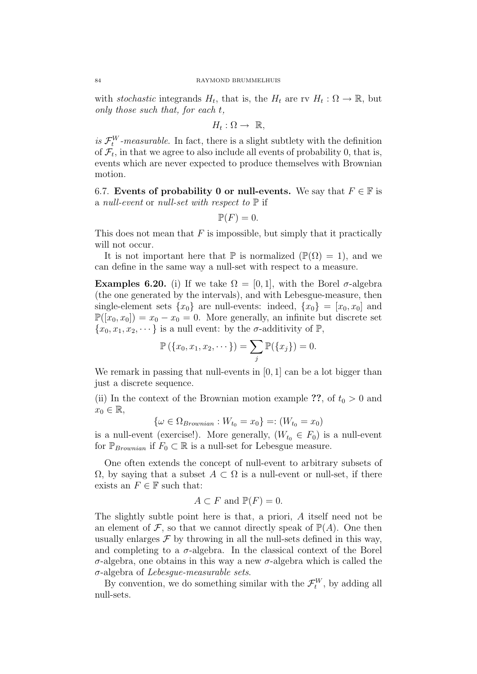with *stochastic* integrands  $H_t$ , that is, the  $H_t$  are rv  $H_t : \Omega \to \mathbb{R}$ , but only those such that, for each t,

$$
H_t: \Omega \to \mathbb{R},
$$

is  $\mathcal{F}_t^W$ -measurable. In fact, there is a slight subtlety with the definition of  $\mathcal{F}_t$ , in that we agree to also include all events of probability 0, that is, events which are never expected to produce themselves with Brownian motion.

6.7. Events of probability 0 or null-events. We say that  $F \in \mathbb{F}$  is a null-event or null-set with respect to  $\mathbb P$  if

$$
\mathbb{P}(F) = 0.
$$

This does not mean that  $F$  is impossible, but simply that it practically will not occur.

It is not important here that  $\mathbb P$  is normalized  $(\mathbb P(\Omega) = 1)$ , and we can define in the same way a null-set with respect to a measure.

**Examples 6.20.** (i) If we take  $\Omega = [0, 1]$ , with the Borel  $\sigma$ -algebra (the one generated by the intervals), and with Lebesgue-measure, then single-element sets  $\{x_0\}$  are null-events: indeed,  $\{x_0\} = [x_0, x_0]$  and  $\mathbb{P}([x_0, x_0]) = x_0 - x_0 = 0$ . More generally, an infinite but discrete set  ${x_0, x_1, x_2, \dots}$  is a null event: by the  $\sigma$ -additivity of  $\mathbb{P}$ ,

$$
\mathbb{P}(\{x_0, x_1, x_2, \dots\}) = \sum_j \mathbb{P}(\{x_j\}) = 0.
$$

We remark in passing that null-events in  $[0, 1]$  can be a lot bigger than just a discrete sequence.

(ii) In the context of the Brownian motion example ??, of  $t_0 > 0$  and  $x_0 \in \mathbb{R},$ 

$$
\{\omega \in \Omega_{Brownian} : W_{t_0} = x_0\} =: (W_{t_0} = x_0)
$$

is a null-event (exercise!). More generally,  $(W_{t_0} \in F_0)$  is a null-event for  $\mathbb{P}_{Brownian}$  if  $F_0 \subset \mathbb{R}$  is a null-set for Lebesgue measure.

One often extends the concept of null-event to arbitrary subsets of  $\Omega$ , by saying that a subset  $A \subset \Omega$  is a null-event or null-set, if there exists an  $F \in \mathbb{F}$  such that:

$$
A \subset F \text{ and } \mathbb{P}(F) = 0.
$$

The slightly subtle point here is that, a priori, A itself need not be an element of  $\mathcal F$ , so that we cannot directly speak of  $\mathbb P(A)$ . One then usually enlarges  $\mathcal F$  by throwing in all the null-sets defined in this way, and completing to a  $\sigma$ -algebra. In the classical context of the Borel σ-algebra, one obtains in this way a new σ-algebra which is called the  $\sigma$ -algebra of *Lebesque-measurable sets.* 

By convention, we do something similar with the  $\mathcal{F}_t^W$ , by adding all null-sets.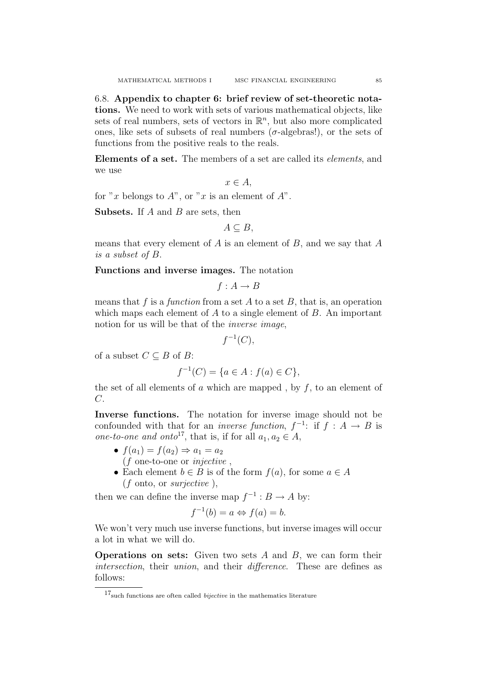6.8. Appendix to chapter 6: brief review of set-theoretic notations. We need to work with sets of various mathematical objects, like sets of real numbers, sets of vectors in  $\mathbb{R}^n$ , but also more complicated ones, like sets of subsets of real numbers ( $\sigma$ -algebras!), or the sets of functions from the positive reals to the reals.

Elements of a set. The members of a set are called its elements, and we use

$$
x \in A,
$$

for "x belongs to  $A$ ", or "x is an element of  $A$ ".

**Subsets.** If  $A$  and  $B$  are sets, then

 $A \subseteq B$ .

means that every element of  $A$  is an element of  $B$ , and we say that  $A$ is a subset of B.

Functions and inverse images. The notation

 $f : A \rightarrow B$ 

means that f is a function from a set A to a set B, that is, an operation which maps each element of  $A$  to a single element of  $B$ . An important notion for us will be that of the inverse image,

 $f^{-1}(C),$ 

of a subset  $C \subseteq B$  of  $B$ :

$$
f^{-1}(C) = \{ a \in A : f(a) \in C \},
$$

the set of all elements of a which are mapped, by  $f$ , to an element of  $C$ .

Inverse functions. The notation for inverse image should not be confounded with that for an *inverse function*,  $f^{-1}$ : if  $f : A \rightarrow B$  is one-to-one and onto<sup>17</sup>, that is, if for all  $a_1, a_2 \in A$ ,

- $f(a_1) = f(a_2) \Rightarrow a_1 = a_2$
- (f one-to-one or injective ,
- Each element  $b \in B$  is of the form  $f(a)$ , for some  $a \in A$  $(f \text{ onto}, \text{ or } surjective),$

then we can define the inverse map  $f^{-1}: B \to A$  by:

$$
f^{-1}(b) = a \Leftrightarrow f(a) = b.
$$

We won't very much use inverse functions, but inverse images will occur a lot in what we will do.

**Operations on sets:** Given two sets  $A$  and  $B$ , we can form their intersection, their union, and their difference. These are defines as follows:

 $17$ such functions are often called *bijective* in the mathematics literature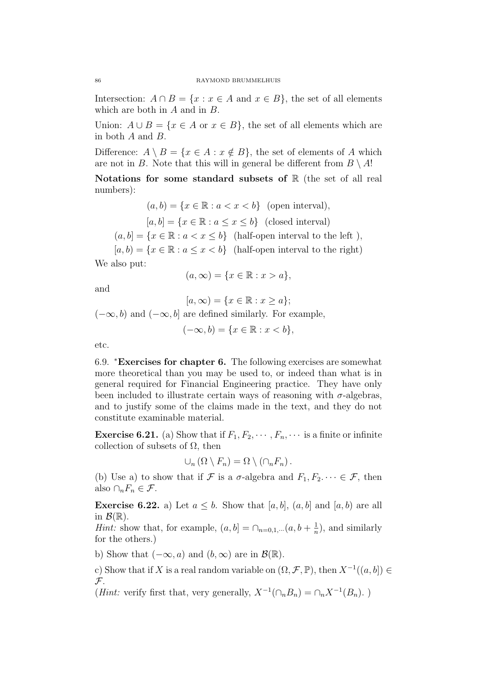Intersection:  $A \cap B = \{x : x \in A \text{ and } x \in B\}$ , the set of all elements which are both in A and in B.

Union:  $A \cup B = \{x \in A \text{ or } x \in B\}$ , the set of all elements which are in both A and B.

Difference:  $A \setminus B = \{x \in A : x \notin B\}$ , the set of elements of A which are not in B. Note that this will in general be different from  $B \setminus A!$ 

Notations for some standard subsets of  $\mathbb R$  (the set of all real numbers):

$$
(a, b) = \{x \in \mathbb{R} : a < x < b\} \quad \text{(open interval)},
$$
\n
$$
[a, b] = \{x \in \mathbb{R} : a \le x \le b\} \quad \text{(closed interval)}
$$
\n
$$
(a, b] = \{x \in \mathbb{R} : a < x \le b\} \quad \text{(half-open interval to the left)},
$$
\n
$$
[a, b) = \{x \in \mathbb{R} : a \le x < b\} \quad \text{(half-open interval to the right)}
$$

We also put:

$$
(a,\infty) = \{x \in \mathbb{R} : x > a\},\
$$

and

$$
[a,\infty) = \{x \in \mathbb{R} : x \ge a\};
$$

 $(-\infty, b)$  and  $(-\infty, b]$  are defined similarly. For example,

 $(-\infty, b) = \{x \in \mathbb{R} : x < b\},\$ 

etc.

6.9. <sup>∗</sup>Exercises for chapter 6. The following exercises are somewhat more theoretical than you may be used to, or indeed than what is in general required for Financial Engineering practice. They have only been included to illustrate certain ways of reasoning with  $\sigma$ -algebras, and to justify some of the claims made in the text, and they do not constitute examinable material.

**Exercise 6.21.** (a) Show that if  $F_1, F_2, \cdots, F_n, \cdots$  is a finite or infinite collection of subsets of  $\Omega$ , then

$$
\cup_n (\Omega \setminus F_n) = \Omega \setminus (\cap_n F_n).
$$

(b) Use a) to show that if F is a  $\sigma$ -algebra and  $F_1, F_2, \dots \in \mathcal{F}$ , then also  $\cap_n F_n \in \mathcal{F}$ .

**Exercise 6.22.** a) Let  $a \leq b$ . Show that [a, b], (a, b] and [a, b) are all in  $\mathcal{B}(\mathbb{R})$ .

*Hint*: show that, for example,  $(a, b] = \bigcap_{n=0,1,\dots}(a, b + \frac{1}{n})$  $\frac{1}{n}$ , and similarly for the others.)

b) Show that  $(-\infty, a)$  and  $(b, \infty)$  are in  $\mathcal{B}(\mathbb{R})$ .

c) Show that if X is a real random variable on  $(\Omega, \mathcal{F}, \mathbb{P})$ , then  $X^{-1}((a, b]) \in$  $\mathcal{F}$ .

(*Hint:* verify first that, very generally,  $X^{-1}(\cap_n B_n) = \cap_n X^{-1}(B_n)$ .)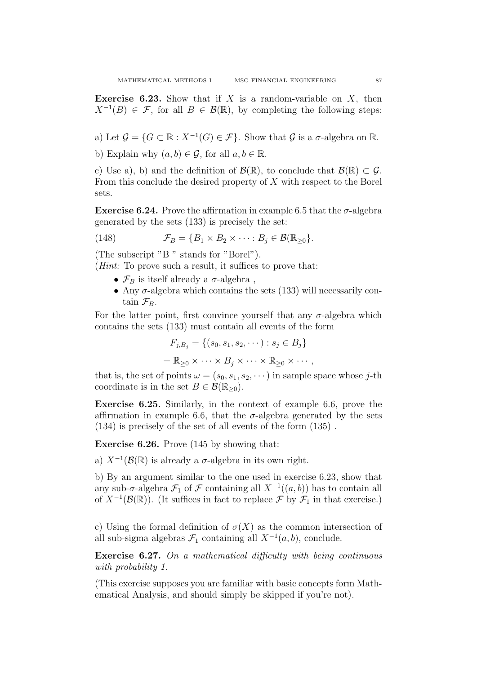**Exercise 6.23.** Show that if X is a random-variable on X, then  $X^{-1}(B) \in \mathcal{F}$ , for all  $B \in \mathcal{B}(\mathbb{R})$ , by completing the following steps:

a) Let  $\mathcal{G} = \{ G \subset \mathbb{R} : X^{-1}(G) \in \mathcal{F} \}$ . Show that  $\mathcal{G}$  is a  $\sigma$ -algebra on  $\mathbb{R}$ .

b) Explain why  $(a, b) \in \mathcal{G}$ , for all  $a, b \in \mathbb{R}$ .

c) Use a), b) and the definition of  $\mathcal{B}(\mathbb{R})$ , to conclude that  $\mathcal{B}(\mathbb{R}) \subset \mathcal{G}$ . From this conclude the desired property of X with respect to the Borel sets.

**Exercise 6.24.** Prove the affirmation in example 6.5 that the  $\sigma$ -algebra generated by the sets (133) is precisely the set:

(148) 
$$
\mathcal{F}_B = \{B_1 \times B_2 \times \cdots : B_j \in \mathcal{B}(\mathbb{R}_{\geq 0})\}.
$$

(The subscript "B " stands for "Borel").

(*Hint*: To prove such a result, it suffices to prove that:

- $\mathcal{F}_B$  is itself already a  $\sigma$ -algebra,
- Any  $\sigma$ -algebra which contains the sets (133) will necessarily contain  $\mathcal{F}_B$ .

For the latter point, first convince yourself that any  $\sigma$ -algebra which contains the sets (133) must contain all events of the form

$$
F_{j,B_j} = \{(s_0, s_1, s_2, \cdots) : s_j \in B_j\}
$$
  
=  $\mathbb{R}_{\geq 0} \times \cdots \times B_j \times \cdots \times \mathbb{R}_{\geq 0} \times \cdots,$ 

that is, the set of points  $\omega = (s_0, s_1, s_2, \dots)$  in sample space whose j-th coordinate is in the set  $B \in \mathcal{B}(\mathbb{R}_{\geq 0}).$ 

Exercise 6.25. Similarly, in the context of example 6.6, prove the affirmation in example 6.6, that the  $\sigma$ -algebra generated by the sets (134) is precisely of the set of all events of the form (135) .

Exercise 6.26. Prove (145 by showing that:

a)  $X^{-1}(\mathcal{B}(\mathbb{R}))$  is already a  $\sigma$ -algebra in its own right.

b) By an argument similar to the one used in exercise 6.23, show that any sub- $\sigma$ -algebra  $\mathcal{F}_1$  of  $\mathcal F$  containing all  $X^{-1}((a, b))$  has to contain all of  $X^{-1}(\mathcal{B}(\mathbb{R}))$ . (It suffices in fact to replace  $\mathcal{F}$  by  $\mathcal{F}_1$  in that exercise.)

c) Using the formal definition of  $\sigma(X)$  as the common intersection of all sub-sigma algebras  $\mathcal{F}_1$  containing all  $X^{-1}(a, b)$ , conclude.

Exercise 6.27. On a mathematical difficulty with being continuous with probability 1.

(This exercise supposes you are familiar with basic concepts form Mathematical Analysis, and should simply be skipped if you're not).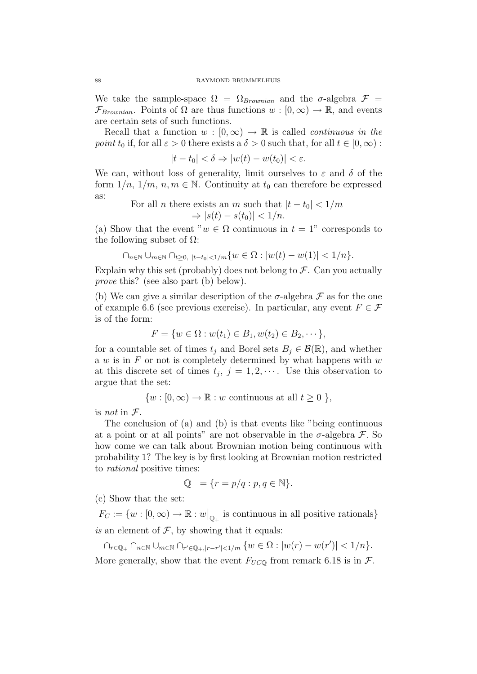We take the sample-space  $\Omega = \Omega_{Brownian}$  and the  $\sigma$ -algebra  $\mathcal{F} =$  $\mathcal{F}_{Brownian}$ . Points of  $\Omega$  are thus functions  $w : [0, \infty) \to \mathbb{R}$ , and events are certain sets of such functions.

Recall that a function  $w : [0, \infty) \to \mathbb{R}$  is called *continuous in the point*  $t_0$  if, for all  $\varepsilon > 0$  there exists a  $\delta > 0$  such that, for all  $t \in [0, \infty)$ :

$$
|t - t_0| < \delta \Rightarrow |w(t) - w(t_0)| < \varepsilon.
$$

We can, without loss of generality, limit ourselves to  $\varepsilon$  and  $\delta$  of the form  $1/n$ ,  $1/m$ ,  $n, m \in \mathbb{N}$ . Continuity at  $t_0$  can therefore be expressed as:

For all *n* there exists an *m* such that  $|t - t_0| < 1/m$  $\Rightarrow |s(t) - s(t_0)| < 1/n.$ 

(a) Show that the event " $w \in \Omega$  continuous in  $t = 1$ " corresponds to the following subset of  $\Omega$ :

$$
\bigcap_{n\in\mathbb{N}}\bigcup_{m\in\mathbb{N}}\bigcap_{t\geq 0,\ |t-t_0|<1/m}\{w\in\Omega:|w(t)-w(1)|<1/n\}.
$$

Explain why this set (probably) does not belong to  $\mathcal F$ . Can you actually prove this? (see also part (b) below).

(b) We can give a similar description of the  $\sigma$ -algebra  $\mathcal F$  as for the one of example 6.6 (see previous exercise). In particular, any event  $F \in \mathcal{F}$ is of the form:

$$
F = \{ w \in \Omega : w(t_1) \in B_1, w(t_2) \in B_2, \dots \},
$$

for a countable set of times  $t_j$  and Borel sets  $B_j \in \mathcal{B}(\mathbb{R})$ , and whether a w is in  $F$  or not is completely determined by what happens with  $w$ at this discrete set of times  $t_j$ ,  $j = 1, 2, \cdots$ . Use this observation to argue that the set:

$$
\{w : [0, \infty) \to \mathbb{R} : w \text{ continuous at all } t \ge 0 \},
$$

is *not* in  $\mathcal{F}$ .

The conclusion of (a) and (b) is that events like "being continuous at a point or at all points" are not observable in the  $\sigma$ -algebra  $\mathcal{F}$ . So how come we can talk about Brownian motion being continuous with probability 1? The key is by first looking at Brownian motion restricted to rational positive times:

$$
\mathbb{Q}_{+} = \{r = p/q : p, q \in \mathbb{N}\}.
$$

(c) Show that the set:

 $F_C := \{w : [0, \infty) \to \mathbb{R} : w|_{\mathbb{Q}_+}$  is continuous in all positive rationals} is an element of  $\mathcal F$ , by showing that it equals:

 $\bigcap_{r \in \mathbb{Q}_+} \bigcap_{n \in \mathbb{N}} \bigcup_{m \in \mathbb{N}} \bigcap_{r' \in \mathbb{Q}_+, |r-r'| < 1/m} \{w \in \Omega : |w(r) - w(r')| < 1/n\}.$ More generally, show that the event  $F_{UCO}$  from remark 6.18 is in  $\mathcal{F}$ .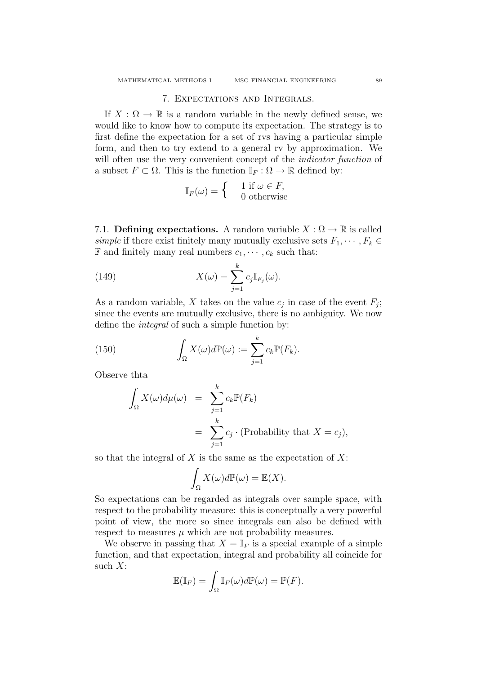## 7. Expectations and Integrals.

If  $X: \Omega \to \mathbb{R}$  is a random variable in the newly defined sense, we would like to know how to compute its expectation. The strategy is to first define the expectation for a set of rvs having a particular simple form, and then to try extend to a general rv by approximation. We will often use the very convenient concept of the *indicator function* of a subset  $F \subset \Omega$ . This is the function  $\mathbb{I}_F : \Omega \to \mathbb{R}$  defined by:

$$
\mathbb{I}_F(\omega) = \begin{cases} 1 & \text{if } \omega \in F, \\ 0 & \text{otherwise} \end{cases}
$$

7.1. Defining expectations. A random variable  $X : \Omega \to \mathbb{R}$  is called simple if there exist finitely many mutually exclusive sets  $F_1, \dots, F_k \in$  $\mathbb F$  and finitely many real numbers  $c_1, \dots, c_k$  such that:

(149) 
$$
X(\omega) = \sum_{j=1}^{k} c_j \mathbb{I}_{F_j}(\omega).
$$

As a random variable, X takes on the value  $c_j$  in case of the event  $F_j$ ; since the events are mutually exclusive, there is no ambiguity. We now define the integral of such a simple function by:

(150) 
$$
\int_{\Omega} X(\omega) d\mathbb{P}(\omega) := \sum_{j=1}^{k} c_k \mathbb{P}(F_k).
$$

Observe thta

$$
\int_{\Omega} X(\omega) d\mu(\omega) = \sum_{j=1}^{k} c_k \mathbb{P}(F_k)
$$
  
= 
$$
\sum_{j=1}^{k} c_j \cdot (\text{Probability that } X = c_j),
$$

so that the integral of  $X$  is the same as the expectation of  $X$ :

$$
\int_{\Omega} X(\omega) d\mathbb{P}(\omega) = \mathbb{E}(X).
$$

So expectations can be regarded as integrals over sample space, with respect to the probability measure: this is conceptually a very powerful point of view, the more so since integrals can also be defined with respect to measures  $\mu$  which are not probability measures.

We observe in passing that  $X = \mathbb{I}_F$  is a special example of a simple function, and that expectation, integral and probability all coincide for such  $X$ :

$$
\mathbb{E}(\mathbb{I}_F) = \int_{\Omega} \mathbb{I}_F(\omega) d\mathbb{P}(\omega) = \mathbb{P}(F).
$$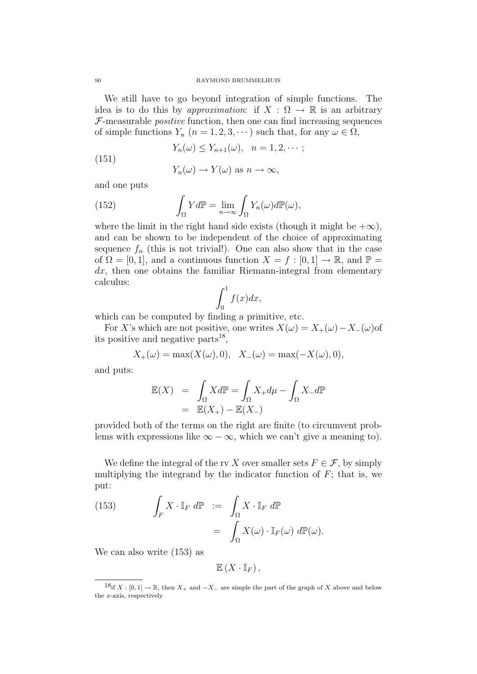We still have to go beyond integration of simple functions. The idea is to do this by approximation: if  $X : \Omega \to \mathbb{R}$  is an arbitrary  $F$ -measurable *positive* function, then one can find increasing sequences of simple functions  $Y_n$   $(n = 1, 2, 3, \cdots)$  such that, for any  $\omega \in \Omega$ ,

(151) 
$$
Y_n(\omega) \le Y_{n+1}(\omega), \quad n = 1, 2, \cdots;
$$

$$
Y_n(\omega) \to Y(\omega) \text{ as } n \to \infty,
$$

and one puts

(152) 
$$
\int_{\Omega} Y d\mathbb{P} = \lim_{n \to \infty} \int_{\Omega} Y_n(\omega) d\mathbb{P}(\omega),
$$

where the limit in the right hand side exists (though it might be  $+\infty$ ). and can be shown to be independent of the choice of approximating sequence  $f_n$  (this is not trivial!). One can also show that in the case of  $\Omega = [0, 1]$ , and a continuous function  $X = f : [0, 1] \to \mathbb{R}$ , and  $\mathbb{P} =$  $dx$ , then one obtains the familiar Riemann-integral from elementary calculus:

$$
\int_0^1 f(x) dx,
$$

which can be computed by finding a primitive, etc.

For X's which are not positive, one writes  $X(\omega) = X_+(\omega) - X_-(\omega)$  of its positive and negative  $parts^{18}$ ,

$$
X_{+}(\omega) = \max(X(\omega), 0), X_{-}(\omega) = \max(-X(\omega), 0),
$$

and puts:

$$
\mathbb{E}(X) = \int_{\Omega} X d\mathbb{P} = \int_{\Omega} X_{+} d\mu - \int_{\Omega} X_{-} d\mathbb{P}
$$

$$
= \mathbb{E}(X_{+}) - \mathbb{E}(X_{-})
$$

provided both of the terms on the right are finite (to circumvent problems with expressions like  $\infty - \infty$ , which we can't give a meaning to).

We define the integral of the rv X over smaller sets  $F \in \mathcal{F}$ , by simply multiplying the integrand by the indicator function of  $F$ ; that is, we put:

(153) 
$$
\int_{F} X \cdot \mathbb{I}_{F} d\mathbb{P} := \int_{\Omega} X \cdot \mathbb{I}_{F} d\mathbb{P} = \int_{\Omega} X(\omega) \cdot \mathbb{I}_{F}(\omega) d\mathbb{P}(\omega).
$$

We can also write (153) as

$$
\mathbb{E}(X\cdot \mathbb{I}_F),
$$

<sup>&</sup>lt;sup>18</sup>if  $X : [0,1] \to \mathbb{R}$ , then  $X_+$  and  $-X_-$  are simple the part of the graph of X above and below the  $x$ -axis, respectively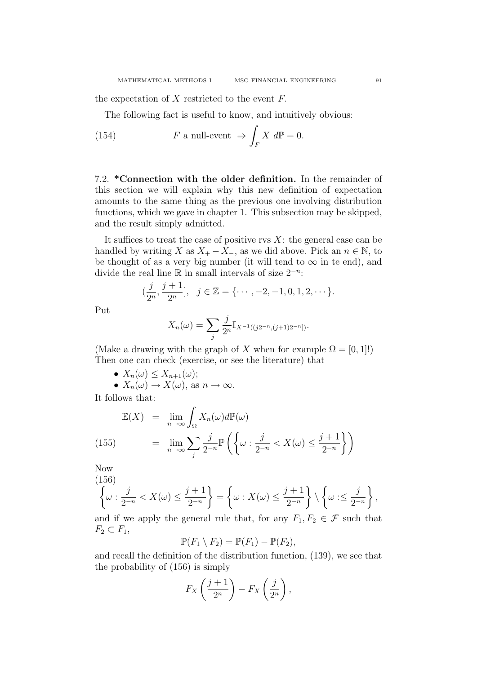the expectation of  $X$  restricted to the event  $F$ .

The following fact is useful to know, and intuitively obvious:

(154) 
$$
F \text{ a null-event } \Rightarrow \int_F X \, d\mathbb{P} = 0.
$$

7.2. \*Connection with the older definition. In the remainder of this section we will explain why this new definition of expectation amounts to the same thing as the previous one involving distribution functions, which we gave in chapter 1. This subsection may be skipped, and the result simply admitted.

It suffices to treat the case of positive rvs  $X$ : the general case can be handled by writing X as  $X_+ - \overline{X}_-$ , as we did above. Pick an  $n \in \mathbb{N}$ , to be thought of as a very big number (it will tend to  $\infty$  in te end), and divide the real line  $\mathbb R$  in small intervals of size  $2^{-n}$ :

$$
(\frac{j}{2^n}, \frac{j+1}{2^n}], \quad j \in \mathbb{Z} = \{\cdots, -2, -1, 0, 1, 2, \cdots\}.
$$

Put

$$
X_n(\omega) = \sum_j \frac{j}{2^n} \mathbb{I}_{X^{-1}((j2^{-n}, (j+1)2^{-n}])}.
$$

(Make a drawing with the graph of X when for example  $\Omega = [0, 1]$ !) Then one can check (exercise, or see the literature) that

•  $X_n(\omega) \leq X_{n+1}(\omega);$ •  $X_n(\omega) \to X(\omega)$ , as  $n \to \infty$ .

It follows that:

$$
\mathbb{E}(X) = \lim_{n \to \infty} \int_{\Omega} X_n(\omega) d\mathbb{P}(\omega)
$$
  
(155) = 
$$
\lim_{n \to \infty} \sum_{j} \frac{j}{2^{-n}} \mathbb{P}\left(\left\{\omega : \frac{j}{2^{-n}} < X(\omega) \le \frac{j+1}{2^{-n}}\right\}\right)
$$

Now  $(156)$ 

$$
\left\{\omega : \frac{j}{2^{-n}} < X(\omega) \le \frac{j+1}{2^{-n}}\right\} = \left\{\omega : X(\omega) \le \frac{j+1}{2^{-n}}\right\} \setminus \left\{\omega : \le \frac{j}{2^{-n}}\right\},
$$

and if we apply the general rule that, for any  $F_1, F_2 \in \mathcal{F}$  such that  $F_2 \subset F_1$ ,

$$
\mathbb{P}(F_1 \setminus F_2) = \mathbb{P}(F_1) - \mathbb{P}(F_2),
$$

and recall the definition of the distribution function, (139), we see that the probability of (156) is simply

$$
F_X\left(\frac{j+1}{2^n}\right) - F_X\left(\frac{j}{2^n}\right),\,
$$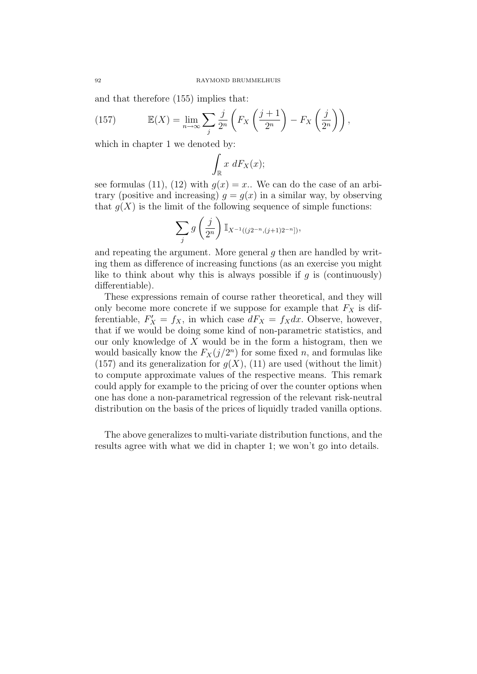and that therefore (155) implies that:

(157) 
$$
\mathbb{E}(X) = \lim_{n \to \infty} \sum_{j} \frac{j}{2^n} \left( F_X \left( \frac{j+1}{2^n} \right) - F_X \left( \frac{j}{2^n} \right) \right),
$$

which in chapter 1 we denoted by:

$$
\int_{\mathbb{R}} x \; dF_X(x);
$$

see formulas (11), (12) with  $g(x) = x$ .. We can do the case of an arbitrary (positive and increasing)  $g = g(x)$  in a similar way, by observing that  $g(X)$  is the limit of the following sequence of simple functions:

$$
\sum_{j} g\left(\frac{j}{2^{n}}\right) \mathbb{I}_{X^{-1}((j2^{-n},(j+1)2^{-n}])},
$$

and repeating the argument. More general  $q$  then are handled by writing them as difference of increasing functions (as an exercise you might like to think about why this is always possible if  $g$  is (continuously) differentiable).

These expressions remain of course rather theoretical, and they will only become more concrete if we suppose for example that  $F_X$  is differentiable,  $F'_X = f_X$ , in which case  $dF_X = f_X dx$ . Observe, however, that if we would be doing some kind of non-parametric statistics, and our only knowledge of  $X$  would be in the form a histogram, then we would basically know the  $F_X(j/2^n)$  for some fixed n, and formulas like (157) and its generalization for  $g(X)$ , (11) are used (without the limit) to compute approximate values of the respective means. This remark could apply for example to the pricing of over the counter options when one has done a non-parametrical regression of the relevant risk-neutral distribution on the basis of the prices of liquidly traded vanilla options.

The above generalizes to multi-variate distribution functions, and the results agree with what we did in chapter 1; we won't go into details.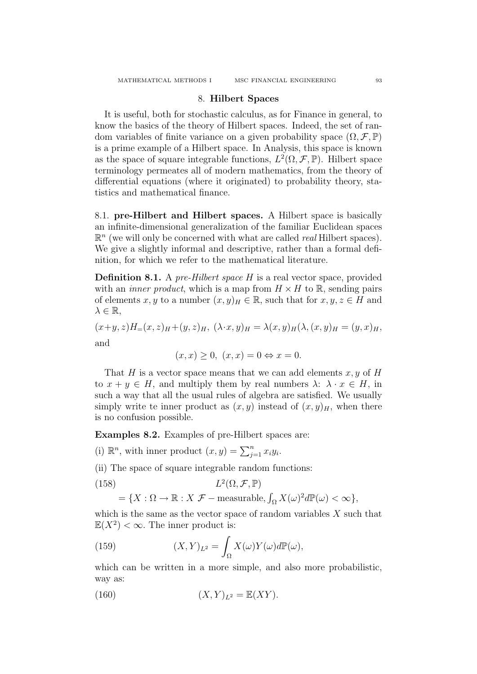### 8. Hilbert Spaces

It is useful, both for stochastic calculus, as for Finance in general, to know the basics of the theory of Hilbert spaces. Indeed, the set of random variables of finite variance on a given probability space  $(\Omega, \mathcal{F}, \mathbb{P})$ is a prime example of a Hilbert space. In Analysis, this space is known as the space of square integrable functions,  $L^2(\Omega, \mathcal{F}, \mathbb{P})$ . Hilbert space terminology permeates all of modern mathematics, from the theory of differential equations (where it originated) to probability theory, statistics and mathematical finance.

8.1. pre-Hilbert and Hilbert spaces. A Hilbert space is basically an infinite-dimensional generalization of the familiar Euclidean spaces  $\mathbb{R}^n$  (we will only be concerned with what are called *real* Hilbert spaces). We give a slightly informal and descriptive, rather than a formal definition, for which we refer to the mathematical literature.

**Definition 8.1.** A pre-Hilbert space H is a real vector space, provided with an *inner product*, which is a map from  $H \times H$  to R, sending pairs of elements x, y to a number  $(x, y)_H \in \mathbb{R}$ , such that for  $x, y, z \in H$  and  $\lambda \in \mathbb{R}$ ,

$$
(x+y, z)H_{=}(x, z)_{H} + (y, z)_{H}, \ (\lambda \cdot x, y)_{H} = \lambda(x, y)_{H}(\lambda, (x, y)_{H} = (y, x)_{H},
$$

and

$$
(x, x) \ge 0, \ (x, x) = 0 \Leftrightarrow x = 0.
$$

That H is a vector space means that we can add elements x, y of H to  $x + y \in H$ , and multiply them by real numbers  $\lambda: \lambda \cdot x \in H$ , in such a way that all the usual rules of algebra are satisfied. We usually simply write te inner product as  $(x, y)$  instead of  $(x, y)<sub>H</sub>$ , when there is no confusion possible.

Examples 8.2. Examples of pre-Hilbert spaces are:

(i)  $\mathbb{R}^n$ , with inner product  $(x, y) = \sum_{j=1}^n x_i y_i$ .

(ii) The space of square integrable random functions:

(158)  

$$
L^{2}(\Omega, \mathcal{F}, \mathbb{P})
$$

$$
= \{X : \Omega \to \mathbb{R} : X \mathcal{F} - \text{measurable}, \int_{\Omega} X(\omega)^{2} d\mathbb{P}(\omega) < \infty\},
$$

which is the same as the vector space of random variables  $X$  such that  $\mathbb{E}(X^2) < \infty$ . The inner product is:

(159) 
$$
(X,Y)_{L^2} = \int_{\Omega} X(\omega) Y(\omega) d\mathbb{P}(\omega),
$$

which can be written in a more simple, and also more probabilistic, way as:

(160) 
$$
(X,Y)_{L^2} = \mathbb{E}(XY).
$$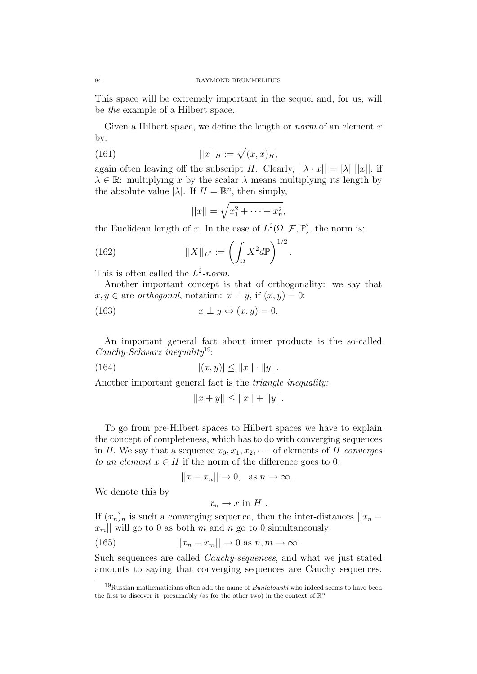This space will be extremely important in the sequel and, for us, will be the example of a Hilbert space.

Given a Hilbert space, we define the length or *norm* of an element  $x$ by:

(161) 
$$
||x||_H := \sqrt{(x,x)_H},
$$

again often leaving off the subscript H. Clearly,  $||\lambda \cdot x|| = |\lambda| ||x||$ , if  $\lambda \in \mathbb{R}$ : multiplying x by the scalar  $\lambda$  means multiplying its length by the absolute value  $|\lambda|$ . If  $H = \mathbb{R}^n$ , then simply,

$$
||x|| = \sqrt{x_1^2 + \dots + x_n^2},
$$

the Euclidean length of x. In the case of  $L^2(\Omega, \mathcal{F}, \mathbb{P})$ , the norm is:

(162) 
$$
||X||_{L^2} := \left(\int_{\Omega} X^2 d\mathbb{P}\right)^{1/2}
$$

This is often called the  $L^2$ -norm.

Another important concept is that of orthogonality: we say that  $x, y \in \text{are orthogonal}, \text{notation: } x \perp y, \text{ if } (x, y) = 0:$ 

.

(163) 
$$
x \perp y \Leftrightarrow (x, y) = 0.
$$

An important general fact about inner products is the so-called  $Cauchy-Schwarz\ inequality$ <sup>19</sup>:

(164) 
$$
|(x,y)| \leq ||x|| \cdot ||y||.
$$

Another important general fact is the triangle inequality:

$$
||x + y|| \le ||x|| + ||y||.
$$

To go from pre-Hilbert spaces to Hilbert spaces we have to explain the concept of completeness, which has to do with converging sequences in H. We say that a sequence  $x_0, x_1, x_2, \cdots$  of elements of H converges to an element  $x \in H$  if the norm of the difference goes to 0:

$$
||x - x_n|| \to 0, \text{ as } n \to \infty .
$$

We denote this by

 $x_n \to x$  in H.

If  $(x_n)_n$  is such a converging sequence, then the inter-distances  $||x_n$  $x_m$ || will go to 0 as both m and n go to 0 simultaneously:

(165) 
$$
||x_n - x_m|| \to 0 \text{ as } n, m \to \infty.
$$

Such sequences are called Cauchy-sequences, and what we just stated amounts to saying that converging sequences are Cauchy sequences.

 $19$ Russian mathematicians often add the name of *Buniatowski* who indeed seems to have been the first to discover it, presumably (as for the other two) in the context of  $\mathbb{R}^n$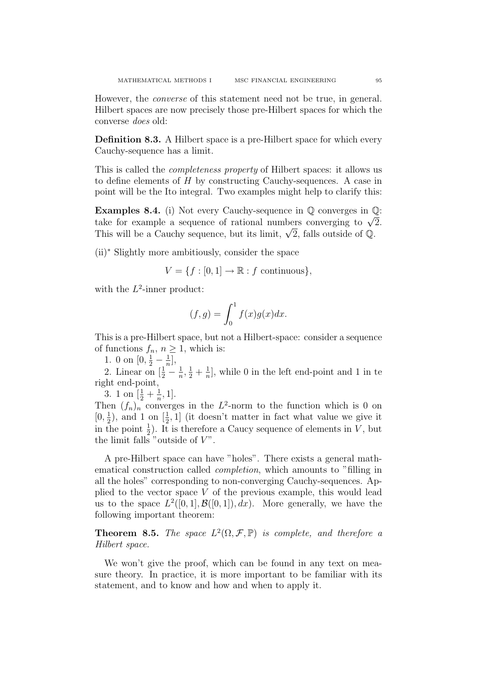However, the converse of this statement need not be true, in general. Hilbert spaces are now precisely those pre-Hilbert spaces for which the converse does old:

Definition 8.3. A Hilbert space is a pre-Hilbert space for which every Cauchy-sequence has a limit.

This is called the completeness property of Hilbert spaces: it allows us to define elements of  $H$  by constructing Cauchy-sequences. A case in point will be the Ito integral. Two examples might help to clarify this:

**Examples 8.4.** (i) Not every Cauchy-sequence in  $\mathbb{Q}$  converges in  $\mathbb{Q}$ : **Examples 8.4.** (i) Not every Cauchy-sequence in  $\psi$  converges in  $\psi$ :<br>take for example a sequence of rational numbers converging to  $\sqrt{2}$ . take for example a sequence of rational numbers converging to  $\sqrt{\ }$ .<br>This will be a Cauchy sequence, but its limit,  $\sqrt{2}$ , falls outside of Q.

(ii)<sup>∗</sup> Slightly more ambitiously, consider the space

$$
V = \{f : [0, 1] \to \mathbb{R} : f \text{ continuous}\},\
$$

with the  $L^2$ -inner product:

$$
(f,g) = \int_0^1 f(x)g(x)dx.
$$

This is a pre-Hilbert space, but not a Hilbert-space: consider a sequence of functions  $f_n$ ,  $n \geq 1$ , which is:

1. 0 on  $[0, \frac{1}{2} - \frac{1}{n}]$  $\frac{1}{n}$ ,

2. Linear on  $\left[\frac{1}{2} - \frac{1}{n}\right]$  $\frac{1}{n}, \frac{1}{2} + \frac{1}{n}$  $\frac{1}{n}$ , while 0 in the left end-point and 1 in te right end-point,

3. 1 on  $\left[\frac{1}{2} + \frac{1}{n}\right]$  $\frac{1}{n}, 1].$ 

Then  $(f_n)_n$  converges in the L<sup>2</sup>-norm to the function which is 0 on  $[0, \frac{1}{2}]$  $(\frac{1}{2})$ , and 1 on  $(\frac{1}{2}, 1]$  (it doesn't matter in fact what value we give it in the point  $\frac{1}{2}$ ). It is therefore a Caucy sequence of elements in V, but the limit falls "outside of  $V$ ".

A pre-Hilbert space can have "holes". There exists a general mathematical construction called completion, which amounts to "filling in all the holes" corresponding to non-converging Cauchy-sequences. Applied to the vector space  $V$  of the previous example, this would lead us to the space  $L^2([0,1], \mathcal{B}([0,1]), dx)$ . More generally, we have the following important theorem:

**Theorem 8.5.** The space  $L^2(\Omega, \mathcal{F}, \mathbb{P})$  is complete, and therefore a Hilbert space.

We won't give the proof, which can be found in any text on measure theory. In practice, it is more important to be familiar with its statement, and to know and how and when to apply it.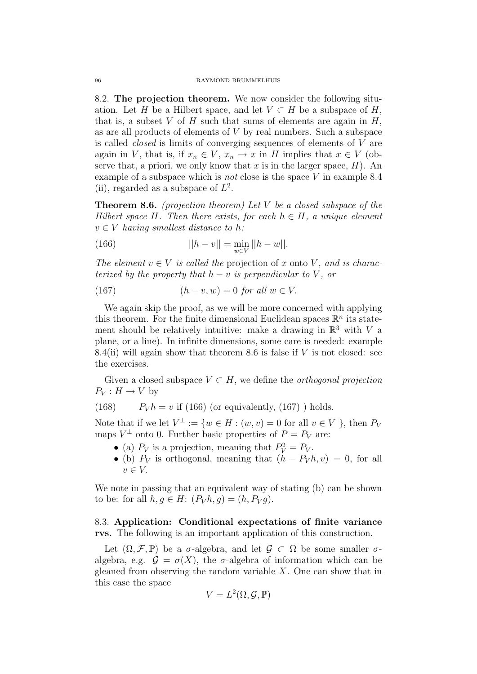8.2. The projection theorem. We now consider the following situation. Let H be a Hilbert space, and let  $V \subset H$  be a subspace of H, that is, a subset V of H such that sums of elements are again in  $H$ . as are all products of elements of V by real numbers. Such a subspace is called closed is limits of converging sequences of elements of V are again in V, that is, if  $x_n \in V$ ,  $x_n \to x$  in H implies that  $x \in V$  (observe that, a priori, we only know that x is in the larger space,  $H$ ). An example of a subspace which is *not* close is the space V in example  $8.4$ (ii), regarded as a subspace of  $L^2$ .

**Theorem 8.6.** (projection theorem) Let V be a closed subspace of the Hilbert space H. Then there exists, for each  $h \in H$ , a unique element  $v \in V$  having smallest distance to h:

(166) 
$$
||h - v|| = \min_{w \in V} ||h - w||.
$$

The element  $v \in V$  is called the projection of x onto V, and is characterized by the property that  $h - v$  is perpendicular to V, or

(167) 
$$
(h-v,w) = 0 \text{ for all } w \in V.
$$

We again skip the proof, as we will be more concerned with applying this theorem. For the finite dimensional Euclidean spaces  $\mathbb{R}^n$  its statement should be relatively intuitive: make a drawing in  $\mathbb{R}^3$  with V a plane, or a line). In infinite dimensions, some care is needed: example 8.4(ii) will again show that theorem 8.6 is false if  $V$  is not closed: see the exercises.

Given a closed subspace  $V \subset H$ , we define the *orthogonal projection*  $P_V: H \to V$  by

(168) 
$$
P_V h = v
$$
 if (166) (or equivalently, (167)) holds.

Note that if we let  $V^{\perp} := \{w \in H : (w, v) = 0 \text{ for all } v \in V \}$ , then  $P_V$ maps  $V^{\perp}$  onto 0. Further basic properties of  $P = P_V$  are:

- (a)  $P_V$  is a projection, meaning that  $P_V^2 = P_V$ .
- (b)  $P_V$  is orthogonal, meaning that  $(h P_V h, v) = 0$ , for all  $v \in V$ .

We note in passing that an equivalent way of stating (b) can be shown to be: for all  $h, q \in H: (P_V h, q) = (h, P_V q)$ .

# 8.3. Application: Conditional expectations of finite variance rvs. The following is an important application of this construction.

Let  $(\Omega, \mathcal{F}, \mathbb{P})$  be a  $\sigma$ -algebra, and let  $\mathcal{G} \subset \Omega$  be some smaller  $\sigma$ algebra, e.g.  $\mathcal{G} = \sigma(X)$ , the  $\sigma$ -algebra of information which can be gleaned from observing the random variable  $X$ . One can show that in this case the space

$$
V = L^2(\Omega, \mathcal{G}, \mathbb{P})
$$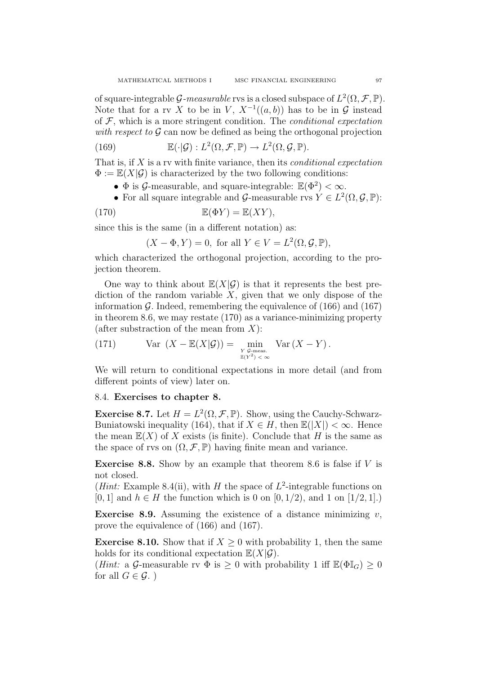of square-integrable G-measurable rvs is a closed subspace of  $L^2(\Omega, \mathcal{F}, \mathbb{P})$ . Note that for a rv X to be in V,  $X^{-1}((a, b))$  has to be in G instead of  $F$ , which is a more stringent condition. The *conditional expectation* with respect to  $\mathcal G$  can now be defined as being the orthogonal projection

(169) 
$$
\mathbb{E}(\cdot|\mathcal{G}): L^2(\Omega, \mathcal{F}, \mathbb{P}) \to L^2(\Omega, \mathcal{G}, \mathbb{P}).
$$

That is, if  $X$  is a rv with finite variance, then its *conditional expectation*  $\Phi := \mathbb{E}(X|\mathcal{G})$  is characterized by the two following conditions:

- $\Phi$  is  $\mathcal{G}$ -measurable, and square-integrable:  $\mathbb{E}(\Phi^2) < \infty$ .
- For all square integrable and G-measurable rvs  $Y \in L^2(\Omega, \mathcal{G}, \mathbb{P})$ :

$$
E(\Phi Y) = E(XY),
$$

since this is the same (in a different notation) as:

 $(X - \Phi, Y) = 0$ , for all  $Y \in V = L^2(\Omega, \mathcal{G}, \mathbb{P})$ ,

which characterized the orthogonal projection, according to the projection theorem.

One way to think about  $\mathbb{E}(X|\mathcal{G})$  is that it represents the best prediction of the random variable  $X$ , given that we only dispose of the information  $\mathcal G$ . Indeed, remembering the equivalence of (166) and (167) in theorem 8.6, we may restate (170) as a variance-minimizing property (after substraction of the mean from  $X$ ):

(171) 
$$
\text{Var}(X - \mathbb{E}(X|\mathcal{G})) = \min_{\substack{Y \text{ G-mens.} \\ \mathbb{E}(Y^2) < \infty}} \text{Var}(X - Y).
$$

We will return to conditional expectations in more detail (and from different points of view) later on.

# 8.4. Exercises to chapter 8.

**Exercise 8.7.** Let  $H = L^2(\Omega, \mathcal{F}, \mathbb{P})$ . Show, using the Cauchy-Schwarz-Buniatowski inequality (164), that if  $X \in H$ , then  $\mathbb{E}(|X|) < \infty$ . Hence the mean  $\mathbb{E}(X)$  of X exists (is finite). Conclude that H is the same as the space of rvs on  $(\Omega, \mathcal{F}, \mathbb{P})$  having finite mean and variance.

**Exercise 8.8.** Show by an example that theorem 8.6 is false if  $V$  is not closed.

(*Hint*: Example 8.4(ii), with *H* the space of  $L^2$ -integrable functions on [0, 1] and  $h \in H$  the function which is 0 on [0, 1/2), and 1 on [1/2, 1].)

**Exercise 8.9.** Assuming the existence of a distance minimizing v, prove the equivalence of (166) and (167).

**Exercise 8.10.** Show that if  $X \geq 0$  with probability 1, then the same holds for its conditional expectation  $\mathbb{E}(X|\mathcal{G})$ .

(Hint: a G-measurable rv  $\Phi$  is  $\geq 0$  with probability 1 iff  $\mathbb{E}(\Phi \mathbb{I}_G) \geq 0$ for all  $G \in \mathcal{G}$ .)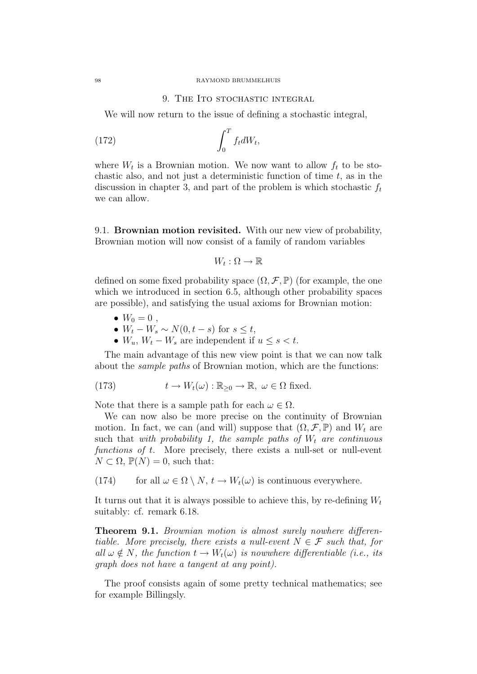#### 98 RAYMOND BRUMMELHUIS

### 9. THE ITO STOCHASTIC INTEGRAL

We will now return to the issue of defining a stochastic integral,

$$
\int_0^T f_t dW_t,
$$

where  $W_t$  is a Brownian motion. We now want to allow  $f_t$  to be stochastic also, and not just a deterministic function of time  $t$ , as in the discussion in chapter 3, and part of the problem is which stochastic  $f_t$ we can allow.

9.1. Brownian motion revisited. With our new view of probability, Brownian motion will now consist of a family of random variables

$$
W_t: \Omega \to \mathbb{R}
$$

defined on some fixed probability space  $(\Omega, \mathcal{F}, \mathbb{P})$  (for example, the one which we introduced in section 6.5, although other probability spaces are possible), and satisfying the usual axioms for Brownian motion:

- $W_0 = 0$ ,
- $W_t W_s \sim N(0, t s)$  for  $s \leq t$ ,
- $W_u$ ,  $W_t W_s$  are independent if  $u \leq s < t$ .

The main advantage of this new view point is that we can now talk about the sample paths of Brownian motion, which are the functions:

(173) 
$$
t \to W_t(\omega) : \mathbb{R}_{\geq 0} \to \mathbb{R}, \ \omega \in \Omega
$$
 fixed.

Note that there is a sample path for each  $\omega \in \Omega$ .

We can now also be more precise on the continuity of Brownian motion. In fact, we can (and will) suppose that  $(\Omega, \mathcal{F}, \mathbb{P})$  and  $W_t$  are such that with probability 1, the sample paths of  $W_t$  are continuous functions of t. More precisely, there exists a null-set or null-event  $N \subset \Omega$ ,  $\mathbb{P}(N) = 0$ , such that:

(174) for all  $\omega \in \Omega \setminus N$ ,  $t \to W_t(\omega)$  is continuous everywhere.

It turns out that it is always possible to achieve this, by re-defining  $W_t$ suitably: cf. remark 6.18.

Theorem 9.1. Brownian motion is almost surely nowhere differentiable. More precisely, there exists a null-event  $N \in \mathcal{F}$  such that, for all  $\omega \notin N$ , the function  $t \to W_t(\omega)$  is nowwhere differentiable (i.e., its graph does not have a tangent at any point).

The proof consists again of some pretty technical mathematics; see for example Billingsly.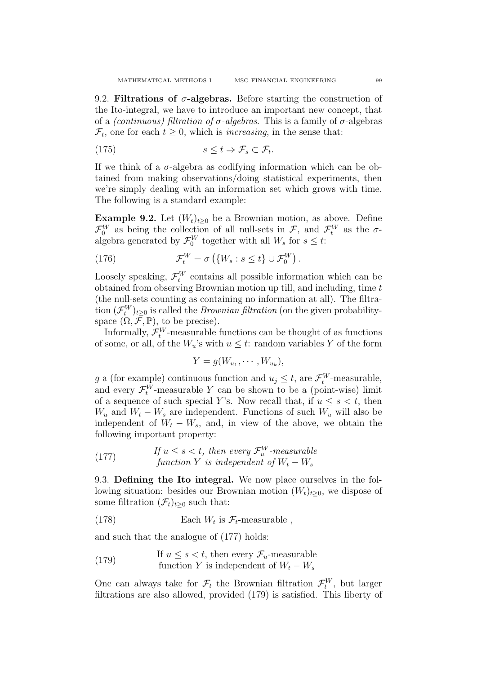9.2. Filtrations of  $\sigma$ -algebras. Before starting the construction of the Ito-integral, we have to introduce an important new concept, that of a *(continuous) filtration of*  $\sigma$ *-algebras*. This is a family of  $\sigma$ -algebras  $\mathcal{F}_t$ , one for each  $t \geq 0$ , which is *increasing*, in the sense that:

$$
(175) \t\t s \le t \Rightarrow \mathcal{F}_s \subset \mathcal{F}_t.
$$

If we think of a  $\sigma$ -algebra as codifying information which can be obtained from making observations/doing statistical experiments, then we're simply dealing with an information set which grows with time. The following is a standard example:

Example 9.2. Let  $(W_t)_{t>0}$  be a Brownian motion, as above. Define  $\mathcal{F}_0^W$  as being the collection of all null-sets in  $\mathcal{F}$ , and  $\mathcal{F}_t^W$  as the  $\sigma$ algebra generated by  $\mathcal{F}_0^W$  together with all  $W_s$  for  $s \leq t$ :

(176) 
$$
\mathcal{F}_t^W = \sigma\left(\{W_s : s \le t\} \cup \mathcal{F}_0^W\right).
$$

Loosely speaking,  $\mathcal{F}_t^W$  contains all possible information which can be obtained from observing Brownian motion up till, and including, time  $t$ (the null-sets counting as containing no information at all). The filtration  $(\mathcal{F}_t^W)_{t\geq 0}$  is called the *Brownian filtration* (on the given probabilityspace  $(\Omega, \overline{\mathcal{F}}, \mathbb{P})$ , to be precise).

Informally,  $\mathcal{F}_t^W$ -measurable functions can be thought of as functions of some, or all, of the  $W_u$ 's with  $u \leq t$ : random variables Y of the form

$$
Y = g(W_{u_1}, \cdots, W_{u_k}),
$$

g a (for example) continuous function and  $u_j \leq t$ , are  $\mathcal{F}_t^W$ -measurable, and every  $\mathcal{F}_t^W$ -measurable Y can be shown to be a (point-wise) limit of a sequence of such special Y's. Now recall that, if  $u \leq s \leq t$ , then  $W_u$  and  $W_t - W_s$  are independent. Functions of such  $W_u$  will also be independent of  $W_t - W_s$ , and, in view of the above, we obtain the following important property:

(177) If 
$$
u \le s < t
$$
, then every  $\mathcal{F}_u^W$ -measurable  
function Y is independent of  $W_t - W_s$ 

9.3. Defining the Ito integral. We now place ourselves in the following situation: besides our Brownian motion  $(W_t)_{t\geq0}$ , we dispose of some filtration  $(\mathcal{F}_t)_{t\geq 0}$  such that:

(178) Each 
$$
W_t
$$
 is  $\mathcal{F}_t$ -measurable,

and such that the analogue of (177) holds:

(179) If  $u \leq s < t$ , then every  $\mathcal{F}_u$ -measurable function Y is independent of  $W_t - W_s$ 

One can always take for  $\mathcal{F}_t$  the Brownian filtration  $\mathcal{F}_t^W$ , but larger filtrations are also allowed, provided (179) is satisfied. This liberty of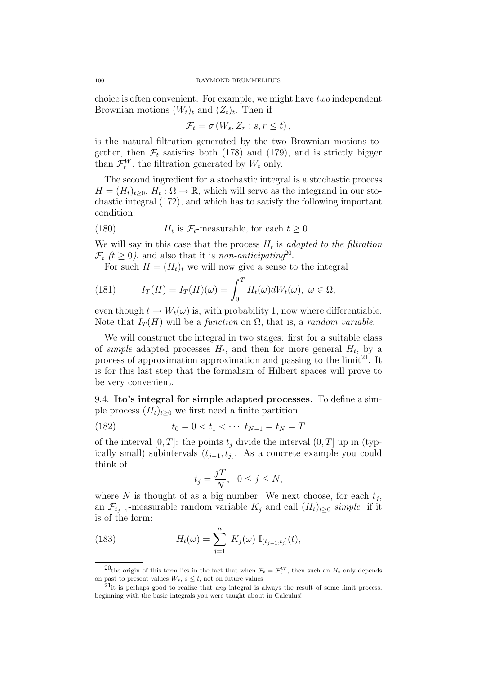choice is often convenient. For example, we might have two independent Brownian motions  $(W_t)_t$  and  $(Z_t)_t$ . Then if

$$
\mathcal{F}_t = \sigma(W_s, Z_r : s, r \le t),
$$

is the natural filtration generated by the two Brownian motions together, then  $\mathcal{F}_t$  satisfies both (178) and (179), and is strictly bigger than  $\mathcal{F}_t^W$ , the filtration generated by  $W_t$  only.

The second ingredient for a stochastic integral is a stochastic process  $H = (H_t)_{t \geq 0}, H_t : \Omega \to \mathbb{R}$ , which will serve as the integrand in our stochastic integral (172), and which has to satisfy the following important condition:

(180) 
$$
H_t \text{ is } \mathcal{F}_t \text{-measurable, for each } t \geq 0.
$$

We will say in this case that the process  $H_t$  is adapted to the filtration  $\mathcal{F}_t$  (t  $\geq$  0), and also that it is non-anticipating<sup>20</sup>.

For such  $H = (H_t)_t$  we will now give a sense to the integral

(181) 
$$
I_T(H) = I_T(H)(\omega) = \int_0^T H_t(\omega)dW_t(\omega), \ \omega \in \Omega,
$$

even though  $t \to W_t(\omega)$  is, with probability 1, now where differentiable. Note that  $I_T(H)$  will be a function on  $\Omega$ , that is, a random variable.

We will construct the integral in two stages: first for a suitable class of simple adapted processes  $H_t$ , and then for more general  $H_t$ , by a process of approximation approximation and passing to the  $\text{limit}^{21}$ . It is for this last step that the formalism of Hilbert spaces will prove to be very convenient.

9.4. Ito's integral for simple adapted processes. To define a simple process  $(H_t)_{t>0}$  we first need a finite partition

(182) 
$$
t_0 = 0 < t_1 < \cdots \quad t_{N-1} = t_N = T
$$

of the interval  $[0, T]$ : the points  $t_i$  divide the interval  $(0, T]$  up in (typically small) subintervals  $(t_{j-1}, t_j]$ . As a concrete example you could think of

$$
t_j = \frac{jT}{N}, \ \ 0 \le j \le N,
$$

where N is thought of as a big number. We next choose, for each  $t_j$ , an  $\mathcal{F}_{t_{j-1}}$ -measurable random variable  $K_j$  and call  $(H_t)_{t\geq 0}$  simple if it is of the form:

(183) 
$$
H_t(\omega) = \sum_{j=1}^n K_j(\omega) \mathbb{I}_{(t_{j-1}, t_j]}(t),
$$

<sup>&</sup>lt;sup>20</sup>the origin of this term lies in the fact that when  $\mathcal{F}_t = \mathcal{F}_t^W$ , then such an  $H_t$  only depends on past to present values  $W_s$ ,  $s \leq t$ , not on future values

 $21$ it is perhaps good to realize that *any* integral is always the result of some limit process, beginning with the basic integrals you were taught about in Calculus!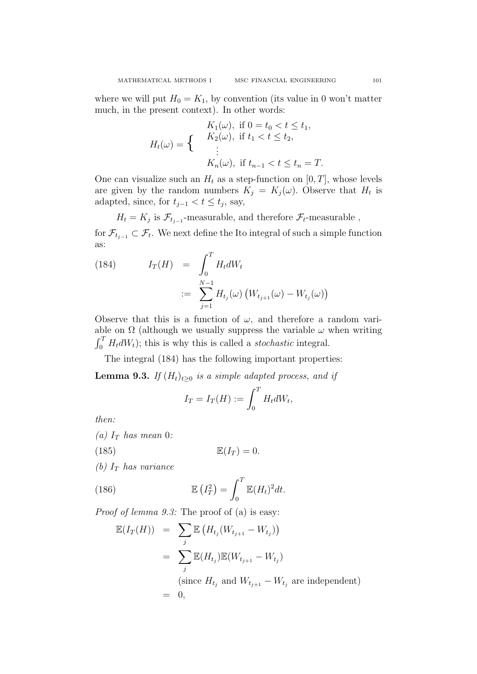where we will put  $H_0 = K_1$ , by convention (its value in 0 won't matter much, in the present context). In other words:

$$
H_t(\omega) = \begin{cases} & K_1(\omega), \text{ if } 0 = t_0 < t \le t_1, \\ & K_2(\omega), \text{ if } t_1 < t \le t_2, \\ & \vdots \\ & K_n(\omega), \text{ if } t_{n-1} < t \le t_n = T. \end{cases}
$$

One can visualize such an  $H_t$  as a step-function on  $[0, T]$ , whose levels are given by the random numbers  $K_j = K_j(\omega)$ . Observe that  $H_t$  is adapted, since, for  $t_{j-1} < t \leq t_j$ , say,

 $H_t = K_j$  is  $\mathcal{F}_{t_{j-1}}$ -measurable, and therefore  $\mathcal{F}_t$ -measurable, for  $\mathcal{F}_{t_{j-1}} \subset \mathcal{F}_t$ . We next define the Ito integral of such a simple function as:

(184) 
$$
I_T(H) = \int_0^T H_t dW_t := \sum_{j=1}^{N-1} H_{t_j}(\omega) (W_{t_{j+1}}(\omega) - W_{t_j}(\omega))
$$

Observe that this is a function of  $\omega$ , and therefore a random variable on  $\Omega$  (although we usually suppress the variable  $\omega$  when writing  $\int_0^T H_t dW_t$ ; this is why this is called a *stochastic* integral.

The integral (184) has the following important properties:

**Lemma 9.3.** If  $(H_t)_{t\geq 0}$  is a simple adapted process, and if

$$
I_T = I_T(H) := \int_0^T H_t dW_t,
$$

then:

(a)  $I_T$  has mean 0:

$$
(185) \t\t\t\t\mathbb{E}(I_T) = 0.
$$

(b)  $I_T$  has variance

(186) 
$$
\mathbb{E}\left(I_T^2\right) = \int_0^T \mathbb{E}(H_t)^2 dt.
$$

Proof of lemma 9.3: The proof of (a) is easy:

$$
\mathbb{E}(I_T(H)) = \sum_j \mathbb{E}\left(H_{t_j}(W_{t_{j+1}} - W_{t_j})\right)
$$
  
= 
$$
\sum_j \mathbb{E}(H_{t_j})\mathbb{E}(W_{t_{j+1}} - W_{t_j})
$$
  
(since  $H_{t_j}$  and  $W_{t_{j+1}} - W_{t_j}$  are independent)  
= 0,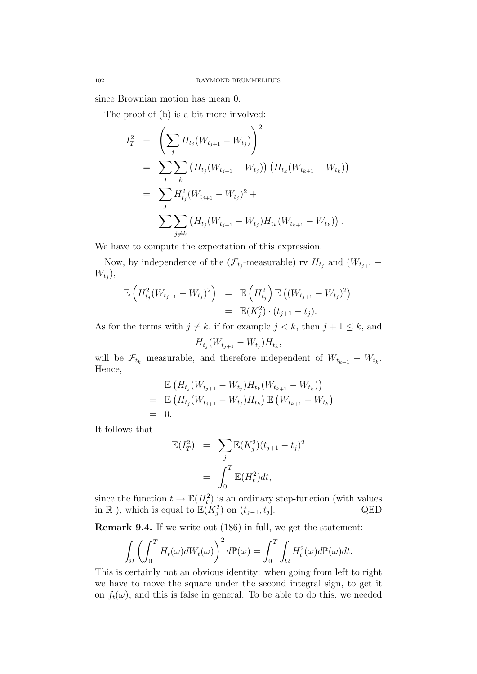since Brownian motion has mean 0.

The proof of (b) is a bit more involved:

$$
I_T^2 = \left(\sum_j H_{t_j}(W_{t_{j+1}} - W_{t_j})\right)^2
$$
  
\n
$$
= \sum_j \sum_k \left(H_{t_j}(W_{t_{j+1}} - W_{t_j})\right) \left(H_{t_k}(W_{t_{k+1}} - W_{t_k})\right)
$$
  
\n
$$
= \sum_j H_{t_j}^2 (W_{t_{j+1}} - W_{t_j})^2 +
$$
  
\n
$$
\sum_j \sum_{j \neq k} \left(H_{t_j}(W_{t_{j+1}} - W_{t_j}) H_{t_k}(W_{t_{k+1}} - W_{t_k})\right).
$$

We have to compute the expectation of this expression.

Now, by independence of the  $(\mathcal{F}_{t_j}$ -measurable) rv  $H_{t_j}$  and  $(W_{t_{j+1}} W_{t_j}$ ),

$$
\mathbb{E}\left(H_{t_j}^2(W_{t_{j+1}}-W_{t_j})^2\right) = \mathbb{E}\left(H_{t_j}^2\right)\mathbb{E}\left((W_{t_{j+1}}-W_{t_j})^2\right) \n= \mathbb{E}(K_j^2)\cdot(t_{j+1}-t_j).
$$

As for the terms with  $j \neq k$ , if for example  $j < k$ , then  $j + 1 \leq k$ , and

$$
H_{t_j}(W_{t_{j+1}}-W_{t_j})H_{t_k},
$$

will be  $\mathcal{F}_{t_k}$  measurable, and therefore independent of  $W_{t_{k+1}} - W_{t_k}$ . Hence,

$$
\mathbb{E}\left(H_{t_j}(W_{t_{j+1}}-W_{t_j})H_{t_k}(W_{t_{k+1}}-W_{t_k})\right) \n= \mathbb{E}\left(H_{t_j}(W_{t_{j+1}}-W_{t_j})H_{t_k}\right)\mathbb{E}\left(W_{t_{k+1}}-W_{t_k}\right) \n= 0.
$$

It follows that

$$
\mathbb{E}(I_T^2) = \sum_j \mathbb{E}(K_j^2)(t_{j+1} - t_j)^2
$$

$$
= \int_0^T \mathbb{E}(H_t^2)dt,
$$

since the function  $t \to \mathbb{E}(H_t^2)$  is an ordinary step-function (with values in  $\mathbb{R}$ ), which is equal to  $\mathbb{E}(K_j^2)$  on  $(t_{j-1}, t_j]$ . QED

Remark 9.4. If we write out (186) in full, we get the statement:

$$
\int_{\Omega} \left( \int_0^T H_t(\omega) dW_t(\omega) \right)^2 d\mathbb{P}(\omega) = \int_0^T \int_{\Omega} H_t^2(\omega) d\mathbb{P}(\omega) dt.
$$

This is certainly not an obvious identity: when going from left to right we have to move the square under the second integral sign, to get it on  $f_t(\omega)$ , and this is false in general. To be able to do this, we needed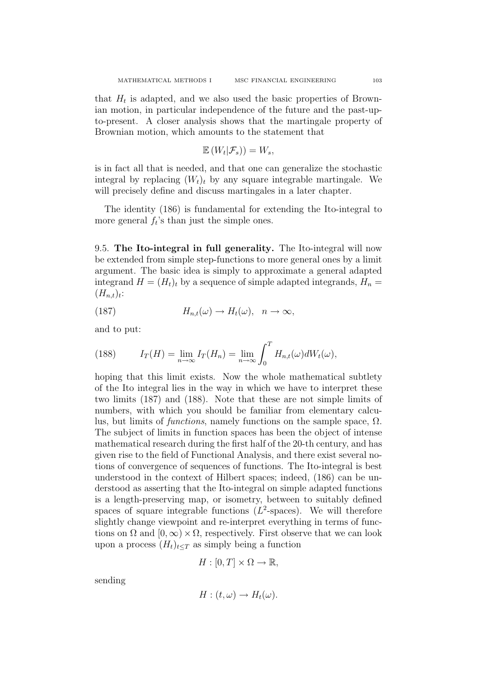that  $H_t$  is adapted, and we also used the basic properties of Brownian motion, in particular independence of the future and the past-upto-present. A closer analysis shows that the martingale property of Brownian motion, which amounts to the statement that

$$
\mathbb{E}\left(W_t|\mathcal{F}_s\right))=W_s,
$$

is in fact all that is needed, and that one can generalize the stochastic integral by replacing  $(W_t)_t$  by any square integrable martingale. We will precisely define and discuss martingales in a later chapter.

The identity (186) is fundamental for extending the Ito-integral to more general  $f_t$ 's than just the simple ones.

9.5. The Ito-integral in full generality. The Ito-integral will now be extended from simple step-functions to more general ones by a limit argument. The basic idea is simply to approximate a general adapted integrand  $H = (H_t)_t$  by a sequence of simple adapted integrands,  $H_n =$  $(H_{n,t})_t$ :

(187) 
$$
H_{n,t}(\omega) \to H_t(\omega), \quad n \to \infty,
$$

and to put:

(188) 
$$
I_T(H) = \lim_{n \to \infty} I_T(H_n) = \lim_{n \to \infty} \int_0^T H_{n,t}(\omega) dW_t(\omega),
$$

hoping that this limit exists. Now the whole mathematical subtlety of the Ito integral lies in the way in which we have to interpret these two limits (187) and (188). Note that these are not simple limits of numbers, with which you should be familiar from elementary calculus, but limits of *functions*, namely functions on the sample space,  $\Omega$ . The subject of limits in function spaces has been the object of intense mathematical research during the first half of the 20-th century, and has given rise to the field of Functional Analysis, and there exist several notions of convergence of sequences of functions. The Ito-integral is best understood in the context of Hilbert spaces; indeed, (186) can be understood as asserting that the Ito-integral on simple adapted functions is a length-preserving map, or isometry, between to suitably defined spaces of square integrable functions  $(L^2$ -spaces). We will therefore slightly change viewpoint and re-interpret everything in terms of functions on  $\Omega$  and  $[0,\infty)\times\Omega$ , respectively. First observe that we can look upon a process  $(H_t)_{t \leq T}$  as simply being a function

$$
H: [0, T] \times \Omega \to \mathbb{R},
$$

sending

$$
H:(t,\omega)\to H_t(\omega).
$$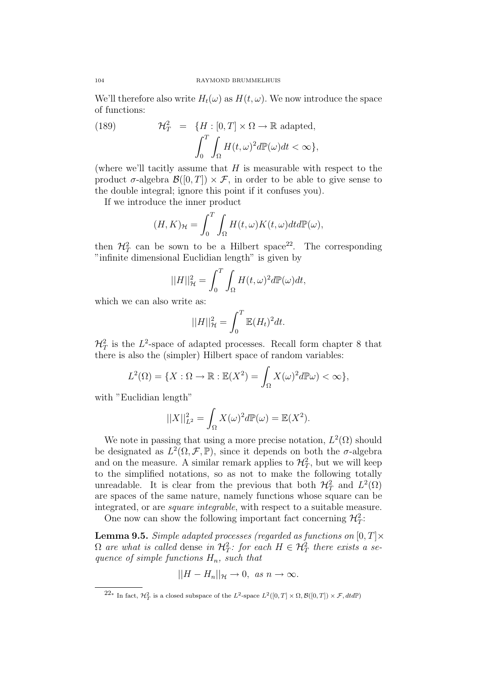We'll therefore also write  $H_t(\omega)$  as  $H(t, \omega)$ . We now introduce the space of functions:

(189) 
$$
\mathcal{H}_T^2 = \{H : [0, T] \times \Omega \to \mathbb{R} \text{ adapted},
$$

$$
\int_0^T \int_{\Omega} H(t, \omega)^2 d\mathbb{P}(\omega) dt < \infty \},
$$

(where we'll tacitly assume that  $H$  is measurable with respect to the product  $\sigma$ -algebra  $\mathcal{B}([0,T]) \times \mathcal{F}$ , in order to be able to give sense to the double integral; ignore this point if it confuses you).

If we introduce the inner product

$$
(H, K)_{\mathcal{H}} = \int_0^T \int_{\Omega} H(t, \omega) K(t, \omega) dt d\mathbb{P}(\omega),
$$

then  $\mathcal{H}_T^2$  can be sown to be a Hilbert space<sup>22</sup>. The corresponding "infinite dimensional Euclidian length" is given by

$$
||H||_{\mathcal{H}}^{2} = \int_{0}^{T} \int_{\Omega} H(t,\omega)^{2} d\mathbb{P}(\omega) dt,
$$

which we can also write as:

$$
||H||_{\mathcal{H}}^2 = \int_0^T \mathbb{E}(H_t)^2 dt.
$$

 $\mathcal{H}_T^2$  is the  $L^2$ -space of adapted processes. Recall form chapter 8 that there is also the (simpler) Hilbert space of random variables:

$$
L^{2}(\Omega) = \{ X : \Omega \to \mathbb{R} : \mathbb{E}(X^{2}) = \int_{\Omega} X(\omega)^{2} d\mathbb{P}\omega \} < \infty \},
$$

with "Euclidian length"

$$
||X||_{L^2}^2 = \int_{\Omega} X(\omega)^2 d\mathbb{P}(\omega) = \mathbb{E}(X^2).
$$

We note in passing that using a more precise notation,  $L^2(\Omega)$  should be designated as  $L^2(\Omega, \mathcal{F}, \mathbb{P})$ , since it depends on both the  $\sigma$ -algebra and on the measure. A similar remark applies to  $\mathcal{H}_T^2$ , but we will keep to the simplified notations, so as not to make the following totally unreadable. It is clear from the previous that both  $\mathcal{H}_T^2$  and  $L^2(\Omega)$ are spaces of the same nature, namely functions whose square can be integrated, or are square integrable, with respect to a suitable measure.

One now can show the following important fact concerning  $\mathcal{H}_{T}^2$ :

**Lemma 9.5.** Simple adapted processes (regarded as functions on  $[0, T] \times$  $\Omega$  are what is called dense in  $\mathcal{H}_T^2$ : for each  $H \in \mathcal{H}_T^2$  there exists a sequence of simple functions  $H_n$ , such that

$$
||H - H_n||_{\mathcal{H}} \to 0, \text{ as } n \to \infty.
$$

 $22*$  In fact,  $\mathcal{H}_T^2$  is a closed subspace of the  $L^2$ -space  $L^2([0,T] \times \Omega, \mathcal{B}([0,T]) \times \mathcal{F}, dt dP)$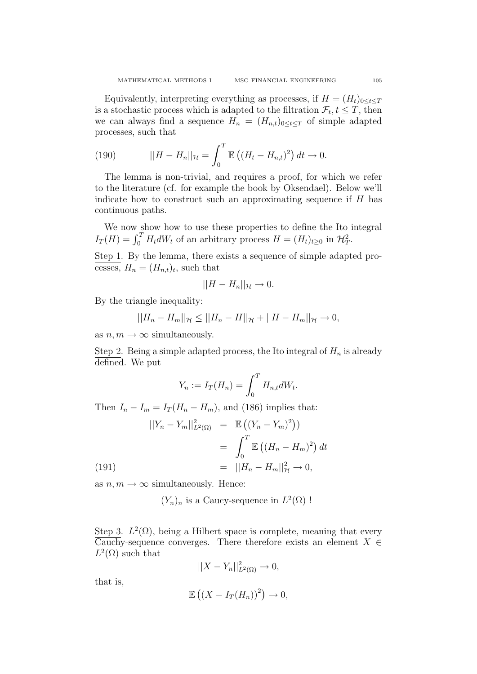Equivalently, interpreting everything as processes, if  $H = (H_t)_{0 \leq t \leq T}$ is a stochastic process which is adapted to the filtration  $\mathcal{F}_t, t \leq T$ , then we can always find a sequence  $H_n = (H_{n,t})_{0 \leq t \leq T}$  of simple adapted processes, such that

(190) 
$$
||H - H_n||_{\mathcal{H}} = \int_0^T \mathbb{E} \left( (H_t - H_{n,t})^2 \right) dt \to 0.
$$

The lemma is non-trivial, and requires a proof, for which we refer to the literature (cf. for example the book by Oksendael). Below we'll indicate how to construct such an approximating sequence if  $H$  has continuous paths.

We now show how to use these properties to define the Ito integral  $I_T(H) = \int_0^T H_t dW_t$  of an arbitrary process  $H = (H_t)_{t \geq 0}$  in  $\mathcal{H}_T^2$ .

Step 1. By the lemma, there exists a sequence of simple adapted processes,  $H_n = (H_{n,t})_t$ , such that

$$
||H - H_n||_{\mathcal{H}} \to 0.
$$

By the triangle inequality:

$$
||H_n - H_m||_{\mathcal{H}} \le ||H_n - H||_{\mathcal{H}} + ||H - H_m||_{\mathcal{H}} \to 0,
$$

as  $n, m \to \infty$  simultaneously.

Step 2. Being a simple adapted process, the Ito integral of  $H_n$  is already defined. We put

$$
Y_n := I_T(H_n) = \int_0^T H_{n,t} dW_t.
$$

Then  $I_n - I_m = I_T (H_n - H_m)$ , and (186) implies that:

(191)  
\n
$$
||Y_n - Y_m||_{L^2(\Omega)}^2 = \mathbb{E} ((Y_n - Y_m)^2))
$$
\n
$$
= \int_0^T \mathbb{E} ((H_n - H_m)^2) dt
$$
\n
$$
= ||H_n - H_m||_H^2 \to 0,
$$

as  $n, m \to \infty$  simultaneously. Hence:

 $(Y_n)_n$  is a Caucy-sequence in  $L^2(\Omega)$ !

Step 3.  $L^2(\Omega)$ , being a Hilbert space is complete, meaning that every  $\overline{\text{Cauchy-sequence}}$  converges. There therefore exists an element  $X \in$  $L^2(\Omega)$  such that

$$
||X - Y_n||_{L^2(\Omega)}^2 \to 0,
$$

that is,

$$
\mathbb{E}\left(\left(X-I_T(H_n)\right)^2\right)\to 0,
$$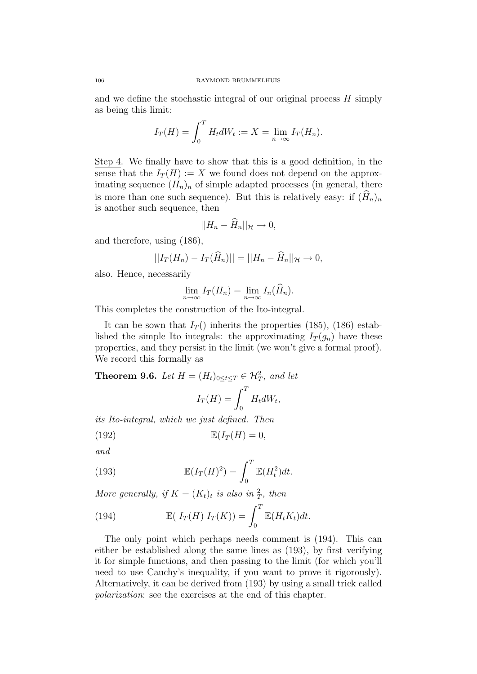and we define the stochastic integral of our original process  $H$  simply as being this limit:

$$
I_T(H) = \int_0^T H_t dW_t := X = \lim_{n \to \infty} I_T(H_n).
$$

Step 4. We finally have to show that this is a good definition, in the sense that the  $I_T(H) := X$  we found does not depend on the approximating sequence  $(H_n)_n$  of simple adapted processes (in general, there is more than one such sequence). But this is relatively easy: if  $(H_n)_n$ is another such sequence, then

$$
||H_n - \widehat{H}_n||_{\mathcal{H}} \to 0,
$$

and therefore, using (186),

$$
||I_T(H_n) - I_T(\widehat{H}_n)|| = ||H_n - \widehat{H}_n||_{\mathcal{H}} \to 0,
$$

also. Hence, necessarily

$$
\lim_{n\to\infty} I_T(H_n) = \lim_{n\to\infty} I_n(\widehat{H}_n).
$$

This completes the construction of the Ito-integral.

It can be sown that  $I_T()$  inherits the properties (185), (186) established the simple Ito integrals: the approximating  $I_T(g_n)$  have these properties, and they persist in the limit (we won't give a formal proof). We record this formally as

**Theorem 9.6.** Let  $H = (H_t)_{0 \le t \le T} \in \mathcal{H}_T^2$ , and let

$$
I_T(H) = \int_0^T H_t dW_t,
$$

its Ito-integral, which we just defined. Then

$$
E(I_T(H) = 0,
$$

and

(193) 
$$
\mathbb{E}(I_T(H)^2) = \int_0^T \mathbb{E}(H_t^2)dt.
$$

More generally, if  $K = (K_t)_t$  is also in  $\frac{2}{T}$ , then

(194) 
$$
\mathbb{E}(\ I_T(H) \ I_T(K)) = \int_0^T \mathbb{E}(H_t K_t) dt.
$$

The only point which perhaps needs comment is (194). This can either be established along the same lines as (193), by first verifying it for simple functions, and then passing to the limit (for which you'll need to use Cauchy's inequality, if you want to prove it rigorously). Alternatively, it can be derived from (193) by using a small trick called polarization: see the exercises at the end of this chapter.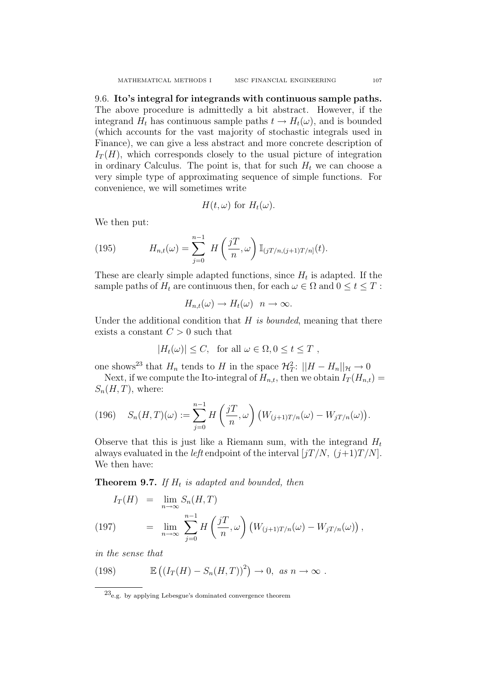9.6. Ito's integral for integrands with continuous sample paths. The above procedure is admittedly a bit abstract. However, if the integrand  $H_t$  has continuous sample paths  $t \to H_t(\omega)$ , and is bounded (which accounts for the vast majority of stochastic integrals used in Finance), we can give a less abstract and more concrete description of  $I_T(H)$ , which corresponds closely to the usual picture of integration in ordinary Calculus. The point is, that for such  $H_t$  we can choose a very simple type of approximating sequence of simple functions. For convenience, we will sometimes write

$$
H(t,\omega) \text{ for } H_t(\omega).
$$

We then put:

(195) 
$$
H_{n,t}(\omega) = \sum_{j=0}^{n-1} H\left(\frac{jT}{n}, \omega\right) \mathbb{I}_{(jT/n, (j+1)T/n]}(t).
$$

These are clearly simple adapted functions, since  $H_t$  is adapted. If the sample paths of  $H_t$  are continuous then, for each  $\omega \in \Omega$  and  $0 \le t \le T$ :

$$
H_{n,t}(\omega) \to H_t(\omega) \quad n \to \infty.
$$

Under the additional condition that  $H$  is bounded, meaning that there exists a constant  $C > 0$  such that

$$
|H_t(\omega)| \le C, \text{ for all } \omega \in \Omega, 0 \le t \le T ,
$$

one shows<sup>23</sup> that  $H_n$  tends to H in the space  $\mathcal{H}_T^2$ :  $||H - H_n||_{\mathcal{H}} \to 0$ Next, if we compute the Ito-integral of  $H_{n,t}$ , then we obtain  $I_T(H_{n,t}) =$  $S_n(H,T)$ , where:

(196) 
$$
S_n(H,T)(\omega) := \sum_{j=0}^{n-1} H\left(\frac{jT}{n}, \omega\right) \left(W_{(j+1)T/n}(\omega) - W_{jT/n}(\omega)\right).
$$

Observe that this is just like a Riemann sum, with the integrand  $H_t$ always evaluated in the *left* endpoint of the interval  $[jT/N, (j+1)T/N]$ . We then have:

**Theorem 9.7.** If  $H_t$  is adapted and bounded, then

$$
I_T(H) = \lim_{n \to \infty} S_n(H, T)
$$
  
(197) = 
$$
\lim_{n \to \infty} \sum_{j=0}^{n-1} H\left(\frac{jT}{n}, \omega\right) \left(W_{(j+1)T/n}(\omega) - W_{jT/n}(\omega)\right),
$$

in the sense that

(198) 
$$
\mathbb{E}\left(\left(I_T(H)-S_n(H,T)\right)^2\right)\to 0, \text{ as } n\to\infty.
$$

<sup>23</sup>e.g. by applying Lebesgue's dominated convergence theorem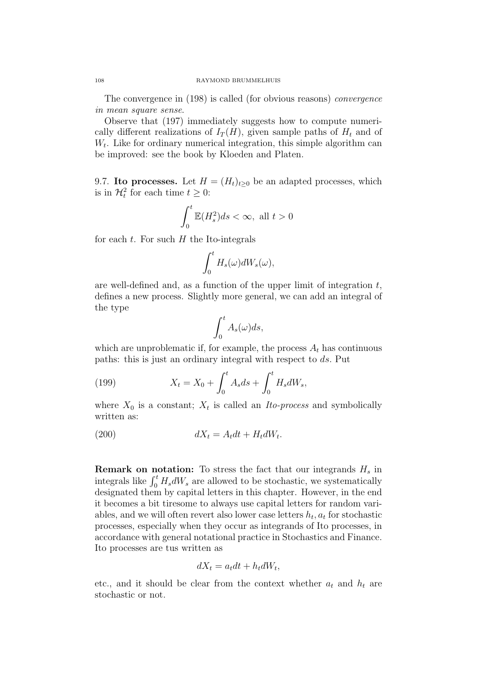The convergence in (198) is called (for obvious reasons) convergence in mean square sense.

Observe that (197) immediately suggests how to compute numerically different realizations of  $I_T(H)$ , given sample paths of  $H_t$  and of  $W_t$ . Like for ordinary numerical integration, this simple algorithm can be improved: see the book by Kloeden and Platen.

9.7. Ito processes. Let  $H = (H_t)_{t\geq 0}$  be an adapted processes, which is in  $\mathcal{H}_t^2$  for each time  $t \geq 0$ :

$$
\int_0^t \mathbb{E}(H_s^2)ds < \infty, \text{ all } t > 0
$$

for each  $t$ . For such  $H$  the Ito-integrals

$$
\int_0^t H_s(\omega)dW_s(\omega),
$$

are well-defined and, as a function of the upper limit of integration  $t$ , defines a new process. Slightly more general, we can add an integral of the type

$$
\int_0^t A_s(\omega)ds,
$$

which are unproblematic if, for example, the process  $A_t$  has continuous paths: this is just an ordinary integral with respect to ds. Put

(199) 
$$
X_t = X_0 + \int_0^t A_s ds + \int_0^t H_s dW_s,
$$

where  $X_0$  is a constant;  $X_t$  is called an *Ito-process* and symbolically written as:

$$
(200) \t\t dX_t = A_t dt + H_t dW_t.
$$

**Remark on notation:** To stress the fact that our integrands  $H_s$  in integrals like  $\int_0^t H_s dW_s$  are allowed to be stochastic, we systematically designated them by capital letters in this chapter. However, in the end it becomes a bit tiresome to always use capital letters for random variables, and we will often revert also lower case letters  $h_t$ ,  $a_t$  for stochastic processes, especially when they occur as integrands of Ito processes, in accordance with general notational practice in Stochastics and Finance. Ito processes are tus written as

$$
dX_t = a_t dt + h_t dW_t,
$$

etc., and it should be clear from the context whether  $a_t$  and  $h_t$  are stochastic or not.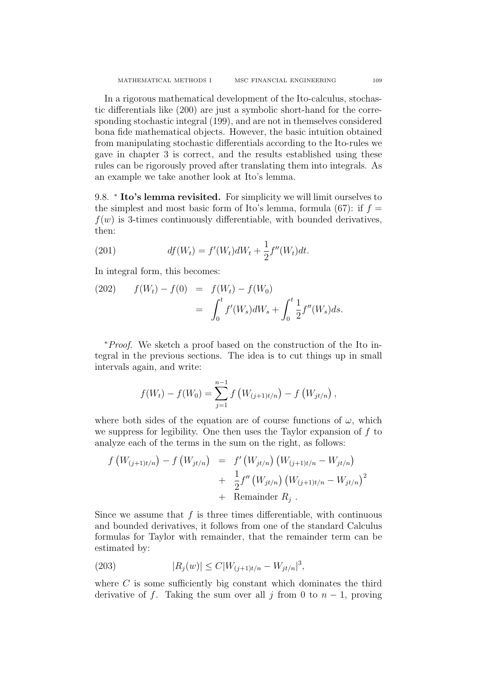In a rigorous mathematical development of the Ito-calculus, stochastic differentials like (200) are just a symbolic short-hand for the corresponding stochastic integral (199), and are not in themselves considered bona fide mathematical objects. However, the basic intuition obtained from manipulating stochastic differentials according to the Ito-rules we gave in chapter 3 is correct, and the results established using these rules can be rigorously proved after translating them into integrals. As an example we take another look at Ito's lemma.

9.8. \* Ito's lemma revisited. For simplicity we will limit ourselves to the simplest and most basic form of Ito's lemma, formula (67): if  $f =$  $f(w)$  is 3-times continuously differentiable, with bounded derivatives, then:

(201) 
$$
df(W_t) = f'(W_t)dW_t + \frac{1}{2}f''(W_t)dt.
$$

In integral form, this becomes:

(202) 
$$
f(W_t) - f(0) = f(W_t) - f(W_0)
$$

$$
= \int_0^t f'(W_s) dW_s + \int_0^t \frac{1}{2} f''(W_s) ds.
$$

<sup>∗</sup>Proof. We sketch a proof based on the construction of the Ito integral in the previous sections. The idea is to cut things up in small intervals again, and write:

$$
f(W_t) - f(W_0) = \sum_{j=1}^{n-1} f(W_{(j+1)t/n}) - f(W_{jt/n}),
$$

where both sides of the equation are of course functions of  $\omega$ , which we suppress for legibility. One then uses the Taylor expansion of  $f$  to analyze each of the terms in the sum on the right, as follows:

$$
f(W_{(j+1)t/n}) - f(W_{jt/n}) = f'(W_{jt/n}) (W_{(j+1)t/n} - W_{jt/n}) + \frac{1}{2} f''(W_{jt/n}) (W_{(j+1)t/n} - W_{jt/n})^2 + \text{Remainder } R_j.
$$

Since we assume that  $f$  is three times differentiable, with continuous and bounded derivatives, it follows from one of the standard Calculus formulas for Taylor with remainder, that the remainder term can be estimated by:

(203) 
$$
|R_j(w)| \le C|W_{(j+1)t/n} - W_{jt/n}|^3,
$$

where  $C$  is some sufficiently big constant which dominates the third derivative of f. Taking the sum over all j from 0 to  $n-1$ , proving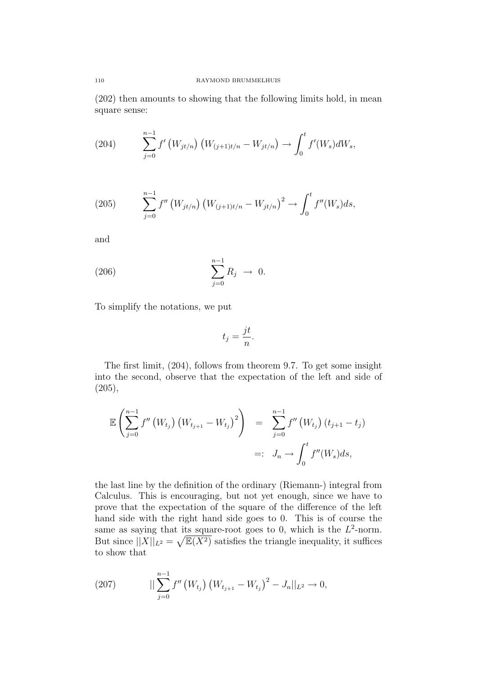(202) then amounts to showing that the following limits hold, in mean square sense:

(204) 
$$
\sum_{j=0}^{n-1} f'(W_{jt/n}) (W_{(j+1)t/n} - W_{jt/n}) \to \int_0^t f'(W_s) dW_s,
$$

(205) 
$$
\sum_{j=0}^{n-1} f''\left(W_{jt/n}\right) \left(W_{(j+1)t/n} - W_{jt/n}\right)^2 \to \int_0^t f''(W_s) ds,
$$

and

(206) 
$$
\sum_{j=0}^{n-1} R_j \to 0.
$$

To simplify the notations, we put

$$
t_j = \frac{jt}{n}.
$$

The first limit, (204), follows from theorem 9.7. To get some insight into the second, observe that the expectation of the left and side of  $(205),$ 

$$
\mathbb{E}\left(\sum_{j=0}^{n-1} f''\left(W_{t_j}\right) \left(W_{t_{j+1}} - W_{t_j}\right)^2\right) = \sum_{j=0}^{n-1} f''\left(W_{t_j}\right) (t_{j+1} - t_j)
$$
  

$$
=: J_n \to \int_0^t f''(W_s) ds,
$$

the last line by the definition of the ordinary (Riemann-) integral from Calculus. This is encouraging, but not yet enough, since we have to prove that the expectation of the square of the difference of the left hand side with the right hand side goes to 0. This is of course the same as saying that its square-root goes to 0, which is the  $L^2$ -norm. But since  $||X||_{L^2} = \sqrt{\mathbb{E}(X^2)}$  satisfies the triangle inequality, it suffices to show that

(207) 
$$
\|\sum_{j=0}^{n-1} f''\left(W_{t_j}\right) \left(W_{t_{j+1}} - W_{t_j}\right)^2 - J_n\|_{L^2} \to 0,
$$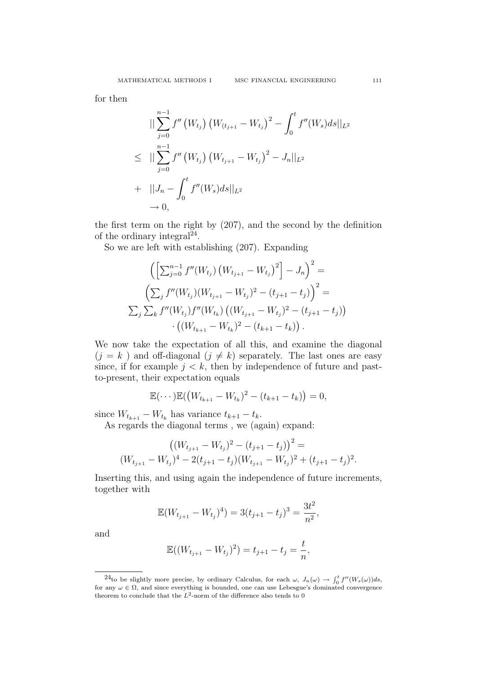for then

$$
\|\sum_{j=0}^{n-1} f''(W_{t_j}) (W_{(t_{j+1}} - W_{t_j})^2 - \int_0^t f''(W_s)ds\|_{L^2}
$$
  
\n
$$
\leq \|\sum_{j=0}^{n-1} f''(W_{t_j}) (W_{t_{j+1}} - W_{t_j})^2 - J_n\|_{L^2}
$$
  
\n
$$
+ \|J_n - \int_0^t f''(W_s)ds\|_{L^2}
$$
  
\n
$$
\to 0,
$$

the first term on the right by (207), and the second by the definition of the ordinary integral<sup>24</sup>.

So we are left with establishing (207). Expanding

$$
\left( \left[ \sum_{j=0}^{n-1} f''(W_{t_j}) (W_{t_{j+1}} - W_{t_j})^2 \right] - J_n \right)^2 =
$$
\n
$$
\left( \sum_j f''(W_{t_j}) (W_{t_{j+1}} - W_{t_j})^2 - (t_{j+1} - t_j) \right)^2 =
$$
\n
$$
\sum_j \sum_k f''(W_{t_j}) f''(W_{t_k}) (W_{t_{j+1}} - W_{t_j})^2 - (t_{j+1} - t_j) \cdot \left( (W_{t_{k+1}} - W_{t_k})^2 - (t_{k+1} - t_k) \right).
$$

We now take the expectation of all this, and examine the diagonal  $(j = k)$  and off-diagonal  $(j \neq k)$  separately. The last ones are easy since, if for example  $j < k$ , then by independence of future and pastto-present, their expectation equals

$$
\mathbb{E}(\cdots)\mathbb{E}((W_{t_{k+1}}-W_{t_k})^2-(t_{k+1}-t_k))=0,
$$

since  $W_{t_{k+1}} - W_{t_k}$  has variance  $t_{k+1} - t_k$ .

As regards the diagonal terms , we (again) expand:

$$
((W_{t_{j+1}} - W_{t_j})^2 - (t_{j+1} - t_j))^2 =
$$
  

$$
(W_{t_{j+1}} - W_{t_j})^4 - 2(t_{j+1} - t_j)(W_{t_{j+1}} - W_{t_j})^2 + (t_{j+1} - t_j)^2.
$$

Inserting this, and using again the independence of future increments, together with

$$
\mathbb{E}(W_{t_{j+1}} - W_{t_j})^4) = 3(t_{j+1} - t_j)^3 = \frac{3t^2}{n^2},
$$

and

$$
\mathbb{E}((W_{t_{j+1}} - W_{t_j})^2) = t_{j+1} - t_j = \frac{t}{n},
$$

<sup>&</sup>lt;sup>24</sup>to be slightly more precise, by ordinary Calculus, for each  $\omega$ ,  $J_n(\omega) \to \int_0^t f''(W_s(\omega))ds$ , for any  $\omega \in \Omega$ , and since everything is bounded, one can use Lebesgue's dominated convergence theorem to conclude that the  $L^2$ -norm of the difference also tends to 0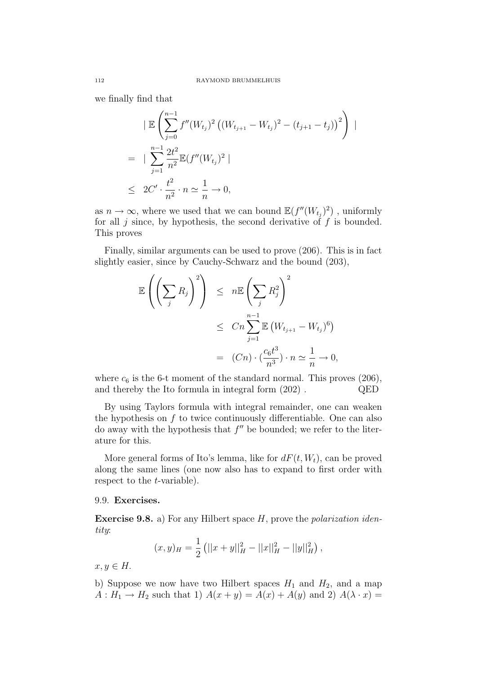we finally find that

$$
\| \mathbb{E} \left( \sum_{j=0}^{n-1} f''(W_{t_j})^2 \left( (W_{t_{j+1}} - W_{t_j})^2 - (t_{j+1} - t_j) \right)^2 \right) \|
$$
  
= 
$$
\| \sum_{j=1}^{n-1} \frac{2t^2}{n^2} \mathbb{E} (f''(W_{t_j})^2 \|
$$
  

$$
\leq 2C' \cdot \frac{t^2}{n^2} \cdot n \simeq \frac{1}{n} \to 0,
$$

as  $n \to \infty$ , where we used that we can bound  $\mathbb{E}(f''(W_{t_j})^2)$ , uniformly for all  $j$  since, by hypothesis, the second derivative of  $f$  is bounded. This proves

Finally, similar arguments can be used to prove (206). This is in fact slightly easier, since by Cauchy-Schwarz and the bound (203),

$$
\mathbb{E}\left(\left(\sum_{j} R_{j}\right)^{2}\right) \leq n \mathbb{E}\left(\sum_{j} R_{j}^{2}\right)^{2}
$$
  

$$
\leq C n \sum_{j=1}^{n-1} \mathbb{E}\left(W_{t_{j+1}} - W_{t_{j}}\right)^{6}
$$
  

$$
= (C n) \cdot \left(\frac{c_{6} t^{3}}{n^{3}}\right) \cdot n \simeq \frac{1}{n} \to 0,
$$

where  $c_6$  is the 6-t moment of the standard normal. This proves (206), and thereby the Ito formula in integral form  $(202)$ . QED

By using Taylors formula with integral remainder, one can weaken the hypothesis on  $f$  to twice continuously differentiable. One can also do away with the hypothesis that  $f''$  be bounded; we refer to the literature for this.

More general forms of Ito's lemma, like for  $dF(t, W_t)$ , can be proved along the same lines (one now also has to expand to first order with respect to the *t*-variable.

### 9.9. Exercises.

**Exercise 9.8.** a) For any Hilbert space  $H$ , prove the *polarization iden*tity:

$$
(x,y)_H = \frac{1}{2} (||x+y||_H^2 - ||x||_H^2 - ||y||_H^2),
$$

 $x, y \in H$ .

b) Suppose we now have two Hilbert spaces  $H_1$  and  $H_2$ , and a map  $A: H_1 \to H_2$  such that 1)  $A(x + y) = A(x) + A(y)$  and 2)  $A(\lambda \cdot x) =$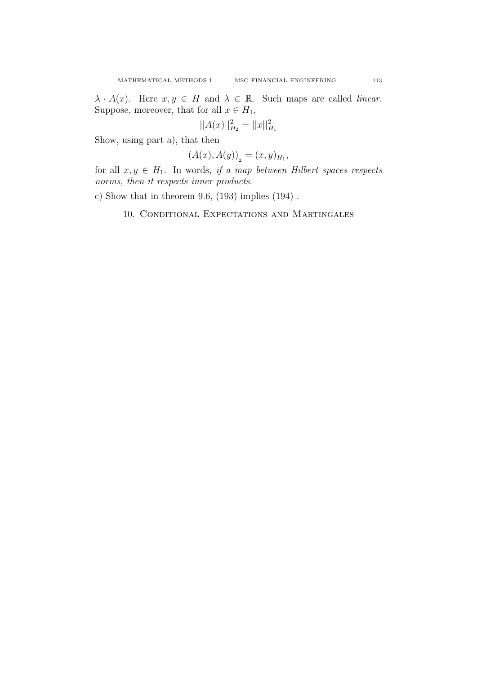$\lambda \cdot A(x)$ . Here  $x, y \in H$  and  $\lambda \in \mathbb{R}$ . Such maps are called *linear*. Suppose, moreover, that for all  $x \in H_1$ ,

$$
||A(x)||_{H_2}^2 = ||x||_{H_1}^2
$$

Show, using part a), that then

$$
(A(x), A(y))_2 = (x, y)_{H_1},
$$

for all  $x, y \in H_1$ . In words, if a map between Hilbert spaces respects norms, then it respects inner products.

c) Show that in theorem 9.6, (193) implies (194) .

10. Conditional Expectations and Martingales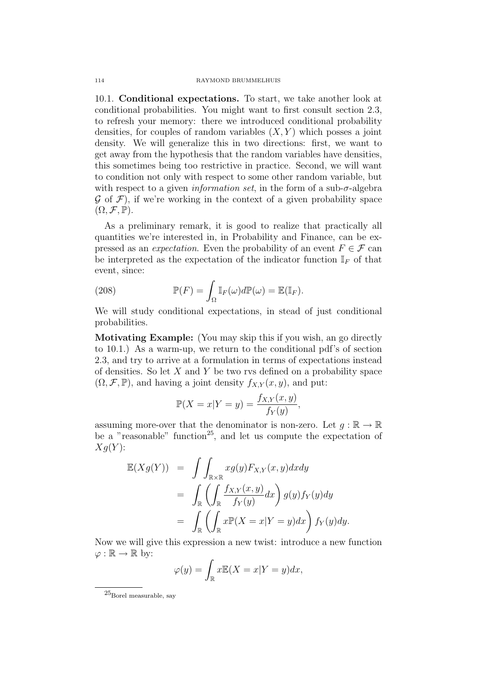10.1. Conditional expectations. To start, we take another look at conditional probabilities. You might want to first consult section 2.3, to refresh your memory: there we introduced conditional probability densities, for couples of random variables  $(X, Y)$  which posses a joint density. We will generalize this in two directions: first, we want to get away from the hypothesis that the random variables have densities, this sometimes being too restrictive in practice. Second, we will want to condition not only with respect to some other random variable, but with respect to a given *information set*, in the form of a sub- $\sigma$ -algebra  $\mathcal G$  of  $\mathcal F$ ), if we're working in the context of a given probability space  $(\Omega, \mathcal{F}, \mathbb{P}).$ 

As a preliminary remark, it is good to realize that practically all quantities we're interested in, in Probability and Finance, can be expressed as an *expectation*. Even the probability of an event  $F \in \mathcal{F}$  can be interpreted as the expectation of the indicator function  $\mathbb{I}_F$  of that event, since:

(208) 
$$
\mathbb{P}(F) = \int_{\Omega} \mathbb{I}_F(\omega) d\mathbb{P}(\omega) = \mathbb{E}(\mathbb{I}_F).
$$

We will study conditional expectations, in stead of just conditional probabilities.

Motivating Example: (You may skip this if you wish, an go directly to 10.1.) As a warm-up, we return to the conditional pdf's of section 2.3, and try to arrive at a formulation in terms of expectations instead of densities. So let  $X$  and  $Y$  be two rvs defined on a probability space  $(\Omega, \mathcal{F}, \mathbb{P})$ , and having a joint density  $f_{X,Y}(x, y)$ , and put:

$$
\mathbb{P}(X = x|Y = y) = \frac{f_{X,Y}(x,y)}{f_Y(y)},
$$

assuming more-over that the denominator is non-zero. Let  $q : \mathbb{R} \to \mathbb{R}$ be a "reasonable" function<sup>25</sup>, and let us compute the expectation of  $Xg(Y)$ :

$$
\mathbb{E}(Xg(Y)) = \int \int_{\mathbb{R} \times \mathbb{R}} xg(y) F_{X,Y}(x, y) dx dy
$$
  
= 
$$
\int_{\mathbb{R}} \left( \int_{\mathbb{R}} \frac{f_{X,Y}(x, y)}{f_Y(y)} dx \right) g(y) f_Y(y) dy
$$
  
= 
$$
\int_{\mathbb{R}} \left( \int_{\mathbb{R}} x \mathbb{P}(X = x | Y = y) dx \right) f_Y(y) dy.
$$

Now we will give this expression a new twist: introduce a new function  $\varphi : \mathbb{R} \to \mathbb{R}$  by:

$$
\varphi(y) = \int_{\mathbb{R}} x \mathbb{E}(X = x | Y = y) dx,
$$

 ${}^{25}$ Borel measurable, say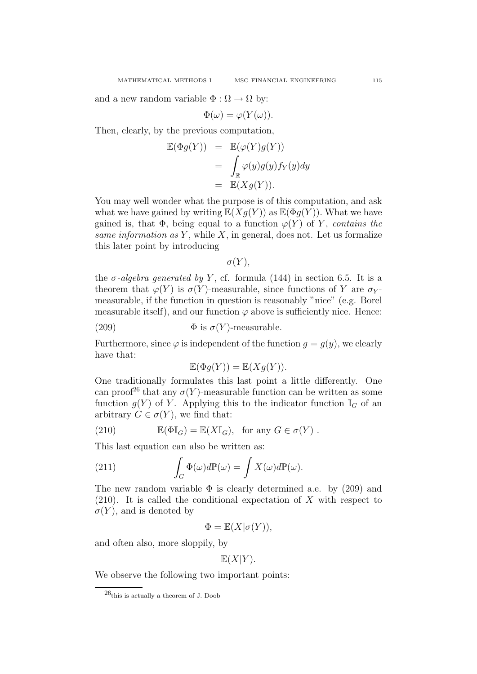and a new random variable  $\Phi : \Omega \to \Omega$  by:

$$
\Phi(\omega) = \varphi(Y(\omega)).
$$

Then, clearly, by the previous computation,

$$
\mathbb{E}(\Phi g(Y)) = \mathbb{E}(\varphi(Y)g(Y))
$$
  
= 
$$
\int_{\mathbb{R}} \varphi(y)g(y)f_Y(y)dy
$$
  
= 
$$
\mathbb{E}(Xg(Y)).
$$

You may well wonder what the purpose is of this computation, and ask what we have gained by writing  $\mathbb{E}(Xg(Y))$  as  $\mathbb{E}(\Phi g(Y))$ . What we have gained is, that  $\Phi$ , being equal to a function  $\varphi(Y)$  of Y, contains the same information as  $Y$ , while  $X$ , in general, does not. Let us formalize this later point by introducing

 $\sigma(Y),$ 

the  $\sigma$ -algebra generated by Y, cf. formula (144) in section 6.5. It is a theorem that  $\varphi(Y)$  is  $\sigma(Y)$ -measurable, since functions of Y are  $\sigma_Y$ measurable, if the function in question is reasonably "nice" (e.g. Borel measurable itself), and our function  $\varphi$  above is sufficiently nice. Hence:

(209) 
$$
\Phi \text{ is } \sigma(Y)\text{-measurable.}
$$

Furthermore, since  $\varphi$  is independent of the function  $g = g(y)$ , we clearly have that:

$$
\mathbb{E}(\Phi g(Y)) = \mathbb{E}(Xg(Y)).
$$

One traditionally formulates this last point a little differently. One can proof<sup>26</sup> that any  $\sigma(Y)$ -measurable function can be written as some function  $q(Y)$  of Y. Applying this to the indicator function  $\mathbb{I}_G$  of an arbitrary  $G \in \sigma(Y)$ , we find that:

(210) 
$$
\mathbb{E}(\Phi \mathbb{I}_G) = \mathbb{E}(X \mathbb{I}_G), \text{ for any } G \in \sigma(Y).
$$

This last equation can also be written as:

(211) 
$$
\int_G \Phi(\omega) d\mathbb{P}(\omega) = \int X(\omega) d\mathbb{P}(\omega).
$$

The new random variable  $\Phi$  is clearly determined a.e. by (209) and  $(210)$ . It is called the conditional expectation of X with respect to  $\sigma(Y)$ , and is denoted by

$$
\Phi = \mathbb{E}(X|\sigma(Y)),
$$

and often also, more sloppily, by

$$
\mathbb{E}(X|Y).
$$

We observe the following two important points:

 $^{26}$ this is actually a theorem of J. Doob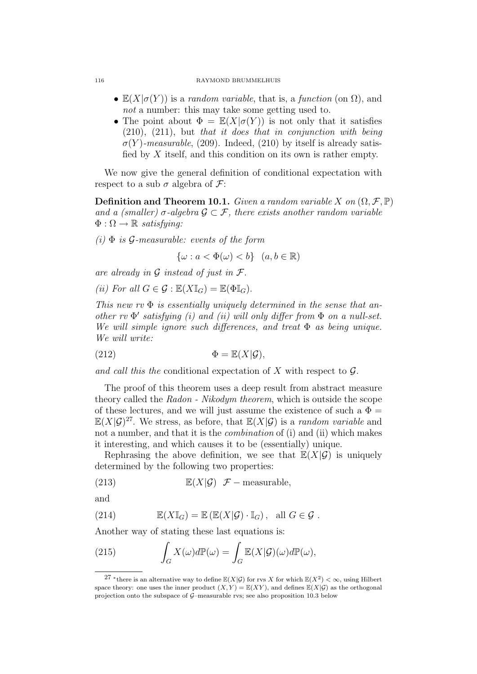#### 116 RAYMOND BRUMMELHUIS

- $\mathbb{E}(X|\sigma(Y))$  is a *random variable*, that is, a *function* (on  $\Omega$ ), and not a number: this may take some getting used to.
- The point about  $\Phi = \mathbb{E}(X|\sigma(Y))$  is not only that it satisfies (210), (211), but that it does that in conjunction with being  $\sigma(Y)$ -measurable, (209). Indeed, (210) by itself is already satisfied by  $X$  itself, and this condition on its own is rather empty.

We now give the general definition of conditional expectation with respect to a sub  $\sigma$  algebra of  $\mathcal{F}$ :

**Definition and Theorem 10.1.** Given a random variable X on  $(\Omega, \mathcal{F}, \mathbb{P})$ and a (smaller)  $\sigma$ -algebra  $\mathcal{G} \subset \mathcal{F}$ , there exists another random variable  $\Phi : \Omega \to \mathbb{R}$  satisfying:

(i)  $\Phi$  is  $\mathcal G$ -measurable: events of the form

$$
\{\omega : a < \Phi(\omega) < b\} \quad (a, b \in \mathbb{R})
$$

are already in  $\mathcal G$  instead of just in  $\mathcal F$ .

(ii) For all  $G \in \mathcal{G} : \mathbb{E}(X\mathbb{I}_{G}) = \mathbb{E}(\Phi\mathbb{I}_{G}).$ 

This new rv  $\Phi$  is essentially uniquely determined in the sense that another rv  $\Phi'$  satisfying (i) and (ii) will only differ from  $\Phi$  on a null-set. We will simple ignore such differences, and treat  $\Phi$  as being unique. We will write:

(212) 
$$
\Phi = \mathbb{E}(X|\mathcal{G}),
$$

and call this the conditional expectation of X with respect to  $\mathcal{G}$ .

The proof of this theorem uses a deep result from abstract measure theory called the Radon - Nikodym theorem, which is outside the scope of these lectures, and we will just assume the existence of such a  $\Phi =$  $\mathbb{E}(X|\mathcal{G})^{27}$ . We stress, as before, that  $\mathbb{E}(X|\mathcal{G})$  is a *random variable* and not a number, and that it is the combination of (i) and (ii) which makes it interesting, and which causes it to be (essentially) unique.

Rephrasing the above definition, we see that  $\mathbb{E}(X|\mathcal{G})$  is uniquely determined by the following two properties:

(213) 
$$
\mathbb{E}(X|\mathcal{G}) \mathcal{F} - \text{measurable},
$$

and

(214) 
$$
\mathbb{E}(X\mathbb{I}_G) = \mathbb{E}(\mathbb{E}(X|\mathcal{G})\cdot\mathbb{I}_G), \text{ all } G \in \mathcal{G}.
$$

Another way of stating these last equations is:

(215) 
$$
\int_G X(\omega) d\mathbb{P}(\omega) = \int_G \mathbb{E}(X|\mathcal{G})(\omega) d\mathbb{P}(\omega),
$$

<sup>&</sup>lt;sup>27</sup> \*there is an alternative way to define  $\mathbb{E}(X|\mathcal{G})$  for rvs X for which  $\mathbb{E}(X^2) < \infty$ , using Hilbert space theory: one uses the inner product  $(X, Y) = \mathbb{E}(XY)$ , and defines  $\mathbb{E}(X|\mathcal{G})$  as the orthogonal projection onto the subspace of  $\mathcal{G}$ –measurable rvs; see also proposition 10.3 below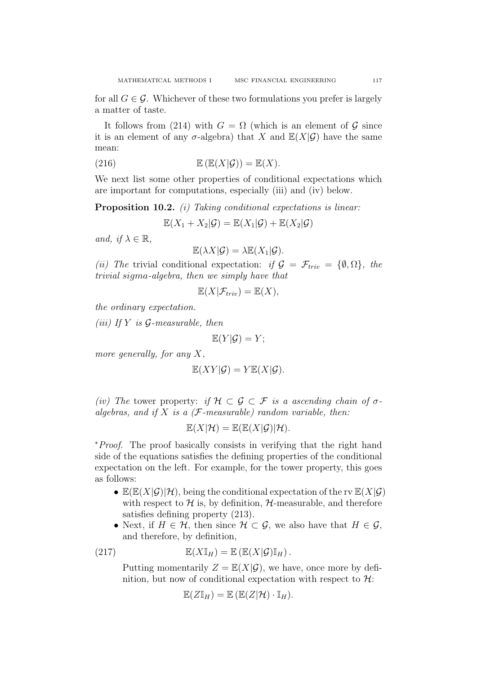for all  $G \in \mathcal{G}$ . Whichever of these two formulations you prefer is largely a matter of taste.

It follows from (214) with  $G = \Omega$  (which is an element of  $\mathcal G$  since it is an element of any  $\sigma$ -algebra) that X and  $\mathbb{E}(X|\mathcal{G})$  have the same mean:

(216) 
$$
\mathbb{E}(\mathbb{E}(X|\mathcal{G})) = \mathbb{E}(X).
$$

We next list some other properties of conditional expectations which are important for computations, especially (iii) and (iv) below.

Proposition 10.2. *(i)* Taking conditional expectations is linear:

$$
\mathbb{E}(X_1 + X_2 | \mathcal{G}) = \mathbb{E}(X_1 | \mathcal{G}) + \mathbb{E}(X_2 | \mathcal{G})
$$

and, if  $\lambda \in \mathbb{R}$ ,

$$
\mathbb{E}(\lambda X|\mathcal{G}) = \lambda \mathbb{E}(X_1|\mathcal{G}).
$$

(ii) The trivial conditional expectation: if  $\mathcal{G} = \mathcal{F}_{triv} = \{\emptyset, \Omega\},\$ trivial sigma-algebra, then we simply have that

$$
\mathbb{E}(X|\mathcal{F}_{triv}) = \mathbb{E}(X),
$$

the ordinary expectation.

(*iii*) If  $Y$  is  $G$ -measurable, then

$$
\mathbb{E}(Y|\mathcal{G})=Y;
$$

more generally, for any  $X$ ,

$$
\mathbb{E}(XY|\mathcal{G}) = Y \mathbb{E}(X|\mathcal{G}).
$$

(iv) The tower property: if  $H \subset \mathcal{G} \subset \mathcal{F}$  is a ascending chain of  $\sigma$ algebras, and if X is a  $(F$ -measurable) random variable, then:

$$
\mathbb{E}(X|\mathcal{H}) = \mathbb{E}(\mathbb{E}(X|\mathcal{G})|\mathcal{H}).
$$

<sup>∗</sup>Proof. The proof basically consists in verifying that the right hand side of the equations satisfies the defining properties of the conditional expectation on the left. For example, for the tower property, this goes as follows:

- $\mathbb{E}(\mathbb{E}(X|\mathcal{G})|\mathcal{H})$ , being the conditional expectation of the rv  $\mathbb{E}(X|\mathcal{G})$ with respect to  $\mathcal H$  is, by definition,  $\mathcal H$ -measurable, and therefore satisfies defining property (213).
- Next, if  $H \in \mathcal{H}$ , then since  $\mathcal{H} \subset \mathcal{G}$ , we also have that  $H \in \mathcal{G}$ , and therefore, by definition,

(217) 
$$
\mathbb{E}(X\mathbb{I}_H)=\mathbb{E}(\mathbb{E}(X|\mathcal{G})\mathbb{I}_H).
$$

Putting momentarily  $Z = \mathbb{E}(X|\mathcal{G})$ , we have, once more by definition, but now of conditional expectation with respect to  $\mathcal{H}$ :

$$
\mathbb{E}(Z\mathbb{I}_H)=\mathbb{E}(\mathbb{E}(Z|\mathcal{H})\cdot\mathbb{I}_H).
$$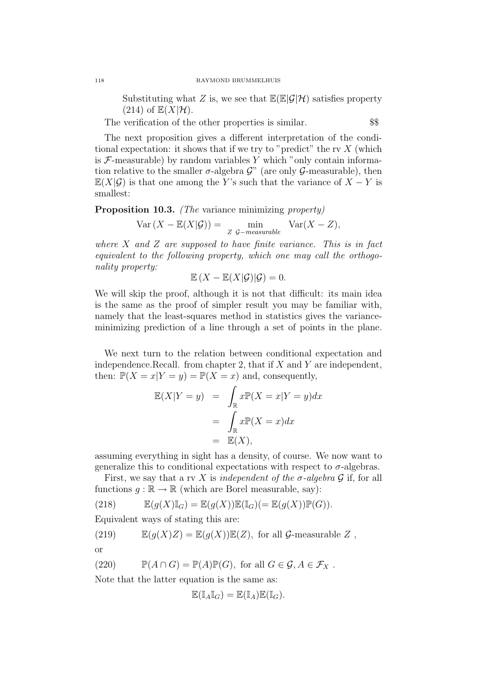Substituting what Z is, we see that  $\mathbb{E}(\mathbb{E}|\mathcal{G}|\mathcal{H})$  satisfies property  $(214)$  of  $\mathbb{E}(X|\mathcal{H})$ .

The verification of the other properties is similar. \$\$

The next proposition gives a different interpretation of the conditional expectation: it shows that if we try to "predict" the rv  $X$  (which is  $\mathcal F$ -measurable) by random variables Y which "only contain information relative to the smaller  $\sigma$ -algebra  $\mathcal{G}$ " (are only  $\mathcal{G}$ -measurable), then  $\mathbb{E}(X|\mathcal{G})$  is that one among the Y's such that the variance of  $X - Y$  is smallest:

Proposition 10.3. (The variance minimizing property)

$$
\text{Var}\left(X - \mathbb{E}(X|\mathcal{G})\right) = \min_{Z \text{ } \mathcal{G}-\text{measurable}} \quad \text{Var}(X - Z),
$$

where  $X$  and  $Z$  are supposed to have finite variance. This is in fact equivalent to the following property, which one may call the orthogonality property:

$$
\mathbb{E}(X - \mathbb{E}(X|\mathcal{G})|\mathcal{G}) = 0.
$$

We will skip the proof, although it is not that difficult: its main idea is the same as the proof of simpler result you may be familiar with, namely that the least-squares method in statistics gives the varianceminimizing prediction of a line through a set of points in the plane.

We next turn to the relation between conditional expectation and independence. Recall. from chapter 2, that if  $X$  and  $Y$  are independent. then:  $\mathbb{P}(X = x | Y = y) = \mathbb{P}(X = x)$  and, consequently,

$$
\mathbb{E}(X|Y=y) = \int_{\mathbb{R}} x \mathbb{P}(X=x|Y=y) dx
$$

$$
= \int_{\mathbb{R}} x \mathbb{P}(X=x) dx
$$

$$
= \mathbb{E}(X),
$$

assuming everything in sight has a density, of course. We now want to generalize this to conditional expectations with respect to  $\sigma$ -algebras.

First, we say that a rv X is independent of the  $\sigma$ -algebra G if, for all functions  $g : \mathbb{R} \to \mathbb{R}$  (which are Borel measurable, say):

(218) 
$$
\mathbb{E}(g(X)\mathbb{I}_G)=\mathbb{E}(g(X))\mathbb{E}(\mathbb{I}_G)(=\mathbb{E}(g(X))\mathbb{P}(G)).
$$

Equivalent ways of stating this are:

(219) 
$$
\mathbb{E}(g(X)Z) = \mathbb{E}(g(X))\mathbb{E}(Z), \text{ for all } \mathcal{G}\text{-measurable } Z,
$$

or

(220) 
$$
\mathbb{P}(A \cap G) = \mathbb{P}(A)\mathbb{P}(G), \text{ for all } G \in \mathcal{G}, A \in \mathcal{F}_X.
$$

Note that the latter equation is the same as:

$$
\mathbb{E}(\mathbb{I}_A \mathbb{I}_G) = \mathbb{E}(\mathbb{I}_A) \mathbb{E}(\mathbb{I}_G).
$$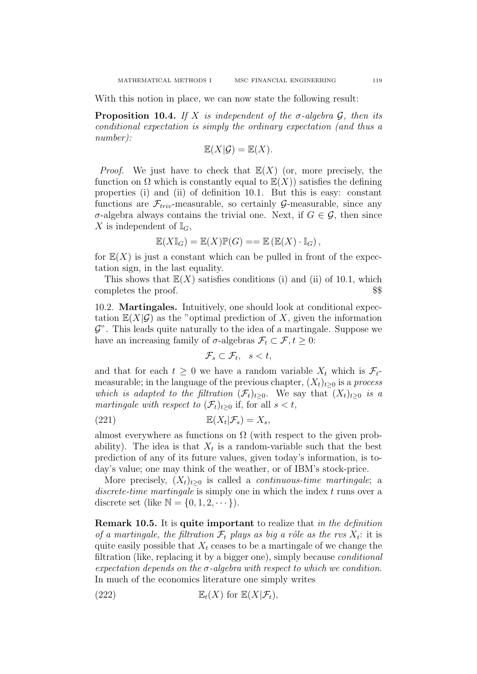With this notion in place, we can now state the following result:

**Proposition 10.4.** If X is independent of the  $\sigma$ -algebra  $\mathcal{G}$ , then its conditional expectation is simply the ordinary expectation (and thus a number):

$$
\mathbb{E}(X|\mathcal{G}) = \mathbb{E}(X).
$$

*Proof.* We just have to check that  $\mathbb{E}(X)$  (or, more precisely, the function on  $\Omega$  which is constantly equal to  $\mathbb{E}(X)$  satisfies the defining properties (i) and (ii) of definition 10.1. But this is easy: constant functions are  $\mathcal{F}_{triv}$ -measurable, so certainly  $\mathcal{G}$ -measurable, since any σ-algebra always contains the trivial one. Next, if G ∈ G, then since X is independent of  $\mathbb{I}_G$ ,

$$
\mathbb{E}(X\mathbb{I}_G)=\mathbb{E}(X)\mathbb{P}(G) == \mathbb{E}(\mathbb{E}(X)\cdot \mathbb{I}_G),
$$

for  $\mathbb{E}(X)$  is just a constant which can be pulled in front of the expectation sign, in the last equality.

This shows that  $\mathbb{E}(X)$  satisfies conditions (i) and (ii) of 10.1, which completes the proof.  $\$ 

10.2. Martingales. Intuitively, one should look at conditional expectation  $\mathbb{E}(X|\mathcal{G})$  as the "optimal prediction of X, given the information  $\mathcal{G}$ ". This leads quite naturally to the idea of a martingale. Suppose we have an increasing family of  $\sigma$ -algebras  $\mathcal{F}_t \subset \mathcal{F}, t \geq 0$ :

$$
\mathcal{F}_s \subset \mathcal{F}_t, \quad s < t,
$$

and that for each  $t \geq 0$  we have a random variable  $X_t$  which is  $\mathcal{F}_t$ measurable; in the language of the previous chapter,  $(X_t)_{t\geq0}$  is a process which is adapted to the filtration  $(\mathcal{F}_t)_{t\geq 0}$ . We say that  $(X_t)_{t\geq 0}$  is a martingale with respect to  $(\mathcal{F}_t)_{t>0}$  if, for all  $s < t$ ,

$$
\mathbb{E}(X_t|\mathcal{F}_s) = X_s,
$$

almost everywhere as functions on  $\Omega$  (with respect to the given probability). The idea is that  $X_t$  is a random-variable such that the best prediction of any of its future values, given today's information, is today's value; one may think of the weather, or of IBM's stock-price.

More precisely,  $(X_t)_{t>0}$  is called a *continuous-time martingale*; a discrete-time martingale is simply one in which the index t runs over a discrete set (like  $\mathbb{N} = \{0, 1, 2, \dots\}$ ).

Remark 10.5. It is quite important to realize that in the definition of a martingale, the filtration  $\mathcal{F}_t$  plays as big a rôle as the rvs  $X_t$ : it is quite easily possible that  $X_t$  ceases to be a martingale of we change the filtration (like, replacing it by a bigger one), simply because *conditional* expectation depends on the  $\sigma$ -algebra with respect to which we condition. In much of the economics literature one simply writes

(222) 
$$
\mathbb{E}_t(X) \text{ for } \mathbb{E}(X|\mathcal{F}_t),
$$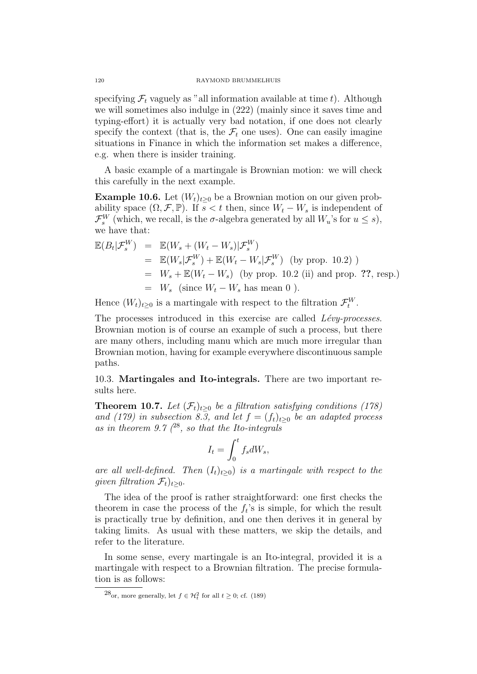specifying  $\mathcal{F}_t$  vaguely as "all information available at time t). Although we will sometimes also indulge in (222) (mainly since it saves time and typing-effort) it is actually very bad notation, if one does not clearly specify the context (that is, the  $\mathcal{F}_t$  one uses). One can easily imagine situations in Finance in which the information set makes a difference, e.g. when there is insider training.

A basic example of a martingale is Brownian motion: we will check this carefully in the next example.

**Example 10.6.** Let  $(W_t)_{t\geq0}$  be a Brownian motion on our given probability space  $(\Omega, \mathcal{F}, \mathbb{P})$ . If  $s < t$  then, since  $W_t - W_s$  is independent of  $\mathcal{F}^W_s$  (which, we recall, is the  $\sigma$ -algebra generated by all  $W_u$ 's for  $u \leq s$ ), we have that:

$$
\mathbb{E}(B_t|\mathcal{F}_s^W) = \mathbb{E}(W_s + (W_t - W_s)|\mathcal{F}_s^W)
$$
  
\n
$$
= \mathbb{E}(W_s|\mathcal{F}_s^W) + \mathbb{E}(W_t - W_s|\mathcal{F}_s^W)
$$
 (by prop. 10.2))  
\n
$$
= W_s + \mathbb{E}(W_t - W_s)
$$
 (by prop. 10.2 (ii) and prop. ??, resp.)  
\n
$$
= W_s
$$
 (since  $W_t - W_s$  has mean 0).

Hence  $(W_t)_{t\geq 0}$  is a martingale with respect to the filtration  $\mathcal{F}_t^W$ .

The processes introduced in this exercise are called  $Lévy-processes$ . Brownian motion is of course an example of such a process, but there are many others, including manu which are much more irregular than Brownian motion, having for example everywhere discontinuous sample paths.

10.3. Martingales and Ito-integrals. There are two important results here.

**Theorem 10.7.** Let  $(\mathcal{F}_t)_{t>0}$  be a filtration satisfying conditions (178) and (179) in subsection 8.3, and let  $f = (f_t)_{t>0}$  be an adapted process as in theorem 9.7  $(2^8)$ , so that the Ito-integrals

$$
I_t = \int_0^t f_s dW_s,
$$

are all well-defined. Then  $(I_t)_{t>0}$  is a martingale with respect to the given filtration  $\mathcal{F}_t)_{t\geq0}$ .

The idea of the proof is rather straightforward: one first checks the theorem in case the process of the  $f_t$ 's is simple, for which the result is practically true by definition, and one then derives it in general by taking limits. As usual with these matters, we skip the details, and refer to the literature.

In some sense, every martingale is an Ito-integral, provided it is a martingale with respect to a Brownian filtration. The precise formulation is as follows:

<sup>&</sup>lt;sup>28</sup>or, more generally, let  $f \in \mathcal{H}_t^2$  for all  $t \geq 0$ ; cf. (189)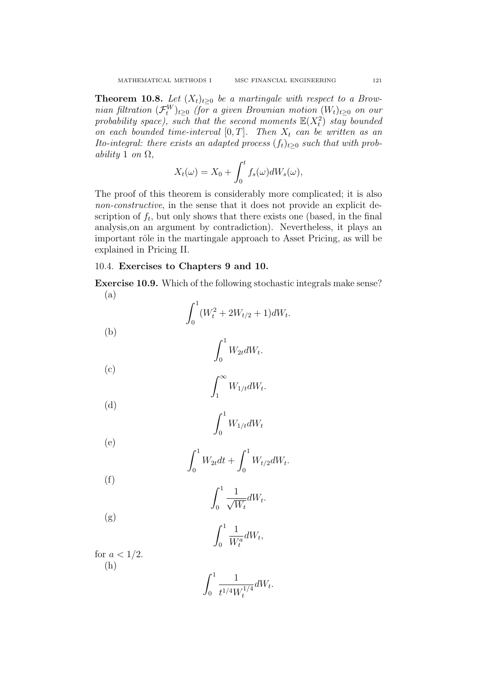**Theorem 10.8.** Let  $(X_t)_{t\geq0}$  be a martingale with respect to a Brownian filtration  $(\mathcal{F}_t^W)_{t\geq 0}$  (for a given Brownian motion  $(W_t)_{t\geq 0}$  on our probability space), such that the second moments  $\mathbb{E}(X_t^2)$  stay bounded on each bounded time-interval  $[0, T]$ . Then  $X_t$  can be written as an Ito-integral: there exists an adapted process  $(f_t)_{t\geq 0}$  such that with probability 1 on  $\Omega$ ,

$$
X_t(\omega) = X_0 + \int_0^t f_s(\omega) dW_s(\omega),
$$

The proof of this theorem is considerably more complicated; it is also non-constructive, in the sense that it does not provide an explicit description of  $f_t$ , but only shows that there exists one (based, in the final analysis,on an argument by contradiction). Nevertheless, it plays an important rôle in the martingale approach to Asset Pricing, as will be explained in Pricing II.

# 10.4. Exercises to Chapters 9 and 10.

Exercise 10.9. Which of the following stochastic integrals make sense? (a)

(b)  
\n
$$
\int_{0}^{1} (W_{t}^{2} + 2W_{t/2} + 1)dW_{t}.
$$
\n(c)  
\n
$$
\int_{1}^{1} W_{2t}dW_{t}.
$$
\n(d)  
\n
$$
\int_{0}^{1} W_{1/t}dW_{t}.
$$
\n(e)  
\n
$$
\int_{0}^{1} W_{2t}dt + \int_{0}^{1} W_{t/2}dW_{t}.
$$
\n(f)  
\n
$$
\int_{0}^{1} \frac{1}{\sqrt{W_{t}}}dW_{t}.
$$
\n(g)  
\n
$$
\int_{0}^{1} \frac{1}{W_{t}^{a}}dW_{t}.
$$
\n(f)  
\n
$$
\int_{0}^{1} \frac{1}{W_{t}^{a}}dW_{t}.
$$
\n(f)  
\n
$$
\int_{0}^{1} \frac{1}{t^{1/4}W_{t}^{1/4}}dW_{t}.
$$

 $\boldsymbol{0}$ 

t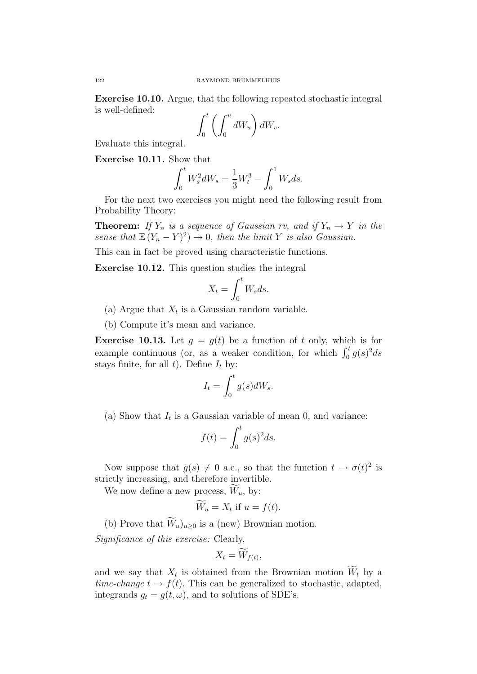Exercise 10.10. Argue, that the following repeated stochastic integral is well-defined:

$$
\int_0^t \left( \int_0^u dW_u \right) dW_v.
$$

Evaluate this integral.

Exercise 10.11. Show that

$$
\int_0^t W_s^2 dW_s = \frac{1}{3} W_t^3 - \int_0^1 W_s ds.
$$

For the next two exercises you might need the following result from Probability Theory:

**Theorem:** If  $Y_n$  is a sequence of Gaussian rv, and if  $Y_n \to Y$  in the sense that  $\mathbb{E}(Y_n - Y)^2$   $\to$  0, then the limit Y is also Gaussian.

This can in fact be proved using characteristic functions.

Exercise 10.12. This question studies the integral

$$
X_t = \int_0^t W_s ds.
$$

- (a) Argue that  $X_t$  is a Gaussian random variable.
- (b) Compute it's mean and variance.

**Exercise 10.13.** Let  $g = g(t)$  be a function of t only, which is for example continuous (or, as a weaker condition, for which  $\int_0^t g(s)^2 ds$ stays finite, for all  $t$ ). Define  $I_t$  by:

$$
I_t = \int_0^t g(s)dW_s.
$$

(a) Show that  $I_t$  is a Gaussian variable of mean 0, and variance:

$$
f(t) = \int_0^t g(s)^2 ds.
$$

Now suppose that  $g(s) \neq 0$  a.e., so that the function  $t \to \sigma(t)^2$  is strictly increasing, and therefore invertible.

We now define a new process,  $W_u$ , by:

$$
\widetilde{W}_u = X_t \text{ if } u = f(t).
$$

(b) Prove that  $\widetilde{W}_u|_{u>0}$  is a (new) Brownian motion. Significance of this exercise: Clearly,

$$
X_t = \widetilde{W}_{f(t)},
$$

and we say that  $X_t$  is obtained from the Brownian motion  $W_t$  by a time-change  $t \to f(t)$ . This can be generalized to stochastic, adapted, integrands  $g_t = g(t, \omega)$ , and to solutions of SDE's.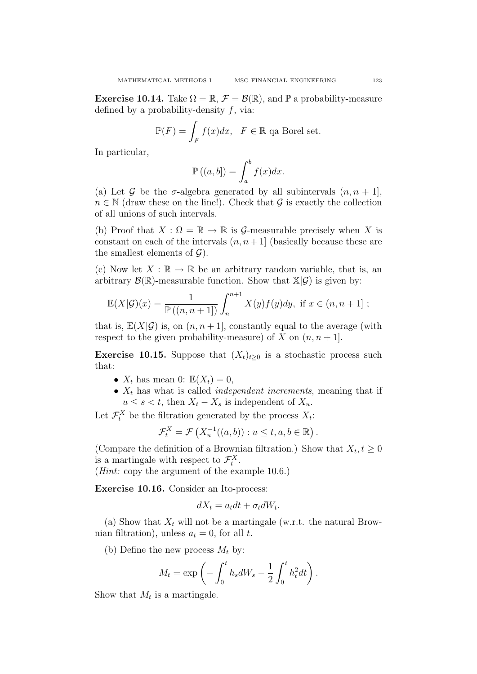**Exercise 10.14.** Take  $\Omega = \mathbb{R}, \mathcal{F} = \mathcal{B}(\mathbb{R})$ , and  $\mathbb{P}$  a probability-measure defined by a probability-density  $f$ , via:

$$
\mathbb{P}(F) = \int_{F} f(x)dx, \quad F \in \mathbb{R} \text{ qa Borel set.}
$$

In particular,

$$
\mathbb{P}\left((a,b]\right) = \int_a^b f(x)dx.
$$

(a) Let G be the  $\sigma$ -algebra generated by all subintervals  $(n, n + 1]$ .  $n \in \mathbb{N}$  (draw these on the line!). Check that G is exactly the collection of all unions of such intervals.

(b) Proof that  $X : \Omega = \mathbb{R} \to \mathbb{R}$  is  $\mathcal{G}$ -measurable precisely when X is constant on each of the intervals  $(n, n+1]$  (basically because these are the smallest elements of  $\mathcal{G}$ ).

(c) Now let  $X : \mathbb{R} \to \mathbb{R}$  be an arbitrary random variable, that is, an arbitrary  $\mathcal{B}(\mathbb{R})$ -measurable function. Show that  $\mathbb{X}|\mathcal{G}$  is given by:

$$
\mathbb{E}(X|\mathcal{G})(x) = \frac{1}{\mathbb{P}((n, n+1])} \int_n^{n+1} X(y)f(y)dy, \text{ if } x \in (n, n+1] ;
$$

that is,  $\mathbb{E}(X|\mathcal{G})$  is, on  $(n, n+1]$ , constantly equal to the average (with respect to the given probability-measure) of X on  $(n, n+1]$ .

**Exercise 10.15.** Suppose that  $(X_t)_{t>0}$  is a stochastic process such that:

- $X_t$  has mean 0:  $\mathbb{E}(X_t) = 0$ ,
- $X_t$  has what is called *independent increments*, meaning that if  $u \leq s < t$ , then  $X_t - X_s$  is independent of  $X_u$ .

Let  $\mathcal{F}_t^X$  be the filtration generated by the process  $X_t$ :

$$
\mathcal{F}_t^X = \mathcal{F}\left(X_u^{-1}((a,b)): u \le t, a, b \in \mathbb{R}\right).
$$

(Compare the definition of a Brownian filtration.) Show that  $X_t, t \geq 0$ is a martingale with respect to  $\mathcal{F}_t^X$ .

(Hint: copy the argument of the example 10.6.)

Exercise 10.16. Consider an Ito-process:

$$
dX_t = a_t dt + \sigma_t dW_t.
$$

(a) Show that  $X_t$  will not be a martingale (w.r.t. the natural Brownian filtration), unless  $a_t = 0$ , for all t.

(b) Define the new process  $M_t$  by:

$$
M_t = \exp\left(-\int_0^t h_s dW_s - \frac{1}{2} \int_0^t h_t^2 dt\right).
$$

Show that  $M_t$  is a martingale.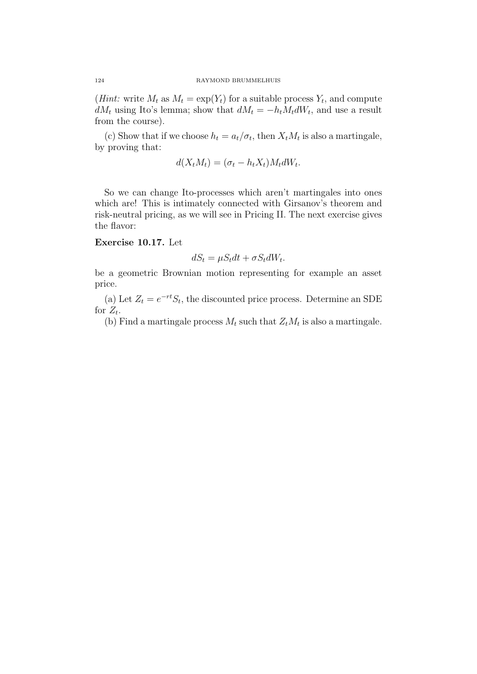(*Hint*: write  $M_t$  as  $M_t = \exp(Y_t)$  for a suitable process  $Y_t$ , and compute  $dM_t$  using Ito's lemma; show that  $dM_t = -h_t M_t dW_t$ , and use a result from the course).

(c) Show that if we choose  $h_t = a_t/\sigma_t$ , then  $X_t M_t$  is also a martingale, by proving that:

$$
d(X_t M_t) = (\sigma_t - h_t X_t) M_t dW_t.
$$

So we can change Ito-processes which aren't martingales into ones which are! This is intimately connected with Girsanov's theorem and risk-neutral pricing, as we will see in Pricing II. The next exercise gives the flavor:

## Exercise 10.17. Let

$$
dS_t = \mu S_t dt + \sigma S_t dW_t.
$$

be a geometric Brownian motion representing for example an asset price.

(a) Let  $Z_t = e^{-rt}S_t$ , the discounted price process. Determine an SDE for  $Z_t$ .

(b) Find a martingale process  $M_t$  such that  $Z_t M_t$  is also a martingale.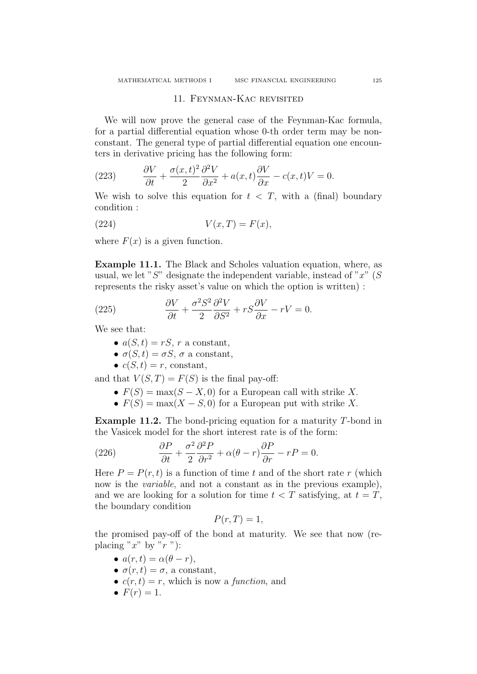#### 11. Feynman-Kac revisited

We will now prove the general case of the Feynman-Kac formula. for a partial differential equation whose 0-th order term may be nonconstant. The general type of partial differential equation one encounters in derivative pricing has the following form:

(223) 
$$
\frac{\partial V}{\partial t} + \frac{\sigma(x,t)^2}{2} \frac{\partial^2 V}{\partial x^2} + a(x,t) \frac{\partial V}{\partial x} - c(x,t) V = 0.
$$

We wish to solve this equation for  $t < T$ , with a (final) boundary condition :

$$
(224) \t\t\t V(x,T) = F(x),
$$

where  $F(x)$  is a given function.

Example 11.1. The Black and Scholes valuation equation, where, as usual, we let " $S$ " designate the independent variable, instead of " $x$ " ( $S$ represents the risky asset's value on which the option is written) :

(225) 
$$
\frac{\partial V}{\partial t} + \frac{\sigma^2 S^2}{2} \frac{\partial^2 V}{\partial S^2} + rS \frac{\partial V}{\partial x} - rV = 0.
$$

We see that:

- $a(S, t) = rS$ , r a constant,
- $\sigma(S, t) = \sigma S$ ,  $\sigma$  a constant,
- $c(S, t) = r$ , constant,

and that  $V(S,T) = F(S)$  is the final pay-off:

- $F(S) = \max(S X, 0)$  for a European call with strike X.
- $F(S) = \max(X S, 0)$  for a European put with strike X.

Example 11.2. The bond-pricing equation for a maturity T-bond in the Vasicek model for the short interest rate is of the form:

(226) 
$$
\frac{\partial P}{\partial t} + \frac{\sigma^2}{2} \frac{\partial^2 P}{\partial r^2} + \alpha (\theta - r) \frac{\partial P}{\partial r} - rP = 0.
$$

Here  $P = P(r, t)$  is a function of time t and of the short rate r (which now is the *variable*, and not a constant as in the previous example), and we are looking for a solution for time  $t < T$  satisfying, at  $t = T$ . the boundary condition

$$
P(r,T) = 1,
$$

the promised pay-off of the bond at maturity. We see that now (replacing " $x$ " by " $r$ "):

- $a(r, t) = \alpha(\theta r)$ ,
- $\sigma(r, t) = \sigma$ , a constant,
- $c(r, t) = r$ , which is now a *function*, and
- $F(r) = 1$ .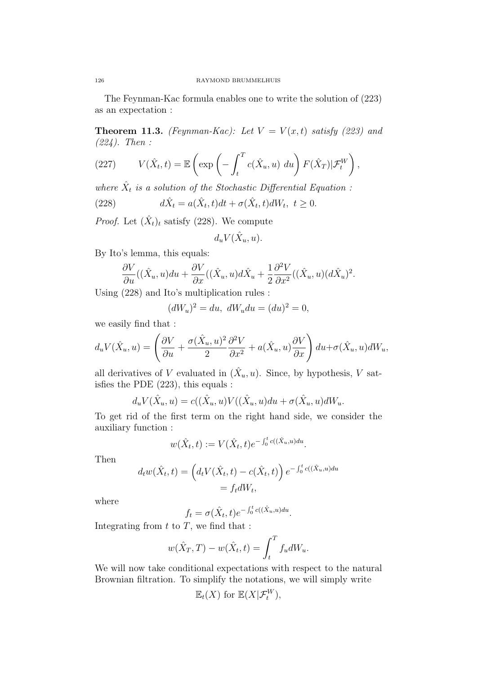The Feynman-Kac formula enables one to write the solution of (223) as an expectation :

**Theorem 11.3.** (Feynman-Kac): Let  $V = V(x,t)$  satisfy (223) and (224). Then :

(227) 
$$
V(\hat{X}_t, t) = \mathbb{E}\left(\exp\left(-\int_t^T c(\hat{X}_u, u) du\right) F(\hat{X}_T) | \mathcal{F}_t^W\right),
$$

where  $\hat{X}_t$  is a solution of the Stochastic Differential Equation :

(228) 
$$
d\hat{X}_t = a(\hat{X}_t, t)dt + \sigma(\hat{X}_t, t)dW_t, \ t \ge 0.
$$

*Proof.* Let  $(\hat{X}_t)_t$  satisfy (228). We compute

$$
d_u V(\hat{X}_u, u).
$$

By Ito's lemma, this equals:

$$
\frac{\partial V}{\partial u}((\hat{X}_u, u)du + \frac{\partial V}{\partial x}((\hat{X}_u, u)d\hat{X}_u + \frac{1}{2}\frac{\partial^2 V}{\partial x^2}((\hat{X}_u, u)(d\hat{X}_u)^2).
$$

Using (228) and Ito's multiplication rules :

$$
(dW_u)^2 = du, \ dW_u du = (du)^2 = 0,
$$

we easily find that :

$$
d_u V(\hat{X}_u, u) = \left( \frac{\partial V}{\partial u} + \frac{\sigma(\hat{X}_u, u)^2}{2} \frac{\partial^2 V}{\partial x^2} + a(\hat{X}_u, u) \frac{\partial V}{\partial x} \right) du + \sigma(\hat{X}_u, u) dW_u,
$$

all derivatives of V evaluated in  $(\hat{X}_u, u)$ . Since, by hypothesis, V satisfies the PDE (223), this equals :

$$
d_u V(\hat{X}_u, u) = c((\hat{X}_u, u)V((\hat{X}_u, u)du + \sigma(\hat{X}_u, u)dW_u).
$$

To get rid of the first term on the right hand side, we consider the auxiliary function :

$$
w(\hat{X}_t, t) := V(\hat{X}_t, t) e^{-\int_0^t c((\hat{X}_u, u) du)}.
$$

Then

$$
d_t w(\hat{X}_t, t) = \left( d_t V(\hat{X}_t, t) - c(\hat{X}_t, t) \right) e^{-\int_0^t c((\hat{X}_u, u) du)}
$$
  
=  $f_t dW_t$ ,

where

$$
f_t = \sigma(\hat{X}_t, t) e^{-\int_0^t c((\hat{X}_u, u) du)}.
$$

Integrating from  $t$  to  $T$ , we find that :

$$
w(\hat{X}_T, T) - w(\hat{X}_t, t) = \int_t^T f_u dW_u.
$$

We will now take conditional expectations with respect to the natural Brownian filtration. To simplify the notations, we will simply write

$$
\mathbb{E}_t(X) \text{ for } \mathbb{E}(X|\mathcal{F}_t^W),
$$